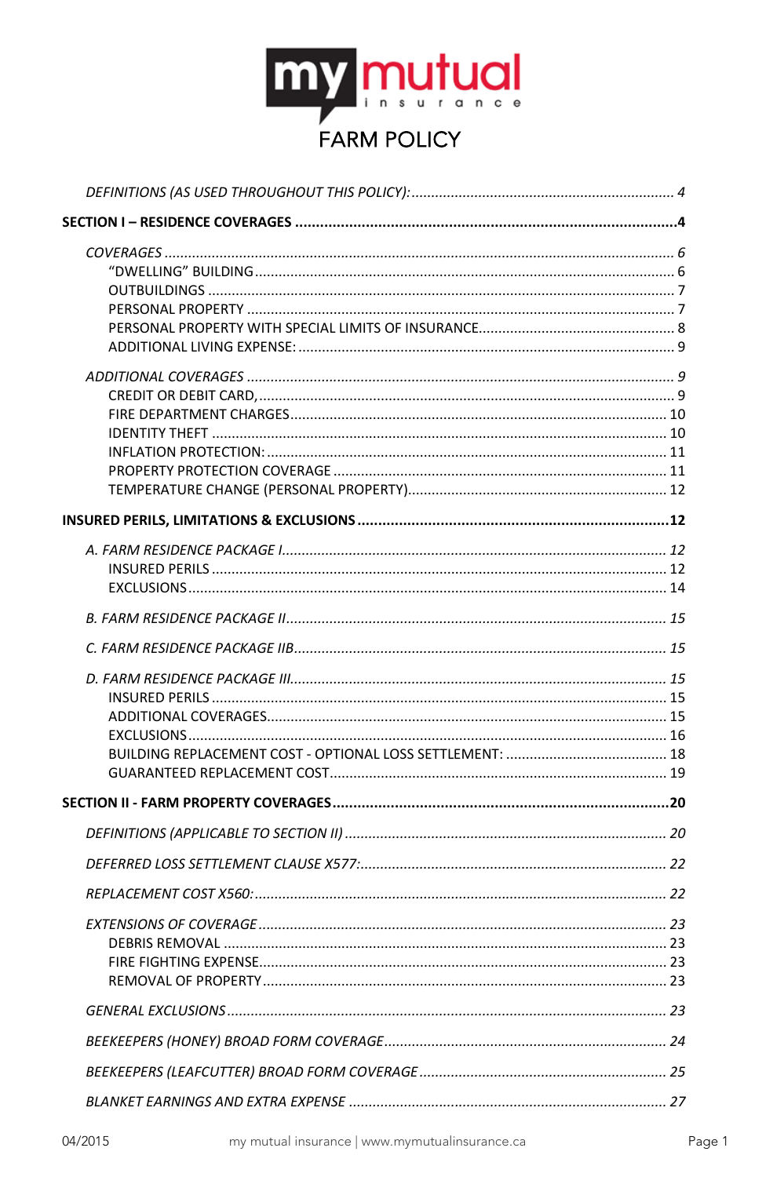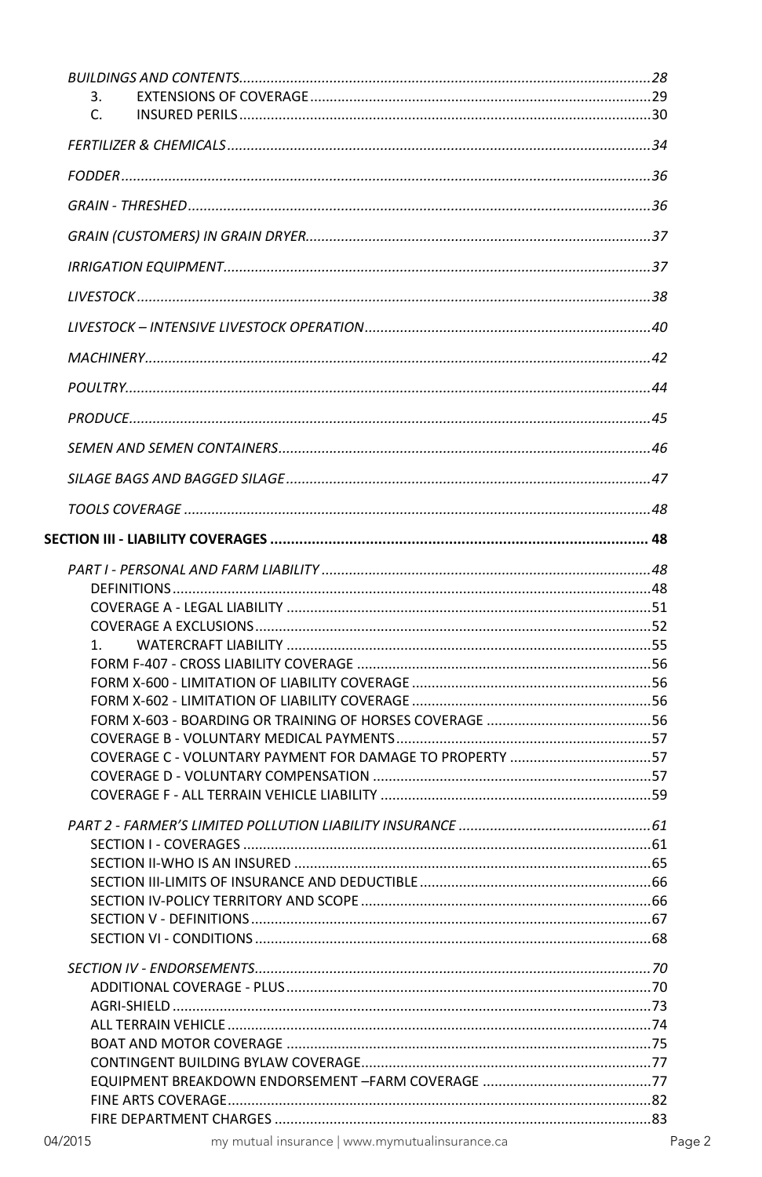| 3. |                                                          |  |
|----|----------------------------------------------------------|--|
| C. |                                                          |  |
|    |                                                          |  |
|    |                                                          |  |
|    |                                                          |  |
|    |                                                          |  |
|    |                                                          |  |
|    |                                                          |  |
|    |                                                          |  |
|    |                                                          |  |
|    |                                                          |  |
|    |                                                          |  |
|    |                                                          |  |
|    |                                                          |  |
|    |                                                          |  |
|    |                                                          |  |
|    |                                                          |  |
|    |                                                          |  |
|    |                                                          |  |
|    |                                                          |  |
| 1. |                                                          |  |
|    |                                                          |  |
|    |                                                          |  |
|    |                                                          |  |
|    |                                                          |  |
|    |                                                          |  |
|    | COVERAGE C - VOLUNTARY PAYMENT FOR DAMAGE TO PROPERTY 57 |  |
|    |                                                          |  |
|    |                                                          |  |
|    |                                                          |  |
|    |                                                          |  |
|    |                                                          |  |
|    |                                                          |  |
|    |                                                          |  |
|    |                                                          |  |
|    |                                                          |  |
|    |                                                          |  |
|    |                                                          |  |
|    |                                                          |  |
|    |                                                          |  |
|    |                                                          |  |
|    |                                                          |  |
|    |                                                          |  |
|    |                                                          |  |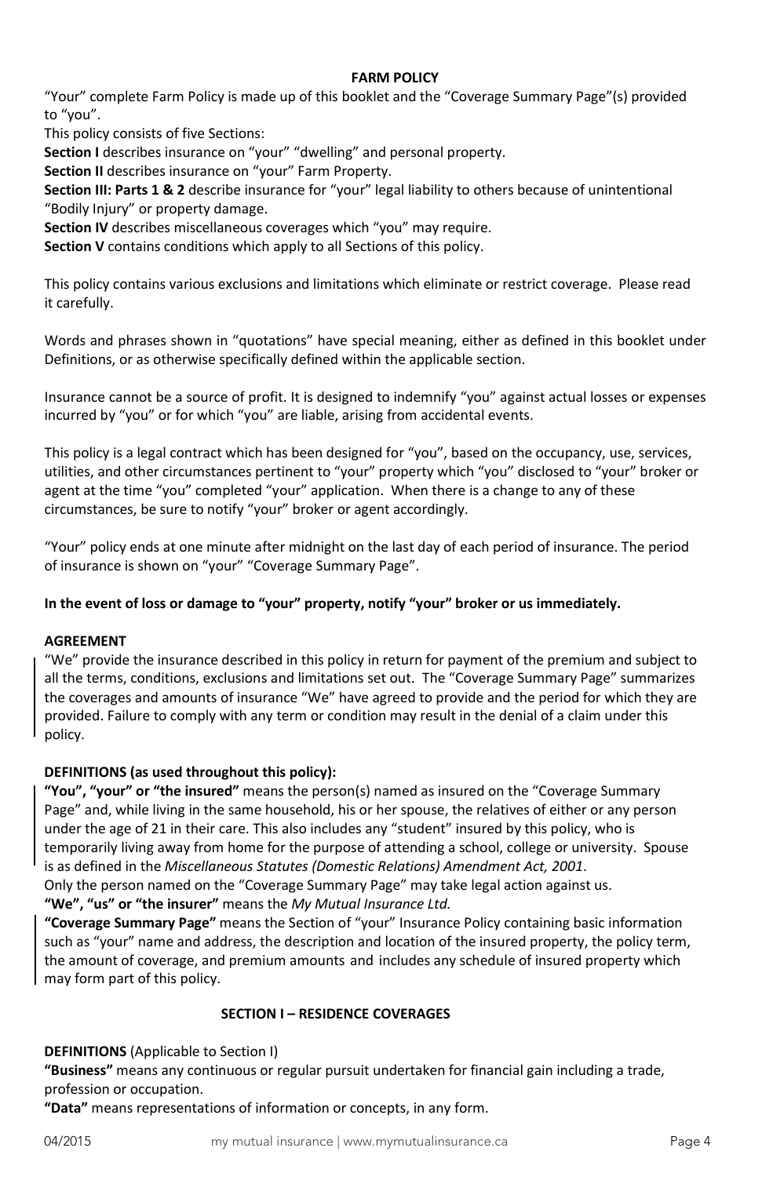### **FARM POLICY**

"Your" complete Farm Policy is made up of this booklet and the "Coverage Summary Page"(s) provided to "you".

This policy consists of five Sections:

**Section I** describes insurance on "your" "dwelling" and personal property.

**Section II** describes insurance on "your" Farm Property.

**Section III: Parts 1 & 2** describe insurance for "your" legal liability to others because of unintentional "Bodily Injury" or property damage.

**Section IV** describes miscellaneous coverages which "you" may require.

**Section V** contains conditions which apply to all Sections of this policy.

This policy contains various exclusions and limitations which eliminate or restrict coverage. Please read it carefully.

Words and phrases shown in "quotations" have special meaning, either as defined in this booklet under Definitions, or as otherwise specifically defined within the applicable section.

Insurance cannot be a source of profit. It is designed to indemnify "you" against actual losses or expenses incurred by "you" or for which "you" are liable, arising from accidental events.

This policy is a legal contract which has been designed for "you", based on the occupancy, use, services, utilities, and other circumstances pertinent to "your" property which "you" disclosed to "your" broker or agent at the time "you" completed "your" application. When there is a change to any of these circumstances, be sure to notify "your" broker or agent accordingly.

"Your" policy ends at one minute after midnight on the last day of each period of insurance. The period of insurance is shown on "your" "Coverage Summary Page".

# **In the event of loss or damage to "your" property, notify "your" broker or us immediately.**

### **AGREEMENT**

"We" provide the insurance described in this policy in return for payment of the premium and subject to all the terms, conditions, exclusions and limitations set out. The "Coverage Summary Page" summarizes the coverages and amounts of insurance "We" have agreed to provide and the period for which they are provided. Failure to comply with any term or condition may result in the denial of a claim under this policy.

# <span id="page-3-0"></span>**DEFINITIONS (as used throughout this policy):**

**"You", "your" or "the insured"** means the person(s) named as insured on the "Coverage Summary Page" and, while living in the same household, his or her spouse, the relatives of either or any person under the age of 21 in their care. This also includes any "student" insured by this policy, who is temporarily living away from home for the purpose of attending a school, college or university. Spouse is as defined in the *Miscellaneous Statutes (Domestic Relations) Amendment Act, 2001*.

Only the person named on the "Coverage Summary Page" may take legal action against us. **"We", "us" or "the insurer"** means the *My Mutual Insurance Ltd.*

**"Coverage Summary Page"** means the Section of "your" Insurance Policy containing basic information such as "your" name and address, the description and location of the insured property, the policy term, the amount of coverage, and premium amounts and includes any schedule of insured property which may form part of this policy.

# <span id="page-3-1"></span>**SECTION I – RESIDENCE COVERAGES**

**DEFINITIONS** (Applicable to Section I)

**"Business"** means any continuous or regular pursuit undertaken for financial gain including a trade, profession or occupation.

**"Data"** means representations of information or concepts, in any form.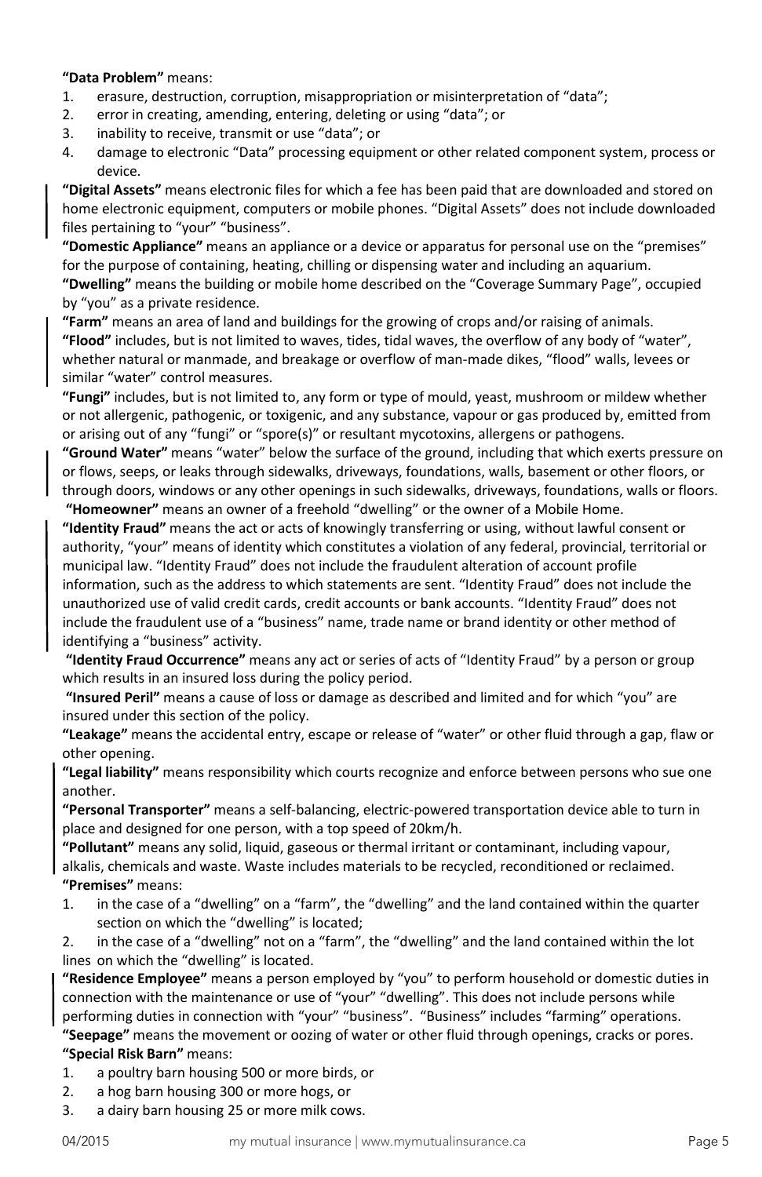### **"Data Problem"** means:

- 1. erasure, destruction, corruption, misappropriation or misinterpretation of "data";
- 2. error in creating, amending, entering, deleting or using "data"; or
- 3. inability to receive, transmit or use "data"; or
- 4. damage to electronic "Data" processing equipment or other related component system, process or device.

**"Digital Assets"** means electronic files for which a fee has been paid that are downloaded and stored on home electronic equipment, computers or mobile phones. "Digital Assets" does not include downloaded files pertaining to "your" "business".

**"Domestic Appliance"** means an appliance or a device or apparatus for personal use on the "premises" for the purpose of containing, heating, chilling or dispensing water and including an aquarium.

**"Dwelling"** means the building or mobile home described on the "Coverage Summary Page", occupied by "you" as a private residence.

**"Farm"** means an area of land and buildings for the growing of crops and/or raising of animals. **"Flood"** includes, but is not limited to waves, tides, tidal waves, the overflow of any body of "water", whether natural or manmade, and breakage or overflow of man-made dikes, "flood" walls, levees or similar "water" control measures.

**"Fungi"** includes, but is not limited to, any form or type of mould, yeast, mushroom or mildew whether or not allergenic, pathogenic, or toxigenic, and any substance, vapour or gas produced by, emitted from or arising out of any "fungi" or "spore(s)" or resultant mycotoxins, allergens or pathogens.

**"Ground Water"** means "water" below the surface of the ground, including that which exerts pressure on or flows, seeps, or leaks through sidewalks, driveways, foundations, walls, basement or other floors, or through doors, windows or any other openings in such sidewalks, driveways, foundations, walls or floors.

**"Homeowner"** means an owner of a freehold "dwelling" or the owner of a Mobile Home. **"Identity Fraud"** means the act or acts of knowingly transferring or using, without lawful consent or authority, "your" means of identity which constitutes a violation of any federal, provincial, territorial or municipal law. "Identity Fraud" does not include the fraudulent alteration of account profile information, such as the address to which statements are sent. "Identity Fraud" does not include the unauthorized use of valid credit cards, credit accounts or bank accounts. "Identity Fraud" does not include the fraudulent use of a "business" name, trade name or brand identity or other method of identifying a "business" activity.

**"Identity Fraud Occurrence"** means any act or series of acts of "Identity Fraud" by a person or group which results in an insured loss during the policy period.

**"Insured Peril"** means a cause of loss or damage as described and limited and for which "you" are insured under this section of the policy.

**"Leakage"** means the accidental entry, escape or release of "water" or other fluid through a gap, flaw or other opening.

**"Legal liability"** means responsibility which courts recognize and enforce between persons who sue one another.

**"Personal Transporter"** means a self-balancing, electric-powered transportation device able to turn in place and designed for one person, with a top speed of 20km/h.

**"Pollutant"** means any solid, liquid, gaseous or thermal irritant or contaminant, including vapour, alkalis, chemicals and waste. Waste includes materials to be recycled, reconditioned or reclaimed. **"Premises"** means:

1. in the case of a "dwelling" on a "farm", the "dwelling" and the land contained within the quarter section on which the "dwelling" is located;

2. in the case of a "dwelling" not on a "farm", the "dwelling" and the land contained within the lot lines on which the "dwelling" is located.

**"Residence Employee"** means a person employed by "you" to perform household or domestic duties in connection with the maintenance or use of "your" "dwelling". This does not include persons while performing duties in connection with "your" "business". "Business" includes "farming" operations.

**"Seepage"** means the movement or oozing of water or other fluid through openings, cracks or pores. **"Special Risk Barn"** means:

- 1. a poultry barn housing 500 or more birds, or
- 2. a hog barn housing 300 or more hogs, or
- 3. a dairy barn housing 25 or more milk cows.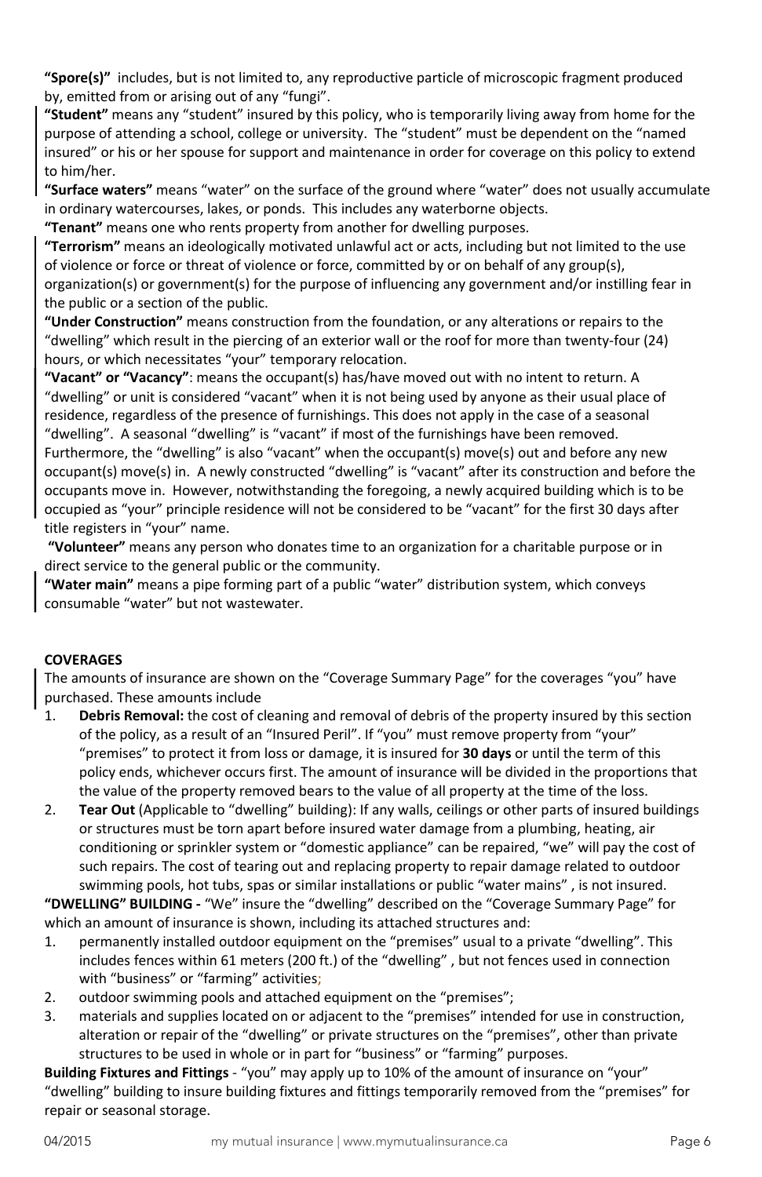<span id="page-5-0"></span>**"Spore(s)"** includes, but is not limited to, any reproductive particle of microscopic fragment produced by, emitted from or arising out of any "fungi".

**"Student"** means any "student" insured by this policy, who is temporarily living away from home for the purpose of attending a school, college or university. The "student" must be dependent on the "named insured" or his or her spouse for support and maintenance in order for coverage on this policy to extend to him/her.

**"Surface waters"** means "water" on the surface of the ground where "water" does not usually accumulate in ordinary watercourses, lakes, or ponds. This includes any waterborne objects.

**"Tenant"** means one who rents property from another for dwelling purposes.

**"Terrorism"** means an ideologically motivated unlawful act or acts, including but not limited to the use of violence or force or threat of violence or force, committed by or on behalf of any group(s), organization(s) or government(s) for the purpose of influencing any government and/or instilling fear in the public or a section of the public.

**"Under Construction"** means construction from the foundation, or any alterations or repairs to the "dwelling" which result in the piercing of an exterior wall or the roof for more than twenty-four (24) hours, or which necessitates "your" temporary relocation.

**"Vacant" or "Vacancy"**: means the occupant(s) has/have moved out with no intent to return. A "dwelling" or unit is considered "vacant" when it is not being used by anyone as their usual place of residence, regardless of the presence of furnishings. This does not apply in the case of a seasonal "dwelling". A seasonal "dwelling" is "vacant" if most of the furnishings have been removed.

Furthermore, the "dwelling" is also "vacant" when the occupant(s) move(s) out and before any new occupant(s) move(s) in. A newly constructed "dwelling" is "vacant" after its construction and before the occupants move in. However, notwithstanding the foregoing, a newly acquired building which is to be occupied as "your" principle residence will not be considered to be "vacant" for the first 30 days after title registers in "your" name.

**"Volunteer"** means any person who donates time to an organization for a charitable purpose or in direct service to the general public or the community.

**"Water main"** means a pipe forming part of a public "water" distribution system, which conveys consumable "water" but not wastewater.

# **COVERAGES**

The amounts of insurance are shown on the "Coverage Summary Page" for the coverages "you" have purchased. These amounts include

- 1. **Debris Removal:** the cost of cleaning and removal of debris of the property insured by this section of the policy, as a result of an "Insured Peril". If "you" must remove property from "your" "premises" to protect it from loss or damage, it is insured for **30 days** or until the term of this policy ends, whichever occurs first. The amount of insurance will be divided in the proportions that the value of the property removed bears to the value of all property at the time of the loss.
- 2. **Tear Out** (Applicable to "dwelling" building): If any walls, ceilings or other parts of insured buildings or structures must be torn apart before insured water damage from a plumbing, heating, air conditioning or sprinkler system or "domestic appliance" can be repaired, "we" will pay the cost of such repairs. The cost of tearing out and replacing property to repair damage related to outdoor swimming pools, hot tubs, spas or similar installations or public "water mains" , is not insured.

<span id="page-5-1"></span>**"DWELLING" BUILDING -** "We" insure the "dwelling" described on the "Coverage Summary Page" for which an amount of insurance is shown, including its attached structures and:

- 1. permanently installed outdoor equipment on the "premises" usual to a private "dwelling". This includes fences within 61 meters (200 ft.) of the "dwelling" , but not fences used in connection with "business" or "farming" activities;
- 2. outdoor swimming pools and attached equipment on the "premises";
- 3. materials and supplies located on or adjacent to the "premises" intended for use in construction, alteration or repair of the "dwelling" or private structures on the "premises", other than private structures to be used in whole or in part for "business" or "farming" purposes.

**Building Fixtures and Fittings** - "you" may apply up to 10% of the amount of insurance on "your" "dwelling" building to insure building fixtures and fittings temporarily removed from the "premises" for repair or seasonal storage.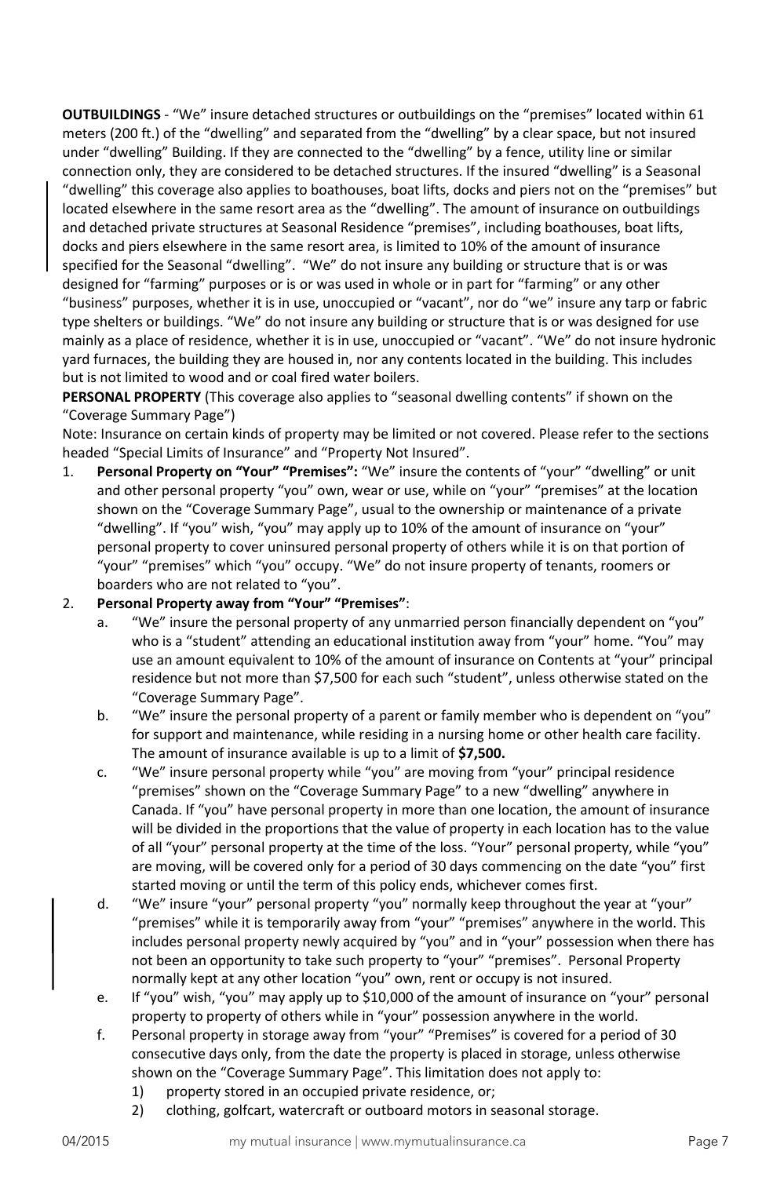<span id="page-6-0"></span>**OUTBUILDINGS** - "We" insure detached structures or outbuildings on the "premises" located within 61 meters (200 ft.) of the "dwelling" and separated from the "dwelling" by a clear space, but not insured under "dwelling" Building. If they are connected to the "dwelling" by a fence, utility line or similar connection only, they are considered to be detached structures. If the insured "dwelling" is a Seasonal

"dwelling" this coverage also applies to boathouses, boat lifts, docks and piers not on the "premises" but located elsewhere in the same resort area as the "dwelling". The amount of insurance on outbuildings and detached private structures at Seasonal Residence "premises", including boathouses, boat lifts, docks and piers elsewhere in the same resort area, is limited to 10% of the amount of insurance specified for the Seasonal "dwelling". "We" do not insure any building or structure that is or was designed for "farming" purposes or is or was used in whole or in part for "farming" or any other "business" purposes, whether it is in use, unoccupied or "vacant", nor do "we" insure any tarp or fabric type shelters or buildings. "We" do not insure any building or structure that is or was designed for use mainly as a place of residence, whether it is in use, unoccupied or "vacant". "We" do not insure hydronic yard furnaces, the building they are housed in, nor any contents located in the building. This includes but is not limited to wood and or coal fired water boilers.

<span id="page-6-1"></span>**PERSONAL PROPERTY** (This coverage also applies to "seasonal dwelling contents" if shown on the "Coverage Summary Page")

Note: Insurance on certain kinds of property may be limited or not covered. Please refer to the sections headed "Special Limits of Insurance" and "Property Not Insured".

1. **Personal Property on "Your" "Premises":** "We" insure the contents of "your" "dwelling" or unit and other personal property "you" own, wear or use, while on "your" "premises" at the location shown on the "Coverage Summary Page", usual to the ownership or maintenance of a private "dwelling". If "you" wish, "you" may apply up to 10% of the amount of insurance on "your" personal property to cover uninsured personal property of others while it is on that portion of "your" "premises" which "you" occupy. "We" do not insure property of tenants, roomers or boarders who are not related to "you".

# 2. **Personal Property away from "Your" "Premises"**:

- a. "We" insure the personal property of any unmarried person financially dependent on "you" who is a "student" attending an educational institution away from "your" home. "You" may use an amount equivalent to 10% of the amount of insurance on Contents at "your" principal residence but not more than \$7,500 for each such "student", unless otherwise stated on the "Coverage Summary Page".
- b. "We" insure the personal property of a parent or family member who is dependent on "you" for support and maintenance, while residing in a nursing home or other health care facility. The amount of insurance available is up to a limit of **\$7,500.**
- c. "We" insure personal property while "you" are moving from "your" principal residence "premises" shown on the "Coverage Summary Page" to a new "dwelling" anywhere in Canada. If "you" have personal property in more than one location, the amount of insurance will be divided in the proportions that the value of property in each location has to the value of all "your" personal property at the time of the loss. "Your" personal property, while "you" are moving, will be covered only for a period of 30 days commencing on the date "you" first started moving or until the term of this policy ends, whichever comes first.
- d. "We" insure "your" personal property "you" normally keep throughout the year at "your" "premises" while it is temporarily away from "your" "premises" anywhere in the world. This includes personal property newly acquired by "you" and in "your" possession when there has not been an opportunity to take such property to "your" "premises". Personal Property normally kept at any other location "you" own, rent or occupy is not insured.
- e. If "you" wish, "you" may apply up to \$10,000 of the amount of insurance on "your" personal property to property of others while in "your" possession anywhere in the world.
- f. Personal property in storage away from "your" "Premises" is covered for a period of 30 consecutive days only, from the date the property is placed in storage, unless otherwise shown on the "Coverage Summary Page". This limitation does not apply to:
	- 1) property stored in an occupied private residence, or;
	- 2) clothing, golfcart, watercraft or outboard motors in seasonal storage.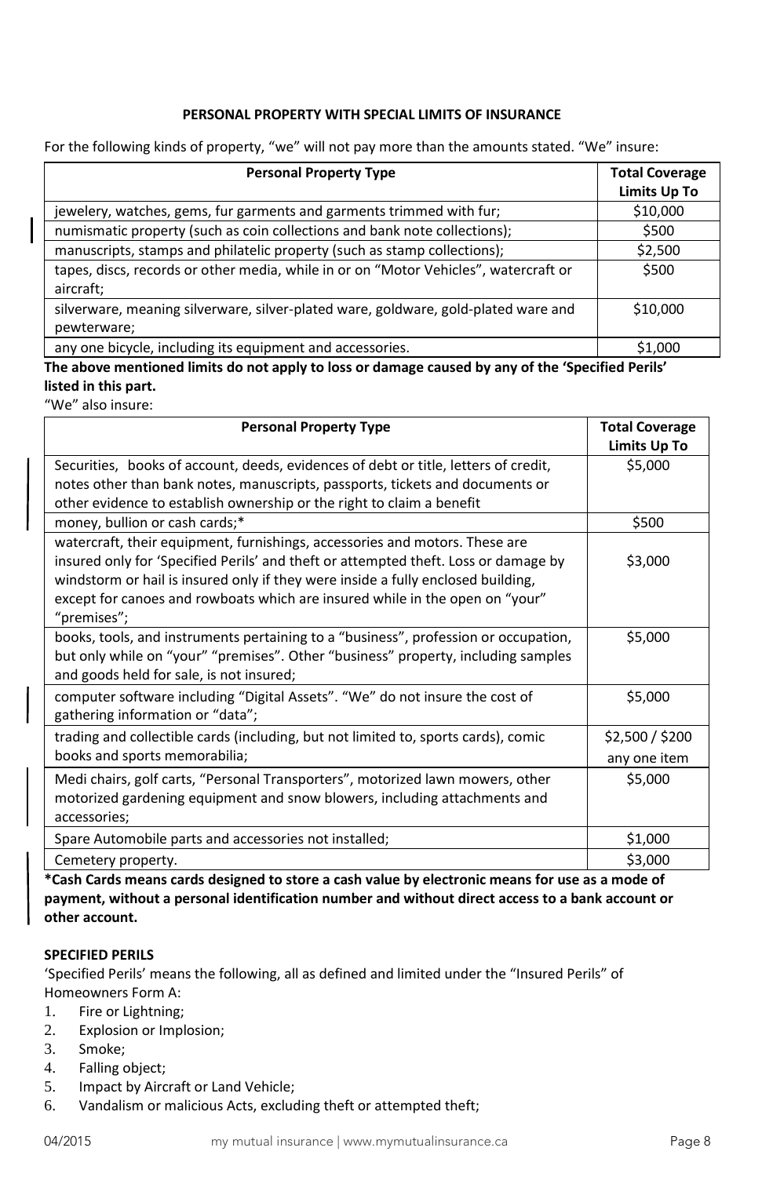# **PERSONAL PROPERTY WITH SPECIAL LIMITS OF INSURANCE**

<span id="page-7-0"></span>For the following kinds of property, "we" will not pay more than the amounts stated. "We" insure:

| <b>Personal Property Type</b>                                                                     | <b>Total Coverage</b><br>Limits Up To |
|---------------------------------------------------------------------------------------------------|---------------------------------------|
| jewelery, watches, gems, fur garments and garments trimmed with fur;                              | \$10,000                              |
| numismatic property (such as coin collections and bank note collections);                         | \$500                                 |
| manuscripts, stamps and philatelic property (such as stamp collections);                          | \$2,500                               |
| tapes, discs, records or other media, while in or on "Motor Vehicles", watercraft or<br>aircraft; | \$500                                 |
| silverware, meaning silverware, silver-plated ware, goldware, gold-plated ware and<br>pewterware; | \$10,000                              |
| any one bicycle, including its equipment and accessories.                                         | \$1.000                               |

**The above mentioned limits do not apply to loss or damage caused by any of the 'Specified Perils' listed in this part.** 

"We" also insure:

| <b>Personal Property Type</b>                                                       | <b>Total Coverage</b> |
|-------------------------------------------------------------------------------------|-----------------------|
|                                                                                     | Limits Up To          |
| Securities, books of account, deeds, evidences of debt or title, letters of credit, | \$5,000               |
| notes other than bank notes, manuscripts, passports, tickets and documents or       |                       |
| other evidence to establish ownership or the right to claim a benefit               |                       |
| money, bullion or cash cards;*                                                      | \$500                 |
| watercraft, their equipment, furnishings, accessories and motors. These are         |                       |
| insured only for 'Specified Perils' and theft or attempted theft. Loss or damage by | \$3,000               |
| windstorm or hail is insured only if they were inside a fully enclosed building,    |                       |
| except for canoes and rowboats which are insured while in the open on "your"        |                       |
| "premises";                                                                         |                       |
| books, tools, and instruments pertaining to a "business", profession or occupation, | \$5,000               |
| but only while on "your" "premises". Other "business" property, including samples   |                       |
| and goods held for sale, is not insured;                                            |                       |
| computer software including "Digital Assets". "We" do not insure the cost of        | \$5,000               |
| gathering information or "data";                                                    |                       |
| trading and collectible cards (including, but not limited to, sports cards), comic  | \$2,500 / \$200       |
| books and sports memorabilia;                                                       | any one item          |
| Medi chairs, golf carts, "Personal Transporters", motorized lawn mowers, other      | \$5,000               |
| motorized gardening equipment and snow blowers, including attachments and           |                       |
| accessories;                                                                        |                       |
| Spare Automobile parts and accessories not installed;                               | \$1,000               |
| Cemetery property.                                                                  | \$3,000               |

**\*Cash Cards means cards designed to store a cash value by electronic means for use as a mode of payment, without a personal identification number and without direct access to a bank account or other account.** 

### **SPECIFIED PERILS**

'Specified Perils' means the following, all as defined and limited under the "Insured Perils" of Homeowners Form A:

- 1. Fire or Lightning;
- 2. Explosion or Implosion;
- 3. Smoke;
- 4. Falling object;
- 5. Impact by Aircraft or Land Vehicle;
- 6. Vandalism or malicious Acts, excluding theft or attempted theft;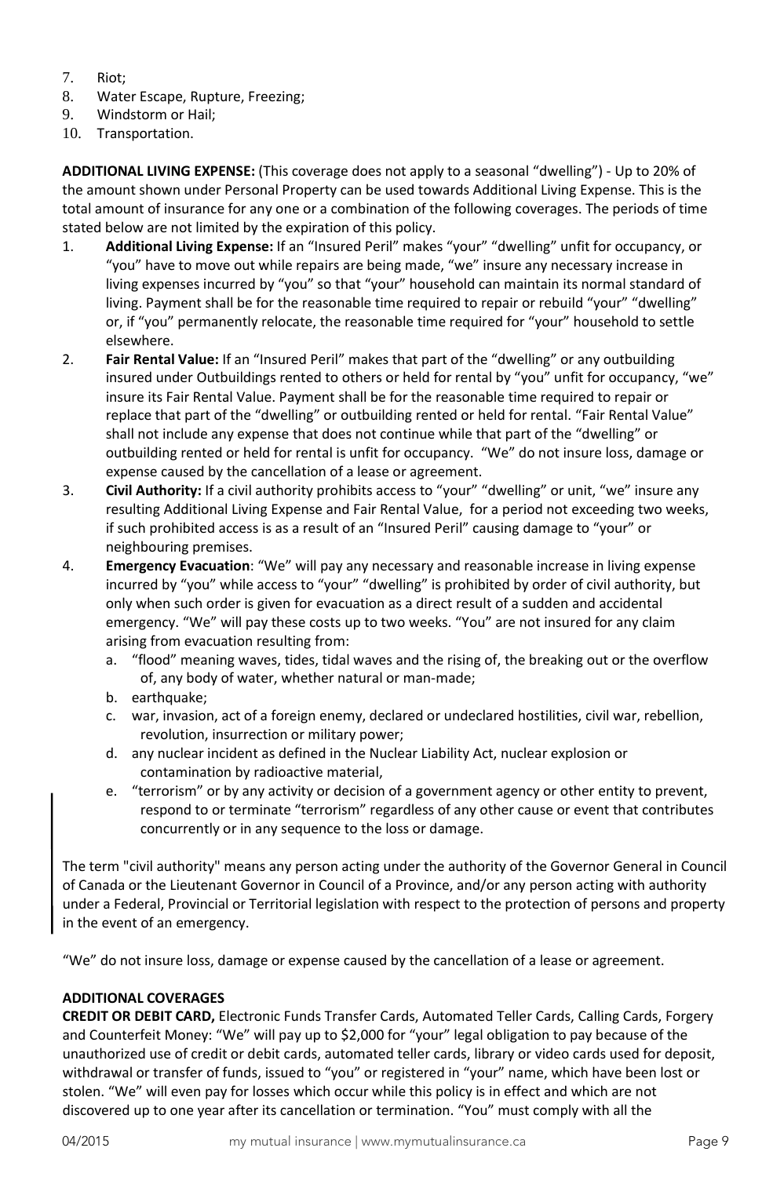- 7. Riot;
- 8. Water Escape, Rupture, Freezing;
- 9. Windstorm or Hail;
- 10. Transportation.

<span id="page-8-0"></span>**ADDITIONAL LIVING EXPENSE:** (This coverage does not apply to a seasonal "dwelling") - Up to 20% of the amount shown under Personal Property can be used towards Additional Living Expense. This is the total amount of insurance for any one or a combination of the following coverages. The periods of time stated below are not limited by the expiration of this policy.

- 1. **Additional Living Expense:** If an "Insured Peril" makes "your" "dwelling" unfit for occupancy, or "you" have to move out while repairs are being made, "we" insure any necessary increase in living expenses incurred by "you" so that "your" household can maintain its normal standard of living. Payment shall be for the reasonable time required to repair or rebuild "your" "dwelling" or, if "you" permanently relocate, the reasonable time required for "your" household to settle elsewhere.
- 2. **Fair Rental Value:** If an "Insured Peril" makes that part of the "dwelling" or any outbuilding insured under Outbuildings rented to others or held for rental by "you" unfit for occupancy, "we" insure its Fair Rental Value. Payment shall be for the reasonable time required to repair or replace that part of the "dwelling" or outbuilding rented or held for rental. "Fair Rental Value" shall not include any expense that does not continue while that part of the "dwelling" or outbuilding rented or held for rental is unfit for occupancy. "We" do not insure loss, damage or expense caused by the cancellation of a lease or agreement.
- 3. **Civil Authority:** If a civil authority prohibits access to "your" "dwelling" or unit, "we" insure any resulting Additional Living Expense and Fair Rental Value, for a period not exceeding two weeks, if such prohibited access is as a result of an "Insured Peril" causing damage to "your" or neighbouring premises.
- 4. **Emergency Evacuation**: "We" will pay any necessary and reasonable increase in living expense incurred by "you" while access to "your" "dwelling" is prohibited by order of civil authority, but only when such order is given for evacuation as a direct result of a sudden and accidental emergency. "We" will pay these costs up to two weeks. "You" are not insured for any claim arising from evacuation resulting from:
	- a. "flood" meaning waves, tides, tidal waves and the rising of, the breaking out or the overflow of, any body of water, whether natural or man-made;
	- b. earthquake;
	- c. war, invasion, act of a foreign enemy, declared or undeclared hostilities, civil war, rebellion, revolution, insurrection or military power;
	- d. any nuclear incident as defined in the Nuclear Liability Act, nuclear explosion or contamination by radioactive material,
	- e. "terrorism" or by any activity or decision of a government agency or other entity to prevent, respond to or terminate "terrorism" regardless of any other cause or event that contributes concurrently or in any sequence to the loss or damage.

The term "civil authority" means any person acting under the authority of the Governor General in Council of Canada or the Lieutenant Governor in Council of a Province, and/or any person acting with authority under a Federal, Provincial or Territorial legislation with respect to the protection of persons and property in the event of an emergency.

"We" do not insure loss, damage or expense caused by the cancellation of a lease or agreement.

# <span id="page-8-1"></span>**ADDITIONAL COVERAGES**

<span id="page-8-2"></span>**CREDIT OR DEBIT CARD,** Electronic Funds Transfer Cards, Automated Teller Cards, Calling Cards, Forgery and Counterfeit Money: "We" will pay up to \$2,000 for "your" legal obligation to pay because of the unauthorized use of credit or debit cards, automated teller cards, library or video cards used for deposit, withdrawal or transfer of funds, issued to "you" or registered in "your" name, which have been lost or stolen. "We" will even pay for losses which occur while this policy is in effect and which are not discovered up to one year after its cancellation or termination. "You" must comply with all the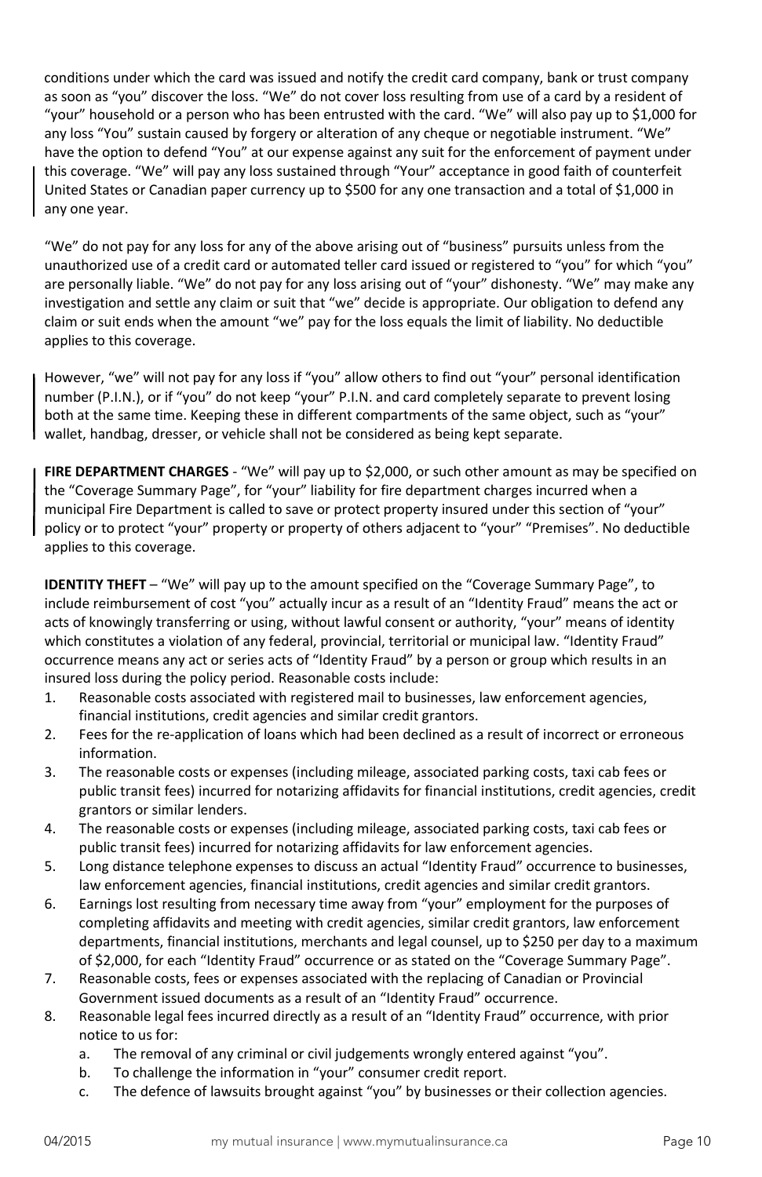conditions under which the card was issued and notify the credit card company, bank or trust company as soon as "you" discover the loss. "We" do not cover loss resulting from use of a card by a resident of "your" household or a person who has been entrusted with the card. "We" will also pay up to \$1,000 for any loss "You" sustain caused by forgery or alteration of any cheque or negotiable instrument. "We" have the option to defend "You" at our expense against any suit for the enforcement of payment under this coverage. "We" will pay any loss sustained through "Your" acceptance in good faith of counterfeit United States or Canadian paper currency up to \$500 for any one transaction and a total of \$1,000 in any one year.

"We" do not pay for any loss for any of the above arising out of "business" pursuits unless from the unauthorized use of a credit card or automated teller card issued or registered to "you" for which "you" are personally liable. "We" do not pay for any loss arising out of "your" dishonesty. "We" may make any investigation and settle any claim or suit that "we" decide is appropriate. Our obligation to defend any claim or suit ends when the amount "we" pay for the loss equals the limit of liability. No deductible applies to this coverage.

However, "we" will not pay for any loss if "you" allow others to find out "your" personal identification number (P.I.N.), or if "you" do not keep "your" P.I.N. and card completely separate to prevent losing both at the same time. Keeping these in different compartments of the same object, such as "your" wallet, handbag, dresser, or vehicle shall not be considered as being kept separate.

<span id="page-9-0"></span>**FIRE DEPARTMENT CHARGES** - "We" will pay up to \$2,000, or such other amount as may be specified on the "Coverage Summary Page", for "your" liability for fire department charges incurred when a municipal Fire Department is called to save or protect property insured under this section of "your" policy or to protect "your" property or property of others adjacent to "your" "Premises". No deductible applies to this coverage.

<span id="page-9-1"></span>**IDENTITY THEFT** – "We" will pay up to the amount specified on the "Coverage Summary Page", to include reimbursement of cost "you" actually incur as a result of an "Identity Fraud" means the act or acts of knowingly transferring or using, without lawful consent or authority, "your" means of identity which constitutes a violation of any federal, provincial, territorial or municipal law. "Identity Fraud" occurrence means any act or series acts of "Identity Fraud" by a person or group which results in an insured loss during the policy period. Reasonable costs include:

- 1. Reasonable costs associated with registered mail to businesses, law enforcement agencies, financial institutions, credit agencies and similar credit grantors.
- 2. Fees for the re-application of loans which had been declined as a result of incorrect or erroneous information.
- 3. The reasonable costs or expenses (including mileage, associated parking costs, taxi cab fees or public transit fees) incurred for notarizing affidavits for financial institutions, credit agencies, credit grantors or similar lenders.
- 4. The reasonable costs or expenses (including mileage, associated parking costs, taxi cab fees or public transit fees) incurred for notarizing affidavits for law enforcement agencies.
- 5. Long distance telephone expenses to discuss an actual "Identity Fraud" occurrence to businesses, law enforcement agencies, financial institutions, credit agencies and similar credit grantors.
- 6. Earnings lost resulting from necessary time away from "your" employment for the purposes of completing affidavits and meeting with credit agencies, similar credit grantors, law enforcement departments, financial institutions, merchants and legal counsel, up to \$250 per day to a maximum of \$2,000, for each "Identity Fraud" occurrence or as stated on the "Coverage Summary Page".
- 7. Reasonable costs, fees or expenses associated with the replacing of Canadian or Provincial Government issued documents as a result of an "Identity Fraud" occurrence.
- 8. Reasonable legal fees incurred directly as a result of an "Identity Fraud" occurrence, with prior notice to us for:
	- a. The removal of any criminal or civil judgements wrongly entered against "you".
	- b. To challenge the information in "your" consumer credit report.
	- c. The defence of lawsuits brought against "you" by businesses or their collection agencies.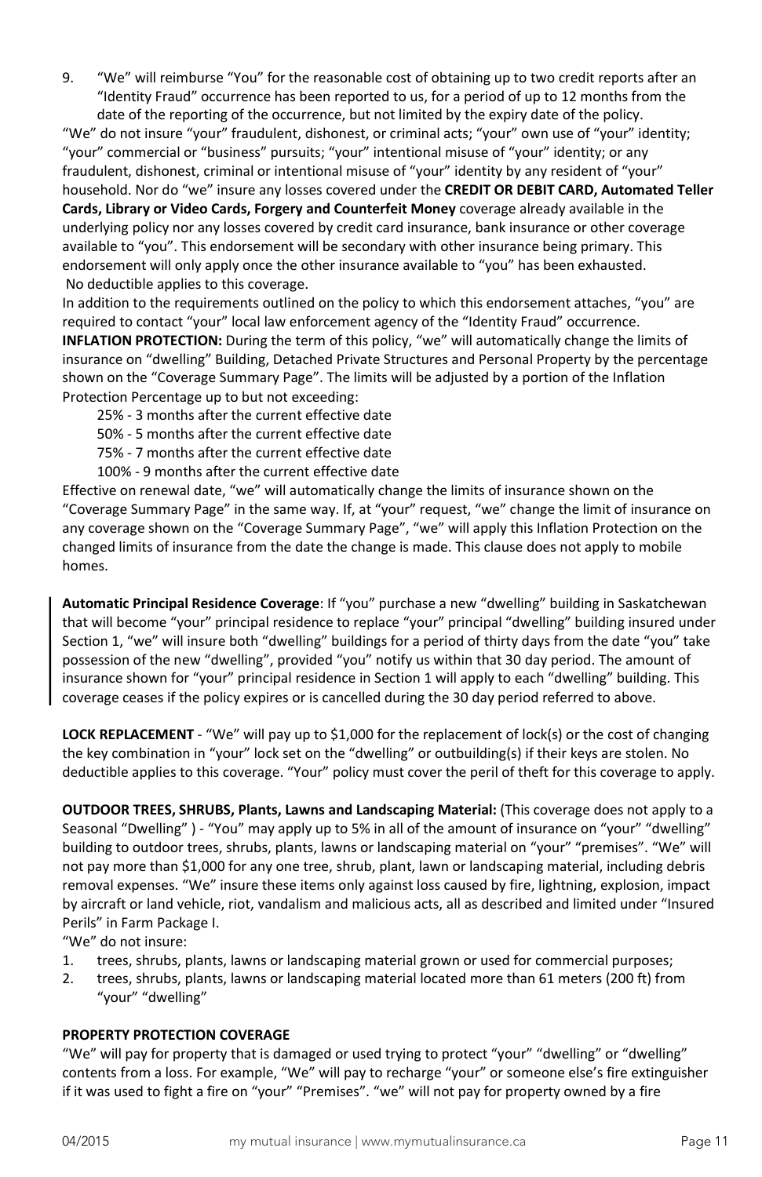9. "We" will reimburse "You" for the reasonable cost of obtaining up to two credit reports after an "Identity Fraud" occurrence has been reported to us, for a period of up to 12 months from the date of the reporting of the occurrence, but not limited by the expiry date of the policy.

"We" do not insure "your" fraudulent, dishonest, or criminal acts; "your" own use of "your" identity; "your" commercial or "business" pursuits; "your" intentional misuse of "your" identity; or any fraudulent, dishonest, criminal or intentional misuse of "your" identity by any resident of "your" household. Nor do "we" insure any losses covered under the **CREDIT OR DEBIT CARD, Automated Teller Cards, Library or Video Cards, Forgery and Counterfeit Money** coverage already available in the underlying policy nor any losses covered by credit card insurance, bank insurance or other coverage available to "you". This endorsement will be secondary with other insurance being primary. This endorsement will only apply once the other insurance available to "you" has been exhausted. No deductible applies to this coverage.

<span id="page-10-0"></span>In addition to the requirements outlined on the policy to which this endorsement attaches, "you" are required to contact "your" local law enforcement agency of the "Identity Fraud" occurrence. **INFLATION PROTECTION:** During the term of this policy, "we" will automatically change the limits of insurance on "dwelling" Building, Detached Private Structures and Personal Property by the percentage shown on the "Coverage Summary Page". The limits will be adjusted by a portion of the Inflation Protection Percentage up to but not exceeding:

- 25% 3 months after the current effective date
- 50% 5 months after the current effective date
- 75% 7 months after the current effective date
- 100% 9 months after the current effective date

Effective on renewal date, "we" will automatically change the limits of insurance shown on the "Coverage Summary Page" in the same way. If, at "your" request, "we" change the limit of insurance on any coverage shown on the "Coverage Summary Page", "we" will apply this Inflation Protection on the changed limits of insurance from the date the change is made. This clause does not apply to mobile homes.

**Automatic Principal Residence Coverage**: If "you" purchase a new "dwelling" building in Saskatchewan that will become "your" principal residence to replace "your" principal "dwelling" building insured under Section 1, "we" will insure both "dwelling" buildings for a period of thirty days from the date "you" take possession of the new "dwelling", provided "you" notify us within that 30 day period. The amount of insurance shown for "your" principal residence in Section 1 will apply to each "dwelling" building. This coverage ceases if the policy expires or is cancelled during the 30 day period referred to above.

**LOCK REPLACEMENT** - "We" will pay up to \$1,000 for the replacement of lock(s) or the cost of changing the key combination in "your" lock set on the "dwelling" or outbuilding(s) if their keys are stolen. No deductible applies to this coverage. "Your" policy must cover the peril of theft for this coverage to apply.

**OUTDOOR TREES, SHRUBS, Plants, Lawns and Landscaping Material:** (This coverage does not apply to a Seasonal "Dwelling" ) - "You" may apply up to 5% in all of the amount of insurance on "your" "dwelling" building to outdoor trees, shrubs, plants, lawns or landscaping material on "your" "premises". "We" will not pay more than \$1,000 for any one tree, shrub, plant, lawn or landscaping material, including debris removal expenses. "We" insure these items only against loss caused by fire, lightning, explosion, impact by aircraft or land vehicle, riot, vandalism and malicious acts, all as described and limited under "Insured Perils" in Farm Package I.

"We" do not insure:

- 1. trees, shrubs, plants, lawns or landscaping material grown or used for commercial purposes;
- 2. trees, shrubs, plants, lawns or landscaping material located more than 61 meters (200 ft) from "your" "dwelling"

#### <span id="page-10-1"></span>**PROPERTY PROTECTION COVERAGE**

"We" will pay for property that is damaged or used trying to protect "your" "dwelling" or "dwelling" contents from a loss. For example, "We" will pay to recharge "your" or someone else's fire extinguisher if it was used to fight a fire on "your" "Premises". "we" will not pay for property owned by a fire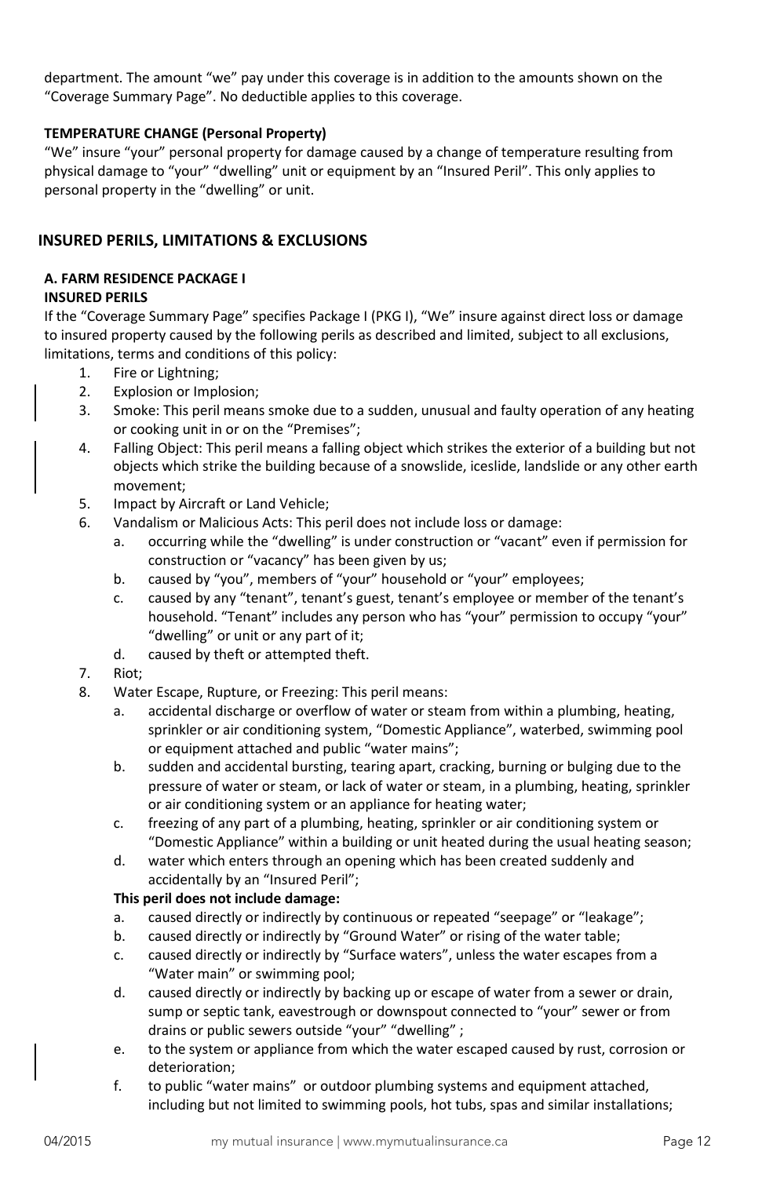department. The amount "we" pay under this coverage is in addition to the amounts shown on the "Coverage Summary Page". No deductible applies to this coverage.

### <span id="page-11-0"></span>**TEMPERATURE CHANGE (Personal Property)**

"We" insure "your" personal property for damage caused by a change of temperature resulting from physical damage to "your" "dwelling" unit or equipment by an "Insured Peril". This only applies to personal property in the "dwelling" or unit.

# <span id="page-11-1"></span>**INSURED PERILS, LIMITATIONS & EXCLUSIONS**

# <span id="page-11-2"></span>**A. FARM RESIDENCE PACKAGE I**

# <span id="page-11-3"></span>**INSURED PERILS**

If the "Coverage Summary Page" specifies Package I (PKG I), "We" insure against direct loss or damage to insured property caused by the following perils as described and limited, subject to all exclusions, limitations, terms and conditions of this policy:

- 1. Fire or Lightning;
- 2. Explosion or Implosion;
- 3. Smoke: This peril means smoke due to a sudden, unusual and faulty operation of any heating or cooking unit in or on the "Premises";
- 4. Falling Object: This peril means a falling object which strikes the exterior of a building but not objects which strike the building because of a snowslide, iceslide, landslide or any other earth movement;
- 5. Impact by Aircraft or Land Vehicle;
- 6. Vandalism or Malicious Acts: This peril does not include loss or damage:
	- a. occurring while the "dwelling" is under construction or "vacant" even if permission for construction or "vacancy" has been given by us;
	- b. caused by "you", members of "your" household or "your" employees;
	- c. caused by any "tenant", tenant's guest, tenant's employee or member of the tenant's household. "Tenant" includes any person who has "your" permission to occupy "your" "dwelling" or unit or any part of it;
	- d. caused by theft or attempted theft.
- 7. Riot;
- 8. Water Escape, Rupture, or Freezing: This peril means:
	- a. accidental discharge or overflow of water or steam from within a plumbing, heating, sprinkler or air conditioning system, "Domestic Appliance", waterbed, swimming pool or equipment attached and public "water mains";
	- b. sudden and accidental bursting, tearing apart, cracking, burning or bulging due to the pressure of water or steam, or lack of water or steam, in a plumbing, heating, sprinkler or air conditioning system or an appliance for heating water;
	- c. freezing of any part of a plumbing, heating, sprinkler or air conditioning system or "Domestic Appliance" within a building or unit heated during the usual heating season;
	- d. water which enters through an opening which has been created suddenly and accidentally by an "Insured Peril";

#### **This peril does not include damage:**

- a. caused directly or indirectly by continuous or repeated "seepage" or "leakage";
- b. caused directly or indirectly by "Ground Water" or rising of the water table;
- c. caused directly or indirectly by "Surface waters", unless the water escapes from a "Water main" or swimming pool;
- d. caused directly or indirectly by backing up or escape of water from a sewer or drain, sump or septic tank, eavestrough or downspout connected to "your" sewer or from drains or public sewers outside "your" "dwelling" ;
- e. to the system or appliance from which the water escaped caused by rust, corrosion or deterioration;
- f. to public "water mains" or outdoor plumbing systems and equipment attached, including but not limited to swimming pools, hot tubs, spas and similar installations;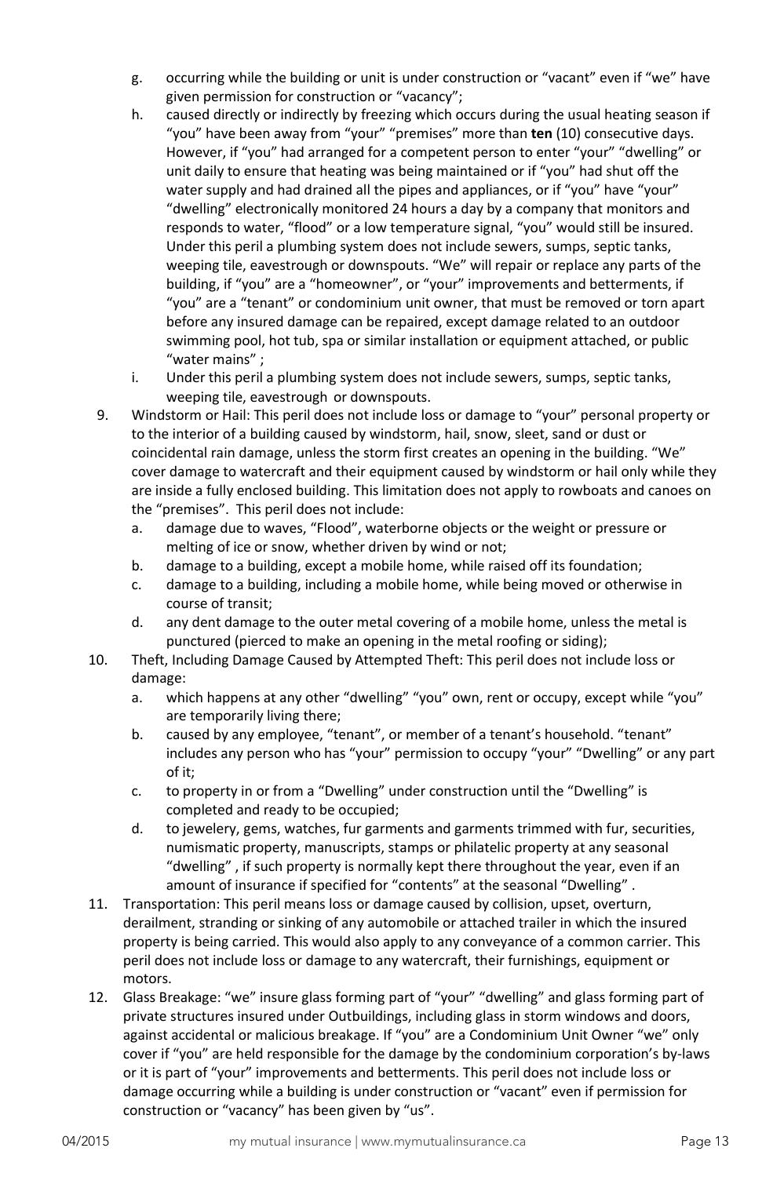- g. occurring while the building or unit is under construction or "vacant" even if "we" have given permission for construction or "vacancy";
- h. caused directly or indirectly by freezing which occurs during the usual heating season if "you" have been away from "your" "premises" more than **ten** (10) consecutive days. However, if "you" had arranged for a competent person to enter "your" "dwelling" or unit daily to ensure that heating was being maintained or if "you" had shut off the water supply and had drained all the pipes and appliances, or if "you" have "your" "dwelling" electronically monitored 24 hours a day by a company that monitors and responds to water, "flood" or a low temperature signal, "you" would still be insured. Under this peril a plumbing system does not include sewers, sumps, septic tanks, weeping tile, eavestrough or downspouts. "We" will repair or replace any parts of the building, if "you" are a "homeowner", or "your" improvements and betterments, if "you" are a "tenant" or condominium unit owner, that must be removed or torn apart before any insured damage can be repaired, except damage related to an outdoor swimming pool, hot tub, spa or similar installation or equipment attached, or public "water mains" ;
- i. Under this peril a plumbing system does not include sewers, sumps, septic tanks, weeping tile, eavestrough or downspouts.
- 9. Windstorm or Hail: This peril does not include loss or damage to "your" personal property or to the interior of a building caused by windstorm, hail, snow, sleet, sand or dust or coincidental rain damage, unless the storm first creates an opening in the building. "We" cover damage to watercraft and their equipment caused by windstorm or hail only while they are inside a fully enclosed building. This limitation does not apply to rowboats and canoes on the "premises". This peril does not include:
	- a. damage due to waves, "Flood", waterborne objects or the weight or pressure or melting of ice or snow, whether driven by wind or not;
	- b. damage to a building, except a mobile home, while raised off its foundation;
	- c. damage to a building, including a mobile home, while being moved or otherwise in course of transit;
	- d. any dent damage to the outer metal covering of a mobile home, unless the metal is punctured (pierced to make an opening in the metal roofing or siding);
- 10. Theft, Including Damage Caused by Attempted Theft: This peril does not include loss or damage:
	- a. which happens at any other "dwelling" "you" own, rent or occupy, except while "you" are temporarily living there;
	- b. caused by any employee, "tenant", or member of a tenant's household. "tenant" includes any person who has "your" permission to occupy "your" "Dwelling" or any part of it;
	- c. to property in or from a "Dwelling" under construction until the "Dwelling" is completed and ready to be occupied;
	- d. to jewelery, gems, watches, fur garments and garments trimmed with fur, securities, numismatic property, manuscripts, stamps or philatelic property at any seasonal "dwelling" , if such property is normally kept there throughout the year, even if an amount of insurance if specified for "contents" at the seasonal "Dwelling" .
- 11. Transportation: This peril means loss or damage caused by collision, upset, overturn, derailment, stranding or sinking of any automobile or attached trailer in which the insured property is being carried. This would also apply to any conveyance of a common carrier. This peril does not include loss or damage to any watercraft, their furnishings, equipment or motors.
- 12. Glass Breakage: "we" insure glass forming part of "your" "dwelling" and glass forming part of private structures insured under Outbuildings, including glass in storm windows and doors, against accidental or malicious breakage. If "you" are a Condominium Unit Owner "we" only cover if "you" are held responsible for the damage by the condominium corporation's by-laws or it is part of "your" improvements and betterments. This peril does not include loss or damage occurring while a building is under construction or "vacant" even if permission for construction or "vacancy" has been given by "us".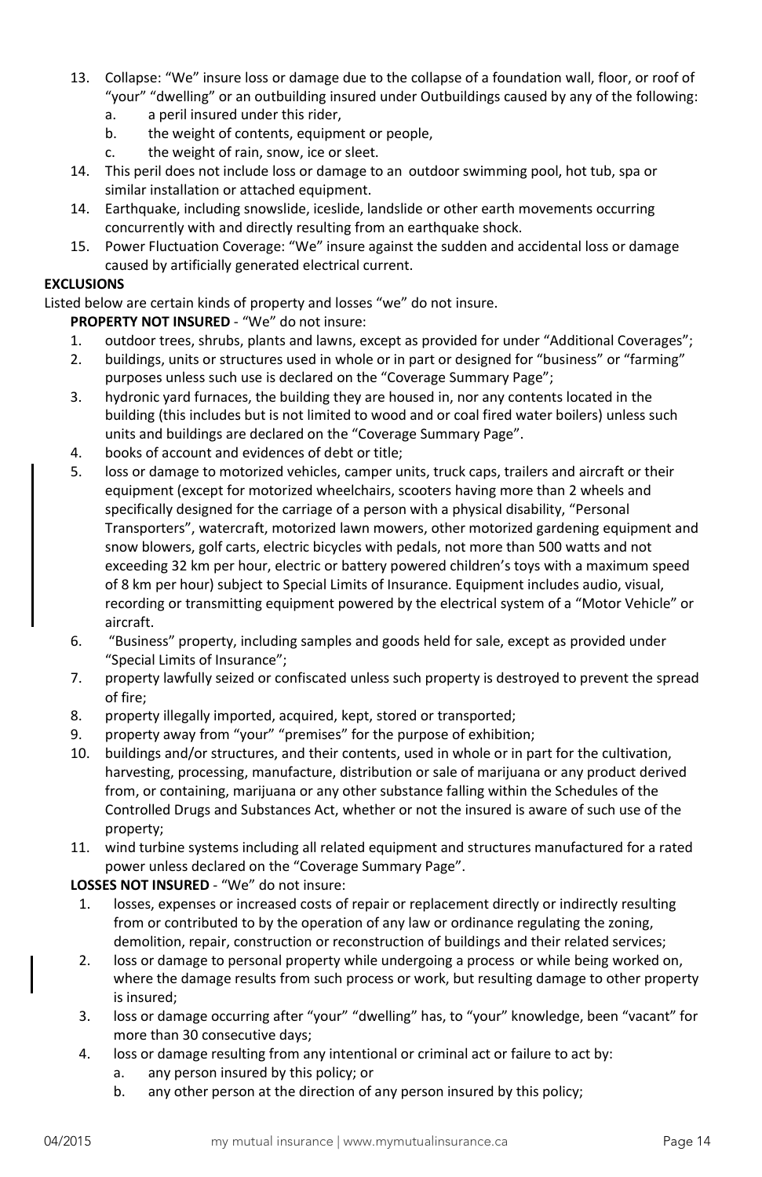- 13. Collapse: "We" insure loss or damage due to the collapse of a foundation wall, floor, or roof of "your" "dwelling" or an outbuilding insured under Outbuildings caused by any of the following:
	- a. a peril insured under this rider,
	- b. the weight of contents, equipment or people,
	- c. the weight of rain, snow, ice or sleet.
- 14. This peril does not include loss or damage to an outdoor swimming pool, hot tub, spa or similar installation or attached equipment.
- 14. Earthquake, including snowslide, iceslide, landslide or other earth movements occurring concurrently with and directly resulting from an earthquake shock.
- 15. Power Fluctuation Coverage: "We" insure against the sudden and accidental loss or damage caused by artificially generated electrical current.

### <span id="page-13-0"></span>**EXCLUSIONS**

Listed below are certain kinds of property and losses "we" do not insure.

# **PROPERTY NOT INSURED** - "We" do not insure:

- 1. outdoor trees, shrubs, plants and lawns, except as provided for under "Additional Coverages";
- 2. buildings, units or structures used in whole or in part or designed for "business" or "farming" purposes unless such use is declared on the "Coverage Summary Page";
- 3. hydronic yard furnaces, the building they are housed in, nor any contents located in the building (this includes but is not limited to wood and or coal fired water boilers) unless such units and buildings are declared on the "Coverage Summary Page".
- 4. books of account and evidences of debt or title;
- 5. loss or damage to motorized vehicles, camper units, truck caps, trailers and aircraft or their equipment (except for motorized wheelchairs, scooters having more than 2 wheels and specifically designed for the carriage of a person with a physical disability, "Personal Transporters", watercraft, motorized lawn mowers, other motorized gardening equipment and snow blowers, golf carts, electric bicycles with pedals, not more than 500 watts and not exceeding 32 km per hour, electric or battery powered children's toys with a maximum speed of 8 km per hour) subject to Special Limits of Insurance. Equipment includes audio, visual, recording or transmitting equipment powered by the electrical system of a "Motor Vehicle" or aircraft.
- 6. "Business" property, including samples and goods held for sale, except as provided under "Special Limits of Insurance";
- 7. property lawfully seized or confiscated unless such property is destroyed to prevent the spread of fire;
- 8. property illegally imported, acquired, kept, stored or transported;
- 9. property away from "your" "premises" for the purpose of exhibition;
- 10. buildings and/or structures, and their contents, used in whole or in part for the cultivation, harvesting, processing, manufacture, distribution or sale of marijuana or any product derived from, or containing, marijuana or any other substance falling within the Schedules of the Controlled Drugs and Substances Act, whether or not the insured is aware of such use of the property;
- 11. wind turbine systems including all related equipment and structures manufactured for a rated power unless declared on the "Coverage Summary Page".

# **LOSSES NOT INSURED** - "We" do not insure:

- 1. losses, expenses or increased costs of repair or replacement directly or indirectly resulting from or contributed to by the operation of any law or ordinance regulating the zoning, demolition, repair, construction or reconstruction of buildings and their related services;
- 2. loss or damage to personal property while undergoing a process or while being worked on, where the damage results from such process or work, but resulting damage to other property is insured;
- 3. loss or damage occurring after "your" "dwelling" has, to "your" knowledge, been "vacant" for more than 30 consecutive days;
- 4. loss or damage resulting from any intentional or criminal act or failure to act by:
	- a. any person insured by this policy; or
	- b. any other person at the direction of any person insured by this policy;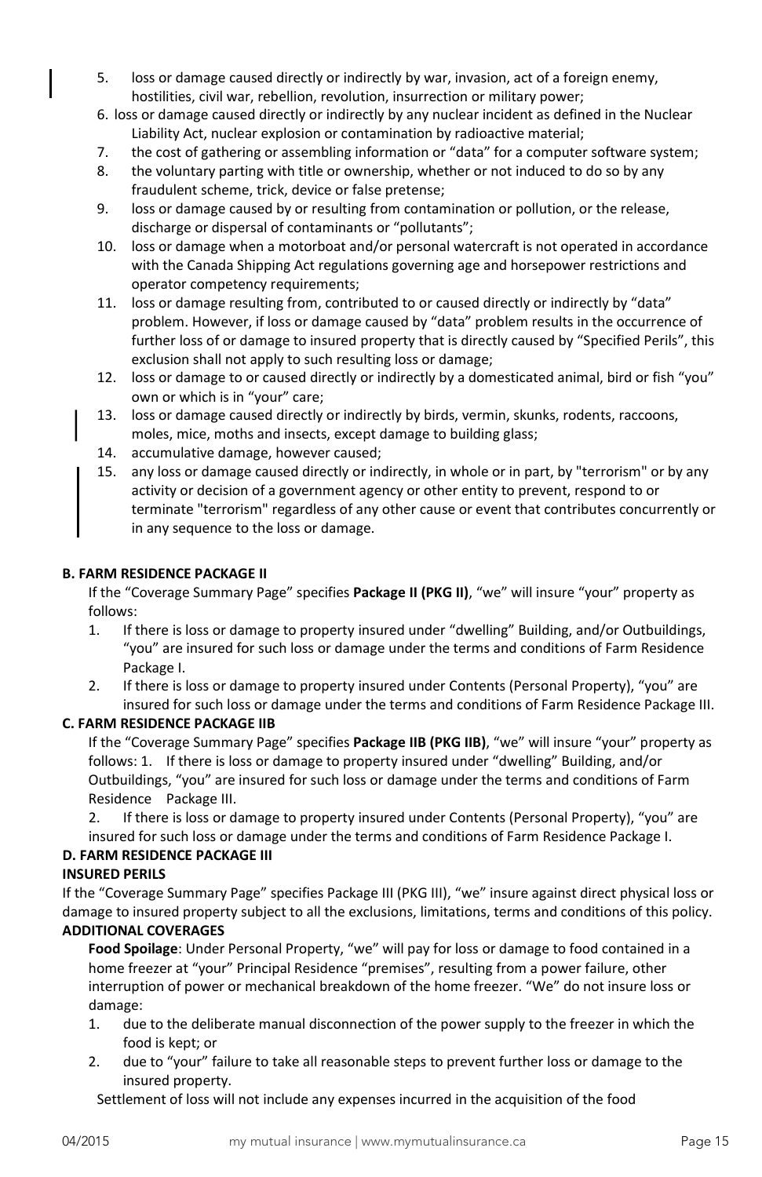- 5. loss or damage caused directly or indirectly by war, invasion, act of a foreign enemy, hostilities, civil war, rebellion, revolution, insurrection or military power;
- 6. loss or damage caused directly or indirectly by any nuclear incident as defined in the Nuclear Liability Act, nuclear explosion or contamination by radioactive material;
- 7. the cost of gathering or assembling information or "data" for a computer software system;
- 8. the voluntary parting with title or ownership, whether or not induced to do so by any fraudulent scheme, trick, device or false pretense;
- 9. loss or damage caused by or resulting from contamination or pollution, or the release, discharge or dispersal of contaminants or "pollutants";
- 10. loss or damage when a motorboat and/or personal watercraft is not operated in accordance with the Canada Shipping Act regulations governing age and horsepower restrictions and operator competency requirements;
- 11. loss or damage resulting from, contributed to or caused directly or indirectly by "data" problem. However, if loss or damage caused by "data" problem results in the occurrence of further loss of or damage to insured property that is directly caused by "Specified Perils", this exclusion shall not apply to such resulting loss or damage;
- 12. loss or damage to or caused directly or indirectly by a domesticated animal, bird or fish "you" own or which is in "your" care;
- 13. loss or damage caused directly or indirectly by birds, vermin, skunks, rodents, raccoons, moles, mice, moths and insects, except damage to building glass;
- 14. accumulative damage, however caused;
- 15. any loss or damage caused directly or indirectly, in whole or in part, by "terrorism" or by any activity or decision of a government agency or other entity to prevent, respond to or terminate "terrorism" regardless of any other cause or event that contributes concurrently or in any sequence to the loss or damage.

#### <span id="page-14-0"></span>**B. FARM RESIDENCE PACKAGE II**

If the "Coverage Summary Page" specifies **Package II (PKG II)**, "we" will insure "your" property as follows:

- 1. If there is loss or damage to property insured under "dwelling" Building, and/or Outbuildings, "you" are insured for such loss or damage under the terms and conditions of Farm Residence Package I.
- 2. If there is loss or damage to property insured under Contents (Personal Property), "you" are insured for such loss or damage under the terms and conditions of Farm Residence Package III.

#### <span id="page-14-1"></span>**C. FARM RESIDENCE PACKAGE IIB**

If the "Coverage Summary Page" specifies **Package IIB (PKG IIB)**, "we" will insure "your" property as follows: 1. If there is loss or damage to property insured under "dwelling" Building, and/or Outbuildings, "you" are insured for such loss or damage under the terms and conditions of Farm Residence Package III.

2. If there is loss or damage to property insured under Contents (Personal Property), "you" are insured for such loss or damage under the terms and conditions of Farm Residence Package I.

# <span id="page-14-2"></span>**D. FARM RESIDENCE PACKAGE III**

# <span id="page-14-3"></span>**INSURED PERILS**

<span id="page-14-4"></span>If the "Coverage Summary Page" specifies Package III (PKG III), "we" insure against direct physical loss or damage to insured property subject to all the exclusions, limitations, terms and conditions of this policy. **ADDITIONAL COVERAGES**

**Food Spoilage**: Under Personal Property, "we" will pay for loss or damage to food contained in a home freezer at "your" Principal Residence "premises", resulting from a power failure, other interruption of power or mechanical breakdown of the home freezer. "We" do not insure loss or damage:

- 1. due to the deliberate manual disconnection of the power supply to the freezer in which the food is kept; or
- 2. due to "your" failure to take all reasonable steps to prevent further loss or damage to the insured property.

Settlement of loss will not include any expenses incurred in the acquisition of the food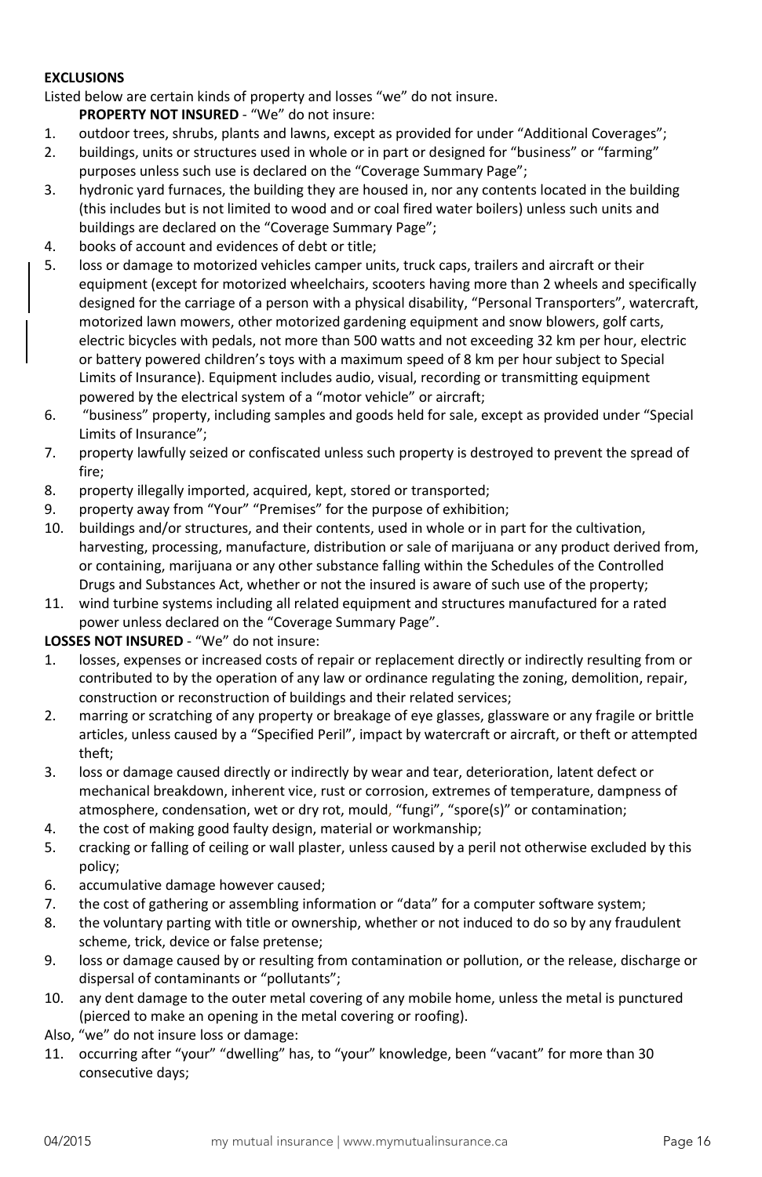# <span id="page-15-0"></span>**EXCLUSIONS**

Listed below are certain kinds of property and losses "we" do not insure.

**PROPERTY NOT INSURED** - "We" do not insure:

- 1. outdoor trees, shrubs, plants and lawns, except as provided for under "Additional Coverages";
- 2. buildings, units or structures used in whole or in part or designed for "business" or "farming" purposes unless such use is declared on the "Coverage Summary Page";
- 3. hydronic yard furnaces, the building they are housed in, nor any contents located in the building (this includes but is not limited to wood and or coal fired water boilers) unless such units and buildings are declared on the "Coverage Summary Page";
- 4. books of account and evidences of debt or title;
- 5. loss or damage to motorized vehicles camper units, truck caps, trailers and aircraft or their equipment (except for motorized wheelchairs, scooters having more than 2 wheels and specifically designed for the carriage of a person with a physical disability, "Personal Transporters", watercraft, motorized lawn mowers, other motorized gardening equipment and snow blowers, golf carts, electric bicycles with pedals, not more than 500 watts and not exceeding 32 km per hour, electric or battery powered children's toys with a maximum speed of 8 km per hour subject to Special Limits of Insurance). Equipment includes audio, visual, recording or transmitting equipment powered by the electrical system of a "motor vehicle" or aircraft;
- 6. "business" property, including samples and goods held for sale, except as provided under "Special Limits of Insurance";
- 7. property lawfully seized or confiscated unless such property is destroyed to prevent the spread of fire;
- 8. property illegally imported, acquired, kept, stored or transported;
- 9. property away from "Your" "Premises" for the purpose of exhibition;
- 10. buildings and/or structures, and their contents, used in whole or in part for the cultivation, harvesting, processing, manufacture, distribution or sale of marijuana or any product derived from, or containing, marijuana or any other substance falling within the Schedules of the Controlled Drugs and Substances Act, whether or not the insured is aware of such use of the property;
- 11. wind turbine systems including all related equipment and structures manufactured for a rated power unless declared on the "Coverage Summary Page".

# **LOSSES NOT INSURED** - "We" do not insure:

- 1. losses, expenses or increased costs of repair or replacement directly or indirectly resulting from or contributed to by the operation of any law or ordinance regulating the zoning, demolition, repair, construction or reconstruction of buildings and their related services;
- 2. marring or scratching of any property or breakage of eye glasses, glassware or any fragile or brittle articles, unless caused by a "Specified Peril", impact by watercraft or aircraft, or theft or attempted theft;
- 3. loss or damage caused directly or indirectly by wear and tear, deterioration, latent defect or mechanical breakdown, inherent vice, rust or corrosion, extremes of temperature, dampness of atmosphere, condensation, wet or dry rot, mould, "fungi", "spore(s)" or contamination;
- 4. the cost of making good faulty design, material or workmanship;
- 5. cracking or falling of ceiling or wall plaster, unless caused by a peril not otherwise excluded by this policy;
- 6. accumulative damage however caused;
- 7. the cost of gathering or assembling information or "data" for a computer software system;
- 8. the voluntary parting with title or ownership, whether or not induced to do so by any fraudulent scheme, trick, device or false pretense;
- 9. loss or damage caused by or resulting from contamination or pollution, or the release, discharge or dispersal of contaminants or "pollutants";
- 10. any dent damage to the outer metal covering of any mobile home, unless the metal is punctured (pierced to make an opening in the metal covering or roofing).
- Also, "we" do not insure loss or damage:
- 11. occurring after "your" "dwelling" has, to "your" knowledge, been "vacant" for more than 30 consecutive days;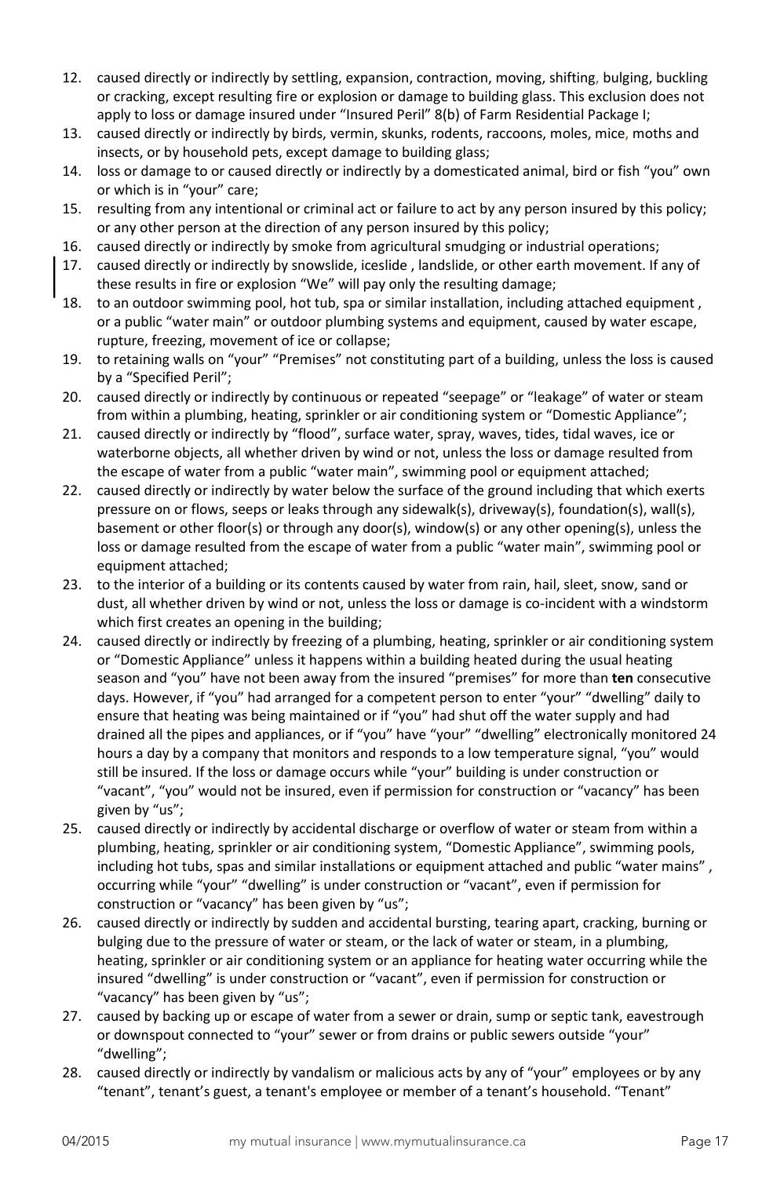- 12. caused directly or indirectly by settling, expansion, contraction, moving, shifting, bulging, buckling or cracking, except resulting fire or explosion or damage to building glass. This exclusion does not apply to loss or damage insured under "Insured Peril" 8(b) of Farm Residential Package I;
- 13. caused directly or indirectly by birds, vermin, skunks, rodents, raccoons, moles, mice, moths and insects, or by household pets, except damage to building glass;
- 14. loss or damage to or caused directly or indirectly by a domesticated animal, bird or fish "you" own or which is in "your" care;
- 15. resulting from any intentional or criminal act or failure to act by any person insured by this policy; or any other person at the direction of any person insured by this policy;
- 16. caused directly or indirectly by smoke from agricultural smudging or industrial operations;
- 17. caused directly or indirectly by snowslide, iceslide , landslide, or other earth movement. If any of these results in fire or explosion "We" will pay only the resulting damage;
- 18. to an outdoor swimming pool, hot tub, spa or similar installation, including attached equipment , or a public "water main" or outdoor plumbing systems and equipment, caused by water escape, rupture, freezing, movement of ice or collapse;
- 19. to retaining walls on "your" "Premises" not constituting part of a building, unless the loss is caused by a "Specified Peril";
- 20. caused directly or indirectly by continuous or repeated "seepage" or "leakage" of water or steam from within a plumbing, heating, sprinkler or air conditioning system or "Domestic Appliance";
- 21. caused directly or indirectly by "flood", surface water, spray, waves, tides, tidal waves, ice or waterborne objects, all whether driven by wind or not, unless the loss or damage resulted from the escape of water from a public "water main", swimming pool or equipment attached;
- 22. caused directly or indirectly by water below the surface of the ground including that which exerts pressure on or flows, seeps or leaks through any sidewalk(s), driveway(s), foundation(s), wall(s), basement or other floor(s) or through any door(s), window(s) or any other opening(s), unless the loss or damage resulted from the escape of water from a public "water main", swimming pool or equipment attached;
- 23. to the interior of a building or its contents caused by water from rain, hail, sleet, snow, sand or dust, all whether driven by wind or not, unless the loss or damage is co-incident with a windstorm which first creates an opening in the building;
- 24. caused directly or indirectly by freezing of a plumbing, heating, sprinkler or air conditioning system or "Domestic Appliance" unless it happens within a building heated during the usual heating season and "you" have not been away from the insured "premises" for more than **ten** consecutive days. However, if "you" had arranged for a competent person to enter "your" "dwelling" daily to ensure that heating was being maintained or if "you" had shut off the water supply and had drained all the pipes and appliances, or if "you" have "your" "dwelling" electronically monitored 24 hours a day by a company that monitors and responds to a low temperature signal, "you" would still be insured. If the loss or damage occurs while "your" building is under construction or "vacant", "you" would not be insured, even if permission for construction or "vacancy" has been given by "us";
- 25. caused directly or indirectly by accidental discharge or overflow of water or steam from within a plumbing, heating, sprinkler or air conditioning system, "Domestic Appliance", swimming pools, including hot tubs, spas and similar installations or equipment attached and public "water mains" , occurring while "your" "dwelling" is under construction or "vacant", even if permission for construction or "vacancy" has been given by "us";
- 26. caused directly or indirectly by sudden and accidental bursting, tearing apart, cracking, burning or bulging due to the pressure of water or steam, or the lack of water or steam, in a plumbing, heating, sprinkler or air conditioning system or an appliance for heating water occurring while the insured "dwelling" is under construction or "vacant", even if permission for construction or "vacancy" has been given by "us";
- 27. caused by backing up or escape of water from a sewer or drain, sump or septic tank, eavestrough or downspout connected to "your" sewer or from drains or public sewers outside "your" "dwelling";
- 28. caused directly or indirectly by vandalism or malicious acts by any of "your" employees or by any "tenant", tenant's guest, a tenant's employee or member of a tenant's household. "Tenant"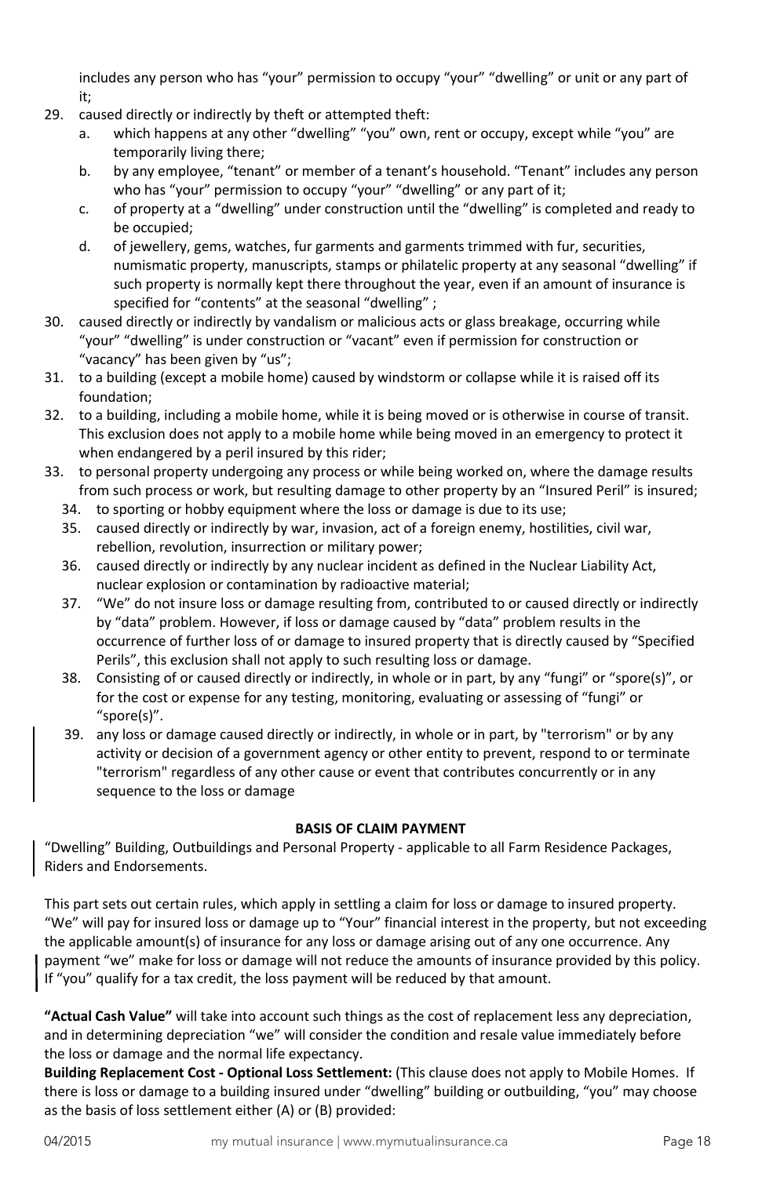includes any person who has "your" permission to occupy "your" "dwelling" or unit or any part of it;

- 
- 29. caused directly or indirectly by theft or attempted theft:
	- a. which happens at any other "dwelling" "you" own, rent or occupy, except while "you" are temporarily living there;
	- b. by any employee, "tenant" or member of a tenant's household. "Tenant" includes any person who has "your" permission to occupy "your" "dwelling" or any part of it;
	- c. of property at a "dwelling" under construction until the "dwelling" is completed and ready to be occupied;
	- d. of jewellery, gems, watches, fur garments and garments trimmed with fur, securities, numismatic property, manuscripts, stamps or philatelic property at any seasonal "dwelling" if such property is normally kept there throughout the year, even if an amount of insurance is specified for "contents" at the seasonal "dwelling" ;
- 30. caused directly or indirectly by vandalism or malicious acts or glass breakage, occurring while "your" "dwelling" is under construction or "vacant" even if permission for construction or "vacancy" has been given by "us";
- 31. to a building (except a mobile home) caused by windstorm or collapse while it is raised off its foundation;
- 32. to a building, including a mobile home, while it is being moved or is otherwise in course of transit. This exclusion does not apply to a mobile home while being moved in an emergency to protect it when endangered by a peril insured by this rider;
- 33. to personal property undergoing any process or while being worked on, where the damage results from such process or work, but resulting damage to other property by an "Insured Peril" is insured;
	- 34. to sporting or hobby equipment where the loss or damage is due to its use;
	- 35. caused directly or indirectly by war, invasion, act of a foreign enemy, hostilities, civil war, rebellion, revolution, insurrection or military power;
	- 36. caused directly or indirectly by any nuclear incident as defined in the Nuclear Liability Act, nuclear explosion or contamination by radioactive material;
	- 37. "We" do not insure loss or damage resulting from, contributed to or caused directly or indirectly by "data" problem. However, if loss or damage caused by "data" problem results in the occurrence of further loss of or damage to insured property that is directly caused by "Specified Perils", this exclusion shall not apply to such resulting loss or damage.
	- 38. Consisting of or caused directly or indirectly, in whole or in part, by any "fungi" or "spore(s)", or for the cost or expense for any testing, monitoring, evaluating or assessing of "fungi" or "spore(s)".
	- 39. any loss or damage caused directly or indirectly, in whole or in part, by "terrorism" or by any activity or decision of a government agency or other entity to prevent, respond to or terminate "terrorism" regardless of any other cause or event that contributes concurrently or in any sequence to the loss or damage

# **BASIS OF CLAIM PAYMENT**

"Dwelling" Building, Outbuildings and Personal Property - applicable to all Farm Residence Packages, Riders and Endorsements.

This part sets out certain rules, which apply in settling a claim for loss or damage to insured property. "We" will pay for insured loss or damage up to "Your" financial interest in the property, but not exceeding the applicable amount(s) of insurance for any loss or damage arising out of any one occurrence. Any payment "we" make for loss or damage will not reduce the amounts of insurance provided by this policy. If "you" qualify for a tax credit, the loss payment will be reduced by that amount.

**"Actual Cash Value"** will take into account such things as the cost of replacement less any depreciation, and in determining depreciation "we" will consider the condition and resale value immediately before the loss or damage and the normal life expectancy.

<span id="page-17-0"></span>**Building Replacement Cost - Optional Loss Settlement:** (This clause does not apply to Mobile Homes. If there is loss or damage to a building insured under "dwelling" building or outbuilding, "you" may choose as the basis of loss settlement either (A) or (B) provided: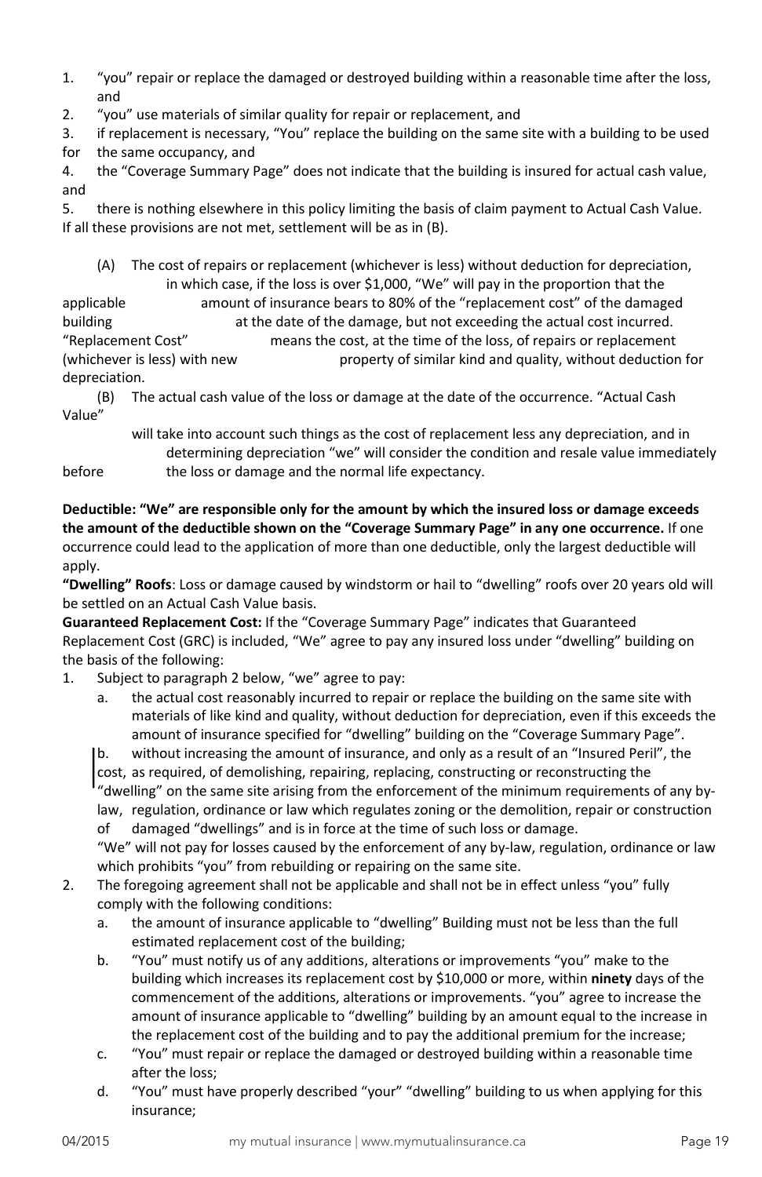- 1. "you" repair or replace the damaged or destroyed building within a reasonable time after the loss, and
- 2. "you" use materials of similar quality for repair or replacement, and

3. if replacement is necessary, "You" replace the building on the same site with a building to be used for the same occupancy, and

4. the "Coverage Summary Page" does not indicate that the building is insured for actual cash value, and

5. there is nothing elsewhere in this policy limiting the basis of claim payment to Actual Cash Value. If all these provisions are not met, settlement will be as in (B).

(A) The cost of repairs or replacement (whichever is less) without deduction for depreciation, in which case, if the loss is over \$1,000, "We" will pay in the proportion that the applicable amount of insurance bears to 80% of the "replacement cost" of the damaged building at the date of the damage, but not exceeding the actual cost incurred. "Replacement Cost" means the cost, at the time of the loss, of repairs or replacement

(whichever is less) with new property of similar kind and quality, without deduction for depreciation.

(B) The actual cash value of the loss or damage at the date of the occurrence. "Actual Cash Value"

will take into account such things as the cost of replacement less any depreciation, and in determining depreciation "we" will consider the condition and resale value immediately before the loss or damage and the normal life expectancy.

**Deductible: "We" are responsible only for the amount by which the insured loss or damage exceeds the amount of the deductible shown on the "Coverage Summary Page" in any one occurrence.** If one occurrence could lead to the application of more than one deductible, only the largest deductible will apply.

**"Dwelling" Roofs**: Loss or damage caused by windstorm or hail to "dwelling" roofs over 20 years old will be settled on an Actual Cash Value basis.

<span id="page-18-0"></span>**Guaranteed Replacement Cost:** If the "Coverage Summary Page" indicates that Guaranteed Replacement Cost (GRC) is included, "We" agree to pay any insured loss under "dwelling" building on the basis of the following:

1. Subject to paragraph 2 below, "we" agree to pay:

a. the actual cost reasonably incurred to repair or replace the building on the same site with materials of like kind and quality, without deduction for depreciation, even if this exceeds the amount of insurance specified for "dwelling" building on the "Coverage Summary Page".

b. without increasing the amount of insurance, and only as a result of an "Insured Peril", the

cost, as required, of demolishing, repairing, replacing, constructing or reconstructing the "dwelling" on the same site arising from the enforcement of the minimum requirements of any by-

law, regulation, ordinance or law which regulates zoning or the demolition, repair or construction of damaged "dwellings" and is in force at the time of such loss or damage.

"We" will not pay for losses caused by the enforcement of any by-law, regulation, ordinance or law which prohibits "you" from rebuilding or repairing on the same site.

- 2. The foregoing agreement shall not be applicable and shall not be in effect unless "you" fully comply with the following conditions:
	- a. the amount of insurance applicable to "dwelling" Building must not be less than the full estimated replacement cost of the building;
	- b. "You" must notify us of any additions, alterations or improvements "you" make to the building which increases its replacement cost by \$10,000 or more, within **ninety** days of the commencement of the additions, alterations or improvements. "you" agree to increase the amount of insurance applicable to "dwelling" building by an amount equal to the increase in the replacement cost of the building and to pay the additional premium for the increase;
	- c. "You" must repair or replace the damaged or destroyed building within a reasonable time after the loss;
	- d. "You" must have properly described "your" "dwelling" building to us when applying for this insurance;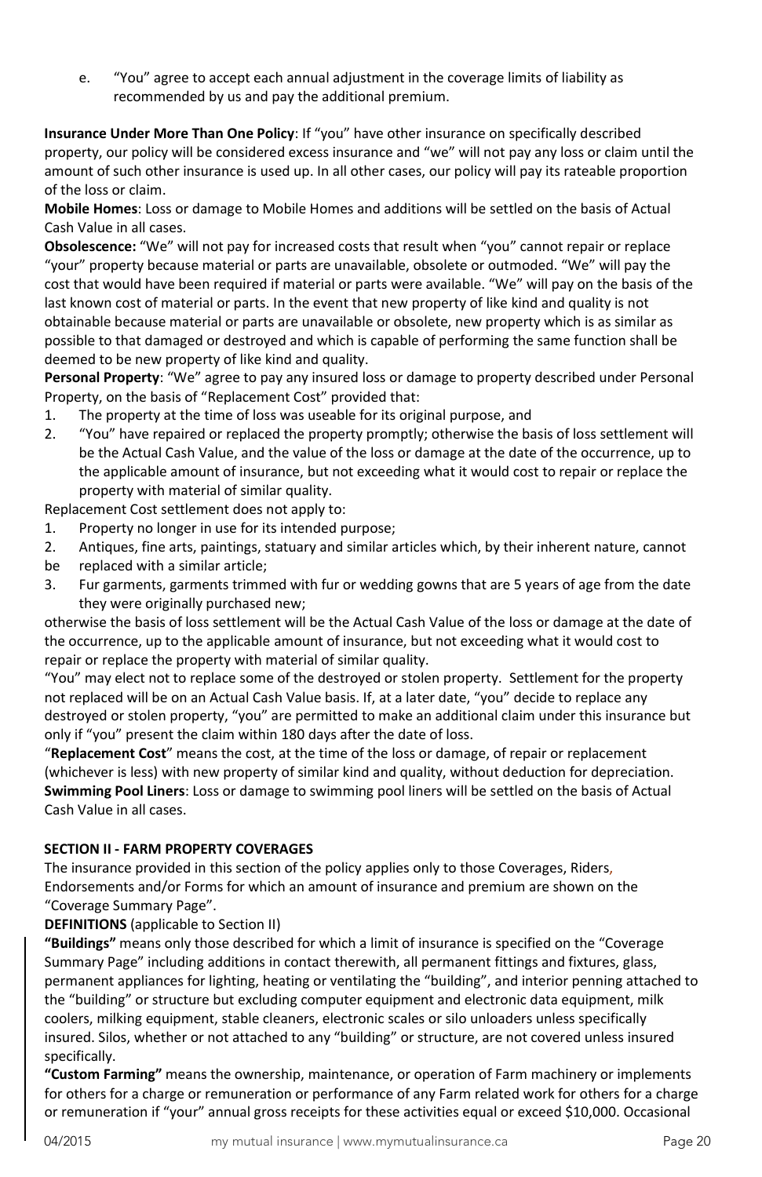e. "You" agree to accept each annual adjustment in the coverage limits of liability as recommended by us and pay the additional premium.

**Insurance Under More Than One Policy**: If "you" have other insurance on specifically described property, our policy will be considered excess insurance and "we" will not pay any loss or claim until the amount of such other insurance is used up. In all other cases, our policy will pay its rateable proportion of the loss or claim.

**Mobile Homes**: Loss or damage to Mobile Homes and additions will be settled on the basis of Actual Cash Value in all cases.

**Obsolescence:** "We" will not pay for increased costs that result when "you" cannot repair or replace "your" property because material or parts are unavailable, obsolete or outmoded. "We" will pay the cost that would have been required if material or parts were available. "We" will pay on the basis of the last known cost of material or parts. In the event that new property of like kind and quality is not obtainable because material or parts are unavailable or obsolete, new property which is as similar as possible to that damaged or destroyed and which is capable of performing the same function shall be deemed to be new property of like kind and quality.

**Personal Property**: "We" agree to pay any insured loss or damage to property described under Personal Property, on the basis of "Replacement Cost" provided that:

- 1. The property at the time of loss was useable for its original purpose, and
- 2. "You" have repaired or replaced the property promptly; otherwise the basis of loss settlement will be the Actual Cash Value, and the value of the loss or damage at the date of the occurrence, up to the applicable amount of insurance, but not exceeding what it would cost to repair or replace the property with material of similar quality.

Replacement Cost settlement does not apply to:

- 1. Property no longer in use for its intended purpose;
- 2. Antiques, fine arts, paintings, statuary and similar articles which, by their inherent nature, cannot
- be replaced with a similar article;
- 3. Fur garments, garments trimmed with fur or wedding gowns that are 5 years of age from the date they were originally purchased new;

otherwise the basis of loss settlement will be the Actual Cash Value of the loss or damage at the date of the occurrence, up to the applicable amount of insurance, but not exceeding what it would cost to repair or replace the property with material of similar quality.

"You" may elect not to replace some of the destroyed or stolen property. Settlement for the property not replaced will be on an Actual Cash Value basis. If, at a later date, "you" decide to replace any destroyed or stolen property, "you" are permitted to make an additional claim under this insurance but only if "you" present the claim within 180 days after the date of loss.

"**Replacement Cost**" means the cost, at the time of the loss or damage, of repair or replacement (whichever is less) with new property of similar kind and quality, without deduction for depreciation. **Swimming Pool Liners**: Loss or damage to swimming pool liners will be settled on the basis of Actual Cash Value in all cases.

#### <span id="page-19-0"></span>**SECTION II - FARM PROPERTY COVERAGES**

The insurance provided in this section of the policy applies only to those Coverages, Riders, Endorsements and/or Forms for which an amount of insurance and premium are shown on the "Coverage Summary Page".

<span id="page-19-1"></span>**DEFINITIONS** (applicable to Section II)

**"Buildings"** means only those described for which a limit of insurance is specified on the "Coverage Summary Page" including additions in contact therewith, all permanent fittings and fixtures, glass, permanent appliances for lighting, heating or ventilating the "building", and interior penning attached to the "building" or structure but excluding computer equipment and electronic data equipment, milk coolers, milking equipment, stable cleaners, electronic scales or silo unloaders unless specifically insured. Silos, whether or not attached to any "building" or structure, are not covered unless insured specifically.

**"Custom Farming"** means the ownership, maintenance, or operation of Farm machinery or implements for others for a charge or remuneration or performance of any Farm related work for others for a charge or remuneration if "your" annual gross receipts for these activities equal or exceed \$10,000. Occasional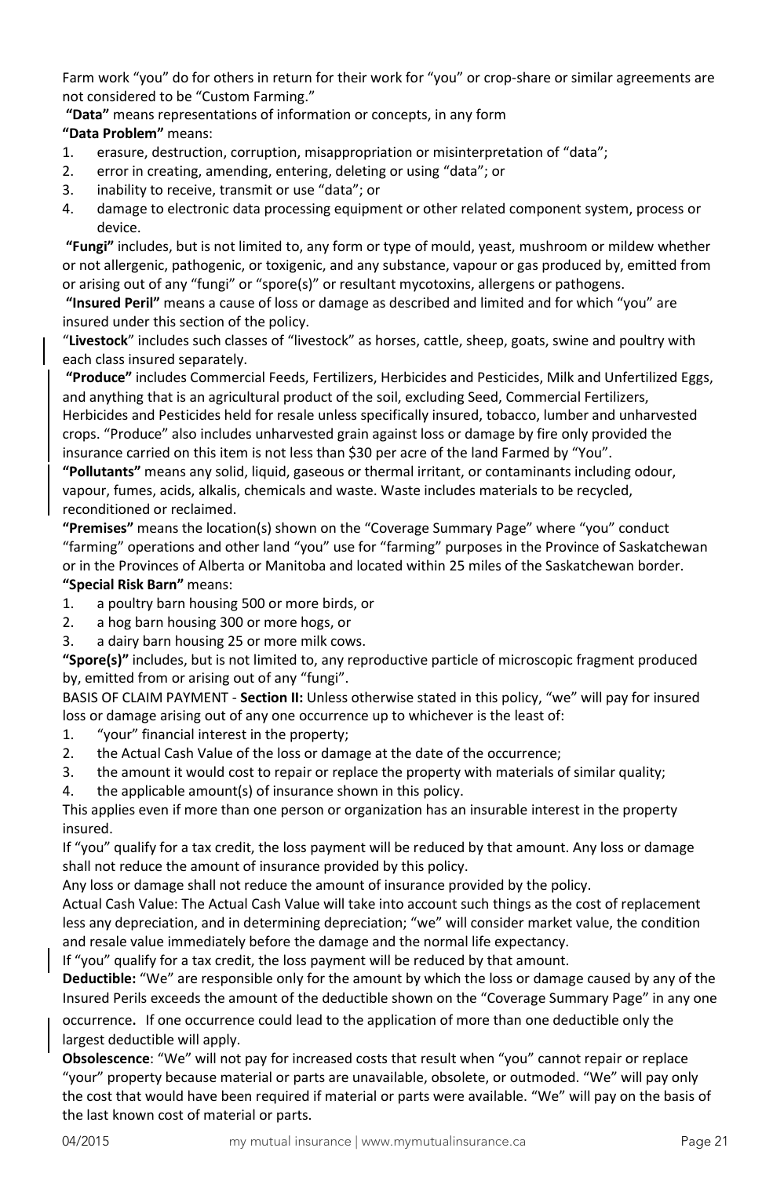Farm work "you" do for others in return for their work for "you" or crop-share or similar agreements are not considered to be "Custom Farming."

**"Data"** means representations of information or concepts, in any form **"Data Problem"** means:

- 1. erasure, destruction, corruption, misappropriation or misinterpretation of "data";
- 2. error in creating, amending, entering, deleting or using "data"; or
- 3. inability to receive, transmit or use "data"; or
- 4. damage to electronic data processing equipment or other related component system, process or device.

**"Fungi"** includes, but is not limited to, any form or type of mould, yeast, mushroom or mildew whether or not allergenic, pathogenic, or toxigenic, and any substance, vapour or gas produced by, emitted from or arising out of any "fungi" or "spore(s)" or resultant mycotoxins, allergens or pathogens.

**"Insured Peril"** means a cause of loss or damage as described and limited and for which "you" are insured under this section of the policy.

"**Livestock**" includes such classes of "livestock" as horses, cattle, sheep, goats, swine and poultry with each class insured separately.

**"Produce"** includes Commercial Feeds, Fertilizers, Herbicides and Pesticides, Milk and Unfertilized Eggs, and anything that is an agricultural product of the soil, excluding Seed, Commercial Fertilizers, Herbicides and Pesticides held for resale unless specifically insured, tobacco, lumber and unharvested crops. "Produce" also includes unharvested grain against loss or damage by fire only provided the insurance carried on this item is not less than \$30 per acre of the land Farmed by "You".

**"Pollutants"** means any solid, liquid, gaseous or thermal irritant, or contaminants including odour, vapour, fumes, acids, alkalis, chemicals and waste. Waste includes materials to be recycled, reconditioned or reclaimed.

**"Premises"** means the location(s) shown on the "Coverage Summary Page" where "you" conduct "farming" operations and other land "you" use for "farming" purposes in the Province of Saskatchewan or in the Provinces of Alberta or Manitoba and located within 25 miles of the Saskatchewan border. **"Special Risk Barn"** means:

- 1. a poultry barn housing 500 or more birds, or
- 2. a hog barn housing 300 or more hogs, or
- 3. a dairy barn housing 25 or more milk cows.

**"Spore(s)"** includes, but is not limited to, any reproductive particle of microscopic fragment produced by, emitted from or arising out of any "fungi".

BASIS OF CLAIM PAYMENT - **Section II:** Unless otherwise stated in this policy, "we" will pay for insured loss or damage arising out of any one occurrence up to whichever is the least of:

- 1. "your" financial interest in the property;
- 2. the Actual Cash Value of the loss or damage at the date of the occurrence;
- 3. the amount it would cost to repair or replace the property with materials of similar quality;
- 4. the applicable amount(s) of insurance shown in this policy.

This applies even if more than one person or organization has an insurable interest in the property insured.

If "you" qualify for a tax credit, the loss payment will be reduced by that amount. Any loss or damage shall not reduce the amount of insurance provided by this policy.

Any loss or damage shall not reduce the amount of insurance provided by the policy.

Actual Cash Value: The Actual Cash Value will take into account such things as the cost of replacement less any depreciation, and in determining depreciation; "we" will consider market value, the condition and resale value immediately before the damage and the normal life expectancy.

If "you" qualify for a tax credit, the loss payment will be reduced by that amount.

**Deductible:** "We" are responsible only for the amount by which the loss or damage caused by any of the Insured Perils exceeds the amount of the deductible shown on the "Coverage Summary Page" in any one

occurrence. If one occurrence could lead to the application of more than one deductible only the largest deductible will apply.

**Obsolescence**: "We" will not pay for increased costs that result when "you" cannot repair or replace "your" property because material or parts are unavailable, obsolete, or outmoded. "We" will pay only the cost that would have been required if material or parts were available. "We" will pay on the basis of the last known cost of material or parts.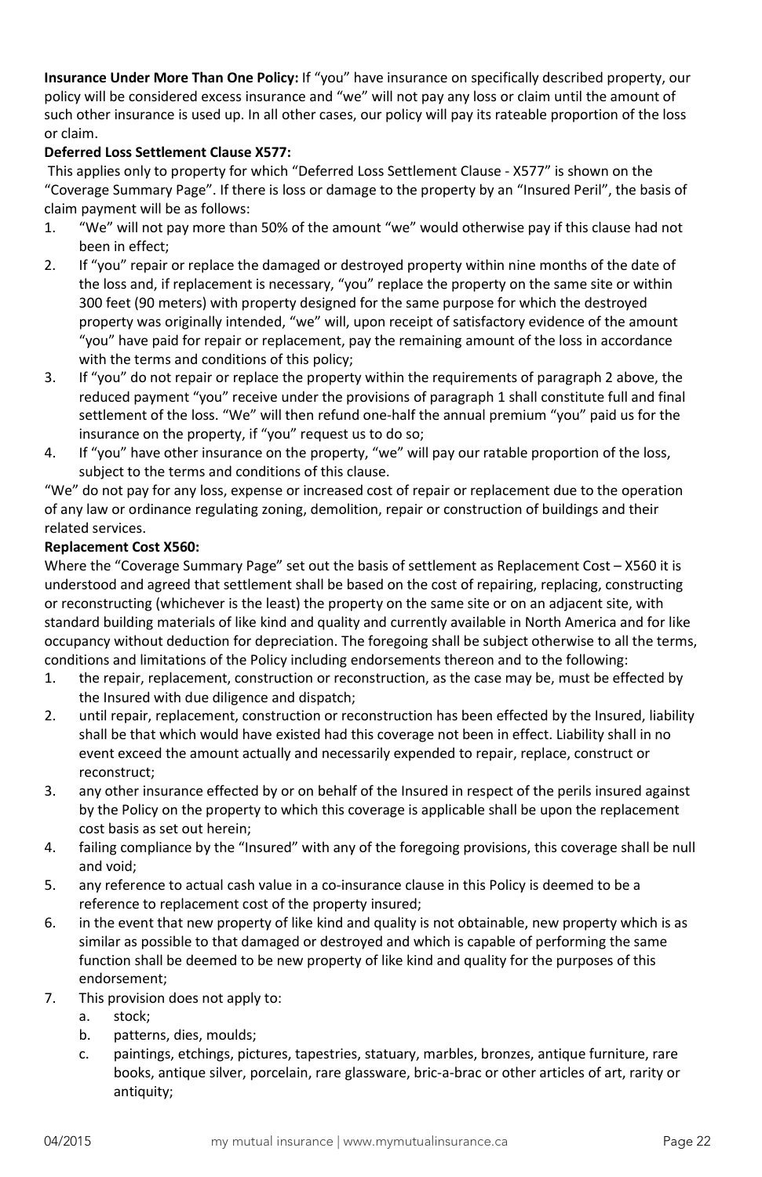**Insurance Under More Than One Policy:** If "you" have insurance on specifically described property, our policy will be considered excess insurance and "we" will not pay any loss or claim until the amount of such other insurance is used up. In all other cases, our policy will pay its rateable proportion of the loss or claim.

# <span id="page-21-0"></span>**Deferred Loss Settlement Clause X577:**

This applies only to property for which "Deferred Loss Settlement Clause - X577" is shown on the "Coverage Summary Page". If there is loss or damage to the property by an "Insured Peril", the basis of claim payment will be as follows:

- 1. "We" will not pay more than 50% of the amount "we" would otherwise pay if this clause had not been in effect;
- 2. If "you" repair or replace the damaged or destroyed property within nine months of the date of the loss and, if replacement is necessary, "you" replace the property on the same site or within 300 feet (90 meters) with property designed for the same purpose for which the destroyed property was originally intended, "we" will, upon receipt of satisfactory evidence of the amount "you" have paid for repair or replacement, pay the remaining amount of the loss in accordance with the terms and conditions of this policy;
- 3. If "you" do not repair or replace the property within the requirements of paragraph 2 above, the reduced payment "you" receive under the provisions of paragraph 1 shall constitute full and final settlement of the loss. "We" will then refund one-half the annual premium "you" paid us for the insurance on the property, if "you" request us to do so;
- 4. If "you" have other insurance on the property, "we" will pay our ratable proportion of the loss, subject to the terms and conditions of this clause.

"We" do not pay for any loss, expense or increased cost of repair or replacement due to the operation of any law or ordinance regulating zoning, demolition, repair or construction of buildings and their related services.

# <span id="page-21-1"></span>**Replacement Cost X560:**

Where the "Coverage Summary Page" set out the basis of settlement as Replacement Cost – X560 it is understood and agreed that settlement shall be based on the cost of repairing, replacing, constructing or reconstructing (whichever is the least) the property on the same site or on an adjacent site, with standard building materials of like kind and quality and currently available in North America and for like occupancy without deduction for depreciation. The foregoing shall be subject otherwise to all the terms, conditions and limitations of the Policy including endorsements thereon and to the following:

- 1. the repair, replacement, construction or reconstruction, as the case may be, must be effected by the Insured with due diligence and dispatch;
- 2. until repair, replacement, construction or reconstruction has been effected by the Insured, liability shall be that which would have existed had this coverage not been in effect. Liability shall in no event exceed the amount actually and necessarily expended to repair, replace, construct or reconstruct;
- 3. any other insurance effected by or on behalf of the Insured in respect of the perils insured against by the Policy on the property to which this coverage is applicable shall be upon the replacement cost basis as set out herein;
- 4. failing compliance by the "Insured" with any of the foregoing provisions, this coverage shall be null and void;
- 5. any reference to actual cash value in a co-insurance clause in this Policy is deemed to be a reference to replacement cost of the property insured;
- 6. in the event that new property of like kind and quality is not obtainable, new property which is as similar as possible to that damaged or destroyed and which is capable of performing the same function shall be deemed to be new property of like kind and quality for the purposes of this endorsement;
- 7. This provision does not apply to:
	- a. stock;
	- b. patterns, dies, moulds;
	- c. paintings, etchings, pictures, tapestries, statuary, marbles, bronzes, antique furniture, rare books, antique silver, porcelain, rare glassware, bric-a-brac or other articles of art, rarity or antiquity;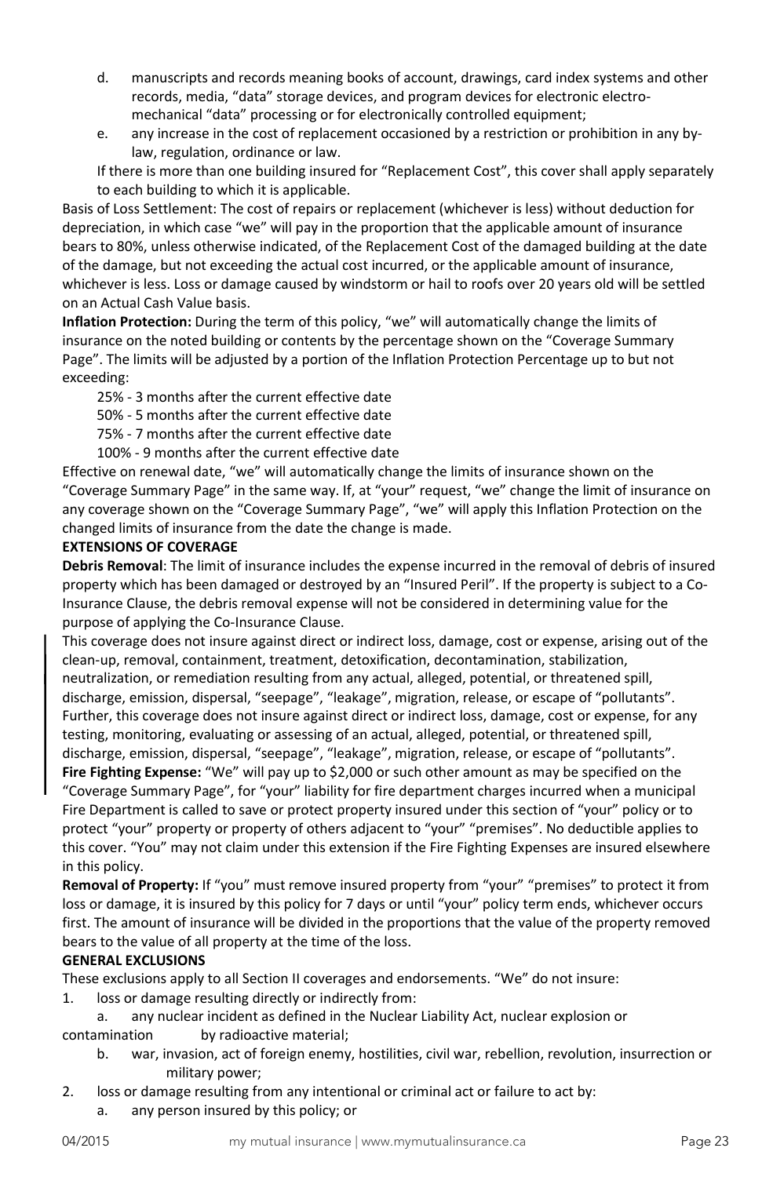- d. manuscripts and records meaning books of account, drawings, card index systems and other records, media, "data" storage devices, and program devices for electronic electromechanical "data" processing or for electronically controlled equipment;
- e. any increase in the cost of replacement occasioned by a restriction or prohibition in any bylaw, regulation, ordinance or law.

If there is more than one building insured for "Replacement Cost", this cover shall apply separately to each building to which it is applicable.

Basis of Loss Settlement: The cost of repairs or replacement (whichever is less) without deduction for depreciation, in which case "we" will pay in the proportion that the applicable amount of insurance bears to 80%, unless otherwise indicated, of the Replacement Cost of the damaged building at the date of the damage, but not exceeding the actual cost incurred, or the applicable amount of insurance, whichever is less. Loss or damage caused by windstorm or hail to roofs over 20 years old will be settled on an Actual Cash Value basis.

**Inflation Protection:** During the term of this policy, "we" will automatically change the limits of insurance on the noted building or contents by the percentage shown on the "Coverage Summary Page". The limits will be adjusted by a portion of the Inflation Protection Percentage up to but not exceeding:

25% - 3 months after the current effective date

- 50% 5 months after the current effective date
- 75% 7 months after the current effective date

100% - 9 months after the current effective date

Effective on renewal date, "we" will automatically change the limits of insurance shown on the "Coverage Summary Page" in the same way. If, at "your" request, "we" change the limit of insurance on any coverage shown on the "Coverage Summary Page", "we" will apply this Inflation Protection on the changed limits of insurance from the date the change is made.

# <span id="page-22-0"></span>**EXTENSIONS OF COVERAGE**

<span id="page-22-1"></span>**Debris Removal**: The limit of insurance includes the expense incurred in the removal of debris of insured property which has been damaged or destroyed by an "Insured Peril". If the property is subject to a Co-Insurance Clause, the debris removal expense will not be considered in determining value for the purpose of applying the Co-Insurance Clause.

This coverage does not insure against direct or indirect loss, damage, cost or expense, arising out of the clean-up, removal, containment, treatment, detoxification, decontamination, stabilization, neutralization, or remediation resulting from any actual, alleged, potential, or threatened spill, discharge, emission, dispersal, "seepage", "leakage", migration, release, or escape of "pollutants". Further, this coverage does not insure against direct or indirect loss, damage, cost or expense, for any testing, monitoring, evaluating or assessing of an actual, alleged, potential, or threatened spill, discharge, emission, dispersal, "seepage", "leakage", migration, release, or escape of "pollutants".

<span id="page-22-2"></span>**Fire Fighting Expense:** "We" will pay up to \$2,000 or such other amount as may be specified on the "Coverage Summary Page", for "your" liability for fire department charges incurred when a municipal Fire Department is called to save or protect property insured under this section of "your" policy or to protect "your" property or property of others adjacent to "your" "premises". No deductible applies to this cover. "You" may not claim under this extension if the Fire Fighting Expenses are insured elsewhere in this policy.

<span id="page-22-3"></span>**Removal of Property:** If "you" must remove insured property from "your" "premises" to protect it from loss or damage, it is insured by this policy for 7 days or until "your" policy term ends, whichever occurs first. The amount of insurance will be divided in the proportions that the value of the property removed bears to the value of all property at the time of the loss.

# <span id="page-22-4"></span>**GENERAL EXCLUSIONS**

These exclusions apply to all Section II coverages and endorsements. "We" do not insure:

1. loss or damage resulting directly or indirectly from:

a. any nuclear incident as defined in the Nuclear Liability Act, nuclear explosion or contamination by radioactive material;

- b. war, invasion, act of foreign enemy, hostilities, civil war, rebellion, revolution, insurrection or military power;
- 2. loss or damage resulting from any intentional or criminal act or failure to act by:
	- a. any person insured by this policy; or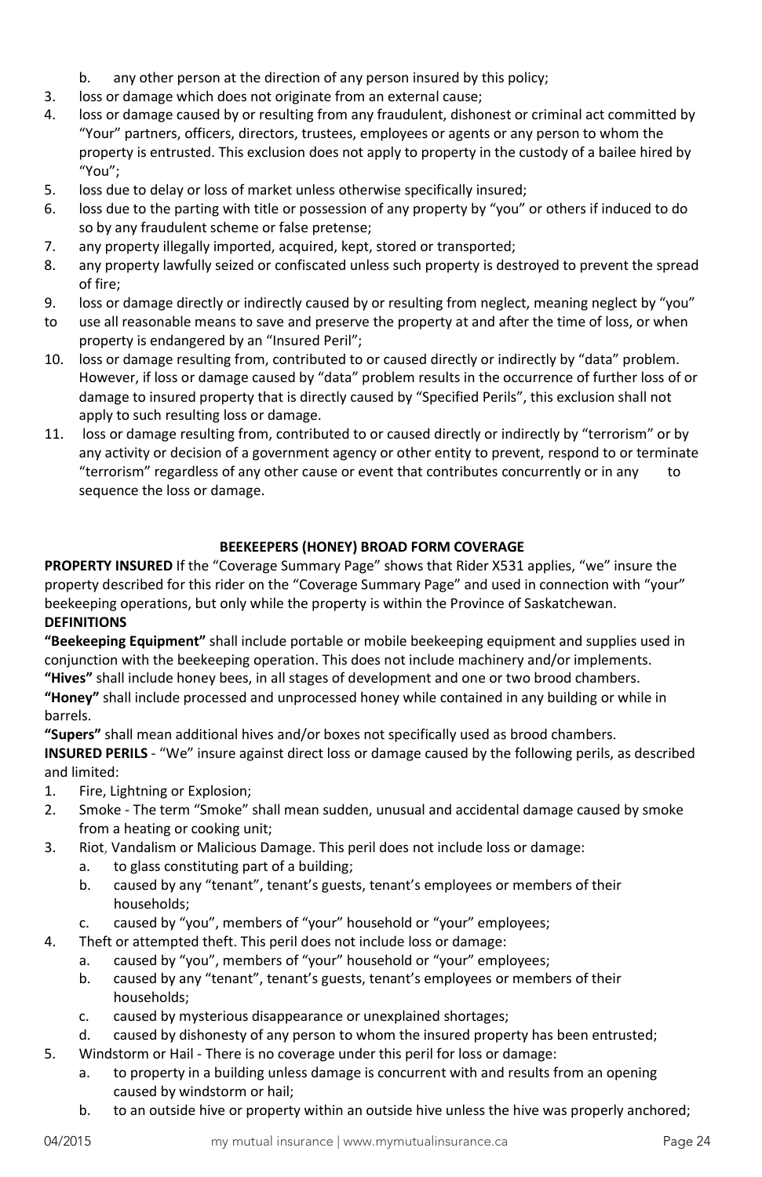- b. any other person at the direction of any person insured by this policy;
- 3. loss or damage which does not originate from an external cause;
- 4. loss or damage caused by or resulting from any fraudulent, dishonest or criminal act committed by "Your" partners, officers, directors, trustees, employees or agents or any person to whom the property is entrusted. This exclusion does not apply to property in the custody of a bailee hired by "You";
- 5. loss due to delay or loss of market unless otherwise specifically insured;
- 6. loss due to the parting with title or possession of any property by "you" or others if induced to do so by any fraudulent scheme or false pretense;
- 7. any property illegally imported, acquired, kept, stored or transported;
- 8. any property lawfully seized or confiscated unless such property is destroyed to prevent the spread of fire;
- 9. loss or damage directly or indirectly caused by or resulting from neglect, meaning neglect by "you"
- to use all reasonable means to save and preserve the property at and after the time of loss, or when property is endangered by an "Insured Peril";
- 10. loss or damage resulting from, contributed to or caused directly or indirectly by "data" problem. However, if loss or damage caused by "data" problem results in the occurrence of further loss of or damage to insured property that is directly caused by "Specified Perils", this exclusion shall not apply to such resulting loss or damage.
- 11. loss or damage resulting from, contributed to or caused directly or indirectly by "terrorism" or by any activity or decision of a government agency or other entity to prevent, respond to or terminate "terrorism" regardless of any other cause or event that contributes concurrently or in any to sequence the loss or damage.

# **BEEKEEPERS (HONEY) BROAD FORM COVERAGE**

<span id="page-23-0"></span>**PROPERTY INSURED** If the "Coverage Summary Page" shows that Rider X531 applies, "we" insure the property described for this rider on the "Coverage Summary Page" and used in connection with "your" beekeeping operations, but only while the property is within the Province of Saskatchewan. **DEFINITIONS**

**"Beekeeping Equipment"** shall include portable or mobile beekeeping equipment and supplies used in conjunction with the beekeeping operation. This does not include machinery and/or implements. **"Hives"** shall include honey bees, in all stages of development and one or two brood chambers.

**"Honey"** shall include processed and unprocessed honey while contained in any building or while in barrels.

**"Supers"** shall mean additional hives and/or boxes not specifically used as brood chambers. **INSURED PERILS** - "We" insure against direct loss or damage caused by the following perils, as described and limited:

- 1. Fire, Lightning or Explosion;
- 2. Smoke The term "Smoke" shall mean sudden, unusual and accidental damage caused by smoke from a heating or cooking unit;
- 3. Riot, Vandalism or Malicious Damage. This peril does not include loss or damage:
	- a. to glass constituting part of a building;
	- b. caused by any "tenant", tenant's guests, tenant's employees or members of their households;
	- c. caused by "you", members of "your" household or "your" employees;
- 4. Theft or attempted theft. This peril does not include loss or damage:
	- a. caused by "you", members of "your" household or "your" employees;
	- b. caused by any "tenant", tenant's guests, tenant's employees or members of their households;
	- c. caused by mysterious disappearance or unexplained shortages;
	- d. caused by dishonesty of any person to whom the insured property has been entrusted;
- 5. Windstorm or Hail There is no coverage under this peril for loss or damage:
	- a. to property in a building unless damage is concurrent with and results from an opening caused by windstorm or hail;
	- b. to an outside hive or property within an outside hive unless the hive was properly anchored;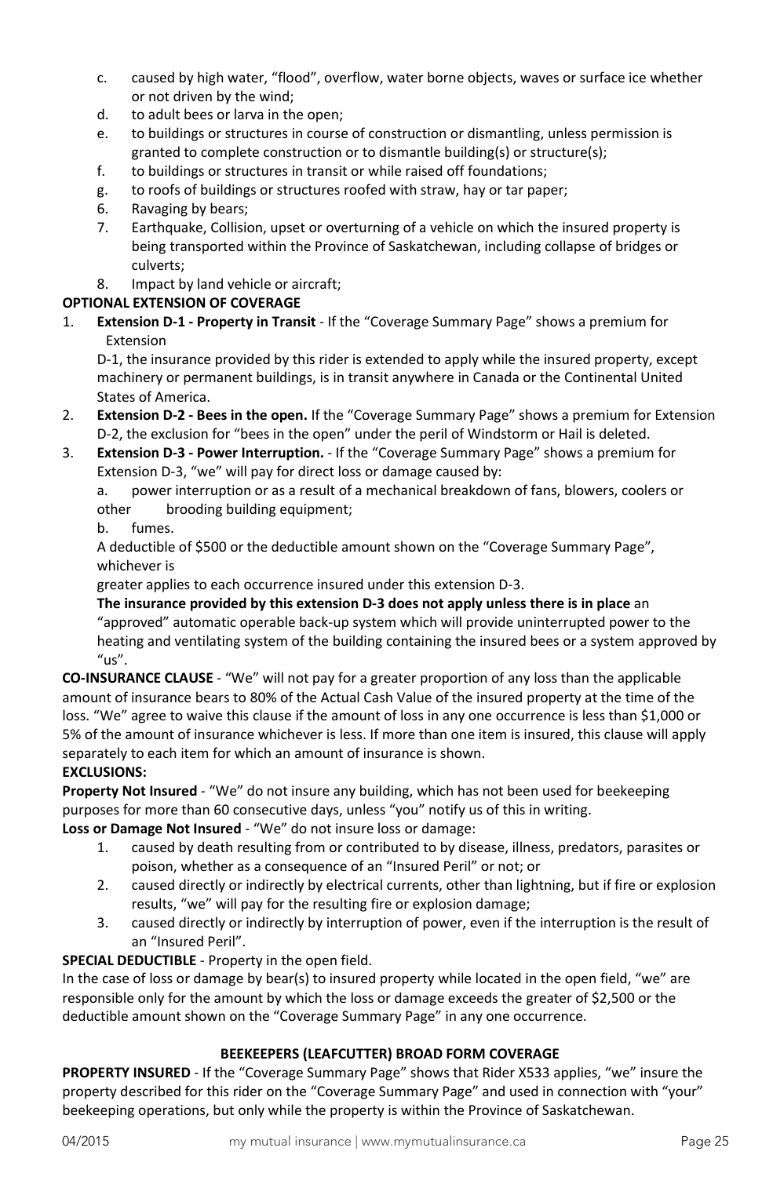- c. caused by high water, "flood", overflow, water borne objects, waves or surface ice whether or not driven by the wind;
- d. to adult bees or larva in the open;
- e. to buildings or structures in course of construction or dismantling, unless permission is granted to complete construction or to dismantle building(s) or structure(s);
- f. to buildings or structures in transit or while raised off foundations;
- g. to roofs of buildings or structures roofed with straw, hay or tar paper;
- 6. Ravaging by bears;
- 7. Earthquake, Collision, upset or overturning of a vehicle on which the insured property is being transported within the Province of Saskatchewan, including collapse of bridges or culverts;
- 8. Impact by land vehicle or aircraft;

# **OPTIONAL EXTENSION OF COVERAGE**

1. **Extension D-1 - Property in Transit** - If the "Coverage Summary Page" shows a premium for Extension

D-1, the insurance provided by this rider is extended to apply while the insured property, except machinery or permanent buildings, is in transit anywhere in Canada or the Continental United States of America.

- 2. **Extension D-2 - Bees in the open.** If the "Coverage Summary Page" shows a premium for Extension D-2, the exclusion for "bees in the open" under the peril of Windstorm or Hail is deleted.
- 3. **Extension D-3 - Power Interruption.**  If the "Coverage Summary Page" shows a premium for Extension D-3, "we" will pay for direct loss or damage caused by:

a. power interruption or as a result of a mechanical breakdown of fans, blowers, coolers or other brooding building equipment;

b. fumes.

A deductible of \$500 or the deductible amount shown on the "Coverage Summary Page", whichever is

greater applies to each occurrence insured under this extension D-3.

**The insurance provided by this extension D-3 does not apply unless there is in place** an "approved" automatic operable back-up system which will provide uninterrupted power to the heating and ventilating system of the building containing the insured bees or a system approved by  $"$ us".

**CO-INSURANCE CLAUSE** - "We" will not pay for a greater proportion of any loss than the applicable amount of insurance bears to 80% of the Actual Cash Value of the insured property at the time of the loss. "We" agree to waive this clause if the amount of loss in any one occurrence is less than \$1,000 or 5% of the amount of insurance whichever is less. If more than one item is insured, this clause will apply separately to each item for which an amount of insurance is shown.

# **EXCLUSIONS:**

**Property Not Insured** - "We" do not insure any building, which has not been used for beekeeping purposes for more than 60 consecutive days, unless "you" notify us of this in writing.

**Loss or Damage Not Insured** - "We" do not insure loss or damage:

- 1. caused by death resulting from or contributed to by disease, illness, predators, parasites or poison, whether as a consequence of an "Insured Peril" or not; or
- 2. caused directly or indirectly by electrical currents, other than lightning, but if fire or explosion results, "we" will pay for the resulting fire or explosion damage;
- 3. caused directly or indirectly by interruption of power, even if the interruption is the result of an "Insured Peril".

**SPECIAL DEDUCTIBLE** - Property in the open field.

In the case of loss or damage by bear(s) to insured property while located in the open field, "we" are responsible only for the amount by which the loss or damage exceeds the greater of \$2,500 or the deductible amount shown on the "Coverage Summary Page" in any one occurrence.

# **BEEKEEPERS (LEAFCUTTER) BROAD FORM COVERAGE**

<span id="page-24-0"></span>**PROPERTY INSURED** - If the "Coverage Summary Page" shows that Rider X533 applies, "we" insure the property described for this rider on the "Coverage Summary Page" and used in connection with "your" beekeeping operations, but only while the property is within the Province of Saskatchewan.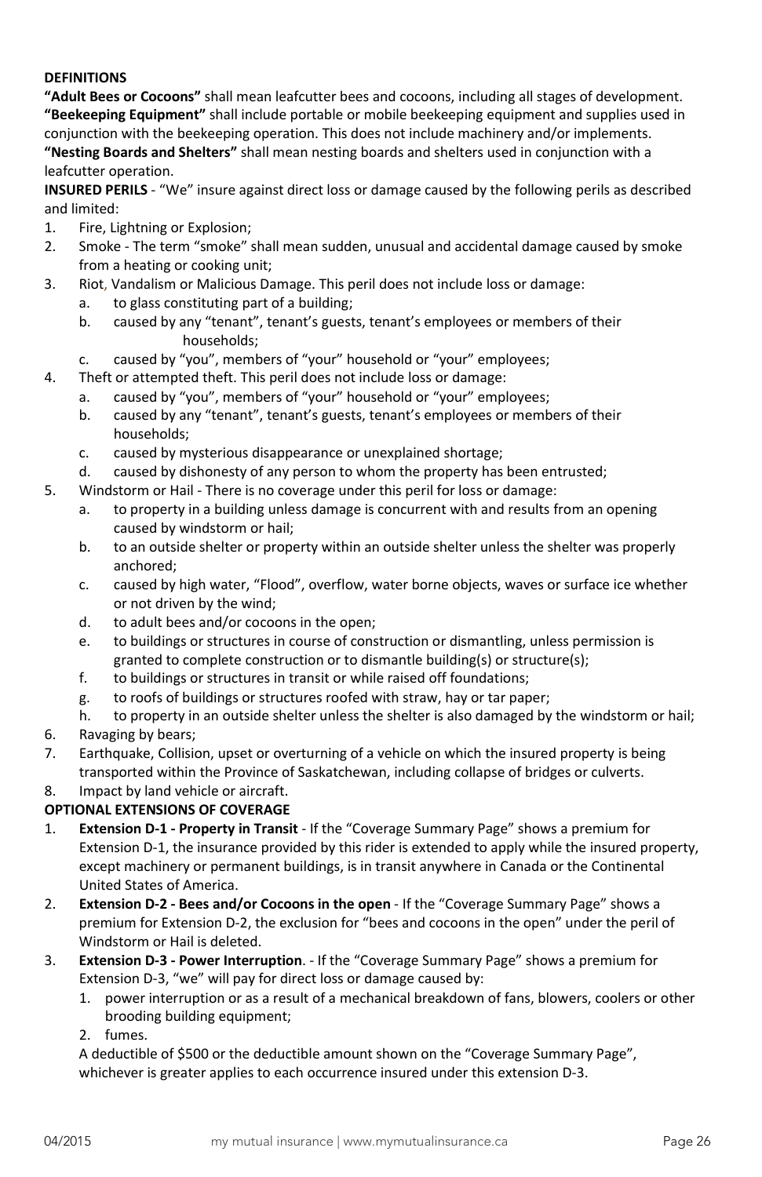# **DEFINITIONS**

**"Adult Bees or Cocoons"** shall mean leafcutter bees and cocoons, including all stages of development. **"Beekeeping Equipment"** shall include portable or mobile beekeeping equipment and supplies used in conjunction with the beekeeping operation. This does not include machinery and/or implements. **"Nesting Boards and Shelters"** shall mean nesting boards and shelters used in conjunction with a leafcutter operation.

**INSURED PERILS** - "We" insure against direct loss or damage caused by the following perils as described and limited:

- 1. Fire, Lightning or Explosion;
- 2. Smoke The term "smoke" shall mean sudden, unusual and accidental damage caused by smoke from a heating or cooking unit;
- 3. Riot, Vandalism or Malicious Damage. This peril does not include loss or damage:
	- a. to glass constituting part of a building;
	- b. caused by any "tenant", tenant's guests, tenant's employees or members of their households;
	- c. caused by "you", members of "your" household or "your" employees;
- 4. Theft or attempted theft. This peril does not include loss or damage:
	- a. caused by "you", members of "your" household or "your" employees;
	- b. caused by any "tenant", tenant's guests, tenant's employees or members of their households;
	- c. caused by mysterious disappearance or unexplained shortage;
	- d. caused by dishonesty of any person to whom the property has been entrusted;
- 5. Windstorm or Hail There is no coverage under this peril for loss or damage:
	- a. to property in a building unless damage is concurrent with and results from an opening caused by windstorm or hail;
	- b. to an outside shelter or property within an outside shelter unless the shelter was properly anchored;
	- c. caused by high water, "Flood", overflow, water borne objects, waves or surface ice whether or not driven by the wind;
	- d. to adult bees and/or cocoons in the open;
	- e. to buildings or structures in course of construction or dismantling, unless permission is granted to complete construction or to dismantle building(s) or structure(s);
	- f. to buildings or structures in transit or while raised off foundations;
	- g. to roofs of buildings or structures roofed with straw, hay or tar paper;
	- h. to property in an outside shelter unless the shelter is also damaged by the windstorm or hail;
- 6. Ravaging by bears;
- 7. Earthquake, Collision, upset or overturning of a vehicle on which the insured property is being transported within the Province of Saskatchewan, including collapse of bridges or culverts.
- 8. Impact by land vehicle or aircraft.

# **OPTIONAL EXTENSIONS OF COVERAGE**

- 1. **Extension D-1 - Property in Transit** If the "Coverage Summary Page" shows a premium for Extension D-1, the insurance provided by this rider is extended to apply while the insured property, except machinery or permanent buildings, is in transit anywhere in Canada or the Continental United States of America.
- 2. **Extension D-2 - Bees and/or Cocoons in the open**  If the "Coverage Summary Page" shows a premium for Extension D-2, the exclusion for "bees and cocoons in the open" under the peril of Windstorm or Hail is deleted.
- 3. **Extension D-3 - Power Interruption**. If the "Coverage Summary Page" shows a premium for Extension D-3, "we" will pay for direct loss or damage caused by:
	- 1. power interruption or as a result of a mechanical breakdown of fans, blowers, coolers or other brooding building equipment;
	- 2. fumes.

A deductible of \$500 or the deductible amount shown on the "Coverage Summary Page", whichever is greater applies to each occurrence insured under this extension D-3.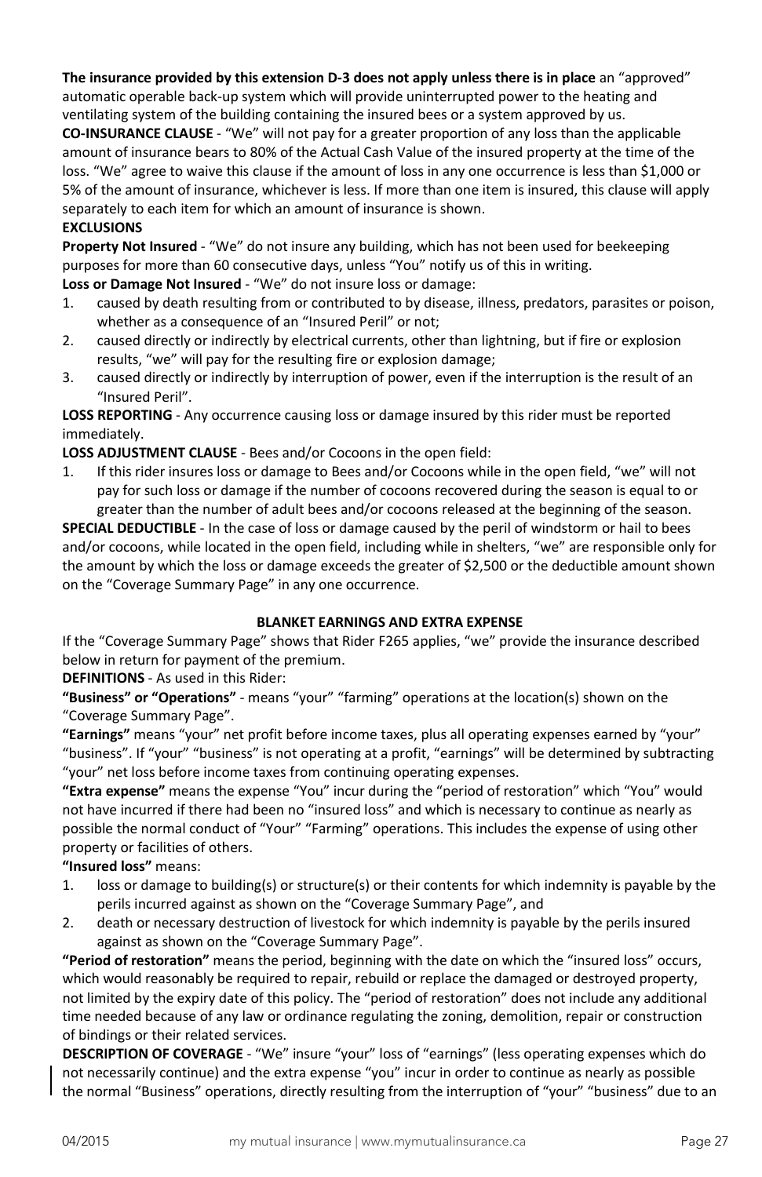**The insurance provided by this extension D-3 does not apply unless there is in place** an "approved" automatic operable back-up system which will provide uninterrupted power to the heating and ventilating system of the building containing the insured bees or a system approved by us.

**CO-INSURANCE CLAUSE** - "We" will not pay for a greater proportion of any loss than the applicable amount of insurance bears to 80% of the Actual Cash Value of the insured property at the time of the loss. "We" agree to waive this clause if the amount of loss in any one occurrence is less than \$1,000 or 5% of the amount of insurance, whichever is less. If more than one item is insured, this clause will apply separately to each item for which an amount of insurance is shown.

### **EXCLUSIONS**

**Property Not Insured** - "We" do not insure any building, which has not been used for beekeeping purposes for more than 60 consecutive days, unless "You" notify us of this in writing. **Loss or Damage Not Insured** - "We" do not insure loss or damage:

1. caused by death resulting from or contributed to by disease, illness, predators, parasites or poison, whether as a consequence of an "Insured Peril" or not;

- 2. caused directly or indirectly by electrical currents, other than lightning, but if fire or explosion results, "we" will pay for the resulting fire or explosion damage;
- 3. caused directly or indirectly by interruption of power, even if the interruption is the result of an "Insured Peril".

**LOSS REPORTING** - Any occurrence causing loss or damage insured by this rider must be reported immediately.

### **LOSS ADJUSTMENT CLAUSE** - Bees and/or Cocoons in the open field:

1. If this rider insures loss or damage to Bees and/or Cocoons while in the open field, "we" will not pay for such loss or damage if the number of cocoons recovered during the season is equal to or greater than the number of adult bees and/or cocoons released at the beginning of the season.

**SPECIAL DEDUCTIBLE** - In the case of loss or damage caused by the peril of windstorm or hail to bees and/or cocoons, while located in the open field, including while in shelters, "we" are responsible only for the amount by which the loss or damage exceeds the greater of \$2,500 or the deductible amount shown on the "Coverage Summary Page" in any one occurrence.

#### **BLANKET EARNINGS AND EXTRA EXPENSE**

<span id="page-26-0"></span>If the "Coverage Summary Page" shows that Rider F265 applies, "we" provide the insurance described below in return for payment of the premium.

**DEFINITIONS** - As used in this Rider:

**"Business" or "Operations"** - means "your" "farming" operations at the location(s) shown on the "Coverage Summary Page".

**"Earnings"** means "your" net profit before income taxes, plus all operating expenses earned by "your" "business". If "your" "business" is not operating at a profit, "earnings" will be determined by subtracting "your" net loss before income taxes from continuing operating expenses.

**"Extra expense"** means the expense "You" incur during the "period of restoration" which "You" would not have incurred if there had been no "insured loss" and which is necessary to continue as nearly as possible the normal conduct of "Your" "Farming" operations. This includes the expense of using other property or facilities of others.

**"Insured loss"** means:

- 1. loss or damage to building(s) or structure(s) or their contents for which indemnity is payable by the perils incurred against as shown on the "Coverage Summary Page", and
- 2. death or necessary destruction of livestock for which indemnity is payable by the perils insured against as shown on the "Coverage Summary Page".

**"Period of restoration"** means the period, beginning with the date on which the "insured loss" occurs, which would reasonably be required to repair, rebuild or replace the damaged or destroyed property, not limited by the expiry date of this policy. The "period of restoration" does not include any additional time needed because of any law or ordinance regulating the zoning, demolition, repair or construction of bindings or their related services.

**DESCRIPTION OF COVERAGE** - "We" insure "your" loss of "earnings" (less operating expenses which do not necessarily continue) and the extra expense "you" incur in order to continue as nearly as possible the normal "Business" operations, directly resulting from the interruption of "your" "business" due to an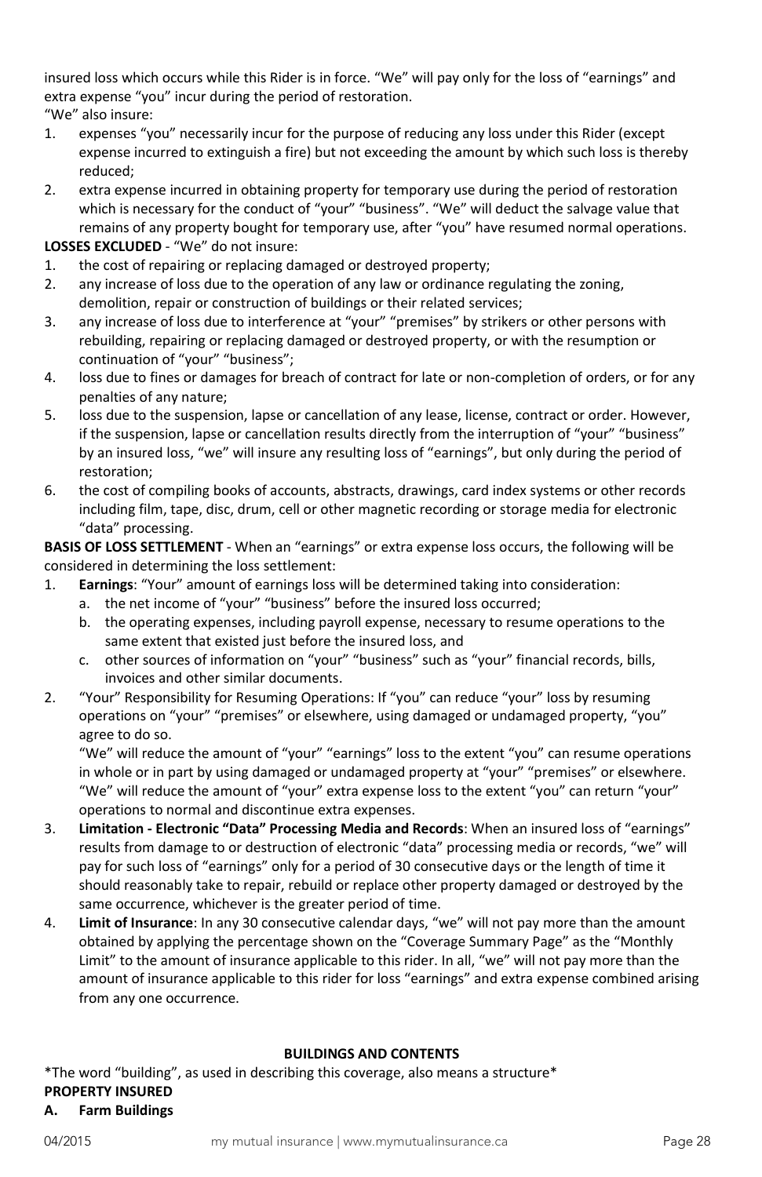insured loss which occurs while this Rider is in force. "We" will pay only for the loss of "earnings" and extra expense "you" incur during the period of restoration.

- "We" also insure:
- 1. expenses "you" necessarily incur for the purpose of reducing any loss under this Rider (except expense incurred to extinguish a fire) but not exceeding the amount by which such loss is thereby reduced;
- 2. extra expense incurred in obtaining property for temporary use during the period of restoration which is necessary for the conduct of "your" "business". "We" will deduct the salvage value that remains of any property bought for temporary use, after "you" have resumed normal operations.

# **LOSSES EXCLUDED** - "We" do not insure:

- 1. the cost of repairing or replacing damaged or destroyed property;
- 2. any increase of loss due to the operation of any law or ordinance regulating the zoning, demolition, repair or construction of buildings or their related services;
- 3. any increase of loss due to interference at "your" "premises" by strikers or other persons with rebuilding, repairing or replacing damaged or destroyed property, or with the resumption or continuation of "your" "business";
- 4. loss due to fines or damages for breach of contract for late or non-completion of orders, or for any penalties of any nature;
- 5. loss due to the suspension, lapse or cancellation of any lease, license, contract or order. However, if the suspension, lapse or cancellation results directly from the interruption of "your" "business" by an insured loss, "we" will insure any resulting loss of "earnings", but only during the period of restoration;
- 6. the cost of compiling books of accounts, abstracts, drawings, card index systems or other records including film, tape, disc, drum, cell or other magnetic recording or storage media for electronic "data" processing.

**BASIS OF LOSS SETTLEMENT** - When an "earnings" or extra expense loss occurs, the following will be considered in determining the loss settlement:

- 1. **Earnings**: "Your" amount of earnings loss will be determined taking into consideration:
	- a. the net income of "your" "business" before the insured loss occurred;
		- b. the operating expenses, including payroll expense, necessary to resume operations to the same extent that existed just before the insured loss, and
	- c. other sources of information on "your" "business" such as "your" financial records, bills, invoices and other similar documents.
- 2. "Your" Responsibility for Resuming Operations: If "you" can reduce "your" loss by resuming operations on "your" "premises" or elsewhere, using damaged or undamaged property, "you" agree to do so.

"We" will reduce the amount of "your" "earnings" loss to the extent "you" can resume operations in whole or in part by using damaged or undamaged property at "your" "premises" or elsewhere. "We" will reduce the amount of "your" extra expense loss to the extent "you" can return "your" operations to normal and discontinue extra expenses.

- 3. **Limitation - Electronic "Data" Processing Media and Records**: When an insured loss of "earnings" results from damage to or destruction of electronic "data" processing media or records, "we" will pay for such loss of "earnings" only for a period of 30 consecutive days or the length of time it should reasonably take to repair, rebuild or replace other property damaged or destroyed by the same occurrence, whichever is the greater period of time.
- 4. **Limit of Insurance**: In any 30 consecutive calendar days, "we" will not pay more than the amount obtained by applying the percentage shown on the "Coverage Summary Page" as the "Monthly Limit" to the amount of insurance applicable to this rider. In all, "we" will not pay more than the amount of insurance applicable to this rider for loss "earnings" and extra expense combined arising from any one occurrence.

### **BUILDINGS AND CONTENTS**

<span id="page-27-0"></span>\*The word "building", as used in describing this coverage, also means a structure\* **PROPERTY INSURED**

# **A. Farm Buildings**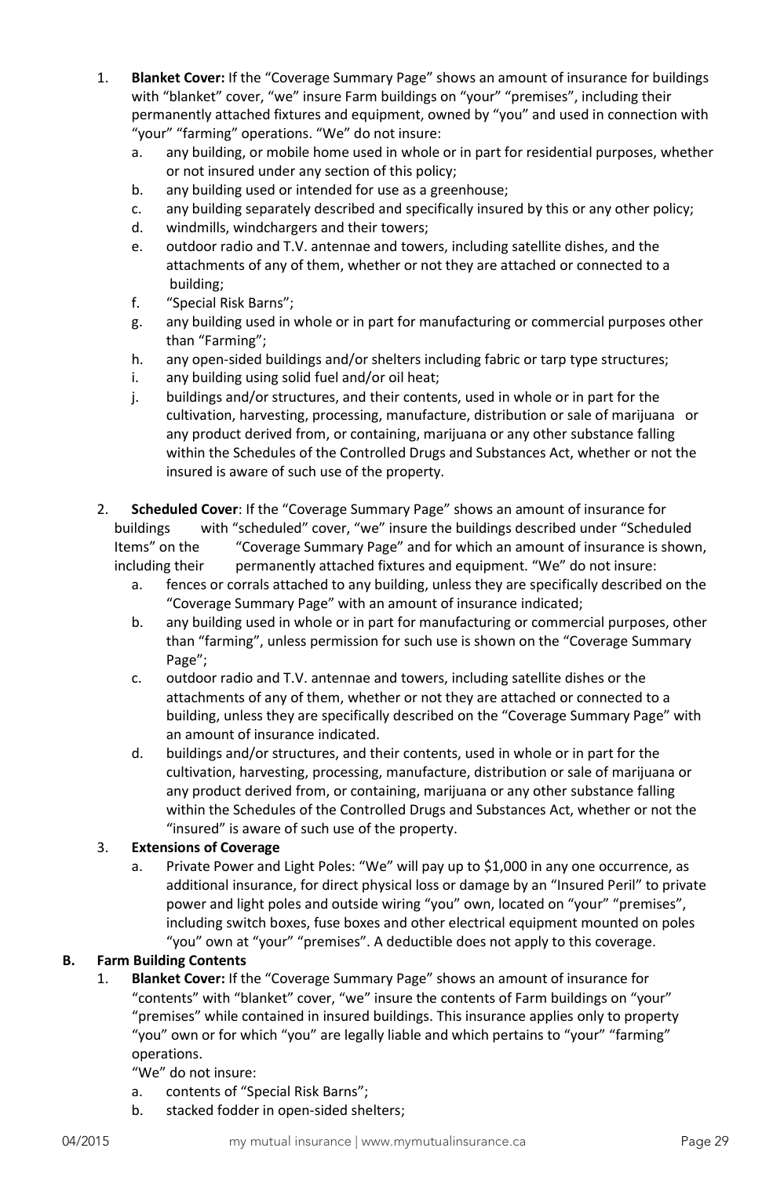- 1. **Blanket Cover:** If the "Coverage Summary Page" shows an amount of insurance for buildings with "blanket" cover, "we" insure Farm buildings on "your" "premises", including their permanently attached fixtures and equipment, owned by "you" and used in connection with "your" "farming" operations. "We" do not insure:
	- a. any building, or mobile home used in whole or in part for residential purposes, whether or not insured under any section of this policy;
	- b. any building used or intended for use as a greenhouse;
	- c. any building separately described and specifically insured by this or any other policy;
	- d. windmills, windchargers and their towers;
	- e. outdoor radio and T.V. antennae and towers, including satellite dishes, and the attachments of any of them, whether or not they are attached or connected to a building;
	- f. "Special Risk Barns";
	- g. any building used in whole or in part for manufacturing or commercial purposes other than "Farming";
	- h. any open-sided buildings and/or shelters including fabric or tarp type structures;
	- i. any building using solid fuel and/or oil heat;
	- j. buildings and/or structures, and their contents, used in whole or in part for the cultivation, harvesting, processing, manufacture, distribution or sale of marijuana or any product derived from, or containing, marijuana or any other substance falling within the Schedules of the Controlled Drugs and Substances Act, whether or not the insured is aware of such use of the property.
- 2. **Scheduled Cover**: If the "Coverage Summary Page" shows an amount of insurance for buildings with "scheduled" cover, "we" insure the buildings described under "Scheduled Items" on the "Coverage Summary Page" and for which an amount of insurance is shown, including their permanently attached fixtures and equipment. "We" do not insure:
	- a. fences or corrals attached to any building, unless they are specifically described on the "Coverage Summary Page" with an amount of insurance indicated;
	- b. any building used in whole or in part for manufacturing or commercial purposes, other than "farming", unless permission for such use is shown on the "Coverage Summary Page";
	- c. outdoor radio and T.V. antennae and towers, including satellite dishes or the attachments of any of them, whether or not they are attached or connected to a building, unless they are specifically described on the "Coverage Summary Page" with an amount of insurance indicated.
	- d. buildings and/or structures, and their contents, used in whole or in part for the cultivation, harvesting, processing, manufacture, distribution or sale of marijuana or any product derived from, or containing, marijuana or any other substance falling within the Schedules of the Controlled Drugs and Substances Act, whether or not the "insured" is aware of such use of the property.

# <span id="page-28-0"></span>3. **Extensions of Coverage**

a. Private Power and Light Poles: "We" will pay up to \$1,000 in any one occurrence, as additional insurance, for direct physical loss or damage by an "Insured Peril" to private power and light poles and outside wiring "you" own, located on "your" "premises", including switch boxes, fuse boxes and other electrical equipment mounted on poles "you" own at "your" "premises". A deductible does not apply to this coverage.

# **B. Farm Building Contents**

- 1. **Blanket Cover:** If the "Coverage Summary Page" shows an amount of insurance for "contents" with "blanket" cover, "we" insure the contents of Farm buildings on "your" "premises" while contained in insured buildings. This insurance applies only to property "you" own or for which "you" are legally liable and which pertains to "your" "farming" operations.
	- "We" do not insure:
	- a. contents of "Special Risk Barns";
	- b. stacked fodder in open-sided shelters;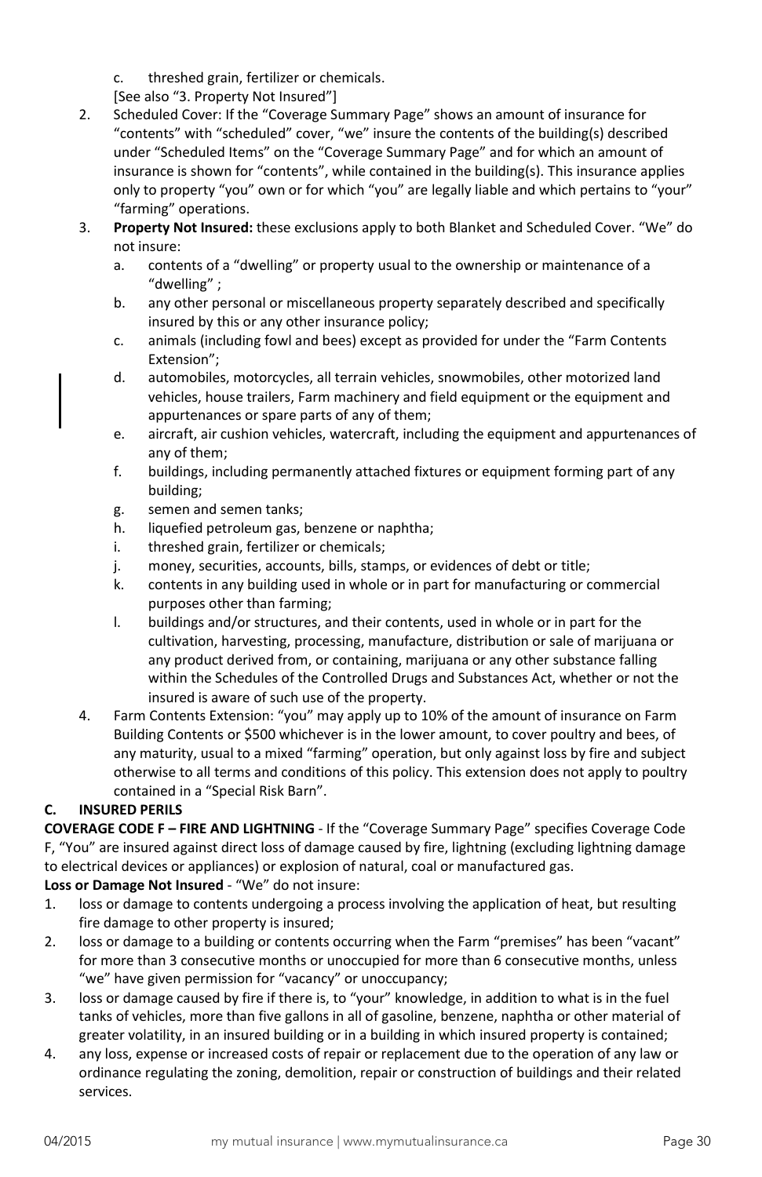- c. threshed grain, fertilizer or chemicals.
- [See also "3. Property Not Insured"]
- 2. Scheduled Cover: If the "Coverage Summary Page" shows an amount of insurance for "contents" with "scheduled" cover, "we" insure the contents of the building(s) described under "Scheduled Items" on the "Coverage Summary Page" and for which an amount of insurance is shown for "contents", while contained in the building(s). This insurance applies only to property "you" own or for which "you" are legally liable and which pertains to "your" "farming" operations.
- 3. **Property Not Insured:** these exclusions apply to both Blanket and Scheduled Cover. "We" do not insure:
	- a. contents of a "dwelling" or property usual to the ownership or maintenance of a "dwelling" ;
	- b. any other personal or miscellaneous property separately described and specifically insured by this or any other insurance policy;
	- c. animals (including fowl and bees) except as provided for under the "Farm Contents Extension";
	- d. automobiles, motorcycles, all terrain vehicles, snowmobiles, other motorized land vehicles, house trailers, Farm machinery and field equipment or the equipment and appurtenances or spare parts of any of them;
	- e. aircraft, air cushion vehicles, watercraft, including the equipment and appurtenances of any of them;
	- f. buildings, including permanently attached fixtures or equipment forming part of any building;
	- g. semen and semen tanks;
	- h. liquefied petroleum gas, benzene or naphtha;
	- i. threshed grain, fertilizer or chemicals;
	- j. money, securities, accounts, bills, stamps, or evidences of debt or title;
	- k. contents in any building used in whole or in part for manufacturing or commercial purposes other than farming;
	- l. buildings and/or structures, and their contents, used in whole or in part for the cultivation, harvesting, processing, manufacture, distribution or sale of marijuana or any product derived from, or containing, marijuana or any other substance falling within the Schedules of the Controlled Drugs and Substances Act, whether or not the insured is aware of such use of the property.
- 4. Farm Contents Extension: "you" may apply up to 10% of the amount of insurance on Farm Building Contents or \$500 whichever is in the lower amount, to cover poultry and bees, of any maturity, usual to a mixed "farming" operation, but only against loss by fire and subject otherwise to all terms and conditions of this policy. This extension does not apply to poultry contained in a "Special Risk Barn".

# <span id="page-29-0"></span>**C. INSURED PERILS**

**COVERAGE CODE F – FIRE AND LIGHTNING** - If the "Coverage Summary Page" specifies Coverage Code F, "You" are insured against direct loss of damage caused by fire, lightning (excluding lightning damage to electrical devices or appliances) or explosion of natural, coal or manufactured gas.

# Loss or Damage Not Insured - "We" do not insure:

- 1. loss or damage to contents undergoing a process involving the application of heat, but resulting fire damage to other property is insured;
- 2. loss or damage to a building or contents occurring when the Farm "premises" has been "vacant" for more than 3 consecutive months or unoccupied for more than 6 consecutive months, unless "we" have given permission for "vacancy" or unoccupancy;
- 3. loss or damage caused by fire if there is, to "your" knowledge, in addition to what is in the fuel tanks of vehicles, more than five gallons in all of gasoline, benzene, naphtha or other material of greater volatility, in an insured building or in a building in which insured property is contained;
- 4. any loss, expense or increased costs of repair or replacement due to the operation of any law or ordinance regulating the zoning, demolition, repair or construction of buildings and their related services.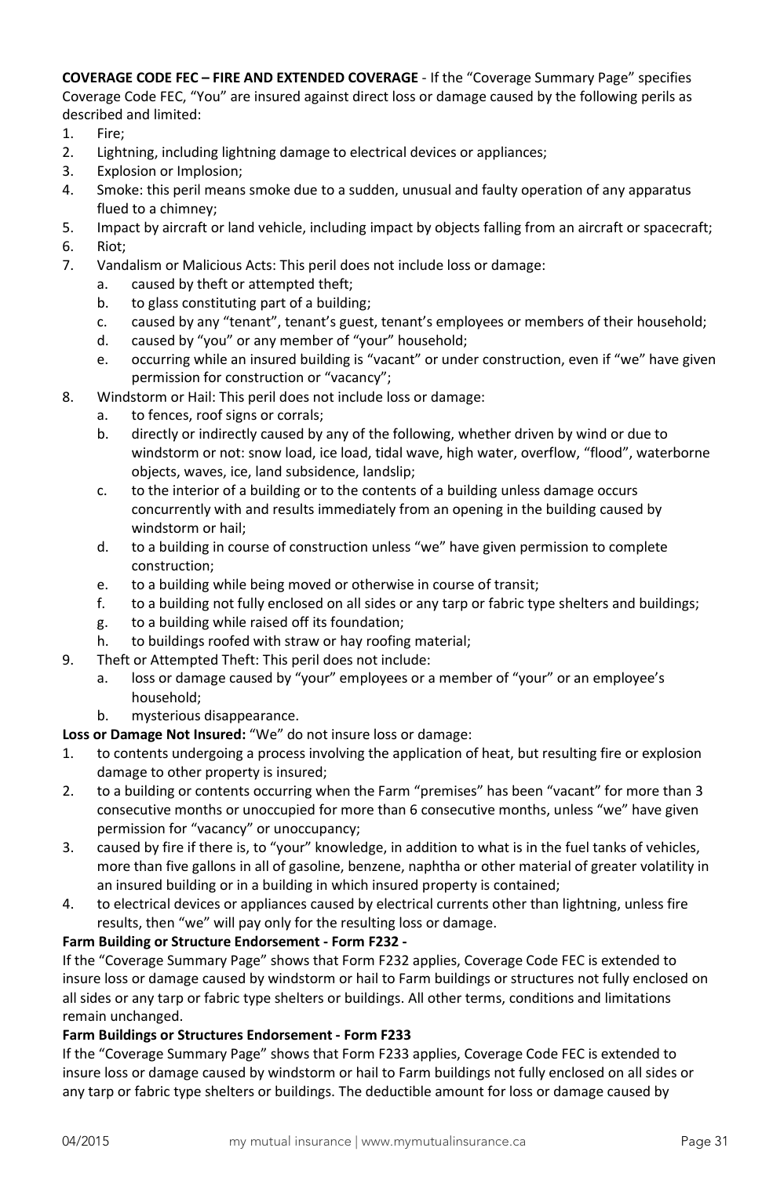**COVERAGE CODE FEC – FIRE AND EXTENDED COVERAGE** - If the "Coverage Summary Page" specifies Coverage Code FEC, "You" are insured against direct loss or damage caused by the following perils as described and limited:

- 1. Fire;
- 2. Lightning, including lightning damage to electrical devices or appliances;
- 3. Explosion or Implosion;
- 4. Smoke: this peril means smoke due to a sudden, unusual and faulty operation of any apparatus flued to a chimney;
- 5. Impact by aircraft or land vehicle, including impact by objects falling from an aircraft or spacecraft; 6. Riot;
- 7. Vandalism or Malicious Acts: This peril does not include loss or damage:
	- a. caused by theft or attempted theft;
	- b. to glass constituting part of a building;
	- c. caused by any "tenant", tenant's guest, tenant's employees or members of their household;
	- d. caused by "you" or any member of "your" household;
	- e. occurring while an insured building is "vacant" or under construction, even if "we" have given permission for construction or "vacancy";
- 8. Windstorm or Hail: This peril does not include loss or damage:
	- a. to fences, roof signs or corrals;
	- b. directly or indirectly caused by any of the following, whether driven by wind or due to windstorm or not: snow load, ice load, tidal wave, high water, overflow, "flood", waterborne objects, waves, ice, land subsidence, landslip;
	- c. to the interior of a building or to the contents of a building unless damage occurs concurrently with and results immediately from an opening in the building caused by windstorm or hail;
	- d. to a building in course of construction unless "we" have given permission to complete construction;
	- e. to a building while being moved or otherwise in course of transit;
	- f. to a building not fully enclosed on all sides or any tarp or fabric type shelters and buildings;
	- g. to a building while raised off its foundation;
	- h. to buildings roofed with straw or hay roofing material;
- 9. Theft or Attempted Theft: This peril does not include:
	- a. loss or damage caused by "your" employees or a member of "your" or an employee's household;
	- b. mysterious disappearance.

#### **Loss or Damage Not Insured:** "We" do not insure loss or damage:

- 1. to contents undergoing a process involving the application of heat, but resulting fire or explosion damage to other property is insured;
- 2. to a building or contents occurring when the Farm "premises" has been "vacant" for more than 3 consecutive months or unoccupied for more than 6 consecutive months, unless "we" have given permission for "vacancy" or unoccupancy;
- 3. caused by fire if there is, to "your" knowledge, in addition to what is in the fuel tanks of vehicles, more than five gallons in all of gasoline, benzene, naphtha or other material of greater volatility in an insured building or in a building in which insured property is contained;
- 4. to electrical devices or appliances caused by electrical currents other than lightning, unless fire results, then "we" will pay only for the resulting loss or damage.

#### **Farm Building or Structure Endorsement - Form F232 -**

If the "Coverage Summary Page" shows that Form F232 applies, Coverage Code FEC is extended to insure loss or damage caused by windstorm or hail to Farm buildings or structures not fully enclosed on all sides or any tarp or fabric type shelters or buildings. All other terms, conditions and limitations remain unchanged.

#### **Farm Buildings or Structures Endorsement - Form F233**

If the "Coverage Summary Page" shows that Form F233 applies, Coverage Code FEC is extended to insure loss or damage caused by windstorm or hail to Farm buildings not fully enclosed on all sides or any tarp or fabric type shelters or buildings. The deductible amount for loss or damage caused by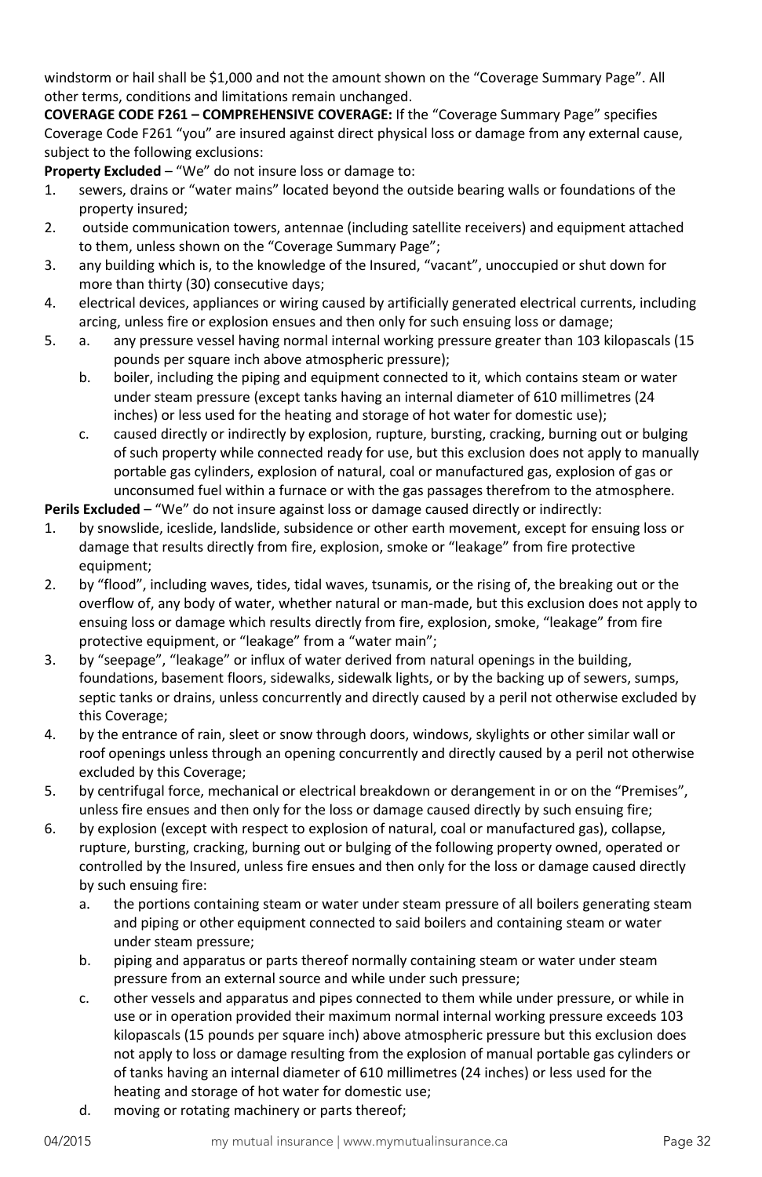windstorm or hail shall be \$1,000 and not the amount shown on the "Coverage Summary Page". All other terms, conditions and limitations remain unchanged.

**COVERAGE CODE F261 – COMPREHENSIVE COVERAGE:** If the "Coverage Summary Page" specifies Coverage Code F261 "you" are insured against direct physical loss or damage from any external cause, subject to the following exclusions:

**Property Excluded** – "We" do not insure loss or damage to:

- 1. sewers, drains or "water mains" located beyond the outside bearing walls or foundations of the property insured;
- 2. outside communication towers, antennae (including satellite receivers) and equipment attached to them, unless shown on the "Coverage Summary Page";
- 3. any building which is, to the knowledge of the Insured, "vacant", unoccupied or shut down for more than thirty (30) consecutive days;
- 4. electrical devices, appliances or wiring caused by artificially generated electrical currents, including arcing, unless fire or explosion ensues and then only for such ensuing loss or damage;
- 5. a. any pressure vessel having normal internal working pressure greater than 103 kilopascals (15 pounds per square inch above atmospheric pressure);
	- b. boiler, including the piping and equipment connected to it, which contains steam or water under steam pressure (except tanks having an internal diameter of 610 millimetres (24 inches) or less used for the heating and storage of hot water for domestic use);
	- c. caused directly or indirectly by explosion, rupture, bursting, cracking, burning out or bulging of such property while connected ready for use, but this exclusion does not apply to manually portable gas cylinders, explosion of natural, coal or manufactured gas, explosion of gas or unconsumed fuel within a furnace or with the gas passages therefrom to the atmosphere.

**Perils Excluded** – "We" do not insure against loss or damage caused directly or indirectly:

- 1. by snowslide, iceslide, landslide, subsidence or other earth movement, except for ensuing loss or damage that results directly from fire, explosion, smoke or "leakage" from fire protective equipment;
- 2. by "flood", including waves, tides, tidal waves, tsunamis, or the rising of, the breaking out or the overflow of, any body of water, whether natural or man-made, but this exclusion does not apply to ensuing loss or damage which results directly from fire, explosion, smoke, "leakage" from fire protective equipment, or "leakage" from a "water main";
- 3. by "seepage", "leakage" or influx of water derived from natural openings in the building, foundations, basement floors, sidewalks, sidewalk lights, or by the backing up of sewers, sumps, septic tanks or drains, unless concurrently and directly caused by a peril not otherwise excluded by this Coverage;
- 4. by the entrance of rain, sleet or snow through doors, windows, skylights or other similar wall or roof openings unless through an opening concurrently and directly caused by a peril not otherwise excluded by this Coverage;
- 5. by centrifugal force, mechanical or electrical breakdown or derangement in or on the "Premises", unless fire ensues and then only for the loss or damage caused directly by such ensuing fire;
- 6. by explosion (except with respect to explosion of natural, coal or manufactured gas), collapse, rupture, bursting, cracking, burning out or bulging of the following property owned, operated or controlled by the Insured, unless fire ensues and then only for the loss or damage caused directly by such ensuing fire:
	- a. the portions containing steam or water under steam pressure of all boilers generating steam and piping or other equipment connected to said boilers and containing steam or water under steam pressure;
	- b. piping and apparatus or parts thereof normally containing steam or water under steam pressure from an external source and while under such pressure;
	- c. other vessels and apparatus and pipes connected to them while under pressure, or while in use or in operation provided their maximum normal internal working pressure exceeds 103 kilopascals (15 pounds per square inch) above atmospheric pressure but this exclusion does not apply to loss or damage resulting from the explosion of manual portable gas cylinders or of tanks having an internal diameter of 610 millimetres (24 inches) or less used for the heating and storage of hot water for domestic use;
	- d. moving or rotating machinery or parts thereof;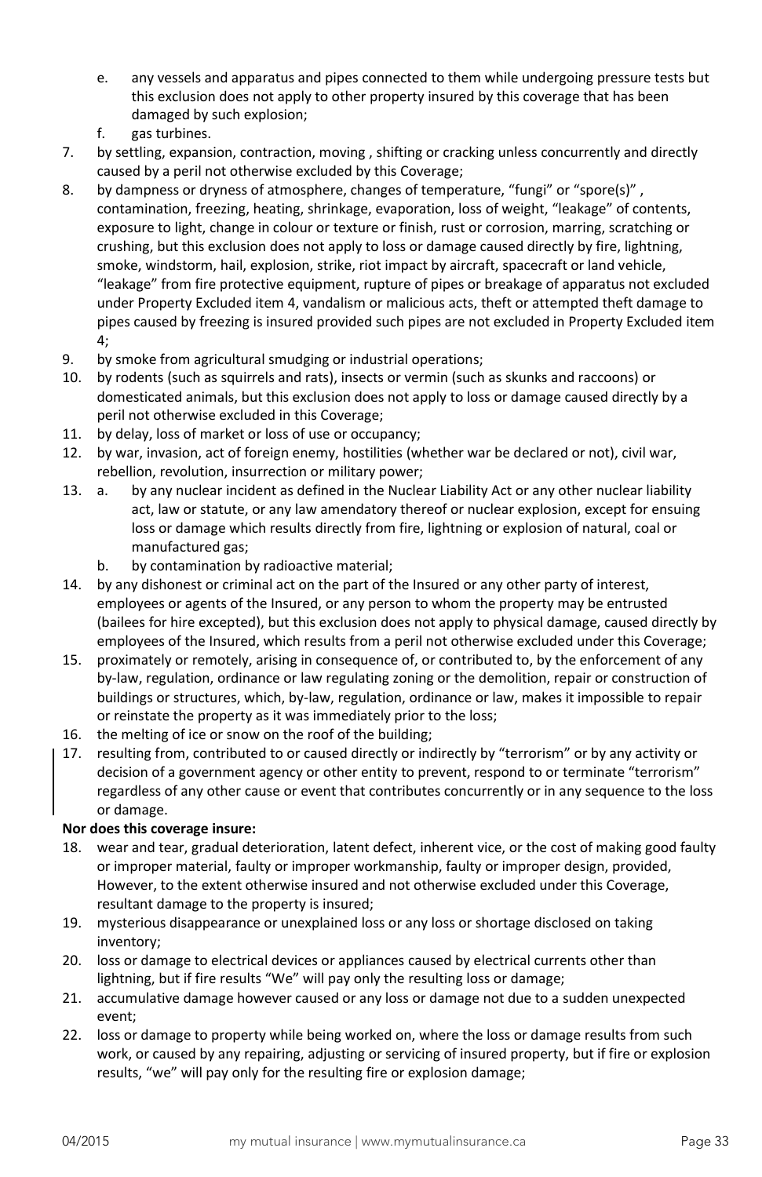- e. any vessels and apparatus and pipes connected to them while undergoing pressure tests but this exclusion does not apply to other property insured by this coverage that has been damaged by such explosion;
- f. gas turbines.
- 7. by settling, expansion, contraction, moving , shifting or cracking unless concurrently and directly caused by a peril not otherwise excluded by this Coverage;
- 8. by dampness or dryness of atmosphere, changes of temperature, "fungi" or "spore(s)", contamination, freezing, heating, shrinkage, evaporation, loss of weight, "leakage" of contents, exposure to light, change in colour or texture or finish, rust or corrosion, marring, scratching or crushing, but this exclusion does not apply to loss or damage caused directly by fire, lightning, smoke, windstorm, hail, explosion, strike, riot impact by aircraft, spacecraft or land vehicle, "leakage" from fire protective equipment, rupture of pipes or breakage of apparatus not excluded under Property Excluded item 4, vandalism or malicious acts, theft or attempted theft damage to pipes caused by freezing is insured provided such pipes are not excluded in Property Excluded item 4;
- 9. by smoke from agricultural smudging or industrial operations;
- 10. by rodents (such as squirrels and rats), insects or vermin (such as skunks and raccoons) or domesticated animals, but this exclusion does not apply to loss or damage caused directly by a peril not otherwise excluded in this Coverage;
- 11. by delay, loss of market or loss of use or occupancy;
- 12. by war, invasion, act of foreign enemy, hostilities (whether war be declared or not), civil war, rebellion, revolution, insurrection or military power;
- 13. a. by any nuclear incident as defined in the Nuclear Liability Act or any other nuclear liability act, law or statute, or any law amendatory thereof or nuclear explosion, except for ensuing loss or damage which results directly from fire, lightning or explosion of natural, coal or manufactured gas;
	- b. by contamination by radioactive material;
- 14. by any dishonest or criminal act on the part of the Insured or any other party of interest, employees or agents of the Insured, or any person to whom the property may be entrusted (bailees for hire excepted), but this exclusion does not apply to physical damage, caused directly by employees of the Insured, which results from a peril not otherwise excluded under this Coverage;
- 15. proximately or remotely, arising in consequence of, or contributed to, by the enforcement of any by-law, regulation, ordinance or law regulating zoning or the demolition, repair or construction of buildings or structures, which, by-law, regulation, ordinance or law, makes it impossible to repair or reinstate the property as it was immediately prior to the loss;
- 16. the melting of ice or snow on the roof of the building;
- 17. resulting from, contributed to or caused directly or indirectly by "terrorism" or by any activity or decision of a government agency or other entity to prevent, respond to or terminate "terrorism" regardless of any other cause or event that contributes concurrently or in any sequence to the loss or damage.

# **Nor does this coverage insure:**

- 18. wear and tear, gradual deterioration, latent defect, inherent vice, or the cost of making good faulty or improper material, faulty or improper workmanship, faulty or improper design, provided, However, to the extent otherwise insured and not otherwise excluded under this Coverage, resultant damage to the property is insured;
- 19. mysterious disappearance or unexplained loss or any loss or shortage disclosed on taking inventory;
- 20. loss or damage to electrical devices or appliances caused by electrical currents other than lightning, but if fire results "We" will pay only the resulting loss or damage;
- 21. accumulative damage however caused or any loss or damage not due to a sudden unexpected event;
- 22. loss or damage to property while being worked on, where the loss or damage results from such work, or caused by any repairing, adjusting or servicing of insured property, but if fire or explosion results, "we" will pay only for the resulting fire or explosion damage;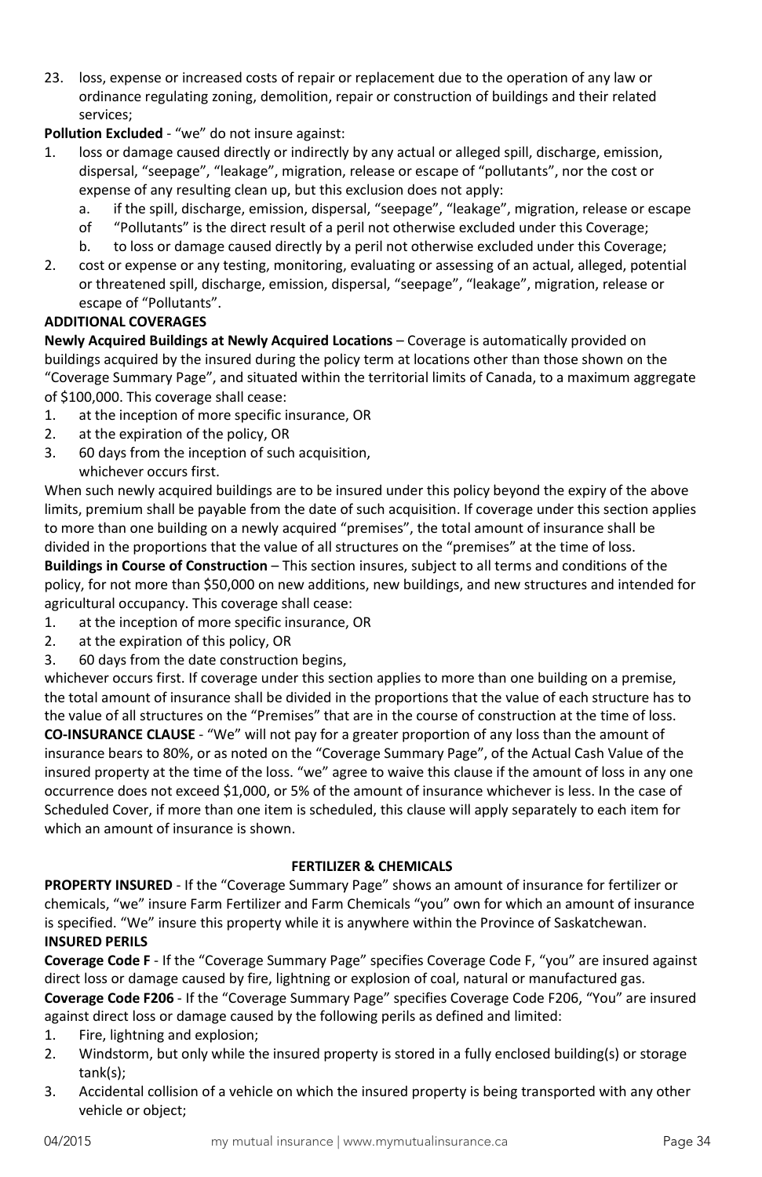- 23. loss, expense or increased costs of repair or replacement due to the operation of any law or ordinance regulating zoning, demolition, repair or construction of buildings and their related services;
- **Pollution Excluded** "we" do not insure against:
- 1. loss or damage caused directly or indirectly by any actual or alleged spill, discharge, emission, dispersal, "seepage", "leakage", migration, release or escape of "pollutants", nor the cost or expense of any resulting clean up, but this exclusion does not apply:
	- a. if the spill, discharge, emission, dispersal, "seepage", "leakage", migration, release or escape
	- of "Pollutants" is the direct result of a peril not otherwise excluded under this Coverage;
	- b. to loss or damage caused directly by a peril not otherwise excluded under this Coverage;
- 2. cost or expense or any testing, monitoring, evaluating or assessing of an actual, alleged, potential or threatened spill, discharge, emission, dispersal, "seepage", "leakage", migration, release or escape of "Pollutants".

### **ADDITIONAL COVERAGES**

**Newly Acquired Buildings at Newly Acquired Locations** – Coverage is automatically provided on buildings acquired by the insured during the policy term at locations other than those shown on the "Coverage Summary Page", and situated within the territorial limits of Canada, to a maximum aggregate of \$100,000. This coverage shall cease:

- 1. at the inception of more specific insurance, OR
- 2. at the expiration of the policy, OR
- 3. 60 days from the inception of such acquisition, whichever occurs first.

When such newly acquired buildings are to be insured under this policy beyond the expiry of the above limits, premium shall be payable from the date of such acquisition. If coverage under this section applies to more than one building on a newly acquired "premises", the total amount of insurance shall be divided in the proportions that the value of all structures on the "premises" at the time of loss.

**Buildings in Course of Construction** – This section insures, subject to all terms and conditions of the policy, for not more than \$50,000 on new additions, new buildings, and new structures and intended for agricultural occupancy. This coverage shall cease:

- 1. at the inception of more specific insurance, OR
- 2. at the expiration of this policy, OR
- 3. 60 days from the date construction begins,

whichever occurs first. If coverage under this section applies to more than one building on a premise, the total amount of insurance shall be divided in the proportions that the value of each structure has to the value of all structures on the "Premises" that are in the course of construction at the time of loss. **CO-INSURANCE CLAUSE** - "We" will not pay for a greater proportion of any loss than the amount of insurance bears to 80%, or as noted on the "Coverage Summary Page", of the Actual Cash Value of the insured property at the time of the loss. "we" agree to waive this clause if the amount of loss in any one occurrence does not exceed \$1,000, or 5% of the amount of insurance whichever is less. In the case of Scheduled Cover, if more than one item is scheduled, this clause will apply separately to each item for which an amount of insurance is shown.

#### **FERTILIZER & CHEMICALS**

<span id="page-33-0"></span>**PROPERTY INSURED** - If the "Coverage Summary Page" shows an amount of insurance for fertilizer or chemicals, "we" insure Farm Fertilizer and Farm Chemicals "you" own for which an amount of insurance is specified. "We" insure this property while it is anywhere within the Province of Saskatchewan. **INSURED PERILS**

**Coverage Code F** - If the "Coverage Summary Page" specifies Coverage Code F, "you" are insured against direct loss or damage caused by fire, lightning or explosion of coal, natural or manufactured gas. **Coverage Code F206** - If the "Coverage Summary Page" specifies Coverage Code F206, "You" are insured against direct loss or damage caused by the following perils as defined and limited:

- 1. Fire, lightning and explosion;
- 2. Windstorm, but only while the insured property is stored in a fully enclosed building(s) or storage tank(s);
- 3. Accidental collision of a vehicle on which the insured property is being transported with any other vehicle or object;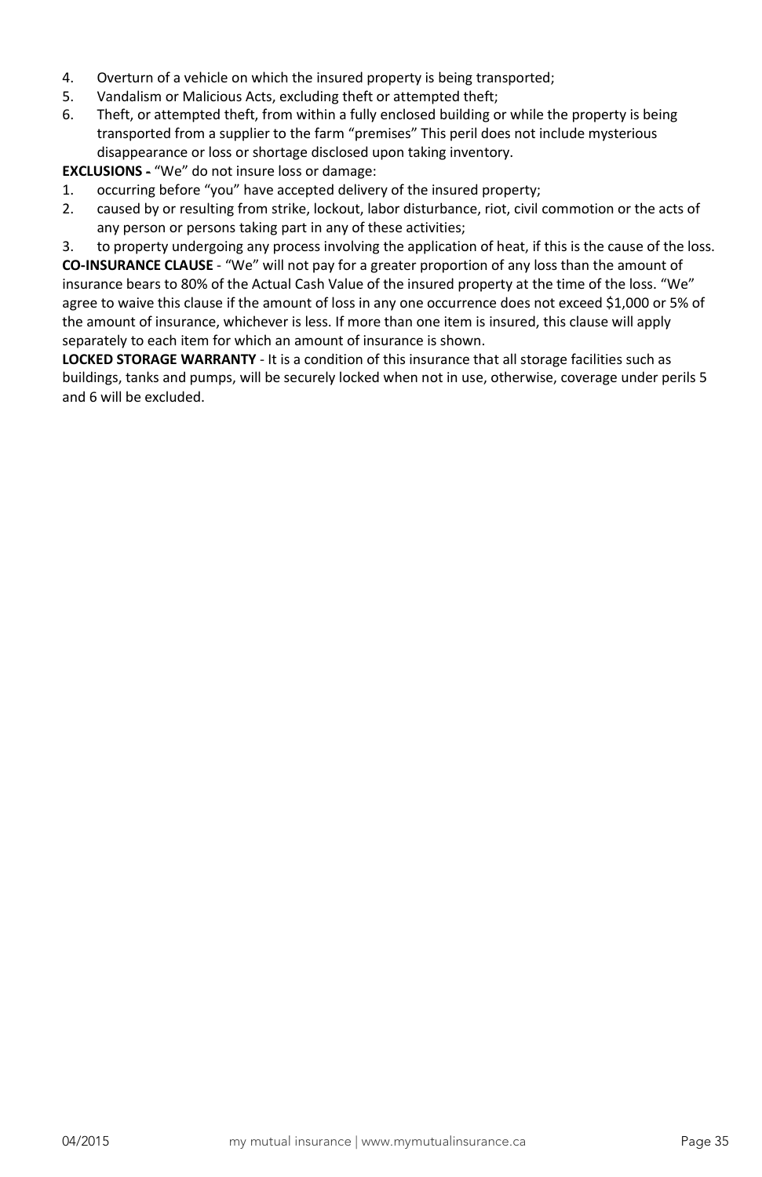- 4. Overturn of a vehicle on which the insured property is being transported;
- 5. Vandalism or Malicious Acts, excluding theft or attempted theft;
- 6. Theft, or attempted theft, from within a fully enclosed building or while the property is being transported from a supplier to the farm "premises" This peril does not include mysterious disappearance or loss or shortage disclosed upon taking inventory.

**EXCLUSIONS** - "We" do not insure loss or damage:

- 1. occurring before "you" have accepted delivery of the insured property;
- 2. caused by or resulting from strike, lockout, labor disturbance, riot, civil commotion or the acts of any person or persons taking part in any of these activities;

3. to property undergoing any process involving the application of heat, if this is the cause of the loss. **CO-INSURANCE CLAUSE** - "We" will not pay for a greater proportion of any loss than the amount of insurance bears to 80% of the Actual Cash Value of the insured property at the time of the loss. "We" agree to waive this clause if the amount of loss in any one occurrence does not exceed \$1,000 or 5% of the amount of insurance, whichever is less. If more than one item is insured, this clause will apply separately to each item for which an amount of insurance is shown.

**LOCKED STORAGE WARRANTY** - It is a condition of this insurance that all storage facilities such as buildings, tanks and pumps, will be securely locked when not in use, otherwise, coverage under perils 5 and 6 will be excluded.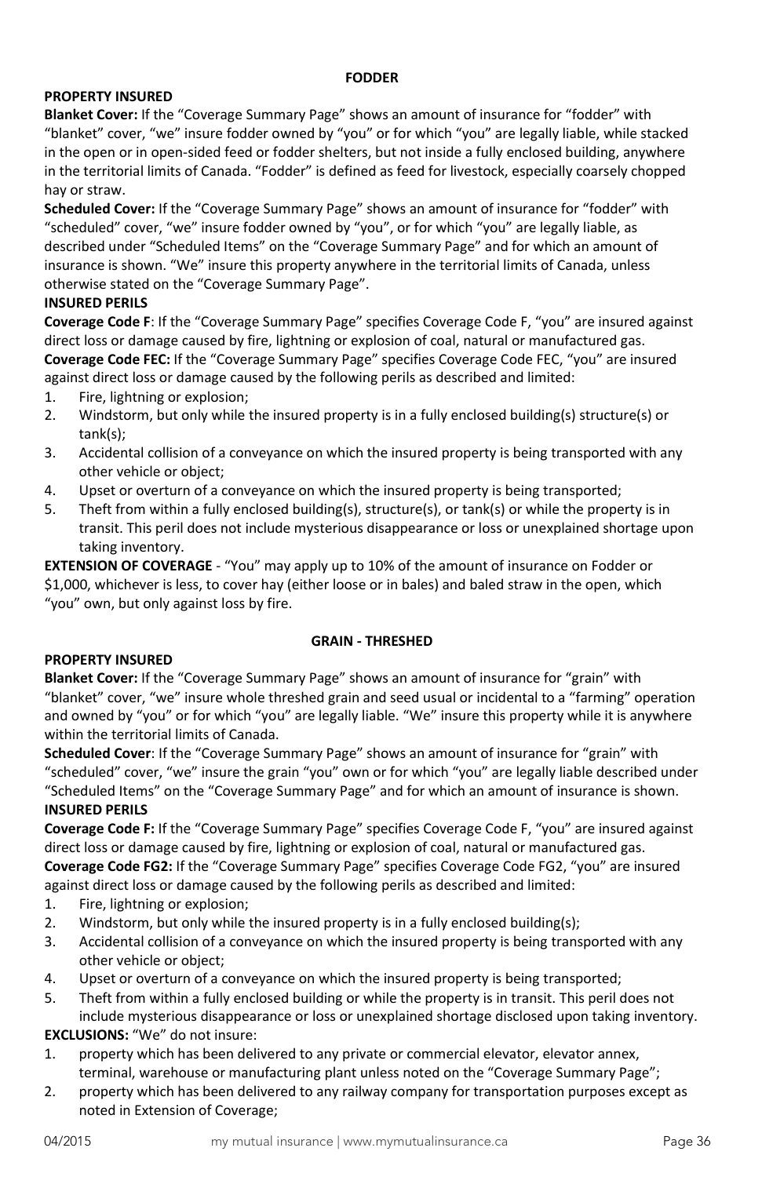### **FODDER**

# <span id="page-35-0"></span>**PROPERTY INSURED**

**Blanket Cover:** If the "Coverage Summary Page" shows an amount of insurance for "fodder" with "blanket" cover, "we" insure fodder owned by "you" or for which "you" are legally liable, while stacked in the open or in open-sided feed or fodder shelters, but not inside a fully enclosed building, anywhere in the territorial limits of Canada. "Fodder" is defined as feed for livestock, especially coarsely chopped hay or straw.

**Scheduled Cover:** If the "Coverage Summary Page" shows an amount of insurance for "fodder" with "scheduled" cover, "we" insure fodder owned by "you", or for which "you" are legally liable, as described under "Scheduled Items" on the "Coverage Summary Page" and for which an amount of insurance is shown. "We" insure this property anywhere in the territorial limits of Canada, unless otherwise stated on the "Coverage Summary Page".

### **INSURED PERILS**

**Coverage Code F**: If the "Coverage Summary Page" specifies Coverage Code F, "you" are insured against direct loss or damage caused by fire, lightning or explosion of coal, natural or manufactured gas. **Coverage Code FEC:** If the "Coverage Summary Page" specifies Coverage Code FEC, "you" are insured against direct loss or damage caused by the following perils as described and limited:

- 1. Fire, lightning or explosion;
- 2. Windstorm, but only while the insured property is in a fully enclosed building(s) structure(s) or tank(s);
- 3. Accidental collision of a conveyance on which the insured property is being transported with any other vehicle or object;
- 4. Upset or overturn of a conveyance on which the insured property is being transported;
- 5. Theft from within a fully enclosed building(s), structure(s), or tank(s) or while the property is in transit. This peril does not include mysterious disappearance or loss or unexplained shortage upon taking inventory.

**EXTENSION OF COVERAGE** - "You" may apply up to 10% of the amount of insurance on Fodder or \$1,000, whichever is less, to cover hay (either loose or in bales) and baled straw in the open, which "you" own, but only against loss by fire.

# **GRAIN - THRESHED**

#### <span id="page-35-1"></span>**PROPERTY INSURED**

**Blanket Cover:** If the "Coverage Summary Page" shows an amount of insurance for "grain" with "blanket" cover, "we" insure whole threshed grain and seed usual or incidental to a "farming" operation and owned by "you" or for which "you" are legally liable. "We" insure this property while it is anywhere within the territorial limits of Canada.

**Scheduled Cover**: If the "Coverage Summary Page" shows an amount of insurance for "grain" with "scheduled" cover, "we" insure the grain "you" own or for which "you" are legally liable described under "Scheduled Items" on the "Coverage Summary Page" and for which an amount of insurance is shown. **INSURED PERILS**

**Coverage Code F:** If the "Coverage Summary Page" specifies Coverage Code F, "you" are insured against direct loss or damage caused by fire, lightning or explosion of coal, natural or manufactured gas. **Coverage Code FG2:** If the "Coverage Summary Page" specifies Coverage Code FG2, "you" are insured against direct loss or damage caused by the following perils as described and limited:

- 1. Fire, lightning or explosion;
- 2. Windstorm, but only while the insured property is in a fully enclosed building(s);
- 3. Accidental collision of a conveyance on which the insured property is being transported with any other vehicle or object;
- 4. Upset or overturn of a conveyance on which the insured property is being transported;
- 5. Theft from within a fully enclosed building or while the property is in transit. This peril does not include mysterious disappearance or loss or unexplained shortage disclosed upon taking inventory.

**EXCLUSIONS:** "We" do not insure:

- 1. property which has been delivered to any private or commercial elevator, elevator annex, terminal, warehouse or manufacturing plant unless noted on the "Coverage Summary Page";
- 2. property which has been delivered to any railway company for transportation purposes except as noted in Extension of Coverage;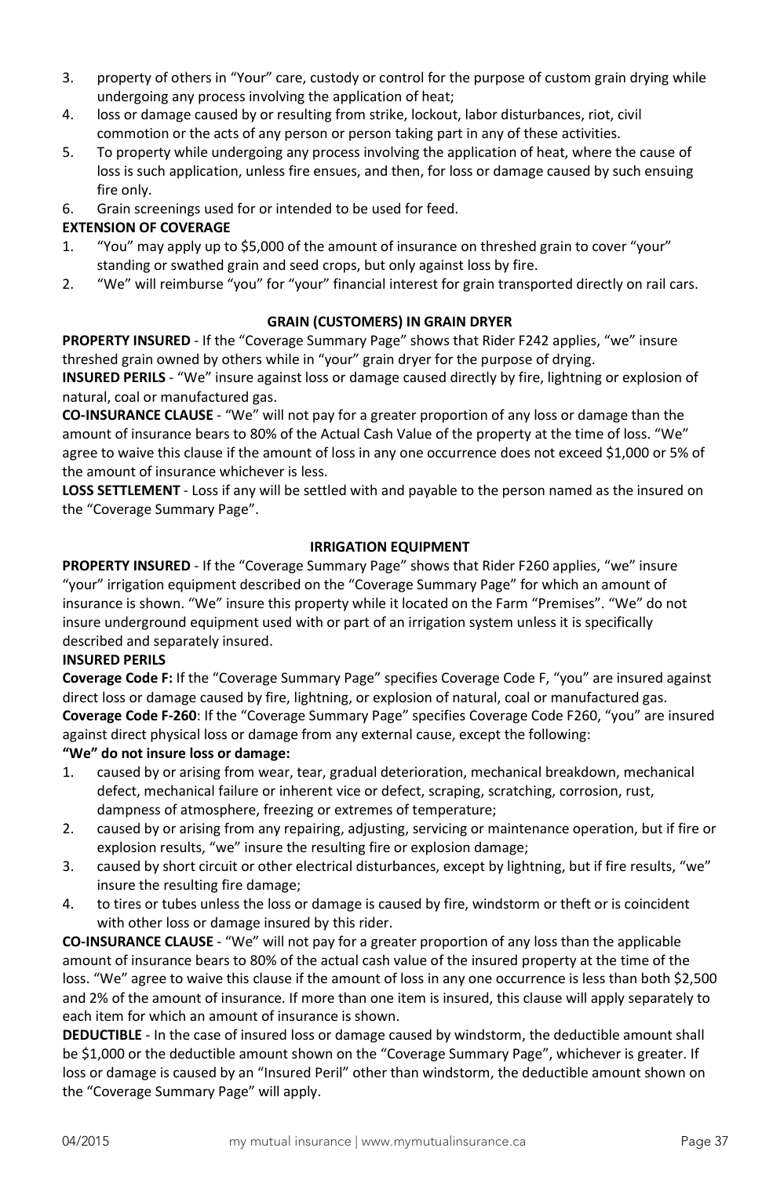- 3. property of others in "Your" care, custody or control for the purpose of custom grain drying while undergoing any process involving the application of heat;
- 4. loss or damage caused by or resulting from strike, lockout, labor disturbances, riot, civil commotion or the acts of any person or person taking part in any of these activities.
- 5. To property while undergoing any process involving the application of heat, where the cause of loss is such application, unless fire ensues, and then, for loss or damage caused by such ensuing fire only.
- 6. Grain screenings used for or intended to be used for feed.

# **EXTENSION OF COVERAGE**

- 1. "You" may apply up to \$5,000 of the amount of insurance on threshed grain to cover "your" standing or swathed grain and seed crops, but only against loss by fire.
- 2. "We" will reimburse "you" for "your" financial interest for grain transported directly on rail cars.

# **GRAIN (CUSTOMERS) IN GRAIN DRYER**

**PROPERTY INSURED** - If the "Coverage Summary Page" shows that Rider F242 applies, "we" insure threshed grain owned by others while in "your" grain dryer for the purpose of drying.

**INSURED PERILS** - "We" insure against loss or damage caused directly by fire, lightning or explosion of natural, coal or manufactured gas.

**CO-INSURANCE CLAUSE** - "We" will not pay for a greater proportion of any loss or damage than the amount of insurance bears to 80% of the Actual Cash Value of the property at the time of loss. "We" agree to waive this clause if the amount of loss in any one occurrence does not exceed \$1,000 or 5% of the amount of insurance whichever is less.

**LOSS SETTLEMENT** - Loss if any will be settled with and payable to the person named as the insured on the "Coverage Summary Page".

# **IRRIGATION EQUIPMENT**

**PROPERTY INSURED** - If the "Coverage Summary Page" shows that Rider F260 applies, "we" insure "your" irrigation equipment described on the "Coverage Summary Page" for which an amount of insurance is shown. "We" insure this property while it located on the Farm "Premises". "We" do not insure underground equipment used with or part of an irrigation system unless it is specifically described and separately insured.

### **INSURED PERILS**

**Coverage Code F:** If the "Coverage Summary Page" specifies Coverage Code F, "you" are insured against direct loss or damage caused by fire, lightning, or explosion of natural, coal or manufactured gas. **Coverage Code F-260**: If the "Coverage Summary Page" specifies Coverage Code F260, "you" are insured against direct physical loss or damage from any external cause, except the following:

### **"We" do not insure loss or damage:**

- 1. caused by or arising from wear, tear, gradual deterioration, mechanical breakdown, mechanical defect, mechanical failure or inherent vice or defect, scraping, scratching, corrosion, rust, dampness of atmosphere, freezing or extremes of temperature;
- 2. caused by or arising from any repairing, adjusting, servicing or maintenance operation, but if fire or explosion results, "we" insure the resulting fire or explosion damage;
- 3. caused by short circuit or other electrical disturbances, except by lightning, but if fire results, "we" insure the resulting fire damage;
- 4. to tires or tubes unless the loss or damage is caused by fire, windstorm or theft or is coincident with other loss or damage insured by this rider.

**CO-INSURANCE CLAUSE** - "We" will not pay for a greater proportion of any loss than the applicable amount of insurance bears to 80% of the actual cash value of the insured property at the time of the loss. "We" agree to waive this clause if the amount of loss in any one occurrence is less than both \$2,500 and 2% of the amount of insurance. If more than one item is insured, this clause will apply separately to each item for which an amount of insurance is shown.

**DEDUCTIBLE** - In the case of insured loss or damage caused by windstorm, the deductible amount shall be \$1,000 or the deductible amount shown on the "Coverage Summary Page", whichever is greater. If loss or damage is caused by an "Insured Peril" other than windstorm, the deductible amount shown on the "Coverage Summary Page" will apply.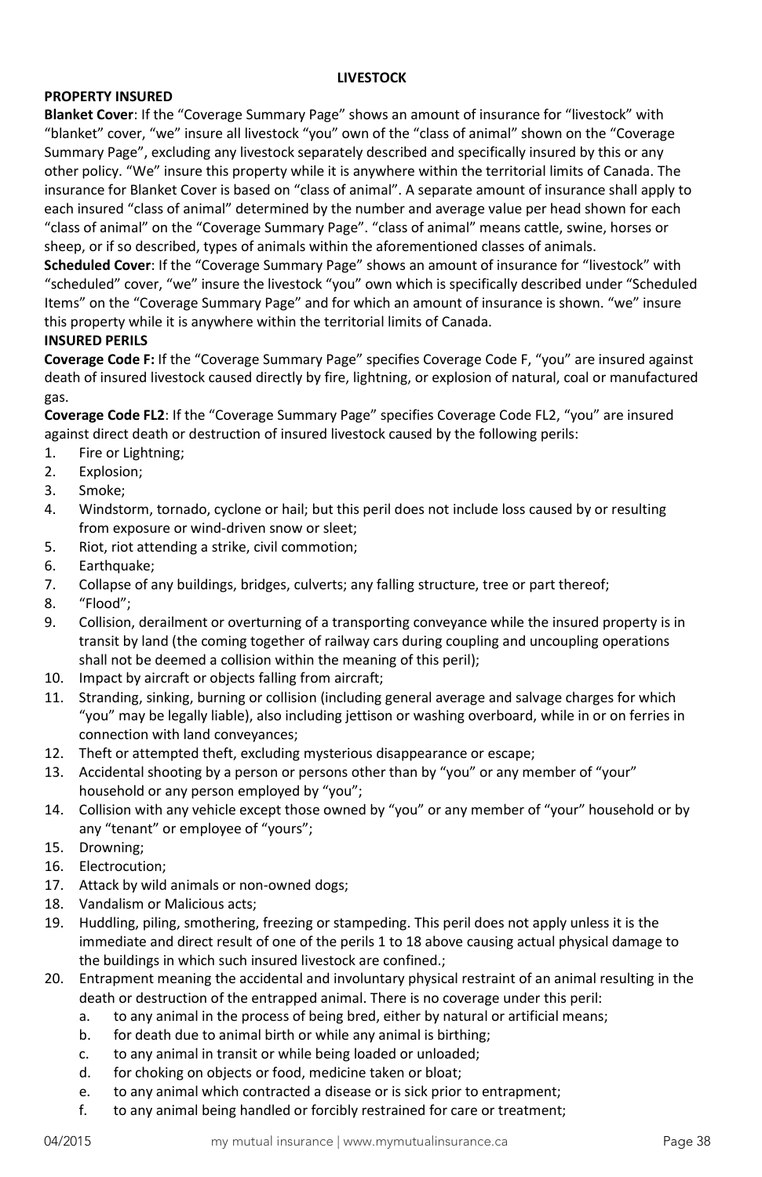### **LIVESTOCK**

# **PROPERTY INSURED**

**Blanket Cover**: If the "Coverage Summary Page" shows an amount of insurance for "livestock" with "blanket" cover, "we" insure all livestock "you" own of the "class of animal" shown on the "Coverage Summary Page", excluding any livestock separately described and specifically insured by this or any other policy. "We" insure this property while it is anywhere within the territorial limits of Canada. The insurance for Blanket Cover is based on "class of animal". A separate amount of insurance shall apply to each insured "class of animal" determined by the number and average value per head shown for each "class of animal" on the "Coverage Summary Page". "class of animal" means cattle, swine, horses or sheep, or if so described, types of animals within the aforementioned classes of animals.

**Scheduled Cover**: If the "Coverage Summary Page" shows an amount of insurance for "livestock" with "scheduled" cover, "we" insure the livestock "you" own which is specifically described under "Scheduled Items" on the "Coverage Summary Page" and for which an amount of insurance is shown. "we" insure this property while it is anywhere within the territorial limits of Canada.

#### **INSURED PERILS**

**Coverage Code F:** If the "Coverage Summary Page" specifies Coverage Code F, "you" are insured against death of insured livestock caused directly by fire, lightning, or explosion of natural, coal or manufactured gas.

**Coverage Code FL2**: If the "Coverage Summary Page" specifies Coverage Code FL2, "you" are insured against direct death or destruction of insured livestock caused by the following perils:

- 1. Fire or Lightning;
- 2. Explosion;
- 3. Smoke;
- 4. Windstorm, tornado, cyclone or hail; but this peril does not include loss caused by or resulting from exposure or wind-driven snow or sleet;
- 5. Riot, riot attending a strike, civil commotion;
- 6. Earthquake;
- 7. Collapse of any buildings, bridges, culverts; any falling structure, tree or part thereof;
- 8. "Flood";
- 9. Collision, derailment or overturning of a transporting conveyance while the insured property is in transit by land (the coming together of railway cars during coupling and uncoupling operations shall not be deemed a collision within the meaning of this peril);
- 10. Impact by aircraft or objects falling from aircraft;
- 11. Stranding, sinking, burning or collision (including general average and salvage charges for which "you" may be legally liable), also including jettison or washing overboard, while in or on ferries in connection with land conveyances;
- 12. Theft or attempted theft, excluding mysterious disappearance or escape;
- 13. Accidental shooting by a person or persons other than by "you" or any member of "your" household or any person employed by "you";
- 14. Collision with any vehicle except those owned by "you" or any member of "your" household or by any "tenant" or employee of "yours";
- 15. Drowning;
- 16. Electrocution;
- 17. Attack by wild animals or non-owned dogs;
- 18. Vandalism or Malicious acts;
- 19. Huddling, piling, smothering, freezing or stampeding. This peril does not apply unless it is the immediate and direct result of one of the perils 1 to 18 above causing actual physical damage to the buildings in which such insured livestock are confined.;
- 20. Entrapment meaning the accidental and involuntary physical restraint of an animal resulting in the death or destruction of the entrapped animal. There is no coverage under this peril:
	- a. to any animal in the process of being bred, either by natural or artificial means;
	- b. for death due to animal birth or while any animal is birthing;
	- c. to any animal in transit or while being loaded or unloaded;
	- d. for choking on objects or food, medicine taken or bloat;
	- e. to any animal which contracted a disease or is sick prior to entrapment;
	- f. to any animal being handled or forcibly restrained for care or treatment;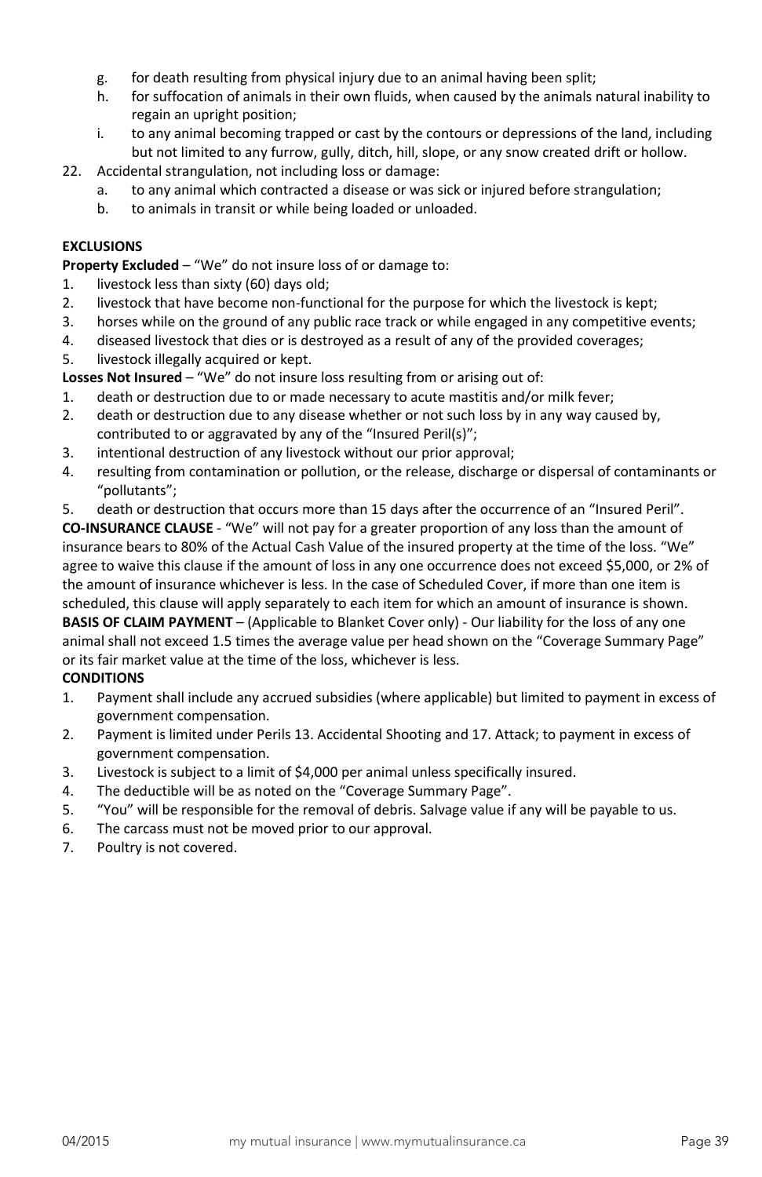- g. for death resulting from physical injury due to an animal having been split;
- h. for suffocation of animals in their own fluids, when caused by the animals natural inability to regain an upright position;
- i. to any animal becoming trapped or cast by the contours or depressions of the land, including but not limited to any furrow, gully, ditch, hill, slope, or any snow created drift or hollow.
- 22. Accidental strangulation, not including loss or damage:
	- a. to any animal which contracted a disease or was sick or injured before strangulation;
		- b. to animals in transit or while being loaded or unloaded.

# **EXCLUSIONS**

**Property Excluded – "We" do not insure loss of or damage to:** 

- 1. livestock less than sixty (60) days old;
- 2. livestock that have become non-functional for the purpose for which the livestock is kept;
- 3. horses while on the ground of any public race track or while engaged in any competitive events;
- 4. diseased livestock that dies or is destroyed as a result of any of the provided coverages;
- 5. livestock illegally acquired or kept.

**Losses Not Insured** – "We" do not insure loss resulting from or arising out of:

- 1. death or destruction due to or made necessary to acute mastitis and/or milk fever;
- 2. death or destruction due to any disease whether or not such loss by in any way caused by, contributed to or aggravated by any of the "Insured Peril(s)";
- 3. intentional destruction of any livestock without our prior approval;
- 4. resulting from contamination or pollution, or the release, discharge or dispersal of contaminants or "pollutants";
- 5. death or destruction that occurs more than 15 days after the occurrence of an "Insured Peril".

**CO-INSURANCE CLAUSE** - "We" will not pay for a greater proportion of any loss than the amount of insurance bears to 80% of the Actual Cash Value of the insured property at the time of the loss. "We" agree to waive this clause if the amount of loss in any one occurrence does not exceed \$5,000, or 2% of the amount of insurance whichever is less. In the case of Scheduled Cover, if more than one item is scheduled, this clause will apply separately to each item for which an amount of insurance is shown. **BASIS OF CLAIM PAYMENT** – (Applicable to Blanket Cover only) - Our liability for the loss of any one animal shall not exceed 1.5 times the average value per head shown on the "Coverage Summary Page" or its fair market value at the time of the loss, whichever is less.

### **CONDITIONS**

- 1. Payment shall include any accrued subsidies (where applicable) but limited to payment in excess of government compensation.
- 2. Payment is limited under Perils 13. Accidental Shooting and 17. Attack; to payment in excess of government compensation.
- 3. Livestock is subject to a limit of \$4,000 per animal unless specifically insured.
- 4. The deductible will be as noted on the "Coverage Summary Page".
- 5. "You" will be responsible for the removal of debris. Salvage value if any will be payable to us.
- 6. The carcass must not be moved prior to our approval.
- 7. Poultry is not covered.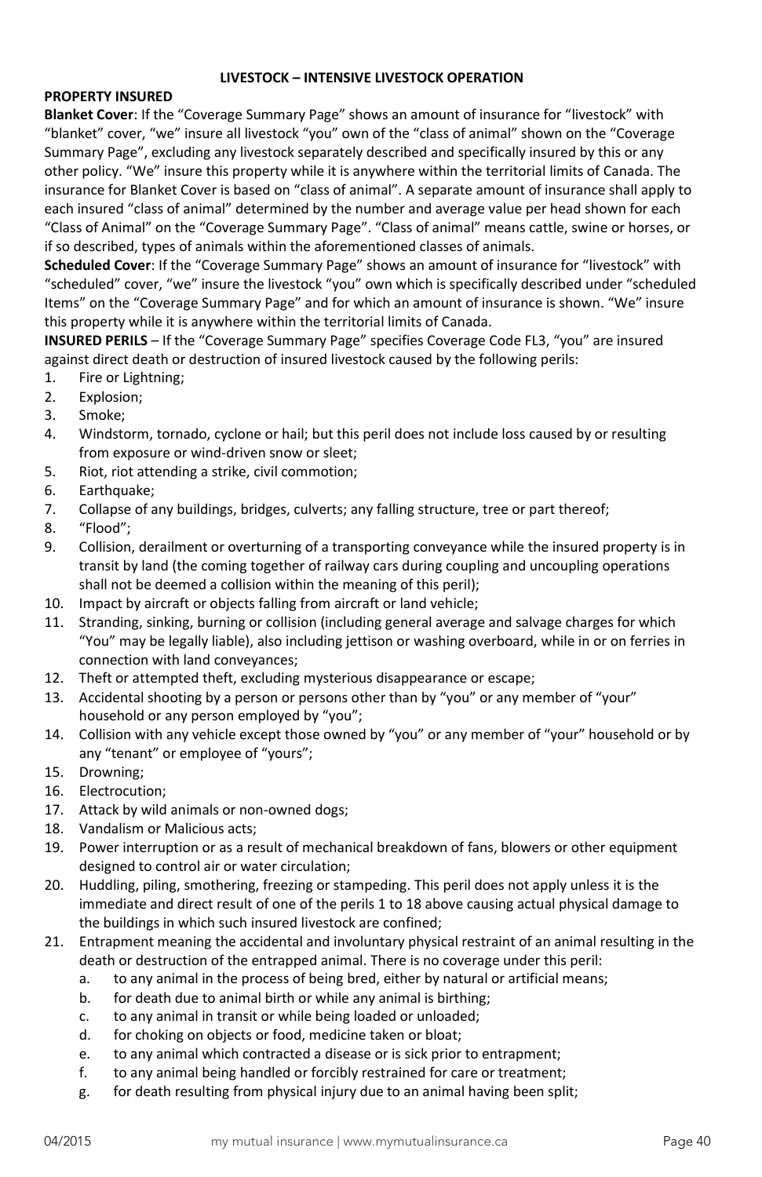### **LIVESTOCK – INTENSIVE LIVESTOCK OPERATION**

# **PROPERTY INSURED**

**Blanket Cover**: If the "Coverage Summary Page" shows an amount of insurance for "livestock" with "blanket" cover, "we" insure all livestock "you" own of the "class of animal" shown on the "Coverage Summary Page", excluding any livestock separately described and specifically insured by this or any other policy. "We" insure this property while it is anywhere within the territorial limits of Canada. The insurance for Blanket Cover is based on "class of animal". A separate amount of insurance shall apply to each insured "class of animal" determined by the number and average value per head shown for each "Class of Animal" on the "Coverage Summary Page". "Class of animal" means cattle, swine or horses, or if so described, types of animals within the aforementioned classes of animals.

**Scheduled Cover**: If the "Coverage Summary Page" shows an amount of insurance for "livestock" with "scheduled" cover, "we" insure the livestock "you" own which is specifically described under "scheduled Items" on the "Coverage Summary Page" and for which an amount of insurance is shown. "We" insure this property while it is anywhere within the territorial limits of Canada.

**INSURED PERILS** – If the "Coverage Summary Page" specifies Coverage Code FL3, "you" are insured against direct death or destruction of insured livestock caused by the following perils:

- 1. Fire or Lightning;
- 2. Explosion;
- 3. Smoke;
- 4. Windstorm, tornado, cyclone or hail; but this peril does not include loss caused by or resulting from exposure or wind-driven snow or sleet;
- 5. Riot, riot attending a strike, civil commotion;
- 6. Earthquake;
- 7. Collapse of any buildings, bridges, culverts; any falling structure, tree or part thereof;
- 8. "Flood";
- 9. Collision, derailment or overturning of a transporting conveyance while the insured property is in transit by land (the coming together of railway cars during coupling and uncoupling operations shall not be deemed a collision within the meaning of this peril);
- 10. Impact by aircraft or objects falling from aircraft or land vehicle;
- 11. Stranding, sinking, burning or collision (including general average and salvage charges for which "You" may be legally liable), also including jettison or washing overboard, while in or on ferries in connection with land conveyances;
- 12. Theft or attempted theft, excluding mysterious disappearance or escape;
- 13. Accidental shooting by a person or persons other than by "you" or any member of "your" household or any person employed by "you";
- 14. Collision with any vehicle except those owned by "you" or any member of "your" household or by any "tenant" or employee of "yours";
- 15. Drowning;
- 16. Electrocution;
- 17. Attack by wild animals or non-owned dogs;
- 18. Vandalism or Malicious acts;
- 19. Power interruption or as a result of mechanical breakdown of fans, blowers or other equipment designed to control air or water circulation;
- 20. Huddling, piling, smothering, freezing or stampeding. This peril does not apply unless it is the immediate and direct result of one of the perils 1 to 18 above causing actual physical damage to the buildings in which such insured livestock are confined;
- 21. Entrapment meaning the accidental and involuntary physical restraint of an animal resulting in the death or destruction of the entrapped animal. There is no coverage under this peril:
	- a. to any animal in the process of being bred, either by natural or artificial means;
	- b. for death due to animal birth or while any animal is birthing;
	- c. to any animal in transit or while being loaded or unloaded;
	- d. for choking on objects or food, medicine taken or bloat;
	- e. to any animal which contracted a disease or is sick prior to entrapment;
	- f. to any animal being handled or forcibly restrained for care or treatment;
	- g. for death resulting from physical injury due to an animal having been split;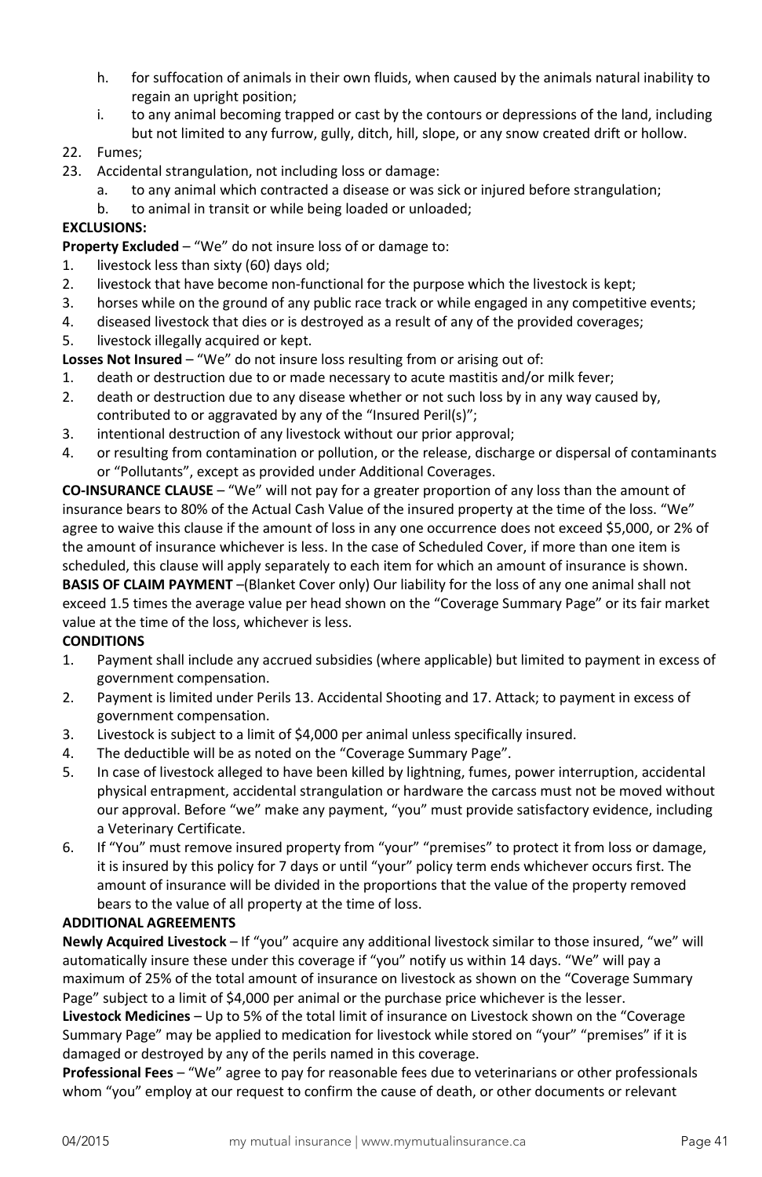- h. for suffocation of animals in their own fluids, when caused by the animals natural inability to regain an upright position;
- i. to any animal becoming trapped or cast by the contours or depressions of the land, including but not limited to any furrow, gully, ditch, hill, slope, or any snow created drift or hollow.
- 22. Fumes;
- 23. Accidental strangulation, not including loss or damage:
	- a. to any animal which contracted a disease or was sick or injured before strangulation;
		- b. to animal in transit or while being loaded or unloaded;

### **EXCLUSIONS:**

**Property Excluded** – "We" do not insure loss of or damage to:

- 1. livestock less than sixty (60) days old;
- 2. livestock that have become non-functional for the purpose which the livestock is kept;
- 3. horses while on the ground of any public race track or while engaged in any competitive events;
- 4. diseased livestock that dies or is destroyed as a result of any of the provided coverages;
- 5. livestock illegally acquired or kept.

**Losses Not Insured** – "We" do not insure loss resulting from or arising out of:

- 1. death or destruction due to or made necessary to acute mastitis and/or milk fever;
- 2. death or destruction due to any disease whether or not such loss by in any way caused by, contributed to or aggravated by any of the "Insured Peril(s)";
- 3. intentional destruction of any livestock without our prior approval;
- 4. or resulting from contamination or pollution, or the release, discharge or dispersal of contaminants or "Pollutants", except as provided under Additional Coverages.

**CO-INSURANCE CLAUSE** – "We" will not pay for a greater proportion of any loss than the amount of insurance bears to 80% of the Actual Cash Value of the insured property at the time of the loss. "We" agree to waive this clause if the amount of loss in any one occurrence does not exceed \$5,000, or 2% of the amount of insurance whichever is less. In the case of Scheduled Cover, if more than one item is scheduled, this clause will apply separately to each item for which an amount of insurance is shown. **BASIS OF CLAIM PAYMENT** –(Blanket Cover only) Our liability for the loss of any one animal shall not exceed 1.5 times the average value per head shown on the "Coverage Summary Page" or its fair market value at the time of the loss, whichever is less.

### **CONDITIONS**

- 1. Payment shall include any accrued subsidies (where applicable) but limited to payment in excess of government compensation.
- 2. Payment is limited under Perils 13. Accidental Shooting and 17. Attack; to payment in excess of government compensation.
- 3. Livestock is subject to a limit of \$4,000 per animal unless specifically insured.
- 4. The deductible will be as noted on the "Coverage Summary Page".
- 5. In case of livestock alleged to have been killed by lightning, fumes, power interruption, accidental physical entrapment, accidental strangulation or hardware the carcass must not be moved without our approval. Before "we" make any payment, "you" must provide satisfactory evidence, including a Veterinary Certificate.
- 6. If "You" must remove insured property from "your" "premises" to protect it from loss or damage, it is insured by this policy for 7 days or until "your" policy term ends whichever occurs first. The amount of insurance will be divided in the proportions that the value of the property removed bears to the value of all property at the time of loss.

#### **ADDITIONAL AGREEMENTS**

**Newly Acquired Livestock** – If "you" acquire any additional livestock similar to those insured, "we" will automatically insure these under this coverage if "you" notify us within 14 days. "We" will pay a maximum of 25% of the total amount of insurance on livestock as shown on the "Coverage Summary Page" subject to a limit of \$4,000 per animal or the purchase price whichever is the lesser.

**Livestock Medicines** – Up to 5% of the total limit of insurance on Livestock shown on the "Coverage Summary Page" may be applied to medication for livestock while stored on "your" "premises" if it is damaged or destroyed by any of the perils named in this coverage.

**Professional Fees** – "We" agree to pay for reasonable fees due to veterinarians or other professionals whom "you" employ at our request to confirm the cause of death, or other documents or relevant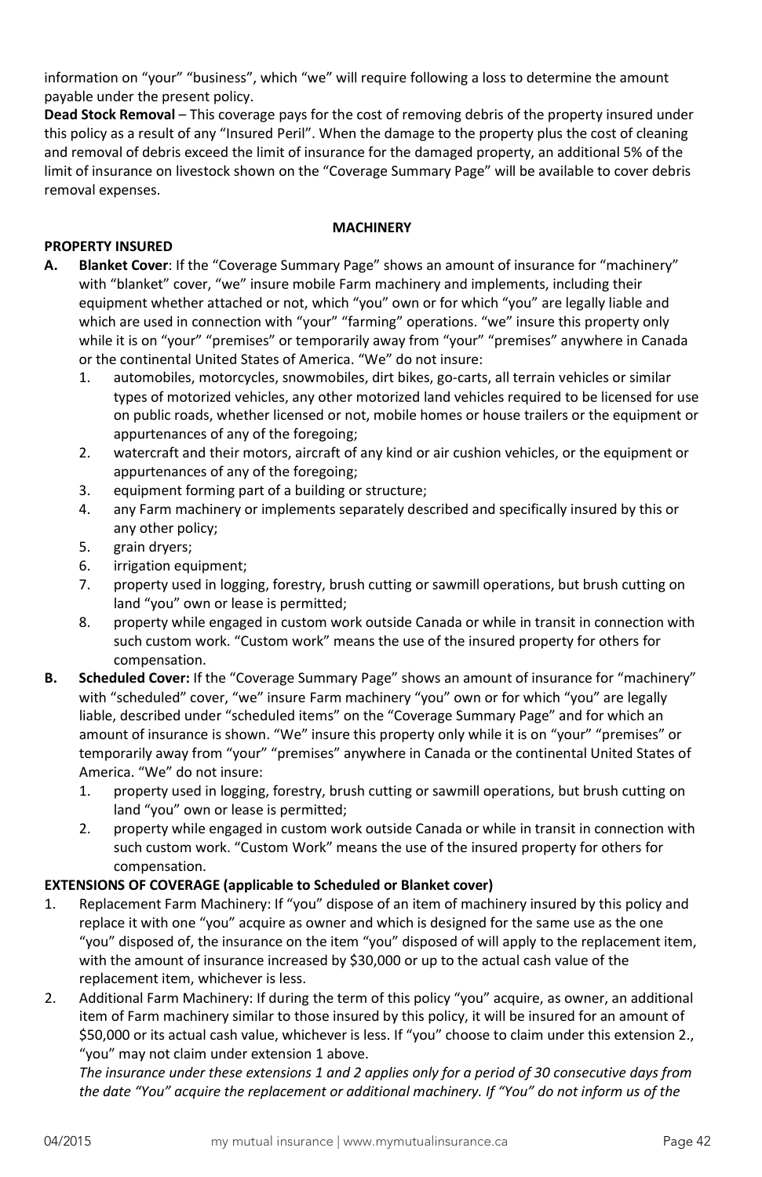information on "your" "business", which "we" will require following a loss to determine the amount payable under the present policy.

**Dead Stock Removal** – This coverage pays for the cost of removing debris of the property insured under this policy as a result of any "Insured Peril". When the damage to the property plus the cost of cleaning and removal of debris exceed the limit of insurance for the damaged property, an additional 5% of the limit of insurance on livestock shown on the "Coverage Summary Page" will be available to cover debris removal expenses.

#### **MACHINERY**

## **PROPERTY INSURED**

- **A. Blanket Cover**: If the "Coverage Summary Page" shows an amount of insurance for "machinery" with "blanket" cover, "we" insure mobile Farm machinery and implements, including their equipment whether attached or not, which "you" own or for which "you" are legally liable and which are used in connection with "your" "farming" operations. "we" insure this property only while it is on "your" "premises" or temporarily away from "your" "premises" anywhere in Canada or the continental United States of America. "We" do not insure:
	- 1. automobiles, motorcycles, snowmobiles, dirt bikes, go-carts, all terrain vehicles or similar types of motorized vehicles, any other motorized land vehicles required to be licensed for use on public roads, whether licensed or not, mobile homes or house trailers or the equipment or appurtenances of any of the foregoing;
	- 2. watercraft and their motors, aircraft of any kind or air cushion vehicles, or the equipment or appurtenances of any of the foregoing;
	- 3. equipment forming part of a building or structure;
	- 4. any Farm machinery or implements separately described and specifically insured by this or any other policy;
	- 5. grain dryers;
	- 6. irrigation equipment;
	- 7. property used in logging, forestry, brush cutting or sawmill operations, but brush cutting on land "you" own or lease is permitted;
	- 8. property while engaged in custom work outside Canada or while in transit in connection with such custom work. "Custom work" means the use of the insured property for others for compensation.
- **B. Scheduled Cover:** If the "Coverage Summary Page" shows an amount of insurance for "machinery" with "scheduled" cover, "we" insure Farm machinery "you" own or for which "you" are legally liable, described under "scheduled items" on the "Coverage Summary Page" and for which an amount of insurance is shown. "We" insure this property only while it is on "your" "premises" or temporarily away from "your" "premises" anywhere in Canada or the continental United States of America. "We" do not insure:
	- 1. property used in logging, forestry, brush cutting or sawmill operations, but brush cutting on land "you" own or lease is permitted;
	- 2. property while engaged in custom work outside Canada or while in transit in connection with such custom work. "Custom Work" means the use of the insured property for others for compensation.

### **EXTENSIONS OF COVERAGE (applicable to Scheduled or Blanket cover)**

- 1. Replacement Farm Machinery: If "you" dispose of an item of machinery insured by this policy and replace it with one "you" acquire as owner and which is designed for the same use as the one "you" disposed of, the insurance on the item "you" disposed of will apply to the replacement item, with the amount of insurance increased by \$30,000 or up to the actual cash value of the replacement item, whichever is less.
- 2. Additional Farm Machinery: If during the term of this policy "you" acquire, as owner, an additional item of Farm machinery similar to those insured by this policy, it will be insured for an amount of \$50,000 or its actual cash value, whichever is less. If "you" choose to claim under this extension 2., "you" may not claim under extension 1 above.

*The insurance under these extensions 1 and 2 applies only for a period of 30 consecutive days from the date "You" acquire the replacement or additional machinery. If "You" do not inform us of the*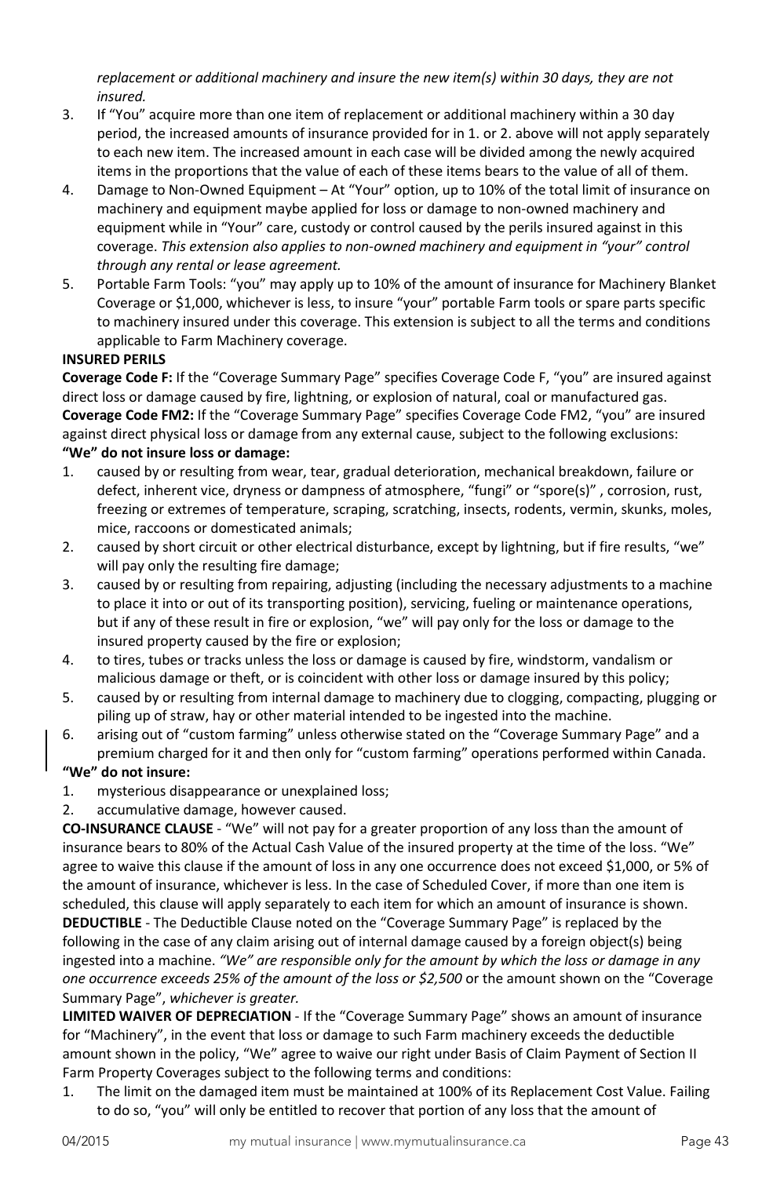*replacement or additional machinery and insure the new item(s) within 30 days, they are not insured.*

- 3. If "You" acquire more than one item of replacement or additional machinery within a 30 day period, the increased amounts of insurance provided for in 1. or 2. above will not apply separately to each new item. The increased amount in each case will be divided among the newly acquired items in the proportions that the value of each of these items bears to the value of all of them.
- 4. Damage to Non-Owned Equipment At "Your" option, up to 10% of the total limit of insurance on machinery and equipment maybe applied for loss or damage to non-owned machinery and equipment while in "Your" care, custody or control caused by the perils insured against in this coverage. *This extension also applies to non-owned machinery and equipment in "your" control through any rental or lease agreement.*
- 5. Portable Farm Tools: "you" may apply up to 10% of the amount of insurance for Machinery Blanket Coverage or \$1,000, whichever is less, to insure "your" portable Farm tools or spare parts specific to machinery insured under this coverage. This extension is subject to all the terms and conditions applicable to Farm Machinery coverage.

### **INSURED PERILS**

**Coverage Code F:** If the "Coverage Summary Page" specifies Coverage Code F, "you" are insured against direct loss or damage caused by fire, lightning, or explosion of natural, coal or manufactured gas. **Coverage Code FM2:** If the "Coverage Summary Page" specifies Coverage Code FM2, "you" are insured against direct physical loss or damage from any external cause, subject to the following exclusions:

### **"We" do not insure loss or damage:**

- 1. caused by or resulting from wear, tear, gradual deterioration, mechanical breakdown, failure or defect, inherent vice, dryness or dampness of atmosphere, "fungi" or "spore(s)" , corrosion, rust, freezing or extremes of temperature, scraping, scratching, insects, rodents, vermin, skunks, moles, mice, raccoons or domesticated animals;
- 2. caused by short circuit or other electrical disturbance, except by lightning, but if fire results, "we" will pay only the resulting fire damage;
- 3. caused by or resulting from repairing, adjusting (including the necessary adjustments to a machine to place it into or out of its transporting position), servicing, fueling or maintenance operations, but if any of these result in fire or explosion, "we" will pay only for the loss or damage to the insured property caused by the fire or explosion;
- 4. to tires, tubes or tracks unless the loss or damage is caused by fire, windstorm, vandalism or malicious damage or theft, or is coincident with other loss or damage insured by this policy;
- 5. caused by or resulting from internal damage to machinery due to clogging, compacting, plugging or piling up of straw, hay or other material intended to be ingested into the machine.
- 6. arising out of "custom farming" unless otherwise stated on the "Coverage Summary Page" and a premium charged for it and then only for "custom farming" operations performed within Canada.

# **"We" do not insure:**

1. mysterious disappearance or unexplained loss;

2. accumulative damage, however caused.

**CO-INSURANCE CLAUSE** - "We" will not pay for a greater proportion of any loss than the amount of insurance bears to 80% of the Actual Cash Value of the insured property at the time of the loss. "We" agree to waive this clause if the amount of loss in any one occurrence does not exceed \$1,000, or 5% of the amount of insurance, whichever is less. In the case of Scheduled Cover, if more than one item is scheduled, this clause will apply separately to each item for which an amount of insurance is shown. **DEDUCTIBLE** - The Deductible Clause noted on the "Coverage Summary Page" is replaced by the following in the case of any claim arising out of internal damage caused by a foreign object(s) being ingested into a machine. *"We" are responsible only for the amount by which the loss or damage in any one occurrence exceeds 25% of the amount of the loss or \$2,500* or the amount shown on the "Coverage Summary Page", *whichever is greater.*

**LIMITED WAIVER OF DEPRECIATION** - If the "Coverage Summary Page" shows an amount of insurance for "Machinery", in the event that loss or damage to such Farm machinery exceeds the deductible amount shown in the policy, "We" agree to waive our right under Basis of Claim Payment of Section II Farm Property Coverages subject to the following terms and conditions:

1. The limit on the damaged item must be maintained at 100% of its Replacement Cost Value. Failing to do so, "you" will only be entitled to recover that portion of any loss that the amount of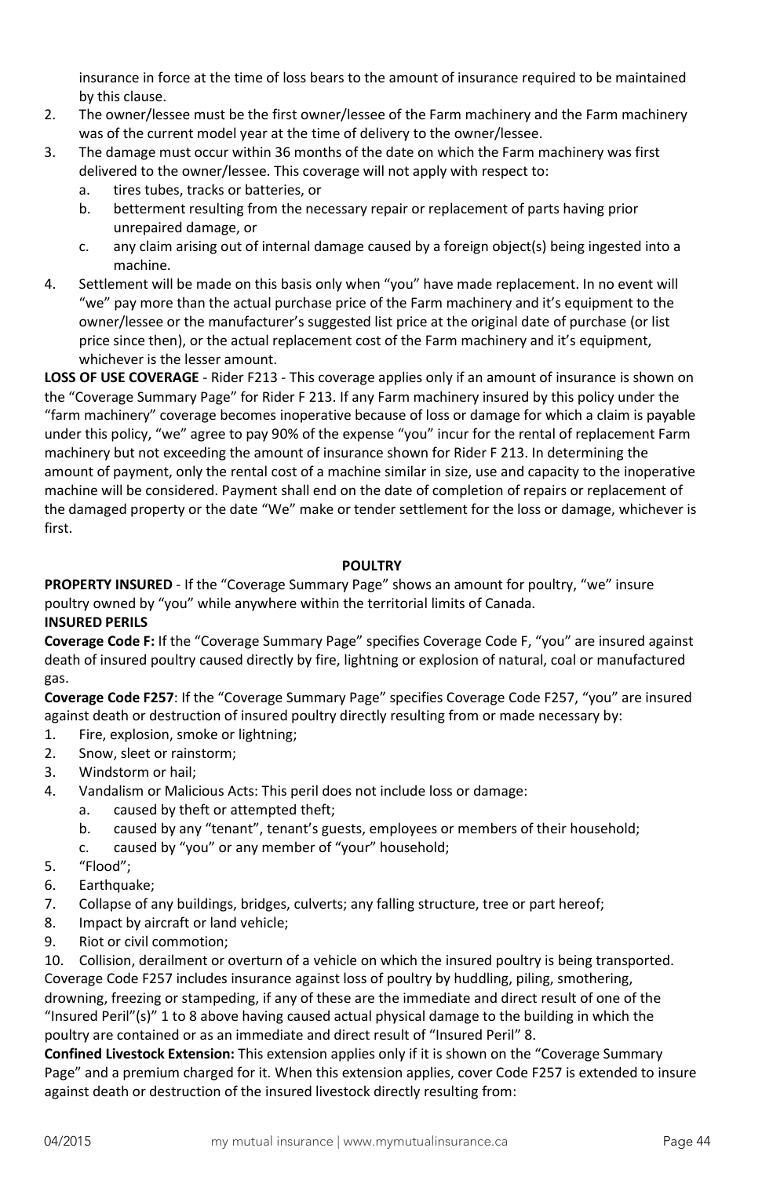insurance in force at the time of loss bears to the amount of insurance required to be maintained by this clause.

- 2. The owner/lessee must be the first owner/lessee of the Farm machinery and the Farm machinery was of the current model year at the time of delivery to the owner/lessee.
- 3. The damage must occur within 36 months of the date on which the Farm machinery was first delivered to the owner/lessee. This coverage will not apply with respect to:
	- a. tires tubes, tracks or batteries, or
	- b. betterment resulting from the necessary repair or replacement of parts having prior unrepaired damage, or
	- c. any claim arising out of internal damage caused by a foreign object(s) being ingested into a machine.
- 4. Settlement will be made on this basis only when "you" have made replacement. In no event will "we" pay more than the actual purchase price of the Farm machinery and it's equipment to the owner/lessee or the manufacturer's suggested list price at the original date of purchase (or list price since then), or the actual replacement cost of the Farm machinery and it's equipment, whichever is the lesser amount.

**LOSS OF USE COVERAGE** - Rider F213 - This coverage applies only if an amount of insurance is shown on the "Coverage Summary Page" for Rider F 213. If any Farm machinery insured by this policy under the "farm machinery" coverage becomes inoperative because of loss or damage for which a claim is payable under this policy, "we" agree to pay 90% of the expense "you" incur for the rental of replacement Farm machinery but not exceeding the amount of insurance shown for Rider F 213. In determining the amount of payment, only the rental cost of a machine similar in size, use and capacity to the inoperative machine will be considered. Payment shall end on the date of completion of repairs or replacement of the damaged property or the date "We" make or tender settlement for the loss or damage, whichever is first.

### **POULTRY**

**PROPERTY INSURED** - If the "Coverage Summary Page" shows an amount for poultry, "we" insure poultry owned by "you" while anywhere within the territorial limits of Canada.

### **INSURED PERILS**

**Coverage Code F:** If the "Coverage Summary Page" specifies Coverage Code F, "you" are insured against death of insured poultry caused directly by fire, lightning or explosion of natural, coal or manufactured gas.

**Coverage Code F257**: If the "Coverage Summary Page" specifies Coverage Code F257, "you" are insured against death or destruction of insured poultry directly resulting from or made necessary by:

- 1. Fire, explosion, smoke or lightning;
- 2. Snow, sleet or rainstorm;
- 3. Windstorm or hail;
- 4. Vandalism or Malicious Acts: This peril does not include loss or damage:
	- a. caused by theft or attempted theft;
	- b. caused by any "tenant", tenant's guests, employees or members of their household;
	- c. caused by "you" or any member of "your" household;
- 5. "Flood";
- 6. Earthquake;
- 7. Collapse of any buildings, bridges, culverts; any falling structure, tree or part hereof;
- 8. Impact by aircraft or land vehicle;
- 9. Riot or civil commotion;

10. Collision, derailment or overturn of a vehicle on which the insured poultry is being transported. Coverage Code F257 includes insurance against loss of poultry by huddling, piling, smothering, drowning, freezing or stampeding, if any of these are the immediate and direct result of one of the "Insured Peril"(s)" 1 to 8 above having caused actual physical damage to the building in which the poultry are contained or as an immediate and direct result of "Insured Peril" 8.

**Confined Livestock Extension:** This extension applies only if it is shown on the "Coverage Summary Page" and a premium charged for it. When this extension applies, cover Code F257 is extended to insure against death or destruction of the insured livestock directly resulting from: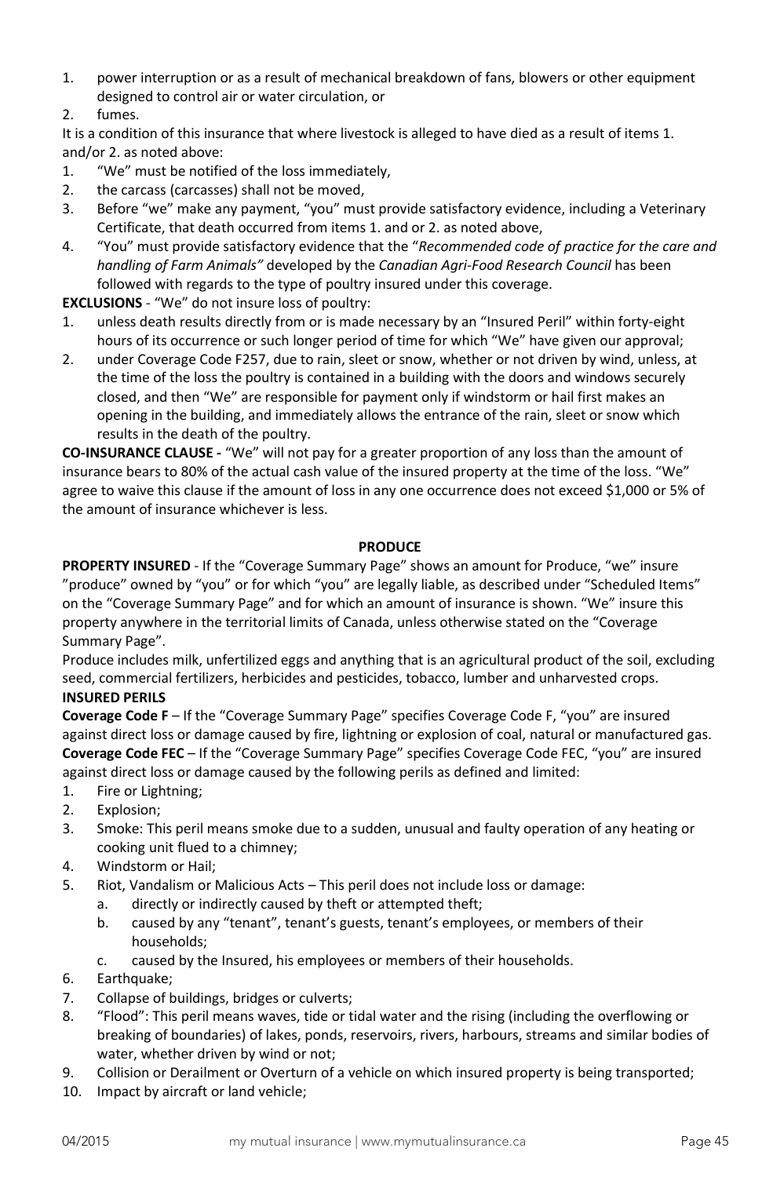- 1. power interruption or as a result of mechanical breakdown of fans, blowers or other equipment designed to control air or water circulation, or
- 2. fumes.

It is a condition of this insurance that where livestock is alleged to have died as a result of items 1. and/or 2. as noted above:

- 1. "We" must be notified of the loss immediately,
- 2. the carcass (carcasses) shall not be moved,
- 3. Before "we" make any payment, "you" must provide satisfactory evidence, including a Veterinary Certificate, that death occurred from items 1. and or 2. as noted above,
- 4. "You" must provide satisfactory evidence that the "*Recommended code of practice for the care and handling of Farm Animals"* developed by the *Canadian Agri-Food Research Council* has been followed with regards to the type of poultry insured under this coverage.

**EXCLUSIONS** - "We" do not insure loss of poultry:

- 1. unless death results directly from or is made necessary by an "Insured Peril" within forty-eight hours of its occurrence or such longer period of time for which "We" have given our approval;
- 2. under Coverage Code F257, due to rain, sleet or snow, whether or not driven by wind, unless, at the time of the loss the poultry is contained in a building with the doors and windows securely closed, and then "We" are responsible for payment only if windstorm or hail first makes an opening in the building, and immediately allows the entrance of the rain, sleet or snow which results in the death of the poultry.

**CO-INSURANCE CLAUSE -** "We" will not pay for a greater proportion of any loss than the amount of insurance bears to 80% of the actual cash value of the insured property at the time of the loss. "We" agree to waive this clause if the amount of loss in any one occurrence does not exceed \$1,000 or 5% of the amount of insurance whichever is less.

### **PRODUCE**

**PROPERTY INSURED** - If the "Coverage Summary Page" shows an amount for Produce, "we" insure "produce" owned by "you" or for which "you" are legally liable, as described under "Scheduled Items" on the "Coverage Summary Page" and for which an amount of insurance is shown. "We" insure this property anywhere in the territorial limits of Canada, unless otherwise stated on the "Coverage Summary Page".

Produce includes milk, unfertilized eggs and anything that is an agricultural product of the soil, excluding seed, commercial fertilizers, herbicides and pesticides, tobacco, lumber and unharvested crops.

### **INSURED PERILS**

**Coverage Code F** – If the "Coverage Summary Page" specifies Coverage Code F, "you" are insured against direct loss or damage caused by fire, lightning or explosion of coal, natural or manufactured gas. **Coverage Code FEC** – If the "Coverage Summary Page" specifies Coverage Code FEC, "you" are insured against direct loss or damage caused by the following perils as defined and limited:

- 1. Fire or Lightning;
- 2. Explosion;
- 3. Smoke: This peril means smoke due to a sudden, unusual and faulty operation of any heating or cooking unit flued to a chimney;
- 4. Windstorm or Hail;
- 5. Riot, Vandalism or Malicious Acts This peril does not include loss or damage:
	- a. directly or indirectly caused by theft or attempted theft;
	- b. caused by any "tenant", tenant's guests, tenant's employees, or members of their households;
	- c. caused by the Insured, his employees or members of their households.
- 6. Earthquake;
- 7. Collapse of buildings, bridges or culverts;
- 8. "Flood": This peril means waves, tide or tidal water and the rising (including the overflowing or breaking of boundaries) of lakes, ponds, reservoirs, rivers, harbours, streams and similar bodies of water, whether driven by wind or not;
- 9. Collision or Derailment or Overturn of a vehicle on which insured property is being transported;
- 10. Impact by aircraft or land vehicle;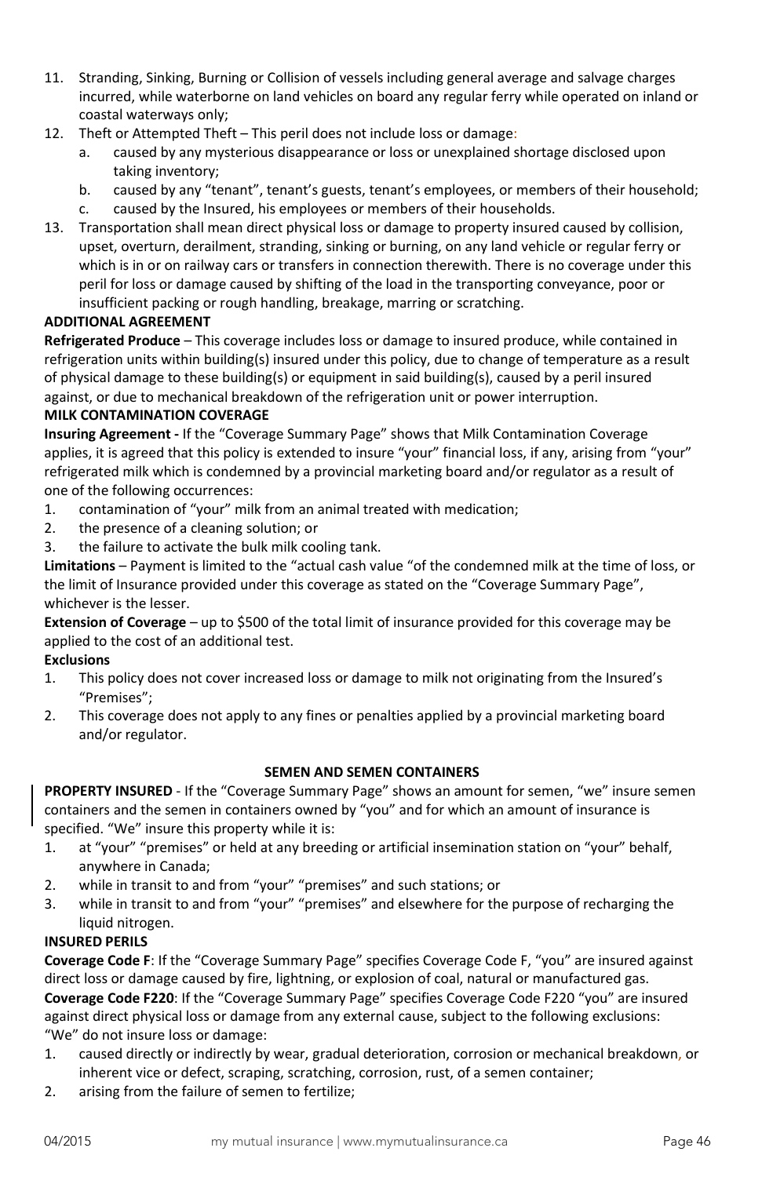- 11. Stranding, Sinking, Burning or Collision of vessels including general average and salvage charges incurred, while waterborne on land vehicles on board any regular ferry while operated on inland or coastal waterways only;
- 12. Theft or Attempted Theft This peril does not include loss or damage:
	- a. caused by any mysterious disappearance or loss or unexplained shortage disclosed upon taking inventory;
	- b. caused by any "tenant", tenant's guests, tenant's employees, or members of their household;
	- c. caused by the Insured, his employees or members of their households.
- 13. Transportation shall mean direct physical loss or damage to property insured caused by collision, upset, overturn, derailment, stranding, sinking or burning, on any land vehicle or regular ferry or which is in or on railway cars or transfers in connection therewith. There is no coverage under this peril for loss or damage caused by shifting of the load in the transporting conveyance, poor or insufficient packing or rough handling, breakage, marring or scratching.

### **ADDITIONAL AGREEMENT**

**Refrigerated Produce** – This coverage includes loss or damage to insured produce, while contained in refrigeration units within building(s) insured under this policy, due to change of temperature as a result of physical damage to these building(s) or equipment in said building(s), caused by a peril insured against, or due to mechanical breakdown of the refrigeration unit or power interruption.

### **MILK CONTAMINATION COVERAGE**

**Insuring Agreement -** If the "Coverage Summary Page" shows that Milk Contamination Coverage applies, it is agreed that this policy is extended to insure "your" financial loss, if any, arising from "your" refrigerated milk which is condemned by a provincial marketing board and/or regulator as a result of one of the following occurrences:

- 1. contamination of "your" milk from an animal treated with medication;
- 2. the presence of a cleaning solution; or
- 3. the failure to activate the bulk milk cooling tank.

**Limitations** – Payment is limited to the "actual cash value "of the condemned milk at the time of loss, or the limit of Insurance provided under this coverage as stated on the "Coverage Summary Page", whichever is the lesser.

**Extension of Coverage** – up to \$500 of the total limit of insurance provided for this coverage may be applied to the cost of an additional test.

## **Exclusions**

- 1. This policy does not cover increased loss or damage to milk not originating from the Insured's "Premises";
- 2. This coverage does not apply to any fines or penalties applied by a provincial marketing board and/or regulator.

### **SEMEN AND SEMEN CONTAINERS**

**PROPERTY INSURED** - If the "Coverage Summary Page" shows an amount for semen, "we" insure semen containers and the semen in containers owned by "you" and for which an amount of insurance is specified. "We" insure this property while it is:

- 1. at "your" "premises" or held at any breeding or artificial insemination station on "your" behalf, anywhere in Canada;
- 2. while in transit to and from "your" "premises" and such stations; or
- 3. while in transit to and from "your" "premises" and elsewhere for the purpose of recharging the liquid nitrogen.

### **INSURED PERILS**

**Coverage Code F**: If the "Coverage Summary Page" specifies Coverage Code F, "you" are insured against direct loss or damage caused by fire, lightning, or explosion of coal, natural or manufactured gas. **Coverage Code F220**: If the "Coverage Summary Page" specifies Coverage Code F220 "you" are insured against direct physical loss or damage from any external cause, subject to the following exclusions: "We" do not insure loss or damage:

- 1. caused directly or indirectly by wear, gradual deterioration, corrosion or mechanical breakdown, or inherent vice or defect, scraping, scratching, corrosion, rust, of a semen container;
- 2. arising from the failure of semen to fertilize;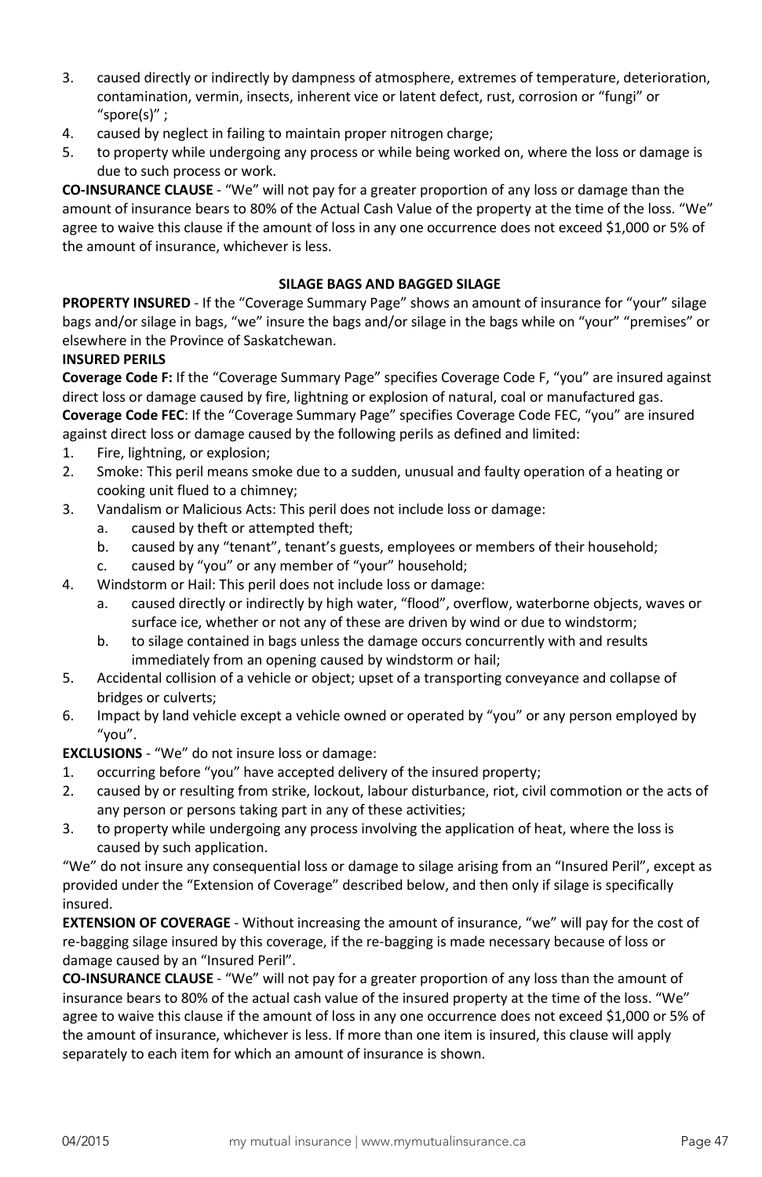- 3. caused directly or indirectly by dampness of atmosphere, extremes of temperature, deterioration, contamination, vermin, insects, inherent vice or latent defect, rust, corrosion or "fungi" or "spore(s)" ;
- 4. caused by neglect in failing to maintain proper nitrogen charge;
- 5. to property while undergoing any process or while being worked on, where the loss or damage is due to such process or work.

**CO-INSURANCE CLAUSE** - "We" will not pay for a greater proportion of any loss or damage than the amount of insurance bears to 80% of the Actual Cash Value of the property at the time of the loss. "We" agree to waive this clause if the amount of loss in any one occurrence does not exceed \$1,000 or 5% of the amount of insurance, whichever is less.

### **SILAGE BAGS AND BAGGED SILAGE**

**PROPERTY INSURED** - If the "Coverage Summary Page" shows an amount of insurance for "your" silage bags and/or silage in bags, "we" insure the bags and/or silage in the bags while on "your" "premises" or elsewhere in the Province of Saskatchewan.

#### **INSURED PERILS**

**Coverage Code F:** If the "Coverage Summary Page" specifies Coverage Code F, "you" are insured against direct loss or damage caused by fire, lightning or explosion of natural, coal or manufactured gas. **Coverage Code FEC**: If the "Coverage Summary Page" specifies Coverage Code FEC, "you" are insured against direct loss or damage caused by the following perils as defined and limited:

- 1. Fire, lightning, or explosion;
- 2. Smoke: This peril means smoke due to a sudden, unusual and faulty operation of a heating or cooking unit flued to a chimney;
- 3. Vandalism or Malicious Acts: This peril does not include loss or damage:
	- a. caused by theft or attempted theft;
	- b. caused by any "tenant", tenant's guests, employees or members of their household;
	- c. caused by "you" or any member of "your" household;
- 4. Windstorm or Hail: This peril does not include loss or damage:
	- a. caused directly or indirectly by high water, "flood", overflow, waterborne objects, waves or surface ice, whether or not any of these are driven by wind or due to windstorm;
	- b. to silage contained in bags unless the damage occurs concurrently with and results immediately from an opening caused by windstorm or hail;
- 5. Accidental collision of a vehicle or object; upset of a transporting conveyance and collapse of bridges or culverts;
- 6. Impact by land vehicle except a vehicle owned or operated by "you" or any person employed by "you".

**EXCLUSIONS** - "We" do not insure loss or damage:

- 1. occurring before "you" have accepted delivery of the insured property;
- 2. caused by or resulting from strike, lockout, labour disturbance, riot, civil commotion or the acts of any person or persons taking part in any of these activities;
- 3. to property while undergoing any process involving the application of heat, where the loss is caused by such application.

"We" do not insure any consequential loss or damage to silage arising from an "Insured Peril", except as provided under the "Extension of Coverage" described below, and then only if silage is specifically insured.

**EXTENSION OF COVERAGE** - Without increasing the amount of insurance, "we" will pay for the cost of re-bagging silage insured by this coverage, if the re-bagging is made necessary because of loss or damage caused by an "Insured Peril".

**CO-INSURANCE CLAUSE** - "We" will not pay for a greater proportion of any loss than the amount of insurance bears to 80% of the actual cash value of the insured property at the time of the loss. "We" agree to waive this clause if the amount of loss in any one occurrence does not exceed \$1,000 or 5% of the amount of insurance, whichever is less. If more than one item is insured, this clause will apply separately to each item for which an amount of insurance is shown.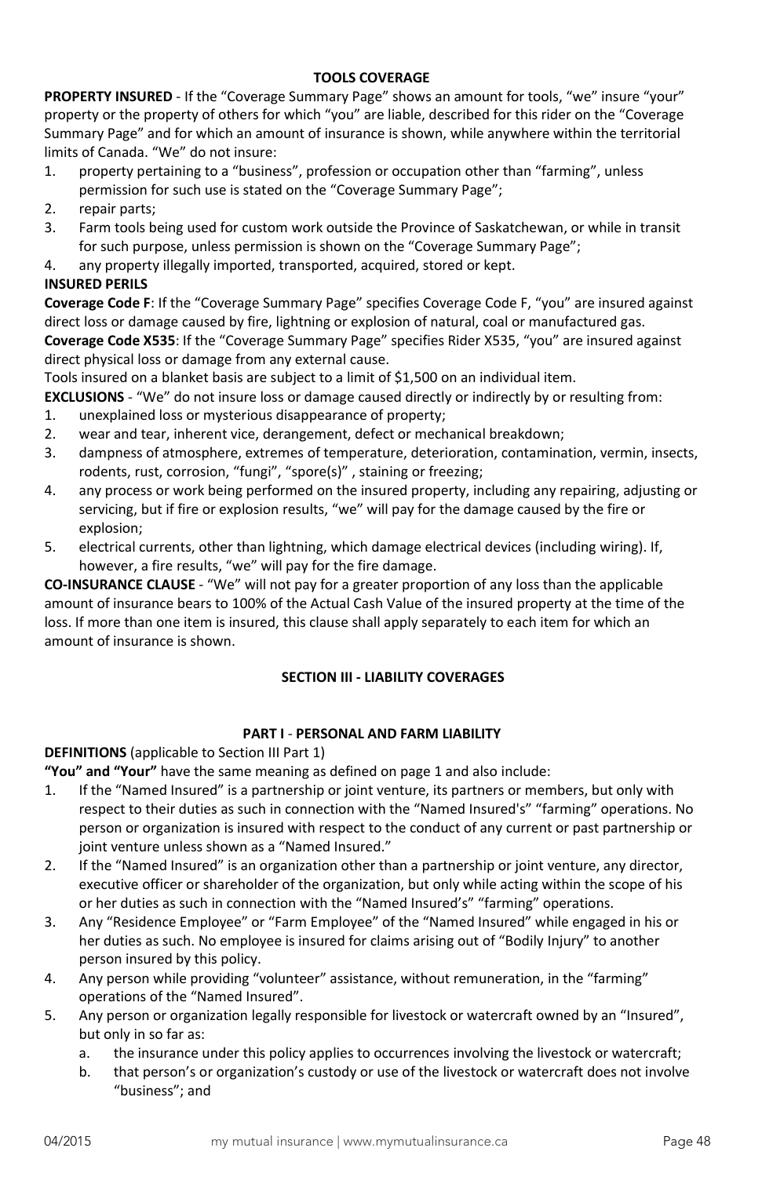### **TOOLS COVERAGE**

**PROPERTY INSURED** - If the "Coverage Summary Page" shows an amount for tools, "we" insure "your" property or the property of others for which "you" are liable, described for this rider on the "Coverage Summary Page" and for which an amount of insurance is shown, while anywhere within the territorial limits of Canada. "We" do not insure:

- 1. property pertaining to a "business", profession or occupation other than "farming", unless permission for such use is stated on the "Coverage Summary Page";
- 2. repair parts;
- 3. Farm tools being used for custom work outside the Province of Saskatchewan, or while in transit for such purpose, unless permission is shown on the "Coverage Summary Page";
- 4. any property illegally imported, transported, acquired, stored or kept.

# **INSURED PERILS**

**Coverage Code F**: If the "Coverage Summary Page" specifies Coverage Code F, "you" are insured against direct loss or damage caused by fire, lightning or explosion of natural, coal or manufactured gas.

**Coverage Code X535**: If the "Coverage Summary Page" specifies Rider X535, "you" are insured against direct physical loss or damage from any external cause.

Tools insured on a blanket basis are subject to a limit of \$1,500 on an individual item.

**EXCLUSIONS** - "We" do not insure loss or damage caused directly or indirectly by or resulting from:

- 1. unexplained loss or mysterious disappearance of property;
- 2. wear and tear, inherent vice, derangement, defect or mechanical breakdown;
- 3. dampness of atmosphere, extremes of temperature, deterioration, contamination, vermin, insects, rodents, rust, corrosion, "fungi", "spore(s)" , staining or freezing;
- 4. any process or work being performed on the insured property, including any repairing, adjusting or servicing, but if fire or explosion results, "we" will pay for the damage caused by the fire or explosion;
- 5. electrical currents, other than lightning, which damage electrical devices (including wiring). If, however, a fire results, "we" will pay for the fire damage.

**CO-INSURANCE CLAUSE** - "We" will not pay for a greater proportion of any loss than the applicable amount of insurance bears to 100% of the Actual Cash Value of the insured property at the time of the loss. If more than one item is insured, this clause shall apply separately to each item for which an amount of insurance is shown.

# **SECTION III - LIABILITY COVERAGES**

### **PART I** - **PERSONAL AND FARM LIABILITY**

**DEFINITIONS** (applicable to Section III Part 1)

**"You" and "Your"** have the same meaning as defined on page 1 and also include:

- 1. If the "Named Insured" is a partnership or joint venture, its partners or members, but only with respect to their duties as such in connection with the "Named Insured's" "farming" operations. No person or organization is insured with respect to the conduct of any current or past partnership or joint venture unless shown as a "Named Insured."
- 2. If the "Named Insured" is an organization other than a partnership or joint venture, any director, executive officer or shareholder of the organization, but only while acting within the scope of his or her duties as such in connection with the "Named Insured's" "farming" operations.
- 3. Any "Residence Employee" or "Farm Employee" of the "Named Insured" while engaged in his or her duties as such. No employee is insured for claims arising out of "Bodily Injury" to another person insured by this policy.
- 4. Any person while providing "volunteer" assistance, without remuneration, in the "farming" operations of the "Named Insured".
- 5. Any person or organization legally responsible for livestock or watercraft owned by an "Insured", but only in so far as:
	- a. the insurance under this policy applies to occurrences involving the livestock or watercraft;
	- b. that person's or organization's custody or use of the livestock or watercraft does not involve "business"; and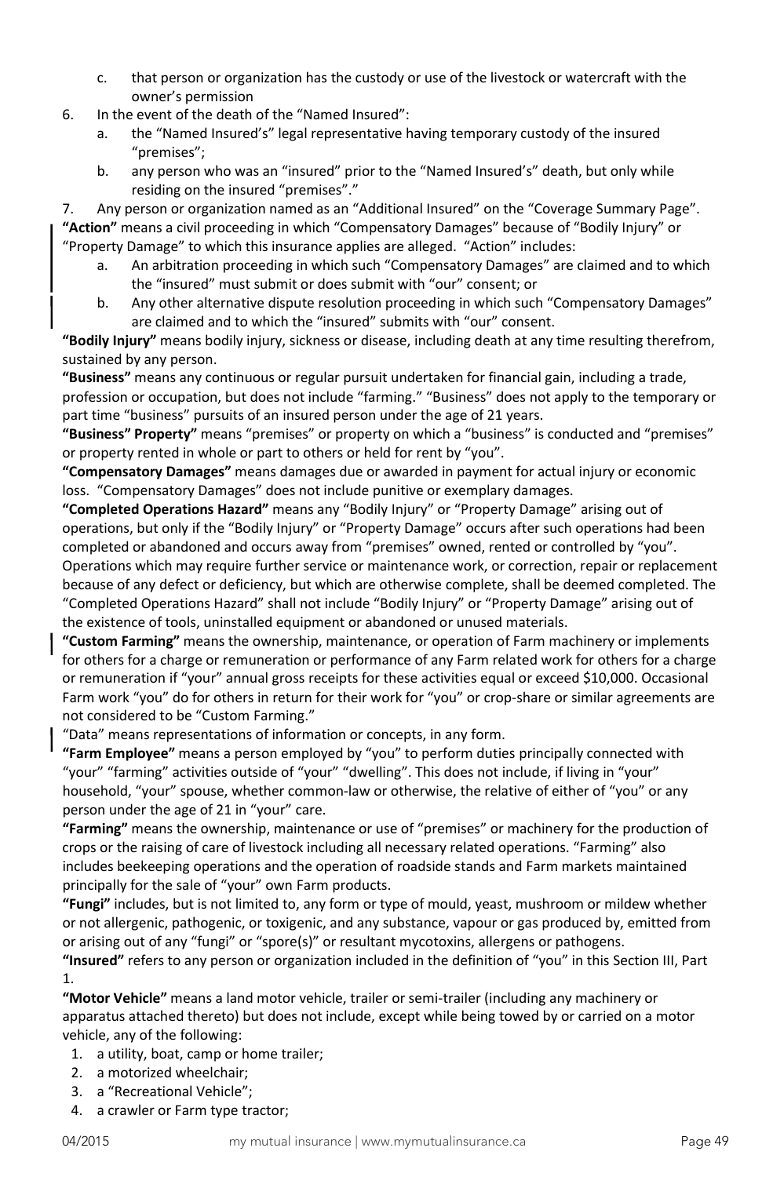- c. that person or organization has the custody or use of the livestock or watercraft with the owner's permission
- 6. In the event of the death of the "Named Insured":
	- a. the "Named Insured's" legal representative having temporary custody of the insured "premises";
	- b. any person who was an "insured" prior to the "Named Insured's" death, but only while residing on the insured "premises"."

7. Any person or organization named as an "Additional Insured" on the "Coverage Summary Page". **"Action"** means a civil proceeding in which "Compensatory Damages" because of "Bodily Injury" or "Property Damage" to which this insurance applies are alleged. "Action" includes:

- a. An arbitration proceeding in which such "Compensatory Damages" are claimed and to which the "insured" must submit or does submit with "our" consent; or
- b. Any other alternative dispute resolution proceeding in which such "Compensatory Damages" are claimed and to which the "insured" submits with "our" consent.

**"Bodily Injury"** means bodily injury, sickness or disease, including death at any time resulting therefrom, sustained by any person.

**"Business"** means any continuous or regular pursuit undertaken for financial gain, including a trade, profession or occupation, but does not include "farming." "Business" does not apply to the temporary or part time "business" pursuits of an insured person under the age of 21 years.

**"Business" Property"** means "premises" or property on which a "business" is conducted and "premises" or property rented in whole or part to others or held for rent by "you".

**"Compensatory Damages"** means damages due or awarded in payment for actual injury or economic loss. "Compensatory Damages" does not include punitive or exemplary damages.

**"Completed Operations Hazard"** means any "Bodily Injury" or "Property Damage" arising out of operations, but only if the "Bodily Injury" or "Property Damage" occurs after such operations had been completed or abandoned and occurs away from "premises" owned, rented or controlled by "you". Operations which may require further service or maintenance work, or correction, repair or replacement because of any defect or deficiency, but which are otherwise complete, shall be deemed completed. The "Completed Operations Hazard" shall not include "Bodily Injury" or "Property Damage" arising out of the existence of tools, uninstalled equipment or abandoned or unused materials.

**"Custom Farming"** means the ownership, maintenance, or operation of Farm machinery or implements for others for a charge or remuneration or performance of any Farm related work for others for a charge or remuneration if "your" annual gross receipts for these activities equal or exceed \$10,000. Occasional Farm work "you" do for others in return for their work for "you" or crop-share or similar agreements are not considered to be "Custom Farming."

"Data" means representations of information or concepts, in any form.

**"Farm Employee"** means a person employed by "you" to perform duties principally connected with "your" "farming" activities outside of "your" "dwelling". This does not include, if living in "your" household, "your" spouse, whether common-law or otherwise, the relative of either of "you" or any person under the age of 21 in "your" care.

**"Farming"** means the ownership, maintenance or use of "premises" or machinery for the production of crops or the raising of care of livestock including all necessary related operations. "Farming" also includes beekeeping operations and the operation of roadside stands and Farm markets maintained principally for the sale of "your" own Farm products.

**"Fungi"** includes, but is not limited to, any form or type of mould, yeast, mushroom or mildew whether or not allergenic, pathogenic, or toxigenic, and any substance, vapour or gas produced by, emitted from or arising out of any "fungi" or "spore(s)" or resultant mycotoxins, allergens or pathogens.

**"Insured"** refers to any person or organization included in the definition of "you" in this Section III, Part 1.

**"Motor Vehicle"** means a land motor vehicle, trailer or semi-trailer (including any machinery or apparatus attached thereto) but does not include, except while being towed by or carried on a motor vehicle, any of the following:

- 1. a utility, boat, camp or home trailer;
- 2. a motorized wheelchair;
- 3. a "Recreational Vehicle";
- 4. a crawler or Farm type tractor;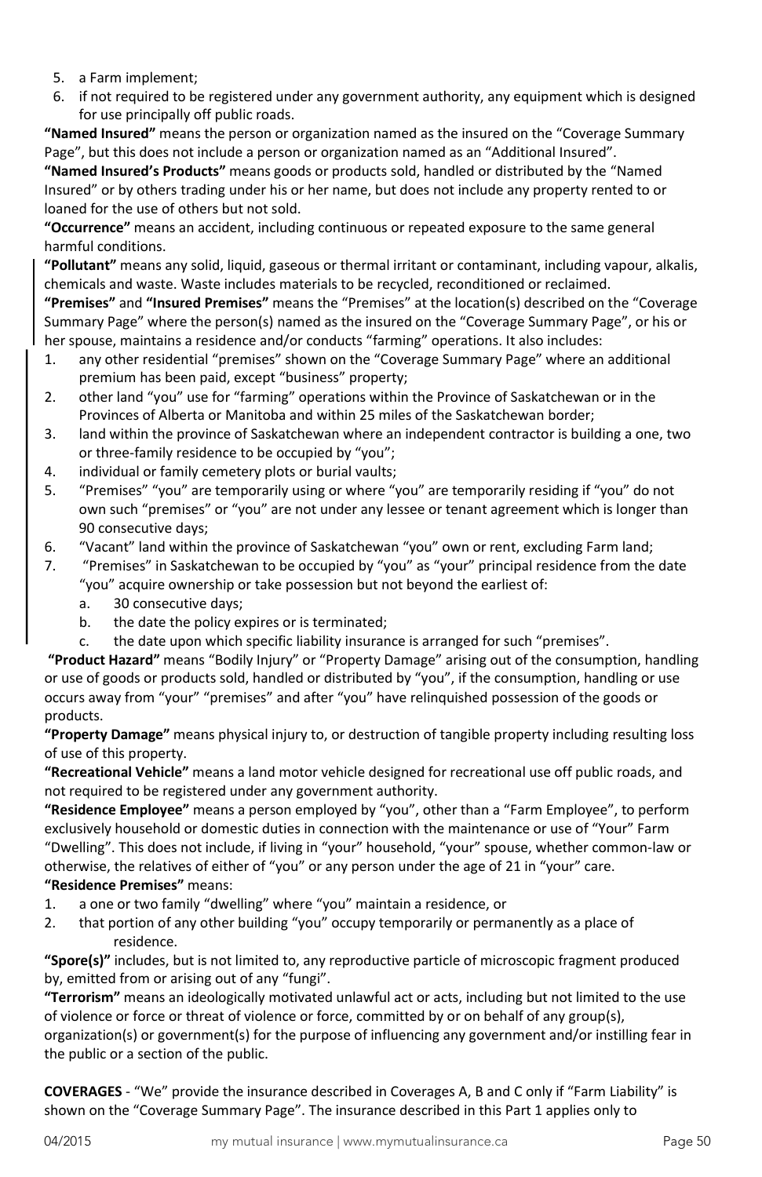- 5. a Farm implement;
- 6. if not required to be registered under any government authority, any equipment which is designed for use principally off public roads.

**"Named Insured"** means the person or organization named as the insured on the "Coverage Summary Page", but this does not include a person or organization named as an "Additional Insured".

**"Named Insured's Products"** means goods or products sold, handled or distributed by the "Named Insured" or by others trading under his or her name, but does not include any property rented to or loaned for the use of others but not sold.

**"Occurrence"** means an accident, including continuous or repeated exposure to the same general harmful conditions.

**"Pollutant"** means any solid, liquid, gaseous or thermal irritant or contaminant, including vapour, alkalis, chemicals and waste. Waste includes materials to be recycled, reconditioned or reclaimed.

**"Premises"** and **"Insured Premises"** means the "Premises" at the location(s) described on the "Coverage Summary Page" where the person(s) named as the insured on the "Coverage Summary Page", or his or her spouse, maintains a residence and/or conducts "farming" operations. It also includes:

- 1. any other residential "premises" shown on the "Coverage Summary Page" where an additional premium has been paid, except "business" property;
- 2. other land "you" use for "farming" operations within the Province of Saskatchewan or in the Provinces of Alberta or Manitoba and within 25 miles of the Saskatchewan border;
- 3. land within the province of Saskatchewan where an independent contractor is building a one, two or three-family residence to be occupied by "you";
- 4. individual or family cemetery plots or burial vaults;
- 5. "Premises" "you" are temporarily using or where "you" are temporarily residing if "you" do not own such "premises" or "you" are not under any lessee or tenant agreement which is longer than 90 consecutive days;
- 6. "Vacant" land within the province of Saskatchewan "you" own or rent, excluding Farm land;
- 7. "Premises" in Saskatchewan to be occupied by "you" as "your" principal residence from the date "you" acquire ownership or take possession but not beyond the earliest of:
	- a. 30 consecutive days;
	- b. the date the policy expires or is terminated;
	- c. the date upon which specific liability insurance is arranged for such "premises".

**"Product Hazard"** means "Bodily Injury" or "Property Damage" arising out of the consumption, handling or use of goods or products sold, handled or distributed by "you", if the consumption, handling or use occurs away from "your" "premises" and after "you" have relinquished possession of the goods or products.

**"Property Damage"** means physical injury to, or destruction of tangible property including resulting loss of use of this property.

**"Recreational Vehicle"** means a land motor vehicle designed for recreational use off public roads, and not required to be registered under any government authority.

**"Residence Employee"** means a person employed by "you", other than a "Farm Employee", to perform exclusively household or domestic duties in connection with the maintenance or use of "Your" Farm "Dwelling". This does not include, if living in "your" household, "your" spouse, whether common-law or otherwise, the relatives of either of "you" or any person under the age of 21 in "your" care. **"Residence Premises"** means:

- 1. a one or two family "dwelling" where "you" maintain a residence, or
- 2. that portion of any other building "you" occupy temporarily or permanently as a place of residence.

**"Spore(s)"** includes, but is not limited to, any reproductive particle of microscopic fragment produced by, emitted from or arising out of any "fungi".

**"Terrorism"** means an ideologically motivated unlawful act or acts, including but not limited to the use of violence or force or threat of violence or force, committed by or on behalf of any group(s), organization(s) or government(s) for the purpose of influencing any government and/or instilling fear in the public or a section of the public.

**COVERAGES** - "We" provide the insurance described in Coverages A, B and C only if "Farm Liability" is shown on the "Coverage Summary Page". The insurance described in this Part 1 applies only to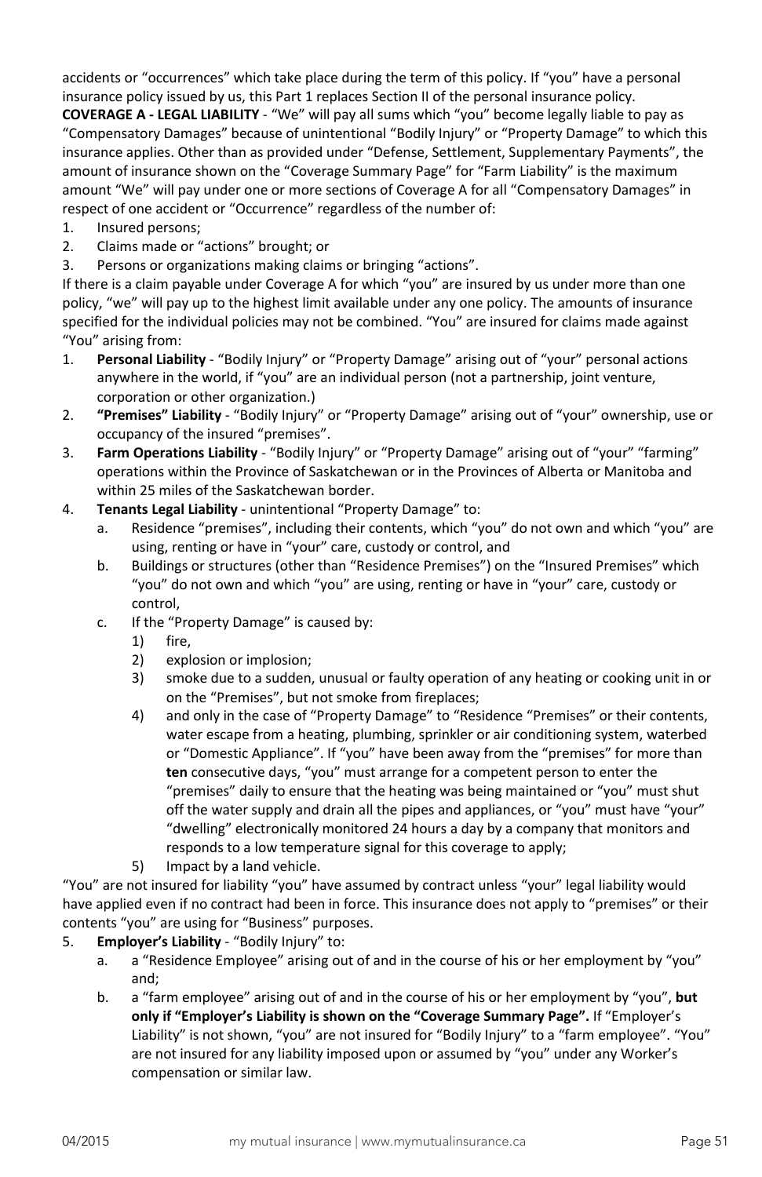accidents or "occurrences" which take place during the term of this policy. If "you" have a personal insurance policy issued by us, this Part 1 replaces Section II of the personal insurance policy.

**COVERAGE A - LEGAL LIABILITY** - "We" will pay all sums which "you" become legally liable to pay as "Compensatory Damages" because of unintentional "Bodily Injury" or "Property Damage" to which this insurance applies. Other than as provided under "Defense, Settlement, Supplementary Payments", the amount of insurance shown on the "Coverage Summary Page" for "Farm Liability" is the maximum amount "We" will pay under one or more sections of Coverage A for all "Compensatory Damages" in respect of one accident or "Occurrence" regardless of the number of:

- 1. Insured persons;
- 2. Claims made or "actions" brought; or
- 3. Persons or organizations making claims or bringing "actions".

If there is a claim payable under Coverage A for which "you" are insured by us under more than one policy, "we" will pay up to the highest limit available under any one policy. The amounts of insurance specified for the individual policies may not be combined. "You" are insured for claims made against "You" arising from:

- 1. **Personal Liability** "Bodily Injury" or "Property Damage" arising out of "your" personal actions anywhere in the world, if "you" are an individual person (not a partnership, joint venture, corporation or other organization.)
- 2. **"Premises" Liability** "Bodily Injury" or "Property Damage" arising out of "your" ownership, use or occupancy of the insured "premises".
- 3. **Farm Operations Liability** "Bodily Injury" or "Property Damage" arising out of "your" "farming" operations within the Province of Saskatchewan or in the Provinces of Alberta or Manitoba and within 25 miles of the Saskatchewan border.
- 4. **Tenants Legal Liability** unintentional "Property Damage" to:
	- a. Residence "premises", including their contents, which "you" do not own and which "you" are using, renting or have in "your" care, custody or control, and
	- b. Buildings or structures (other than "Residence Premises") on the "Insured Premises" which "you" do not own and which "you" are using, renting or have in "your" care, custody or control,
	- c. If the "Property Damage" is caused by:
		- 1) fire,
		- 2) explosion or implosion;
		- 3) smoke due to a sudden, unusual or faulty operation of any heating or cooking unit in or on the "Premises", but not smoke from fireplaces;
		- 4) and only in the case of "Property Damage" to "Residence "Premises" or their contents, water escape from a heating, plumbing, sprinkler or air conditioning system, waterbed or "Domestic Appliance". If "you" have been away from the "premises" for more than **ten** consecutive days, "you" must arrange for a competent person to enter the "premises" daily to ensure that the heating was being maintained or "you" must shut off the water supply and drain all the pipes and appliances, or "you" must have "your" "dwelling" electronically monitored 24 hours a day by a company that monitors and responds to a low temperature signal for this coverage to apply;
		- 5) Impact by a land vehicle.

"You" are not insured for liability "you" have assumed by contract unless "your" legal liability would have applied even if no contract had been in force. This insurance does not apply to "premises" or their contents "you" are using for "Business" purposes.

- 5. **Employer's Liability** "Bodily Injury" to:
	- a. a "Residence Employee" arising out of and in the course of his or her employment by "you" and;
	- b. a "farm employee" arising out of and in the course of his or her employment by "you", **but only if "Employer's Liability is shown on the "Coverage Summary Page".** If "Employer's Liability" is not shown, "you" are not insured for "Bodily Injury" to a "farm employee". "You" are not insured for any liability imposed upon or assumed by "you" under any Worker's compensation or similar law.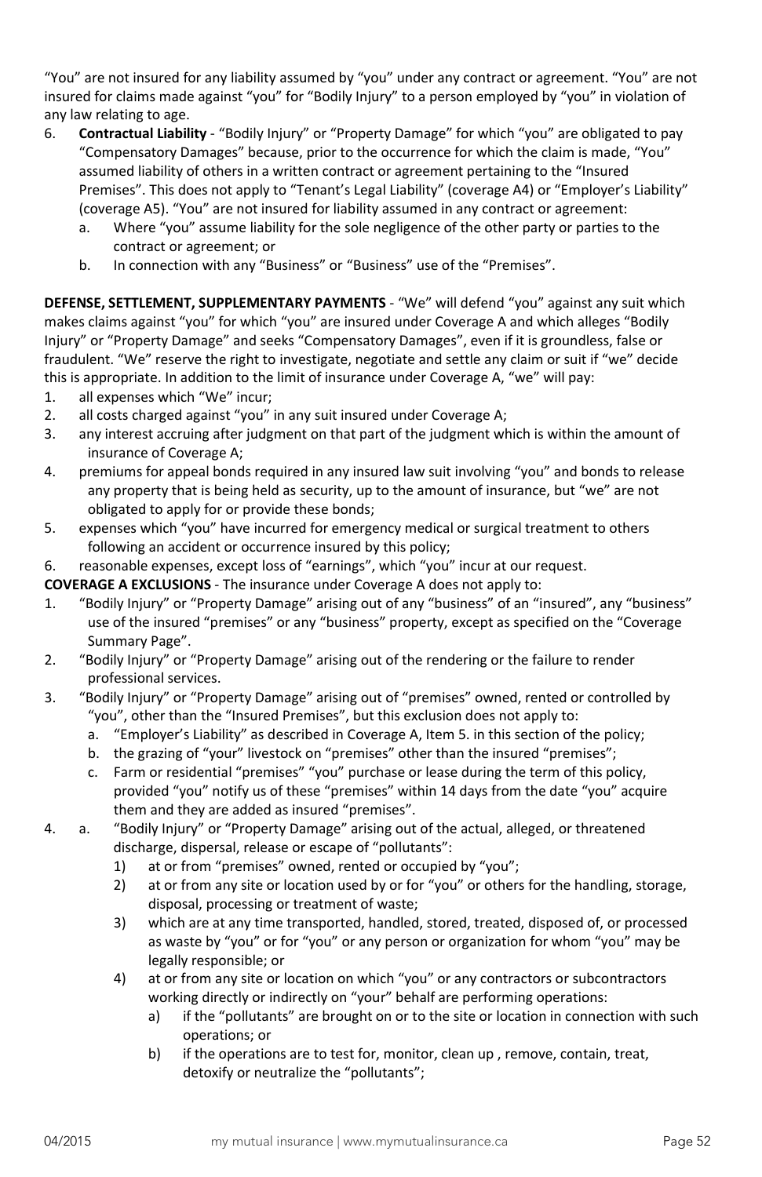"You" are not insured for any liability assumed by "you" under any contract or agreement. "You" are not insured for claims made against "you" for "Bodily Injury" to a person employed by "you" in violation of any law relating to age.

- 6. **Contractual Liability** "Bodily Injury" or "Property Damage" for which "you" are obligated to pay "Compensatory Damages" because, prior to the occurrence for which the claim is made, "You" assumed liability of others in a written contract or agreement pertaining to the "Insured Premises". This does not apply to "Tenant's Legal Liability" (coverage A4) or "Employer's Liability" (coverage A5). "You" are not insured for liability assumed in any contract or agreement:
	- a. Where "you" assume liability for the sole negligence of the other party or parties to the contract or agreement; or
	- b. In connection with any "Business" or "Business" use of the "Premises".

**DEFENSE, SETTLEMENT, SUPPLEMENTARY PAYMENTS** - "We" will defend "you" against any suit which makes claims against "you" for which "you" are insured under Coverage A and which alleges "Bodily Injury" or "Property Damage" and seeks "Compensatory Damages", even if it is groundless, false or fraudulent. "We" reserve the right to investigate, negotiate and settle any claim or suit if "we" decide this is appropriate. In addition to the limit of insurance under Coverage A, "we" will pay:

- 1. all expenses which "We" incur;
- 2. all costs charged against "you" in any suit insured under Coverage A;
- 3. any interest accruing after judgment on that part of the judgment which is within the amount of insurance of Coverage A;
- 4. premiums for appeal bonds required in any insured law suit involving "you" and bonds to release any property that is being held as security, up to the amount of insurance, but "we" are not obligated to apply for or provide these bonds;
- 5. expenses which "you" have incurred for emergency medical or surgical treatment to others following an accident or occurrence insured by this policy;
- 6. reasonable expenses, except loss of "earnings", which "you" incur at our request.

**COVERAGE A EXCLUSIONS** - The insurance under Coverage A does not apply to:

- 1. "Bodily Injury" or "Property Damage" arising out of any "business" of an "insured", any "business" use of the insured "premises" or any "business" property, except as specified on the "Coverage Summary Page".
- 2. "Bodily Injury" or "Property Damage" arising out of the rendering or the failure to render professional services.
- 3. "Bodily Injury" or "Property Damage" arising out of "premises" owned, rented or controlled by "you", other than the "Insured Premises", but this exclusion does not apply to:
	- a. "Employer's Liability" as described in Coverage A, Item 5. in this section of the policy;
	- b. the grazing of "your" livestock on "premises" other than the insured "premises";
	- c. Farm or residential "premises" "you" purchase or lease during the term of this policy, provided "you" notify us of these "premises" within 14 days from the date "you" acquire them and they are added as insured "premises".
- 4. a. "Bodily Injury" or "Property Damage" arising out of the actual, alleged, or threatened discharge, dispersal, release or escape of "pollutants":
	- 1) at or from "premises" owned, rented or occupied by "you";
	- 2) at or from any site or location used by or for "you" or others for the handling, storage, disposal, processing or treatment of waste;
	- 3) which are at any time transported, handled, stored, treated, disposed of, or processed as waste by "you" or for "you" or any person or organization for whom "you" may be legally responsible; or
	- 4) at or from any site or location on which "you" or any contractors or subcontractors working directly or indirectly on "your" behalf are performing operations:
		- a) if the "pollutants" are brought on or to the site or location in connection with such operations; or
		- b) if the operations are to test for, monitor, clean up , remove, contain, treat, detoxify or neutralize the "pollutants";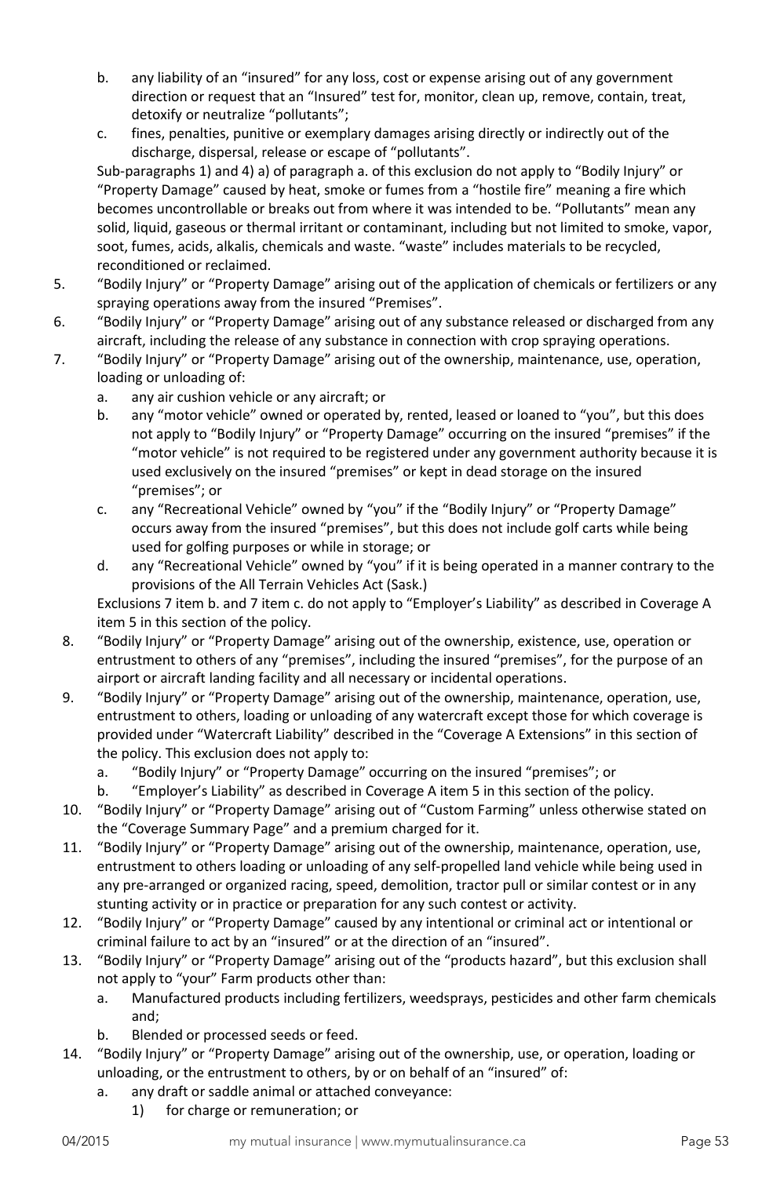- b. any liability of an "insured" for any loss, cost or expense arising out of any government direction or request that an "Insured" test for, monitor, clean up, remove, contain, treat, detoxify or neutralize "pollutants";
- c. fines, penalties, punitive or exemplary damages arising directly or indirectly out of the discharge, dispersal, release or escape of "pollutants".

Sub-paragraphs 1) and 4) a) of paragraph a. of this exclusion do not apply to "Bodily Injury" or "Property Damage" caused by heat, smoke or fumes from a "hostile fire" meaning a fire which becomes uncontrollable or breaks out from where it was intended to be. "Pollutants" mean any solid, liquid, gaseous or thermal irritant or contaminant, including but not limited to smoke, vapor, soot, fumes, acids, alkalis, chemicals and waste. "waste" includes materials to be recycled, reconditioned or reclaimed.

- 5. "Bodily Injury" or "Property Damage" arising out of the application of chemicals or fertilizers or any spraying operations away from the insured "Premises".
- 6. "Bodily Injury" or "Property Damage" arising out of any substance released or discharged from any aircraft, including the release of any substance in connection with crop spraying operations.
- 7. "Bodily Injury" or "Property Damage" arising out of the ownership, maintenance, use, operation, loading or unloading of:
	- a. any air cushion vehicle or any aircraft; or
	- b. any "motor vehicle" owned or operated by, rented, leased or loaned to "you", but this does not apply to "Bodily Injury" or "Property Damage" occurring on the insured "premises" if the "motor vehicle" is not required to be registered under any government authority because it is used exclusively on the insured "premises" or kept in dead storage on the insured "premises"; or
	- c. any "Recreational Vehicle" owned by "you" if the "Bodily Injury" or "Property Damage" occurs away from the insured "premises", but this does not include golf carts while being used for golfing purposes or while in storage; or
	- d. any "Recreational Vehicle" owned by "you" if it is being operated in a manner contrary to the provisions of the All Terrain Vehicles Act (Sask.)

Exclusions 7 item b. and 7 item c. do not apply to "Employer's Liability" as described in Coverage A item 5 in this section of the policy.

- 8. "Bodily Injury" or "Property Damage" arising out of the ownership, existence, use, operation or entrustment to others of any "premises", including the insured "premises", for the purpose of an airport or aircraft landing facility and all necessary or incidental operations.
- 9. "Bodily Injury" or "Property Damage" arising out of the ownership, maintenance, operation, use, entrustment to others, loading or unloading of any watercraft except those for which coverage is provided under "Watercraft Liability" described in the "Coverage A Extensions" in this section of the policy. This exclusion does not apply to:
	- a. "Bodily Injury" or "Property Damage" occurring on the insured "premises"; or
	- b. "Employer's Liability" as described in Coverage A item 5 in this section of the policy.
- 10. "Bodily Injury" or "Property Damage" arising out of "Custom Farming" unless otherwise stated on the "Coverage Summary Page" and a premium charged for it.
- 11. "Bodily Injury" or "Property Damage" arising out of the ownership, maintenance, operation, use, entrustment to others loading or unloading of any self-propelled land vehicle while being used in any pre-arranged or organized racing, speed, demolition, tractor pull or similar contest or in any stunting activity or in practice or preparation for any such contest or activity.
- 12. "Bodily Injury" or "Property Damage" caused by any intentional or criminal act or intentional or criminal failure to act by an "insured" or at the direction of an "insured".
- 13. "Bodily Injury" or "Property Damage" arising out of the "products hazard", but this exclusion shall not apply to "your" Farm products other than:
	- a. Manufactured products including fertilizers, weedsprays, pesticides and other farm chemicals and;
	- b. Blended or processed seeds or feed.
- 14. "Bodily Injury" or "Property Damage" arising out of the ownership, use, or operation, loading or unloading, or the entrustment to others, by or on behalf of an "insured" of:
	- a. any draft or saddle animal or attached conveyance:
		- 1) for charge or remuneration; or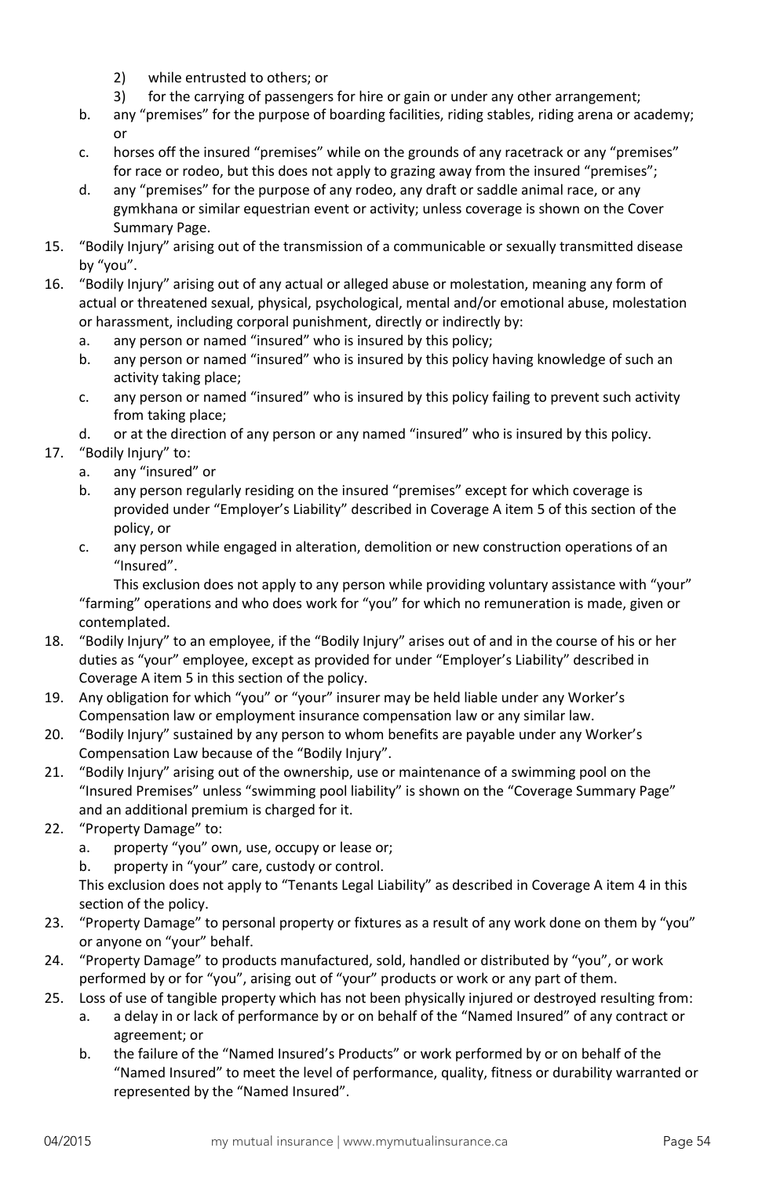- 2) while entrusted to others; or
- 3) for the carrying of passengers for hire or gain or under any other arrangement;
- b. any "premises" for the purpose of boarding facilities, riding stables, riding arena or academy; or
- c. horses off the insured "premises" while on the grounds of any racetrack or any "premises" for race or rodeo, but this does not apply to grazing away from the insured "premises";
- d. any "premises" for the purpose of any rodeo, any draft or saddle animal race, or any gymkhana or similar equestrian event or activity; unless coverage is shown on the Cover Summary Page.
- 15. "Bodily Injury" arising out of the transmission of a communicable or sexually transmitted disease by "you".
- 16. "Bodily Injury" arising out of any actual or alleged abuse or molestation, meaning any form of actual or threatened sexual, physical, psychological, mental and/or emotional abuse, molestation or harassment, including corporal punishment, directly or indirectly by:
	- a. any person or named "insured" who is insured by this policy;
	- b. any person or named "insured" who is insured by this policy having knowledge of such an activity taking place;
	- c. any person or named "insured" who is insured by this policy failing to prevent such activity from taking place;
	- d. or at the direction of any person or any named "insured" who is insured by this policy.
- 17. "Bodily Injury" to:
	- a. any "insured" or
	- b. any person regularly residing on the insured "premises" except for which coverage is provided under "Employer's Liability" described in Coverage A item 5 of this section of the policy, or
	- c. any person while engaged in alteration, demolition or new construction operations of an "Insured".

This exclusion does not apply to any person while providing voluntary assistance with "your" "farming" operations and who does work for "you" for which no remuneration is made, given or contemplated.

- 18. "Bodily Injury" to an employee, if the "Bodily Injury" arises out of and in the course of his or her duties as "your" employee, except as provided for under "Employer's Liability" described in Coverage A item 5 in this section of the policy.
- 19. Any obligation for which "you" or "your" insurer may be held liable under any Worker's Compensation law or employment insurance compensation law or any similar law.
- 20. "Bodily Injury" sustained by any person to whom benefits are payable under any Worker's Compensation Law because of the "Bodily Injury".
- 21. "Bodily Injury" arising out of the ownership, use or maintenance of a swimming pool on the "Insured Premises" unless "swimming pool liability" is shown on the "Coverage Summary Page" and an additional premium is charged for it.
- 22. "Property Damage" to:
	- a. property "you" own, use, occupy or lease or;
	- b. property in "your" care, custody or control.

This exclusion does not apply to "Tenants Legal Liability" as described in Coverage A item 4 in this section of the policy.

- 23. "Property Damage" to personal property or fixtures as a result of any work done on them by "you" or anyone on "your" behalf.
- 24. "Property Damage" to products manufactured, sold, handled or distributed by "you", or work performed by or for "you", arising out of "your" products or work or any part of them.
- 25. Loss of use of tangible property which has not been physically injured or destroyed resulting from:
	- a. a delay in or lack of performance by or on behalf of the "Named Insured" of any contract or agreement; or
	- b. the failure of the "Named Insured's Products" or work performed by or on behalf of the "Named Insured" to meet the level of performance, quality, fitness or durability warranted or represented by the "Named Insured".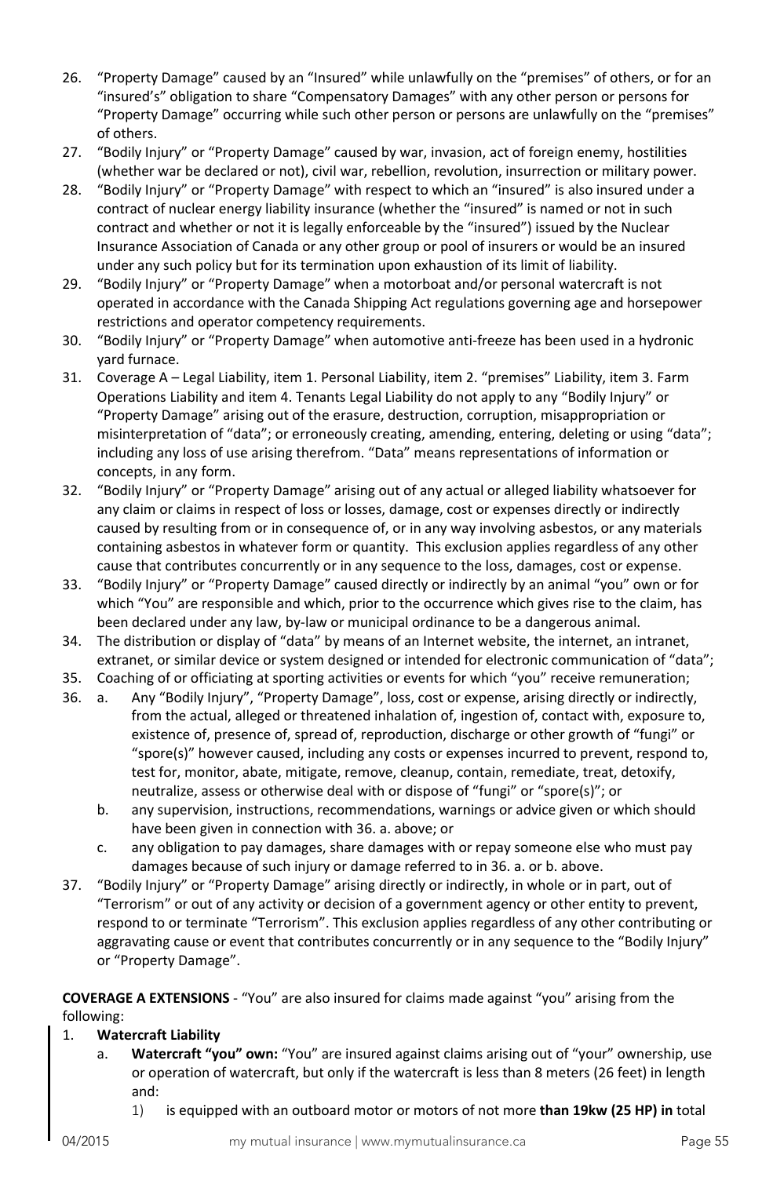- 26. "Property Damage" caused by an "Insured" while unlawfully on the "premises" of others, or for an "insured's" obligation to share "Compensatory Damages" with any other person or persons for "Property Damage" occurring while such other person or persons are unlawfully on the "premises" of others.
- 27. "Bodily Injury" or "Property Damage" caused by war, invasion, act of foreign enemy, hostilities (whether war be declared or not), civil war, rebellion, revolution, insurrection or military power.
- 28. "Bodily Injury" or "Property Damage" with respect to which an "insured" is also insured under a contract of nuclear energy liability insurance (whether the "insured" is named or not in such contract and whether or not it is legally enforceable by the "insured") issued by the Nuclear Insurance Association of Canada or any other group or pool of insurers or would be an insured under any such policy but for its termination upon exhaustion of its limit of liability.
- 29. "Bodily Injury" or "Property Damage" when a motorboat and/or personal watercraft is not operated in accordance with the Canada Shipping Act regulations governing age and horsepower restrictions and operator competency requirements.
- 30. "Bodily Injury" or "Property Damage" when automotive anti-freeze has been used in a hydronic yard furnace.
- 31. Coverage A Legal Liability, item 1. Personal Liability, item 2. "premises" Liability, item 3. Farm Operations Liability and item 4. Tenants Legal Liability do not apply to any "Bodily Injury" or "Property Damage" arising out of the erasure, destruction, corruption, misappropriation or misinterpretation of "data"; or erroneously creating, amending, entering, deleting or using "data"; including any loss of use arising therefrom. "Data" means representations of information or concepts, in any form.
- 32. "Bodily Injury" or "Property Damage" arising out of any actual or alleged liability whatsoever for any claim or claims in respect of loss or losses, damage, cost or expenses directly or indirectly caused by resulting from or in consequence of, or in any way involving asbestos, or any materials containing asbestos in whatever form or quantity. This exclusion applies regardless of any other cause that contributes concurrently or in any sequence to the loss, damages, cost or expense.
- 33. "Bodily Injury" or "Property Damage" caused directly or indirectly by an animal "you" own or for which "You" are responsible and which, prior to the occurrence which gives rise to the claim, has been declared under any law, by-law or municipal ordinance to be a dangerous animal.
- 34. The distribution or display of "data" by means of an Internet website, the internet, an intranet, extranet, or similar device or system designed or intended for electronic communication of "data";
- 35. Coaching of or officiating at sporting activities or events for which "you" receive remuneration;
- 36. a. Any "Bodily Injury", "Property Damage", loss, cost or expense, arising directly or indirectly, from the actual, alleged or threatened inhalation of, ingestion of, contact with, exposure to, existence of, presence of, spread of, reproduction, discharge or other growth of "fungi" or "spore(s)" however caused, including any costs or expenses incurred to prevent, respond to, test for, monitor, abate, mitigate, remove, cleanup, contain, remediate, treat, detoxify, neutralize, assess or otherwise deal with or dispose of "fungi" or "spore(s)"; or
	- b. any supervision, instructions, recommendations, warnings or advice given or which should have been given in connection with 36. a. above; or
	- c. any obligation to pay damages, share damages with or repay someone else who must pay damages because of such injury or damage referred to in 36. a. or b. above.
- 37. "Bodily Injury" or "Property Damage" arising directly or indirectly, in whole or in part, out of "Terrorism" or out of any activity or decision of a government agency or other entity to prevent, respond to or terminate "Terrorism". This exclusion applies regardless of any other contributing or aggravating cause or event that contributes concurrently or in any sequence to the "Bodily Injury" or "Property Damage".

**COVERAGE A EXTENSIONS** - "You" are also insured for claims made against "you" arising from the following:

- 1. **Watercraft Liability**
	- a. **Watercraft "you" own:** "You" are insured against claims arising out of "your" ownership, use or operation of watercraft, but only if the watercraft is less than 8 meters (26 feet) in length and:
		- 1) is equipped with an outboard motor or motors of not more **than 19kw (25 HP) in** total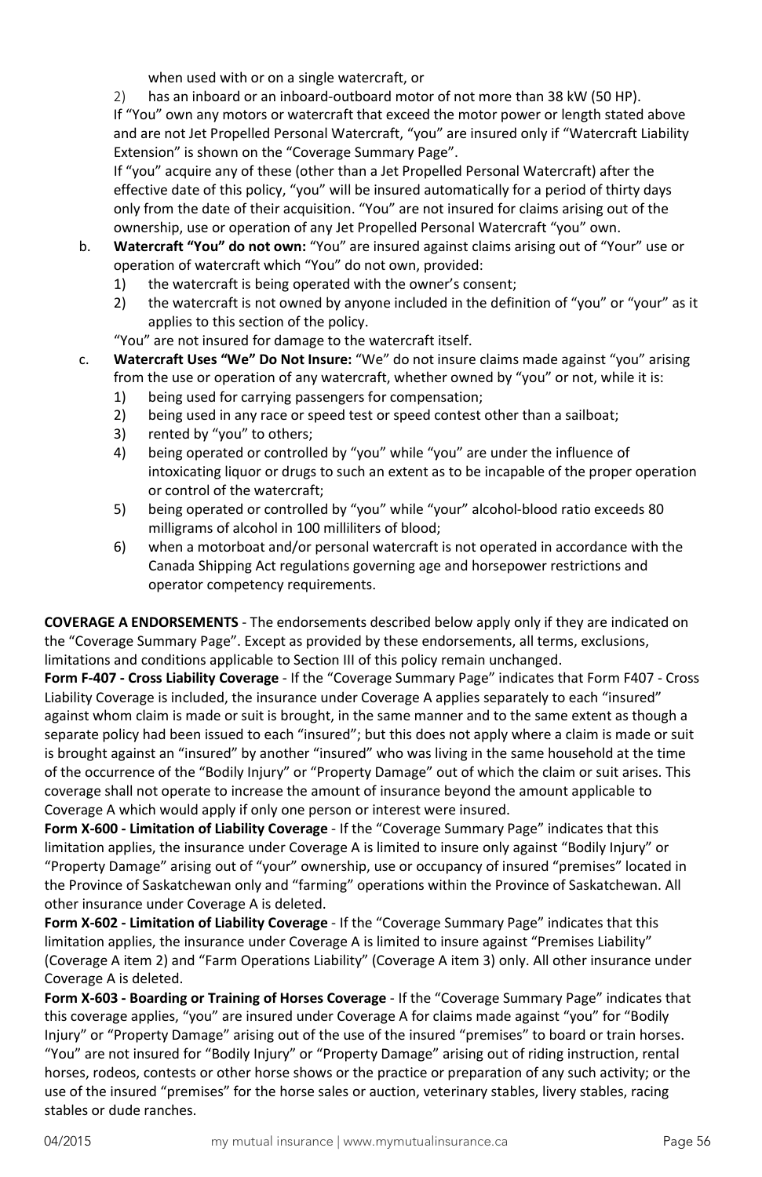when used with or on a single watercraft, or

2) has an inboard or an inboard-outboard motor of not more than 38 kW (50 HP).

If "You" own any motors or watercraft that exceed the motor power or length stated above and are not Jet Propelled Personal Watercraft, "you" are insured only if "Watercraft Liability Extension" is shown on the "Coverage Summary Page".

If "you" acquire any of these (other than a Jet Propelled Personal Watercraft) after the effective date of this policy, "you" will be insured automatically for a period of thirty days only from the date of their acquisition. "You" are not insured for claims arising out of the ownership, use or operation of any Jet Propelled Personal Watercraft "you" own.

- b. **Watercraft "You" do not own:** "You" are insured against claims arising out of "Your" use or operation of watercraft which "You" do not own, provided:
	- 1) the watercraft is being operated with the owner's consent;
	- 2) the watercraft is not owned by anyone included in the definition of "you" or "your" as it applies to this section of the policy.
	- "You" are not insured for damage to the watercraft itself.
- c. **Watercraft Uses "We" Do Not Insure:** "We" do not insure claims made against "you" arising from the use or operation of any watercraft, whether owned by "you" or not, while it is:
	- 1) being used for carrying passengers for compensation;
	- 2) being used in any race or speed test or speed contest other than a sailboat;
	- 3) rented by "you" to others;
	- 4) being operated or controlled by "you" while "you" are under the influence of intoxicating liquor or drugs to such an extent as to be incapable of the proper operation or control of the watercraft;
	- 5) being operated or controlled by "you" while "your" alcohol-blood ratio exceeds 80 milligrams of alcohol in 100 milliliters of blood;
	- 6) when a motorboat and/or personal watercraft is not operated in accordance with the Canada Shipping Act regulations governing age and horsepower restrictions and operator competency requirements.

**COVERAGE A ENDORSEMENTS** - The endorsements described below apply only if they are indicated on the "Coverage Summary Page". Except as provided by these endorsements, all terms, exclusions, limitations and conditions applicable to Section III of this policy remain unchanged.

**Form F-407 - Cross Liability Coverage** - If the "Coverage Summary Page" indicates that Form F407 - Cross Liability Coverage is included, the insurance under Coverage A applies separately to each "insured" against whom claim is made or suit is brought, in the same manner and to the same extent as though a separate policy had been issued to each "insured"; but this does not apply where a claim is made or suit is brought against an "insured" by another "insured" who was living in the same household at the time of the occurrence of the "Bodily Injury" or "Property Damage" out of which the claim or suit arises. This coverage shall not operate to increase the amount of insurance beyond the amount applicable to Coverage A which would apply if only one person or interest were insured.

**Form X-600 - Limitation of Liability Coverage** - If the "Coverage Summary Page" indicates that this limitation applies, the insurance under Coverage A is limited to insure only against "Bodily Injury" or "Property Damage" arising out of "your" ownership, use or occupancy of insured "premises" located in the Province of Saskatchewan only and "farming" operations within the Province of Saskatchewan. All other insurance under Coverage A is deleted.

**Form X-602 - Limitation of Liability Coverage** - If the "Coverage Summary Page" indicates that this limitation applies, the insurance under Coverage A is limited to insure against "Premises Liability" (Coverage A item 2) and "Farm Operations Liability" (Coverage A item 3) only. All other insurance under Coverage A is deleted.

**Form X-603 - Boarding or Training of Horses Coverage** - If the "Coverage Summary Page" indicates that this coverage applies, "you" are insured under Coverage A for claims made against "you" for "Bodily Injury" or "Property Damage" arising out of the use of the insured "premises" to board or train horses. "You" are not insured for "Bodily Injury" or "Property Damage" arising out of riding instruction, rental horses, rodeos, contests or other horse shows or the practice or preparation of any such activity; or the use of the insured "premises" for the horse sales or auction, veterinary stables, livery stables, racing stables or dude ranches.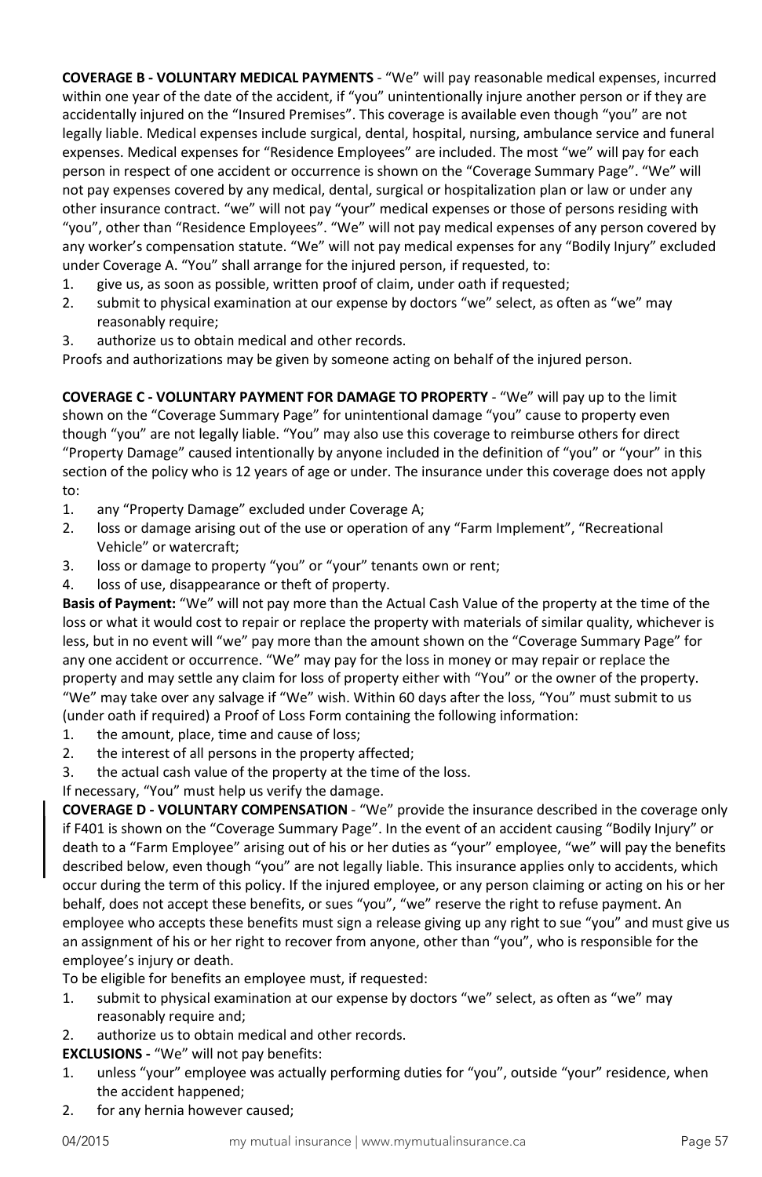**COVERAGE B - VOLUNTARY MEDICAL PAYMENTS** - "We" will pay reasonable medical expenses, incurred within one year of the date of the accident, if "you" unintentionally injure another person or if they are accidentally injured on the "Insured Premises". This coverage is available even though "you" are not legally liable. Medical expenses include surgical, dental, hospital, nursing, ambulance service and funeral expenses. Medical expenses for "Residence Employees" are included. The most "we" will pay for each person in respect of one accident or occurrence is shown on the "Coverage Summary Page". "We" will not pay expenses covered by any medical, dental, surgical or hospitalization plan or law or under any other insurance contract. "we" will not pay "your" medical expenses or those of persons residing with "you", other than "Residence Employees". "We" will not pay medical expenses of any person covered by any worker's compensation statute. "We" will not pay medical expenses for any "Bodily Injury" excluded under Coverage A. "You" shall arrange for the injured person, if requested, to:

- 1. give us, as soon as possible, written proof of claim, under oath if requested;
- 2. submit to physical examination at our expense by doctors "we" select, as often as "we" may reasonably require;
- 3. authorize us to obtain medical and other records.

Proofs and authorizations may be given by someone acting on behalf of the injured person.

**COVERAGE C - VOLUNTARY PAYMENT FOR DAMAGE TO PROPERTY** - "We" will pay up to the limit shown on the "Coverage Summary Page" for unintentional damage "you" cause to property even though "you" are not legally liable. "You" may also use this coverage to reimburse others for direct "Property Damage" caused intentionally by anyone included in the definition of "you" or "your" in this section of the policy who is 12 years of age or under. The insurance under this coverage does not apply to:

- 1. any "Property Damage" excluded under Coverage A;
- 2. loss or damage arising out of the use or operation of any "Farm Implement", "Recreational Vehicle" or watercraft;
- 3. loss or damage to property "you" or "your" tenants own or rent;
- 4. loss of use, disappearance or theft of property.

**Basis of Payment:** "We" will not pay more than the Actual Cash Value of the property at the time of the loss or what it would cost to repair or replace the property with materials of similar quality, whichever is less, but in no event will "we" pay more than the amount shown on the "Coverage Summary Page" for any one accident or occurrence. "We" may pay for the loss in money or may repair or replace the property and may settle any claim for loss of property either with "You" or the owner of the property. "We" may take over any salvage if "We" wish. Within 60 days after the loss, "You" must submit to us (under oath if required) a Proof of Loss Form containing the following information:

- 1. the amount, place, time and cause of loss;
- 2. the interest of all persons in the property affected;
- 3. the actual cash value of the property at the time of the loss.

If necessary, "You" must help us verify the damage.

**COVERAGE D - VOLUNTARY COMPENSATION** - "We" provide the insurance described in the coverage only if F401 is shown on the "Coverage Summary Page". In the event of an accident causing "Bodily Injury" or death to a "Farm Employee" arising out of his or her duties as "your" employee, "we" will pay the benefits described below, even though "you" are not legally liable. This insurance applies only to accidents, which occur during the term of this policy. If the injured employee, or any person claiming or acting on his or her behalf, does not accept these benefits, or sues "you", "we" reserve the right to refuse payment. An employee who accepts these benefits must sign a release giving up any right to sue "you" and must give us an assignment of his or her right to recover from anyone, other than "you", who is responsible for the employee's injury or death.

To be eligible for benefits an employee must, if requested:

- 1. submit to physical examination at our expense by doctors "we" select, as often as "we" may reasonably require and;
- 2. authorize us to obtain medical and other records.
- **EXCLUSIONS -** "We" will not pay benefits:
- 1. unless "your" employee was actually performing duties for "you", outside "your" residence, when the accident happened;
- 2. for any hernia however caused;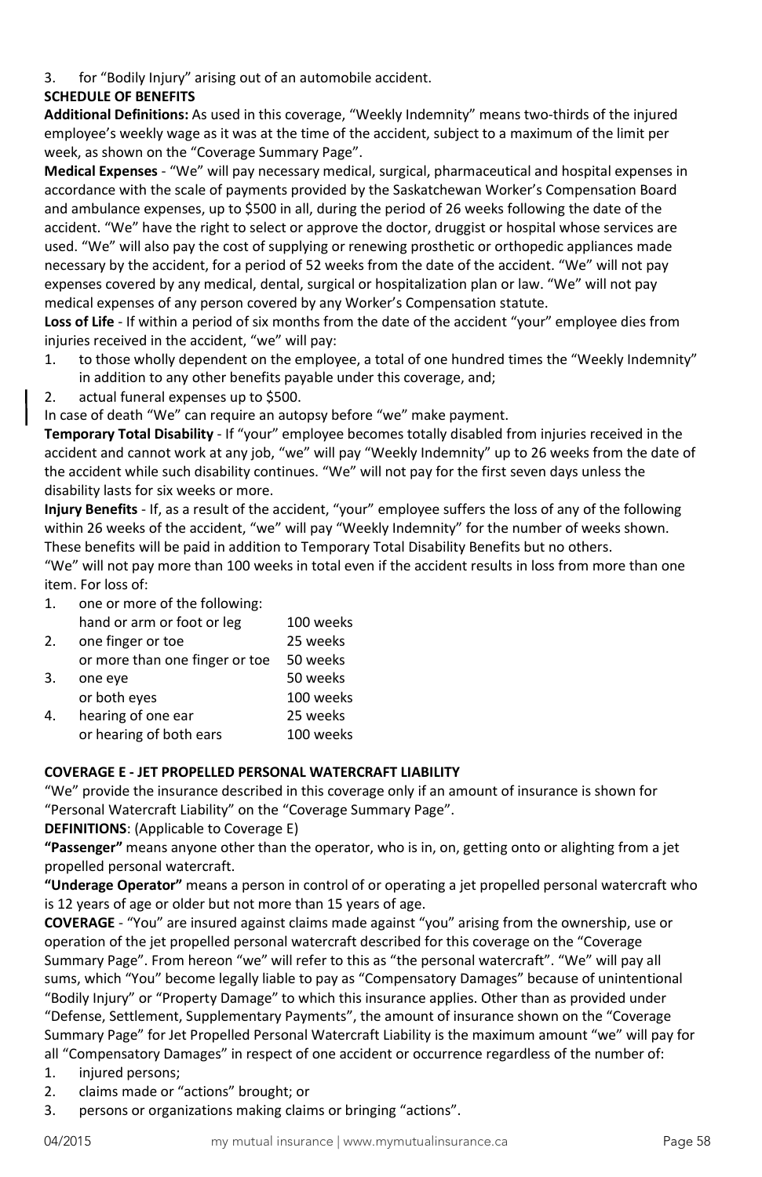3. for "Bodily Injury" arising out of an automobile accident.

# **SCHEDULE OF BENEFITS**

**Additional Definitions:** As used in this coverage, "Weekly Indemnity" means two-thirds of the injured employee's weekly wage as it was at the time of the accident, subject to a maximum of the limit per week, as shown on the "Coverage Summary Page".

**Medical Expenses** - "We" will pay necessary medical, surgical, pharmaceutical and hospital expenses in accordance with the scale of payments provided by the Saskatchewan Worker's Compensation Board and ambulance expenses, up to \$500 in all, during the period of 26 weeks following the date of the accident. "We" have the right to select or approve the doctor, druggist or hospital whose services are used. "We" will also pay the cost of supplying or renewing prosthetic or orthopedic appliances made necessary by the accident, for a period of 52 weeks from the date of the accident. "We" will not pay expenses covered by any medical, dental, surgical or hospitalization plan or law. "We" will not pay medical expenses of any person covered by any Worker's Compensation statute.

**Loss of Life** - If within a period of six months from the date of the accident "your" employee dies from injuries received in the accident, "we" will pay:

- 1. to those wholly dependent on the employee, a total of one hundred times the "Weekly Indemnity" in addition to any other benefits payable under this coverage, and;
- 2. actual funeral expenses up to \$500.

In case of death "We" can require an autopsy before "we" make payment.

**Temporary Total Disability** - If "your" employee becomes totally disabled from injuries received in the accident and cannot work at any job, "we" will pay "Weekly Indemnity" up to 26 weeks from the date of the accident while such disability continues. "We" will not pay for the first seven days unless the disability lasts for six weeks or more.

**Injury Benefits** - If, as a result of the accident, "your" employee suffers the loss of any of the following within 26 weeks of the accident, "we" will pay "Weekly Indemnity" for the number of weeks shown. These benefits will be paid in addition to Temporary Total Disability Benefits but no others. "We" will not pay more than 100 weeks in total even if the accident results in loss from more than one item. For loss of:

1. one or more of the following:

|    | hand or arm or foot or leg     | 100 weeks |
|----|--------------------------------|-----------|
| 2. | one finger or toe              | 25 weeks  |
|    | or more than one finger or toe | 50 weeks  |
| 3. | one eye                        | 50 weeks  |
|    | or both eyes                   | 100 weeks |
| 4. | hearing of one ear             | 25 weeks  |
|    | or hearing of both ears        | 100 weeks |

#### **COVERAGE E - JET PROPELLED PERSONAL WATERCRAFT LIABILITY**

"We" provide the insurance described in this coverage only if an amount of insurance is shown for "Personal Watercraft Liability" on the "Coverage Summary Page".

#### **DEFINITIONS**: (Applicable to Coverage E)

**"Passenger"** means anyone other than the operator, who is in, on, getting onto or alighting from a jet propelled personal watercraft.

**"Underage Operator"** means a person in control of or operating a jet propelled personal watercraft who is 12 years of age or older but not more than 15 years of age.

**COVERAGE** - "You" are insured against claims made against "you" arising from the ownership, use or operation of the jet propelled personal watercraft described for this coverage on the "Coverage Summary Page". From hereon "we" will refer to this as "the personal watercraft". "We" will pay all sums, which "You" become legally liable to pay as "Compensatory Damages" because of unintentional "Bodily Injury" or "Property Damage" to which this insurance applies. Other than as provided under "Defense, Settlement, Supplementary Payments", the amount of insurance shown on the "Coverage Summary Page" for Jet Propelled Personal Watercraft Liability is the maximum amount "we" will pay for all "Compensatory Damages" in respect of one accident or occurrence regardless of the number of:

- 1. injured persons;
- 2. claims made or "actions" brought; or
- 3. persons or organizations making claims or bringing "actions".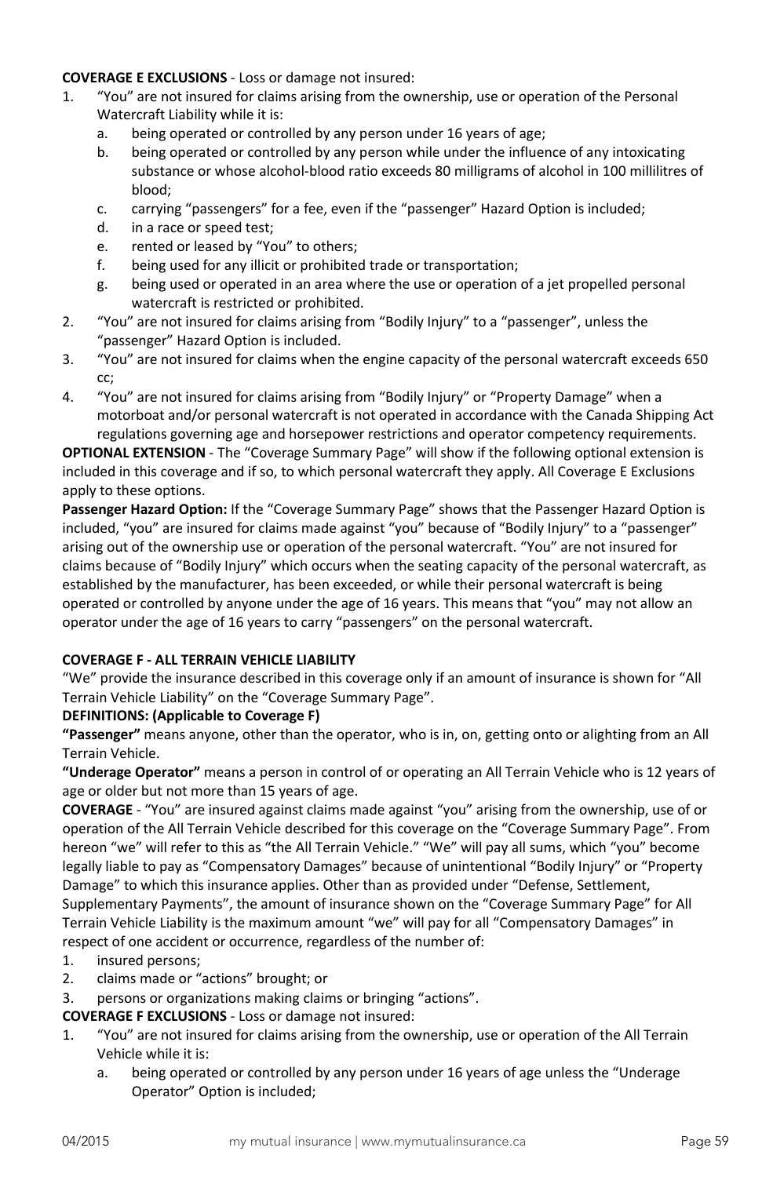### **COVERAGE E EXCLUSIONS** - Loss or damage not insured:

- 1. "You" are not insured for claims arising from the ownership, use or operation of the Personal Watercraft Liability while it is:
	- a. being operated or controlled by any person under 16 years of age;
	- b. being operated or controlled by any person while under the influence of any intoxicating substance or whose alcohol-blood ratio exceeds 80 milligrams of alcohol in 100 millilitres of blood;
	- c. carrying "passengers" for a fee, even if the "passenger" Hazard Option is included;
	- d. in a race or speed test;
	- e. rented or leased by "You" to others;
	- f. being used for any illicit or prohibited trade or transportation;
	- g. being used or operated in an area where the use or operation of a jet propelled personal watercraft is restricted or prohibited.
- 2. "You" are not insured for claims arising from "Bodily Injury" to a "passenger", unless the "passenger" Hazard Option is included.
- 3. "You" are not insured for claims when the engine capacity of the personal watercraft exceeds 650 cc;
- 4. "You" are not insured for claims arising from "Bodily Injury" or "Property Damage" when a motorboat and/or personal watercraft is not operated in accordance with the Canada Shipping Act regulations governing age and horsepower restrictions and operator competency requirements.

**OPTIONAL EXTENSION** - The "Coverage Summary Page" will show if the following optional extension is included in this coverage and if so, to which personal watercraft they apply. All Coverage E Exclusions apply to these options.

**Passenger Hazard Option:** If the "Coverage Summary Page" shows that the Passenger Hazard Option is included, "you" are insured for claims made against "you" because of "Bodily Injury" to a "passenger" arising out of the ownership use or operation of the personal watercraft. "You" are not insured for claims because of "Bodily Injury" which occurs when the seating capacity of the personal watercraft, as established by the manufacturer, has been exceeded, or while their personal watercraft is being operated or controlled by anyone under the age of 16 years. This means that "you" may not allow an operator under the age of 16 years to carry "passengers" on the personal watercraft.

### **COVERAGE F - ALL TERRAIN VEHICLE LIABILITY**

"We" provide the insurance described in this coverage only if an amount of insurance is shown for "All Terrain Vehicle Liability" on the "Coverage Summary Page".

### **DEFINITIONS: (Applicable to Coverage F)**

**"Passenger"** means anyone, other than the operator, who is in, on, getting onto or alighting from an All Terrain Vehicle.

**"Underage Operator"** means a person in control of or operating an All Terrain Vehicle who is 12 years of age or older but not more than 15 years of age.

**COVERAGE** - "You" are insured against claims made against "you" arising from the ownership, use of or operation of the All Terrain Vehicle described for this coverage on the "Coverage Summary Page". From hereon "we" will refer to this as "the All Terrain Vehicle." "We" will pay all sums, which "you" become legally liable to pay as "Compensatory Damages" because of unintentional "Bodily Injury" or "Property Damage" to which this insurance applies. Other than as provided under "Defense, Settlement,

Supplementary Payments", the amount of insurance shown on the "Coverage Summary Page" for All Terrain Vehicle Liability is the maximum amount "we" will pay for all "Compensatory Damages" in respect of one accident or occurrence, regardless of the number of:

- 1. insured persons;
- 2. claims made or "actions" brought; or
- 3. persons or organizations making claims or bringing "actions".

**COVERAGE F EXCLUSIONS** - Loss or damage not insured:

- 1. "You" are not insured for claims arising from the ownership, use or operation of the All Terrain Vehicle while it is:
	- a. being operated or controlled by any person under 16 years of age unless the "Underage Operator" Option is included;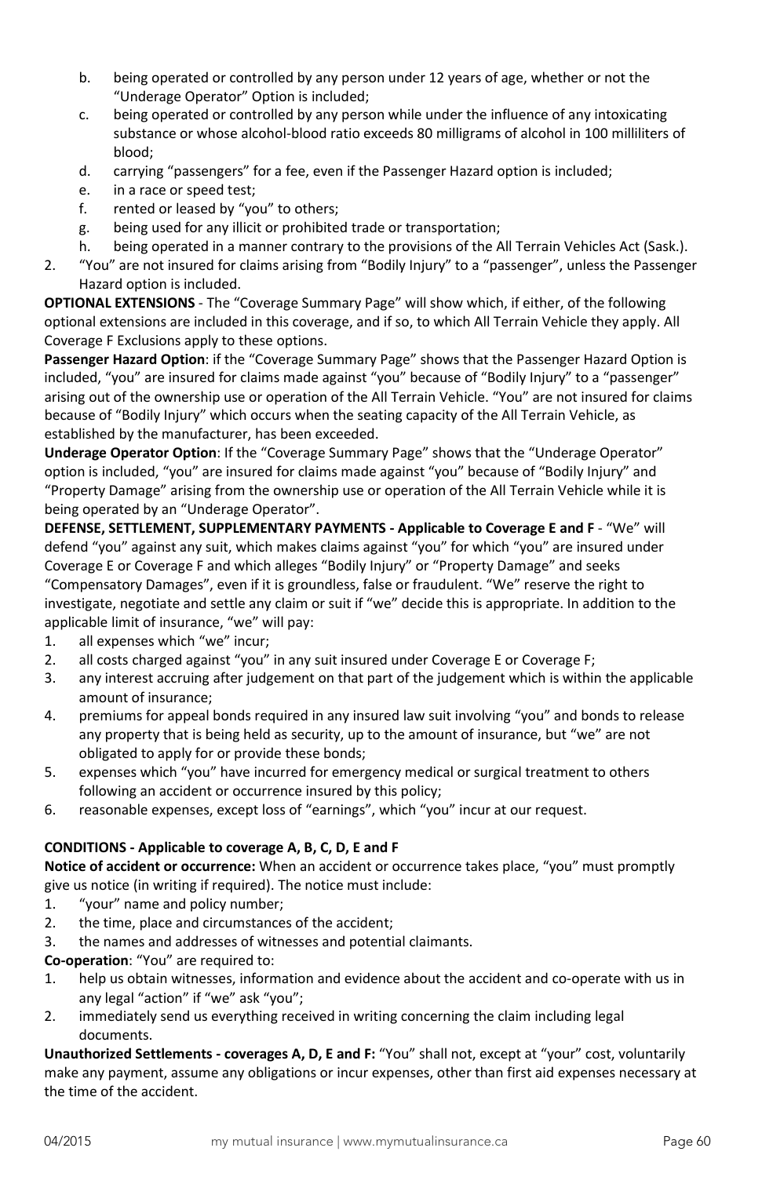- b. being operated or controlled by any person under 12 years of age, whether or not the "Underage Operator" Option is included;
- c. being operated or controlled by any person while under the influence of any intoxicating substance or whose alcohol-blood ratio exceeds 80 milligrams of alcohol in 100 milliliters of blood;
- d. carrying "passengers" for a fee, even if the Passenger Hazard option is included;
- e. in a race or speed test;
- f. rented or leased by "you" to others;
- g. being used for any illicit or prohibited trade or transportation;
- h. being operated in a manner contrary to the provisions of the All Terrain Vehicles Act (Sask.).
- 2. "You" are not insured for claims arising from "Bodily Injury" to a "passenger", unless the Passenger Hazard option is included.

**OPTIONAL EXTENSIONS** - The "Coverage Summary Page" will show which, if either, of the following optional extensions are included in this coverage, and if so, to which All Terrain Vehicle they apply. All Coverage F Exclusions apply to these options.

**Passenger Hazard Option**: if the "Coverage Summary Page" shows that the Passenger Hazard Option is included, "you" are insured for claims made against "you" because of "Bodily Injury" to a "passenger" arising out of the ownership use or operation of the All Terrain Vehicle. "You" are not insured for claims because of "Bodily Injury" which occurs when the seating capacity of the All Terrain Vehicle, as established by the manufacturer, has been exceeded.

**Underage Operator Option**: If the "Coverage Summary Page" shows that the "Underage Operator" option is included, "you" are insured for claims made against "you" because of "Bodily Injury" and "Property Damage" arising from the ownership use or operation of the All Terrain Vehicle while it is being operated by an "Underage Operator".

**DEFENSE, SETTLEMENT, SUPPLEMENTARY PAYMENTS - Applicable to Coverage E and F** - "We" will defend "you" against any suit, which makes claims against "you" for which "you" are insured under Coverage E or Coverage F and which alleges "Bodily Injury" or "Property Damage" and seeks "Compensatory Damages", even if it is groundless, false or fraudulent. "We" reserve the right to investigate, negotiate and settle any claim or suit if "we" decide this is appropriate. In addition to the applicable limit of insurance, "we" will pay:

- 1. all expenses which "we" incur;
- 2. all costs charged against "you" in any suit insured under Coverage E or Coverage F;
- 3. any interest accruing after judgement on that part of the judgement which is within the applicable amount of insurance;
- 4. premiums for appeal bonds required in any insured law suit involving "you" and bonds to release any property that is being held as security, up to the amount of insurance, but "we" are not obligated to apply for or provide these bonds;
- 5. expenses which "you" have incurred for emergency medical or surgical treatment to others following an accident or occurrence insured by this policy;
- 6. reasonable expenses, except loss of "earnings", which "you" incur at our request.

# **CONDITIONS - Applicable to coverage A, B, C, D, E and F**

**Notice of accident or occurrence:** When an accident or occurrence takes place, "you" must promptly give us notice (in writing if required). The notice must include:

- 1. "your" name and policy number;
- 2. the time, place and circumstances of the accident;
- 3. the names and addresses of witnesses and potential claimants.
- **Co-operation**: "You" are required to:
- 1. help us obtain witnesses, information and evidence about the accident and co-operate with us in any legal "action" if "we" ask "you";
- 2. immediately send us everything received in writing concerning the claim including legal documents.

**Unauthorized Settlements - coverages A, D, E and F:** "You" shall not, except at "your" cost, voluntarily make any payment, assume any obligations or incur expenses, other than first aid expenses necessary at the time of the accident.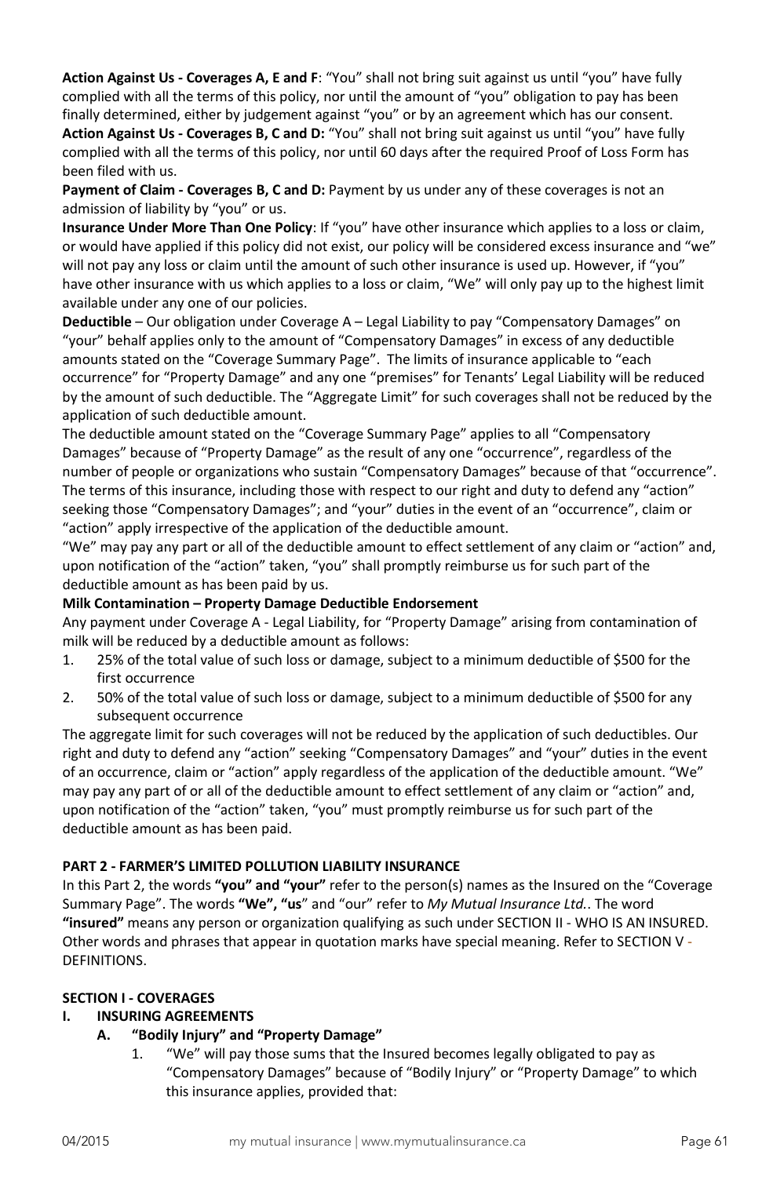**Action Against Us - Coverages A, E and F**: "You" shall not bring suit against us until "you" have fully complied with all the terms of this policy, nor until the amount of "you" obligation to pay has been finally determined, either by judgement against "you" or by an agreement which has our consent. **Action Against Us - Coverages B, C and D:** "You" shall not bring suit against us until "you" have fully complied with all the terms of this policy, nor until 60 days after the required Proof of Loss Form has been filed with us.

**Payment of Claim - Coverages B, C and D:** Payment by us under any of these coverages is not an admission of liability by "you" or us.

**Insurance Under More Than One Policy**: If "you" have other insurance which applies to a loss or claim, or would have applied if this policy did not exist, our policy will be considered excess insurance and "we" will not pay any loss or claim until the amount of such other insurance is used up. However, if "you" have other insurance with us which applies to a loss or claim, "We" will only pay up to the highest limit available under any one of our policies.

**Deductible** – Our obligation under Coverage A – Legal Liability to pay "Compensatory Damages" on "your" behalf applies only to the amount of "Compensatory Damages" in excess of any deductible amounts stated on the "Coverage Summary Page". The limits of insurance applicable to "each occurrence" for "Property Damage" and any one "premises" for Tenants' Legal Liability will be reduced by the amount of such deductible. The "Aggregate Limit" for such coverages shall not be reduced by the application of such deductible amount.

The deductible amount stated on the "Coverage Summary Page" applies to all "Compensatory Damages" because of "Property Damage" as the result of any one "occurrence", regardless of the number of people or organizations who sustain "Compensatory Damages" because of that "occurrence". The terms of this insurance, including those with respect to our right and duty to defend any "action" seeking those "Compensatory Damages"; and "your" duties in the event of an "occurrence", claim or "action" apply irrespective of the application of the deductible amount.

"We" may pay any part or all of the deductible amount to effect settlement of any claim or "action" and, upon notification of the "action" taken, "you" shall promptly reimburse us for such part of the deductible amount as has been paid by us.

#### **Milk Contamination – Property Damage Deductible Endorsement**

Any payment under Coverage A - Legal Liability, for "Property Damage" arising from contamination of milk will be reduced by a deductible amount as follows:

- 1. 25% of the total value of such loss or damage, subject to a minimum deductible of \$500 for the first occurrence
- 2. 50% of the total value of such loss or damage, subject to a minimum deductible of \$500 for any subsequent occurrence

The aggregate limit for such coverages will not be reduced by the application of such deductibles. Our right and duty to defend any "action" seeking "Compensatory Damages" and "your" duties in the event of an occurrence, claim or "action" apply regardless of the application of the deductible amount. "We" may pay any part of or all of the deductible amount to effect settlement of any claim or "action" and, upon notification of the "action" taken, "you" must promptly reimburse us for such part of the deductible amount as has been paid.

### **PART 2 - FARMER'S LIMITED POLLUTION LIABILITY INSURANCE**

In this Part 2, the words **"you" and "your"** refer to the person(s) names as the Insured on the "Coverage Summary Page". The words **"We", "us**" and "our" refer to *My Mutual Insurance Ltd.*. The word **"insured"** means any person or organization qualifying as such under SECTION II - WHO IS AN INSURED. Other words and phrases that appear in quotation marks have special meaning. Refer to SECTION V - DEFINITIONS.

#### **SECTION I - COVERAGES**

### **I. INSURING AGREEMENTS**

### **A. "Bodily Injury" and "Property Damage"**

1. "We" will pay those sums that the Insured becomes legally obligated to pay as "Compensatory Damages" because of "Bodily Injury" or "Property Damage" to which this insurance applies, provided that: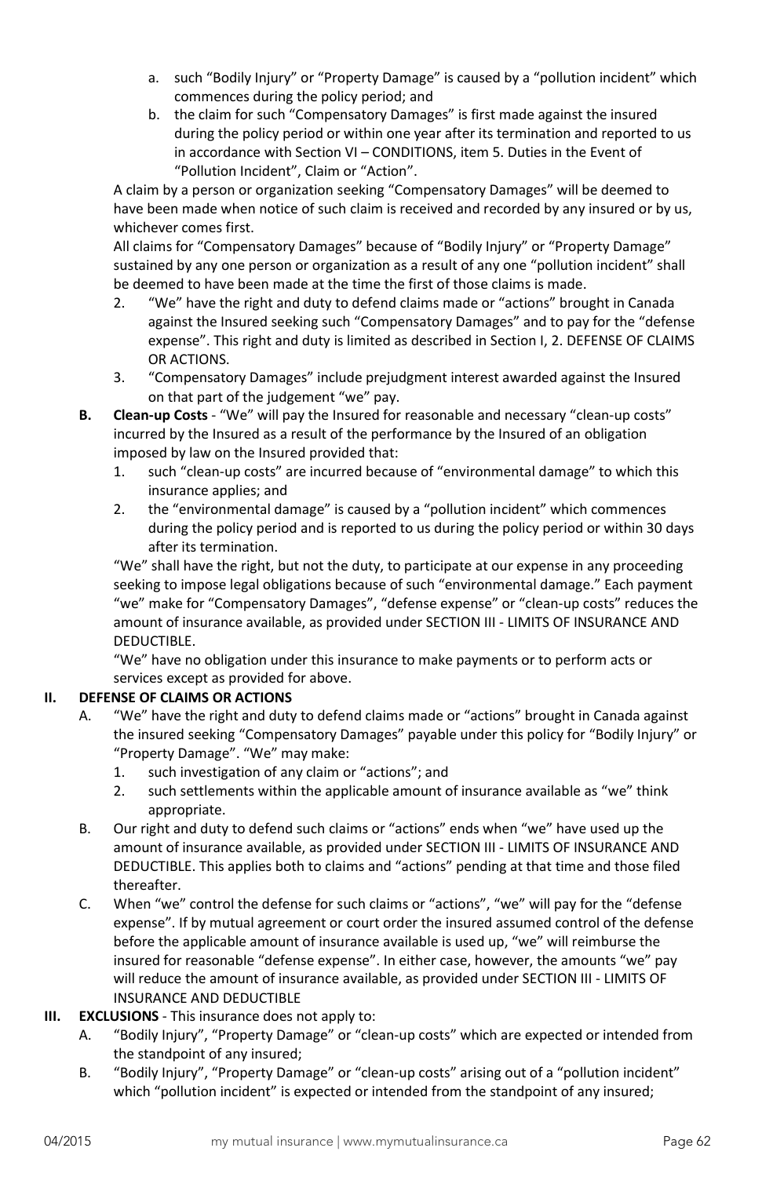- a. such "Bodily Injury" or "Property Damage" is caused by a "pollution incident" which commences during the policy period; and
- b. the claim for such "Compensatory Damages" is first made against the insured during the policy period or within one year after its termination and reported to us in accordance with Section VI – CONDITIONS, item 5. Duties in the Event of "Pollution Incident", Claim or "Action".

A claim by a person or organization seeking "Compensatory Damages" will be deemed to have been made when notice of such claim is received and recorded by any insured or by us, whichever comes first.

All claims for "Compensatory Damages" because of "Bodily Injury" or "Property Damage" sustained by any one person or organization as a result of any one "pollution incident" shall be deemed to have been made at the time the first of those claims is made.

- 2. "We" have the right and duty to defend claims made or "actions" brought in Canada against the Insured seeking such "Compensatory Damages" and to pay for the "defense expense". This right and duty is limited as described in Section I, 2. DEFENSE OF CLAIMS OR ACTIONS.
- 3. "Compensatory Damages" include prejudgment interest awarded against the Insured on that part of the judgement "we" pay.
- **B. Clean-up Costs** "We" will pay the Insured for reasonable and necessary "clean-up costs" incurred by the Insured as a result of the performance by the Insured of an obligation imposed by law on the Insured provided that:
	- 1. such "clean-up costs" are incurred because of "environmental damage" to which this insurance applies; and
	- 2. the "environmental damage" is caused by a "pollution incident" which commences during the policy period and is reported to us during the policy period or within 30 days after its termination.

"We" shall have the right, but not the duty, to participate at our expense in any proceeding seeking to impose legal obligations because of such "environmental damage." Each payment "we" make for "Compensatory Damages", "defense expense" or "clean-up costs" reduces the amount of insurance available, as provided under SECTION III - LIMITS OF INSURANCE AND DEDUCTIBLE.

"We" have no obligation under this insurance to make payments or to perform acts or services except as provided for above.

# **II. DEFENSE OF CLAIMS OR ACTIONS**

- A. "We" have the right and duty to defend claims made or "actions" brought in Canada against the insured seeking "Compensatory Damages" payable under this policy for "Bodily Injury" or "Property Damage". "We" may make:
	- 1. such investigation of any claim or "actions"; and
	- 2. such settlements within the applicable amount of insurance available as "we" think appropriate.
- B. Our right and duty to defend such claims or "actions" ends when "we" have used up the amount of insurance available, as provided under SECTION III - LIMITS OF INSURANCE AND DEDUCTIBLE. This applies both to claims and "actions" pending at that time and those filed thereafter.
- C. When "we" control the defense for such claims or "actions", "we" will pay for the "defense expense". If by mutual agreement or court order the insured assumed control of the defense before the applicable amount of insurance available is used up, "we" will reimburse the insured for reasonable "defense expense". In either case, however, the amounts "we" pay will reduce the amount of insurance available, as provided under SECTION III - LIMITS OF INSURANCE AND DEDUCTIBLE
- **III. EXCLUSIONS** This insurance does not apply to:
	- A. "Bodily Injury", "Property Damage" or "clean-up costs" which are expected or intended from the standpoint of any insured;
	- B. "Bodily Injury", "Property Damage" or "clean-up costs" arising out of a "pollution incident" which "pollution incident" is expected or intended from the standpoint of any insured;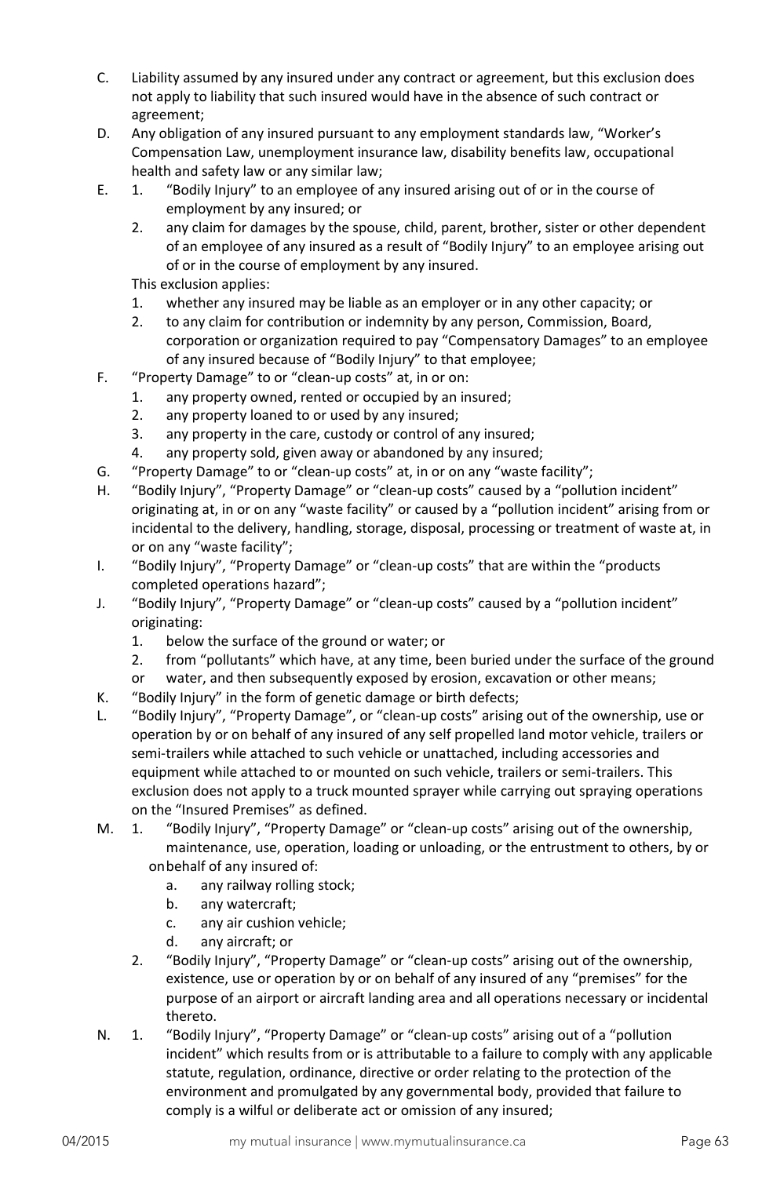- C. Liability assumed by any insured under any contract or agreement, but this exclusion does not apply to liability that such insured would have in the absence of such contract or agreement;
- D. Any obligation of any insured pursuant to any employment standards law, "Worker's Compensation Law, unemployment insurance law, disability benefits law, occupational health and safety law or any similar law;
- E. 1. "Bodily Injury" to an employee of any insured arising out of or in the course of employment by any insured; or
	- 2. any claim for damages by the spouse, child, parent, brother, sister or other dependent of an employee of any insured as a result of "Bodily Injury" to an employee arising out of or in the course of employment by any insured.

This exclusion applies:

- 1. whether any insured may be liable as an employer or in any other capacity; or
- 2. to any claim for contribution or indemnity by any person, Commission, Board, corporation or organization required to pay "Compensatory Damages" to an employee of any insured because of "Bodily Injury" to that employee;
- F. "Property Damage" to or "clean-up costs" at, in or on:
	- 1. any property owned, rented or occupied by an insured;
	- 2. any property loaned to or used by any insured;
	- 3. any property in the care, custody or control of any insured;
	- 4. any property sold, given away or abandoned by any insured;
- G. "Property Damage" to or "clean-up costs" at, in or on any "waste facility";
- H. "Bodily Injury", "Property Damage" or "clean-up costs" caused by a "pollution incident" originating at, in or on any "waste facility" or caused by a "pollution incident" arising from or incidental to the delivery, handling, storage, disposal, processing or treatment of waste at, in or on any "waste facility";
- I. "Bodily Injury", "Property Damage" or "clean-up costs" that are within the "products completed operations hazard";
- J. "Bodily Injury", "Property Damage" or "clean-up costs" caused by a "pollution incident" originating:
	- 1. below the surface of the ground or water; or
	- 2. from "pollutants" which have, at any time, been buried under the surface of the ground
	- or water, and then subsequently exposed by erosion, excavation or other means;
- K. "Bodily Injury" in the form of genetic damage or birth defects;
- L. "Bodily Injury", "Property Damage", or "clean-up costs" arising out of the ownership, use or operation by or on behalf of any insured of any self propelled land motor vehicle, trailers or semi-trailers while attached to such vehicle or unattached, including accessories and equipment while attached to or mounted on such vehicle, trailers or semi-trailers. This exclusion does not apply to a truck mounted sprayer while carrying out spraying operations on the "Insured Premises" as defined.
- M. 1. "Bodily Injury", "Property Damage" or "clean-up costs" arising out of the ownership, maintenance, use, operation, loading or unloading, or the entrustment to others, by or onbehalf of any insured of:
	- a. any railway rolling stock;
	- b. any watercraft;
	- c. any air cushion vehicle;
	- d. any aircraft; or
	- 2. "Bodily Injury", "Property Damage" or "clean-up costs" arising out of the ownership, existence, use or operation by or on behalf of any insured of any "premises" for the purpose of an airport or aircraft landing area and all operations necessary or incidental thereto.
- N. 1. "Bodily Injury", "Property Damage" or "clean-up costs" arising out of a "pollution incident" which results from or is attributable to a failure to comply with any applicable statute, regulation, ordinance, directive or order relating to the protection of the environment and promulgated by any governmental body, provided that failure to comply is a wilful or deliberate act or omission of any insured;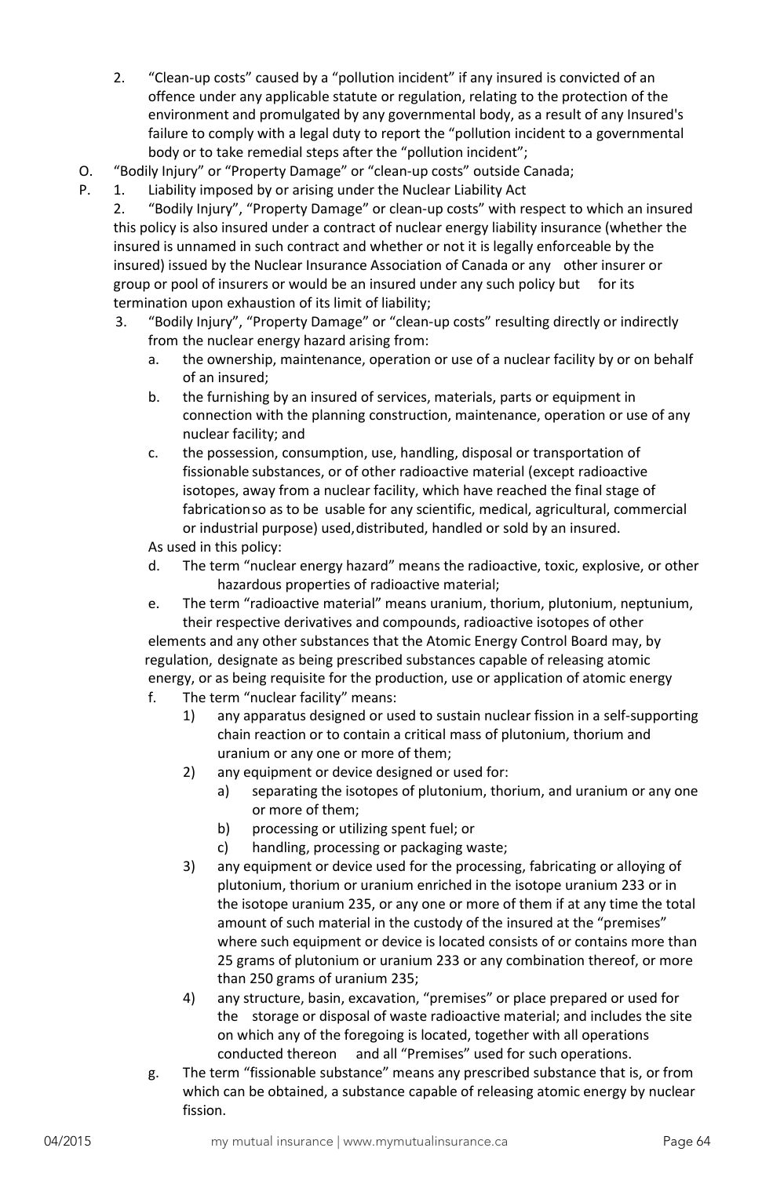- 2. "Clean-up costs" caused by a "pollution incident" if any insured is convicted of an offence under any applicable statute or regulation, relating to the protection of the environment and promulgated by any governmental body, as a result of any Insured's failure to comply with a legal duty to report the "pollution incident to a governmental body or to take remedial steps after the "pollution incident";
- O. "Bodily Injury" or "Property Damage" or "clean-up costs" outside Canada;
- P. 1. Liability imposed by or arising under the Nuclear Liability Act
	- 2. "Bodily Injury", "Property Damage" or clean-up costs" with respect to which an insured this policy is also insured under a contract of nuclear energy liability insurance (whether the insured is unnamed in such contract and whether or not it is legally enforceable by the insured) issued by the Nuclear Insurance Association of Canada or any other insurer or group or pool of insurers or would be an insured under any such policy but for its termination upon exhaustion of its limit of liability;
	- 3. "Bodily Injury", "Property Damage" or "clean-up costs" resulting directly or indirectly from the nuclear energy hazard arising from:
		- a. the ownership, maintenance, operation or use of a nuclear facility by or on behalf of an insured;
		- b. the furnishing by an insured of services, materials, parts or equipment in connection with the planning construction, maintenance, operation or use of any nuclear facility; and
		- c. the possession, consumption, use, handling, disposal or transportation of fissionable substances, or of other radioactive material (except radioactive isotopes, away from a nuclear facility, which have reached the final stage of fabricationso as to be usable for any scientific, medical, agricultural, commercial or industrial purpose) used,distributed, handled or sold by an insured.

As used in this policy:

- d. The term "nuclear energy hazard" means the radioactive, toxic, explosive, or other hazardous properties of radioactive material;
- e. The term "radioactive material" means uranium, thorium, plutonium, neptunium, their respective derivatives and compounds, radioactive isotopes of other

elements and any other substances that the Atomic Energy Control Board may, by regulation, designate as being prescribed substances capable of releasing atomic energy, or as being requisite for the production, use or application of atomic energy

- f. The term "nuclear facility" means:
	- 1) any apparatus designed or used to sustain nuclear fission in a self-supporting chain reaction or to contain a critical mass of plutonium, thorium and uranium or any one or more of them;
	- 2) any equipment or device designed or used for:
		- a) separating the isotopes of plutonium, thorium, and uranium or any one or more of them;
		- b) processing or utilizing spent fuel; or
		- c) handling, processing or packaging waste;
	- 3) any equipment or device used for the processing, fabricating or alloying of plutonium, thorium or uranium enriched in the isotope uranium 233 or in the isotope uranium 235, or any one or more of them if at any time the total amount of such material in the custody of the insured at the "premises" where such equipment or device is located consists of or contains more than 25 grams of plutonium or uranium 233 or any combination thereof, or more than 250 grams of uranium 235;
	- 4) any structure, basin, excavation, "premises" or place prepared or used for the storage or disposal of waste radioactive material; and includes the site on which any of the foregoing is located, together with all operations conducted thereon and all "Premises" used for such operations.
- g. The term "fissionable substance" means any prescribed substance that is, or from which can be obtained, a substance capable of releasing atomic energy by nuclear fission.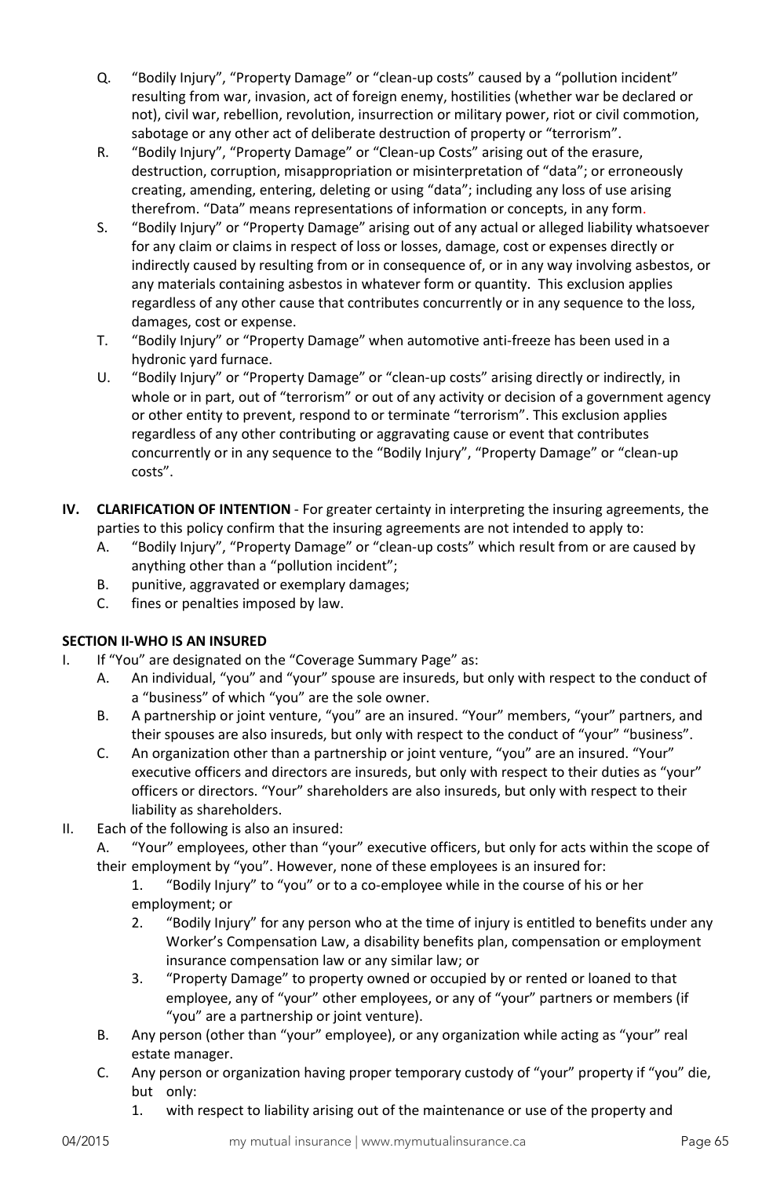- Q. "Bodily Injury", "Property Damage" or "clean-up costs" caused by a "pollution incident" resulting from war, invasion, act of foreign enemy, hostilities (whether war be declared or not), civil war, rebellion, revolution, insurrection or military power, riot or civil commotion, sabotage or any other act of deliberate destruction of property or "terrorism".
- R. "Bodily Injury", "Property Damage" or "Clean-up Costs" arising out of the erasure, destruction, corruption, misappropriation or misinterpretation of "data"; or erroneously creating, amending, entering, deleting or using "data"; including any loss of use arising therefrom. "Data" means representations of information or concepts, in any form.
- S. "Bodily Injury" or "Property Damage" arising out of any actual or alleged liability whatsoever for any claim or claims in respect of loss or losses, damage, cost or expenses directly or indirectly caused by resulting from or in consequence of, or in any way involving asbestos, or any materials containing asbestos in whatever form or quantity. This exclusion applies regardless of any other cause that contributes concurrently or in any sequence to the loss, damages, cost or expense.
- T. "Bodily Injury" or "Property Damage" when automotive anti-freeze has been used in a hydronic yard furnace.
- U. "Bodily Injury" or "Property Damage" or "clean-up costs" arising directly or indirectly, in whole or in part, out of "terrorism" or out of any activity or decision of a government agency or other entity to prevent, respond to or terminate "terrorism". This exclusion applies regardless of any other contributing or aggravating cause or event that contributes concurrently or in any sequence to the "Bodily Injury", "Property Damage" or "clean-up costs".
- **IV. CLARIFICATION OF INTENTION** For greater certainty in interpreting the insuring agreements, the parties to this policy confirm that the insuring agreements are not intended to apply to:
	- A. "Bodily Injury", "Property Damage" or "clean-up costs" which result from or are caused by anything other than a "pollution incident";
	- B. punitive, aggravated or exemplary damages;
	- C. fines or penalties imposed by law.

# **SECTION II-WHO IS AN INSURED**

- I. If "You" are designated on the "Coverage Summary Page" as:
	- A. An individual, "you" and "your" spouse are insureds, but only with respect to the conduct of a "business" of which "you" are the sole owner.
	- B. A partnership or joint venture, "you" are an insured. "Your" members, "your" partners, and their spouses are also insureds, but only with respect to the conduct of "your" "business".
	- C. An organization other than a partnership or joint venture, "you" are an insured. "Your" executive officers and directors are insureds, but only with respect to their duties as "your" officers or directors. "Your" shareholders are also insureds, but only with respect to their liability as shareholders.
- II. Each of the following is also an insured:
	- A. "Your" employees, other than "your" executive officers, but only for acts within the scope of their employment by "you". However, none of these employees is an insured for:
		- 1. "Bodily Injury" to "you" or to a co-employee while in the course of his or her employment; or
		- 2. "Bodily Injury" for any person who at the time of injury is entitled to benefits under any Worker's Compensation Law, a disability benefits plan, compensation or employment insurance compensation law or any similar law; or
		- 3. "Property Damage" to property owned or occupied by or rented or loaned to that employee, any of "your" other employees, or any of "your" partners or members (if "you" are a partnership or joint venture).
	- B. Any person (other than "your" employee), or any organization while acting as "your" real estate manager.
	- C. Any person or organization having proper temporary custody of "your" property if "you" die, but only:
		- 1. with respect to liability arising out of the maintenance or use of the property and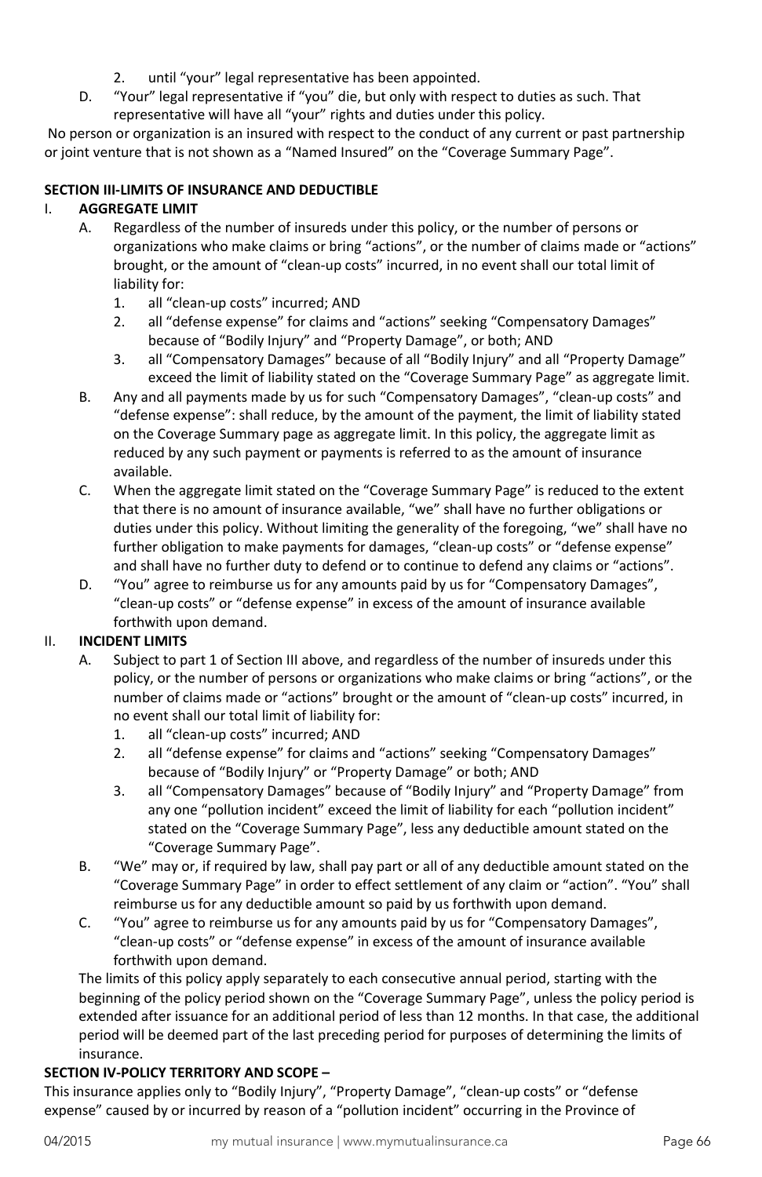- 2. until "your" legal representative has been appointed.
- D. "Your" legal representative if "you" die, but only with respect to duties as such. That representative will have all "your" rights and duties under this policy.

No person or organization is an insured with respect to the conduct of any current or past partnership or joint venture that is not shown as a "Named Insured" on the "Coverage Summary Page".

### **SECTION III-LIMITS OF INSURANCE AND DEDUCTIBLE**

### I. **AGGREGATE LIMIT**

- A. Regardless of the number of insureds under this policy, or the number of persons or organizations who make claims or bring "actions", or the number of claims made or "actions" brought, or the amount of "clean-up costs" incurred, in no event shall our total limit of liability for:
	- 1. all "clean-up costs" incurred; AND
	- 2. all "defense expense" for claims and "actions" seeking "Compensatory Damages" because of "Bodily Injury" and "Property Damage", or both; AND
	- 3. all "Compensatory Damages" because of all "Bodily Injury" and all "Property Damage" exceed the limit of liability stated on the "Coverage Summary Page" as aggregate limit.
- B. Any and all payments made by us for such "Compensatory Damages", "clean-up costs" and "defense expense": shall reduce, by the amount of the payment, the limit of liability stated on the Coverage Summary page as aggregate limit. In this policy, the aggregate limit as reduced by any such payment or payments is referred to as the amount of insurance available.
- C. When the aggregate limit stated on the "Coverage Summary Page" is reduced to the extent that there is no amount of insurance available, "we" shall have no further obligations or duties under this policy. Without limiting the generality of the foregoing, "we" shall have no further obligation to make payments for damages, "clean-up costs" or "defense expense" and shall have no further duty to defend or to continue to defend any claims or "actions".
- D. "You" agree to reimburse us for any amounts paid by us for "Compensatory Damages", "clean-up costs" or "defense expense" in excess of the amount of insurance available forthwith upon demand.

# II. **INCIDENT LIMITS**

- A. Subject to part 1 of Section III above, and regardless of the number of insureds under this policy, or the number of persons or organizations who make claims or bring "actions", or the number of claims made or "actions" brought or the amount of "clean-up costs" incurred, in no event shall our total limit of liability for:
	- 1. all "clean-up costs" incurred; AND
	- 2. all "defense expense" for claims and "actions" seeking "Compensatory Damages" because of "Bodily Injury" or "Property Damage" or both; AND
	- 3. all "Compensatory Damages" because of "Bodily Injury" and "Property Damage" from any one "pollution incident" exceed the limit of liability for each "pollution incident" stated on the "Coverage Summary Page", less any deductible amount stated on the "Coverage Summary Page".
- B. "We" may or, if required by law, shall pay part or all of any deductible amount stated on the "Coverage Summary Page" in order to effect settlement of any claim or "action". "You" shall reimburse us for any deductible amount so paid by us forthwith upon demand.
- C. "You" agree to reimburse us for any amounts paid by us for "Compensatory Damages", "clean-up costs" or "defense expense" in excess of the amount of insurance available forthwith upon demand.

The limits of this policy apply separately to each consecutive annual period, starting with the beginning of the policy period shown on the "Coverage Summary Page", unless the policy period is extended after issuance for an additional period of less than 12 months. In that case, the additional period will be deemed part of the last preceding period for purposes of determining the limits of insurance.

### **SECTION IV-POLICY TERRITORY AND SCOPE –**

This insurance applies only to "Bodily Injury", "Property Damage", "clean-up costs" or "defense expense" caused by or incurred by reason of a "pollution incident" occurring in the Province of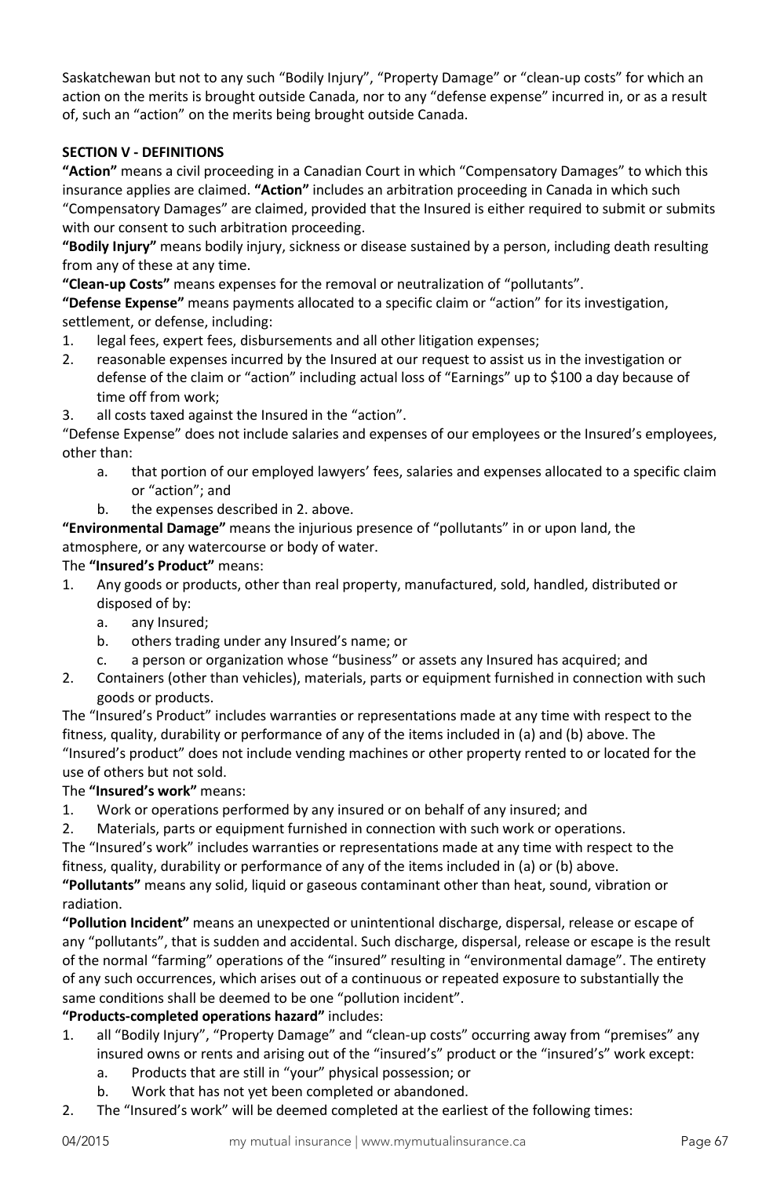Saskatchewan but not to any such "Bodily Injury", "Property Damage" or "clean-up costs" for which an action on the merits is brought outside Canada, nor to any "defense expense" incurred in, or as a result of, such an "action" on the merits being brought outside Canada.

## **SECTION V - DEFINITIONS**

**"Action"** means a civil proceeding in a Canadian Court in which "Compensatory Damages" to which this insurance applies are claimed. **"Action"** includes an arbitration proceeding in Canada in which such "Compensatory Damages" are claimed, provided that the Insured is either required to submit or submits with our consent to such arbitration proceeding.

**"Bodily Injury"** means bodily injury, sickness or disease sustained by a person, including death resulting from any of these at any time.

**"Clean-up Costs"** means expenses for the removal or neutralization of "pollutants".

**"Defense Expense"** means payments allocated to a specific claim or "action" for its investigation, settlement, or defense, including:

- 1. legal fees, expert fees, disbursements and all other litigation expenses;
- 2. reasonable expenses incurred by the Insured at our request to assist us in the investigation or defense of the claim or "action" including actual loss of "Earnings" up to \$100 a day because of time off from work;
- 3. all costs taxed against the Insured in the "action".

"Defense Expense" does not include salaries and expenses of our employees or the Insured's employees, other than:

- a. that portion of our employed lawyers' fees, salaries and expenses allocated to a specific claim or "action"; and
- b. the expenses described in 2. above.

**"Environmental Damage"** means the injurious presence of "pollutants" in or upon land, the atmosphere, or any watercourse or body of water.

# The **"Insured's Product"** means:

- 1. Any goods or products, other than real property, manufactured, sold, handled, distributed or disposed of by:
	- a. any Insured;
	- b. others trading under any Insured's name; or
	- c. a person or organization whose "business" or assets any Insured has acquired; and
- 2. Containers (other than vehicles), materials, parts or equipment furnished in connection with such goods or products.

The "Insured's Product" includes warranties or representations made at any time with respect to the fitness, quality, durability or performance of any of the items included in (a) and (b) above. The "Insured's product" does not include vending machines or other property rented to or located for the use of others but not sold.

# The **"Insured's work"** means:

1. Work or operations performed by any insured or on behalf of any insured; and

2. Materials, parts or equipment furnished in connection with such work or operations. The "Insured's work" includes warranties or representations made at any time with respect to the fitness, quality, durability or performance of any of the items included in (a) or (b) above.

**"Pollutants"** means any solid, liquid or gaseous contaminant other than heat, sound, vibration or radiation.

**"Pollution Incident"** means an unexpected or unintentional discharge, dispersal, release or escape of any "pollutants", that is sudden and accidental. Such discharge, dispersal, release or escape is the result of the normal "farming" operations of the "insured" resulting in "environmental damage". The entirety of any such occurrences, which arises out of a continuous or repeated exposure to substantially the same conditions shall be deemed to be one "pollution incident".

### **"Products-completed operations hazard"** includes:

- 1. all "Bodily Injury", "Property Damage" and "clean-up costs" occurring away from "premises" any insured owns or rents and arising out of the "insured's" product or the "insured's" work except:
	- a. Products that are still in "your" physical possession; or
	- b. Work that has not yet been completed or abandoned.
- 2. The "Insured's work" will be deemed completed at the earliest of the following times: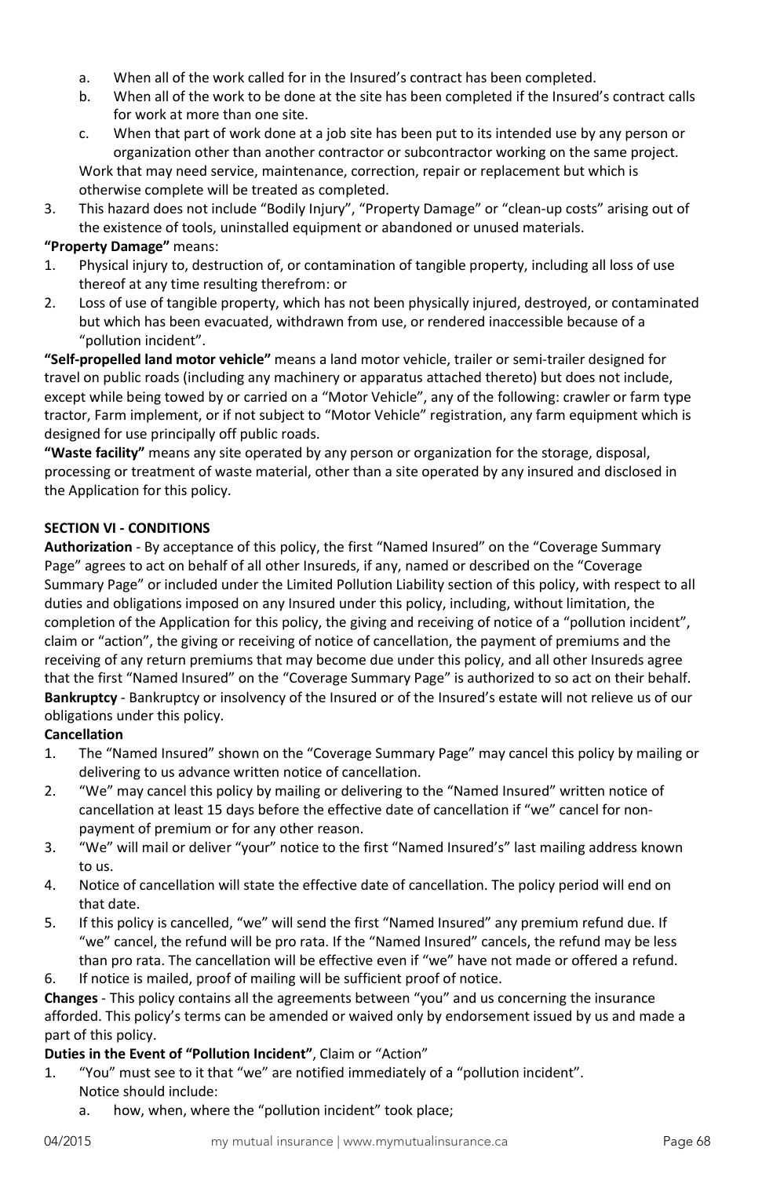- a. When all of the work called for in the Insured's contract has been completed.
- b. When all of the work to be done at the site has been completed if the Insured's contract calls for work at more than one site.
- c. When that part of work done at a job site has been put to its intended use by any person or organization other than another contractor or subcontractor working on the same project. Work that may need service, maintenance, correction, repair or replacement but which is otherwise complete will be treated as completed.
- 3. This hazard does not include "Bodily Injury", "Property Damage" or "clean-up costs" arising out of the existence of tools, uninstalled equipment or abandoned or unused materials.

# **"Property Damage"** means:

- 1. Physical injury to, destruction of, or contamination of tangible property, including all loss of use thereof at any time resulting therefrom: or
- 2. Loss of use of tangible property, which has not been physically injured, destroyed, or contaminated but which has been evacuated, withdrawn from use, or rendered inaccessible because of a "pollution incident".

**"Self-propelled land motor vehicle"** means a land motor vehicle, trailer or semi-trailer designed for travel on public roads (including any machinery or apparatus attached thereto) but does not include, except while being towed by or carried on a "Motor Vehicle", any of the following: crawler or farm type tractor, Farm implement, or if not subject to "Motor Vehicle" registration, any farm equipment which is designed for use principally off public roads.

**"Waste facility"** means any site operated by any person or organization for the storage, disposal, processing or treatment of waste material, other than a site operated by any insured and disclosed in the Application for this policy.

### **SECTION VI - CONDITIONS**

**Authorization** - By acceptance of this policy, the first "Named Insured" on the "Coverage Summary Page" agrees to act on behalf of all other Insureds, if any, named or described on the "Coverage Summary Page" or included under the Limited Pollution Liability section of this policy, with respect to all duties and obligations imposed on any Insured under this policy, including, without limitation, the completion of the Application for this policy, the giving and receiving of notice of a "pollution incident", claim or "action", the giving or receiving of notice of cancellation, the payment of premiums and the receiving of any return premiums that may become due under this policy, and all other Insureds agree that the first "Named Insured" on the "Coverage Summary Page" is authorized to so act on their behalf. **Bankruptcy** - Bankruptcy or insolvency of the Insured or of the Insured's estate will not relieve us of our obligations under this policy.

### **Cancellation**

- 1. The "Named Insured" shown on the "Coverage Summary Page" may cancel this policy by mailing or delivering to us advance written notice of cancellation.
- 2. "We" may cancel this policy by mailing or delivering to the "Named Insured" written notice of cancellation at least 15 days before the effective date of cancellation if "we" cancel for nonpayment of premium or for any other reason.
- 3. "We" will mail or deliver "your" notice to the first "Named Insured's" last mailing address known to us.
- 4. Notice of cancellation will state the effective date of cancellation. The policy period will end on that date.
- 5. If this policy is cancelled, "we" will send the first "Named Insured" any premium refund due. If "we" cancel, the refund will be pro rata. If the "Named Insured" cancels, the refund may be less than pro rata. The cancellation will be effective even if "we" have not made or offered a refund.
- 6. If notice is mailed, proof of mailing will be sufficient proof of notice.

**Changes** - This policy contains all the agreements between "you" and us concerning the insurance afforded. This policy's terms can be amended or waived only by endorsement issued by us and made a part of this policy.

### **Duties in the Event of "Pollution Incident"**, Claim or "Action"

- 1. "You" must see to it that "we" are notified immediately of a "pollution incident". Notice should include:
	- a. how, when, where the "pollution incident" took place;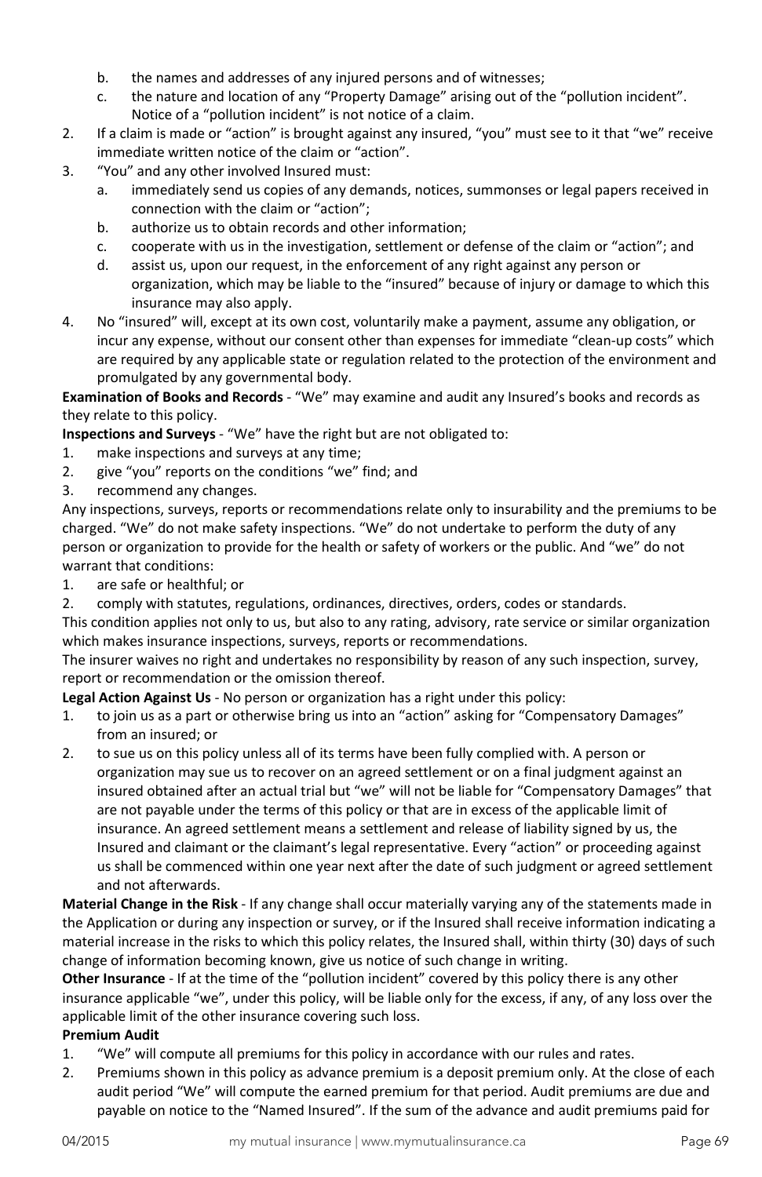- b. the names and addresses of any injured persons and of witnesses;
- c. the nature and location of any "Property Damage" arising out of the "pollution incident". Notice of a "pollution incident" is not notice of a claim.
- 2. If a claim is made or "action" is brought against any insured, "you" must see to it that "we" receive immediate written notice of the claim or "action".
- 3. "You" and any other involved Insured must:
	- a. immediately send us copies of any demands, notices, summonses or legal papers received in connection with the claim or "action";
	- b. authorize us to obtain records and other information;
	- c. cooperate with us in the investigation, settlement or defense of the claim or "action"; and
	- d. assist us, upon our request, in the enforcement of any right against any person or organization, which may be liable to the "insured" because of injury or damage to which this insurance may also apply.
- 4. No "insured" will, except at its own cost, voluntarily make a payment, assume any obligation, or incur any expense, without our consent other than expenses for immediate "clean-up costs" which are required by any applicable state or regulation related to the protection of the environment and promulgated by any governmental body.

**Examination of Books and Records** - "We" may examine and audit any Insured's books and records as they relate to this policy.

**Inspections and Surveys** - "We" have the right but are not obligated to:

- 1. make inspections and surveys at any time;
- 2. give "you" reports on the conditions "we" find; and
- 3. recommend any changes.

Any inspections, surveys, reports or recommendations relate only to insurability and the premiums to be charged. "We" do not make safety inspections. "We" do not undertake to perform the duty of any person or organization to provide for the health or safety of workers or the public. And "we" do not warrant that conditions:

- 1. are safe or healthful; or
- 2. comply with statutes, regulations, ordinances, directives, orders, codes or standards.

This condition applies not only to us, but also to any rating, advisory, rate service or similar organization which makes insurance inspections, surveys, reports or recommendations.

The insurer waives no right and undertakes no responsibility by reason of any such inspection, survey, report or recommendation or the omission thereof.

**Legal Action Against Us** - No person or organization has a right under this policy:

- 1. to join us as a part or otherwise bring us into an "action" asking for "Compensatory Damages" from an insured; or
- 2. to sue us on this policy unless all of its terms have been fully complied with. A person or organization may sue us to recover on an agreed settlement or on a final judgment against an insured obtained after an actual trial but "we" will not be liable for "Compensatory Damages" that are not payable under the terms of this policy or that are in excess of the applicable limit of insurance. An agreed settlement means a settlement and release of liability signed by us, the Insured and claimant or the claimant's legal representative. Every "action" or proceeding against us shall be commenced within one year next after the date of such judgment or agreed settlement and not afterwards.

**Material Change in the Risk** - If any change shall occur materially varying any of the statements made in the Application or during any inspection or survey, or if the Insured shall receive information indicating a material increase in the risks to which this policy relates, the Insured shall, within thirty (30) days of such change of information becoming known, give us notice of such change in writing.

**Other Insurance** - If at the time of the "pollution incident" covered by this policy there is any other insurance applicable "we", under this policy, will be liable only for the excess, if any, of any loss over the applicable limit of the other insurance covering such loss.

#### **Premium Audit**

- 1. "We" will compute all premiums for this policy in accordance with our rules and rates.
- 2. Premiums shown in this policy as advance premium is a deposit premium only. At the close of each audit period "We" will compute the earned premium for that period. Audit premiums are due and payable on notice to the "Named Insured". If the sum of the advance and audit premiums paid for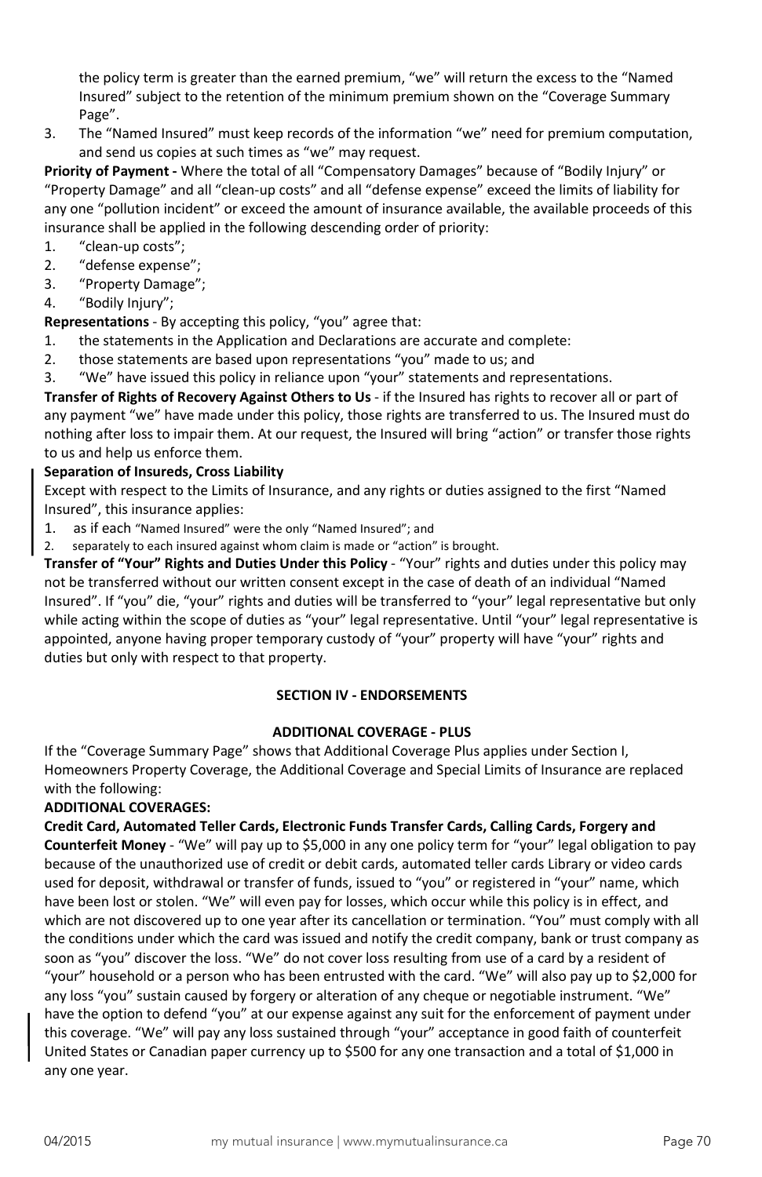the policy term is greater than the earned premium, "we" will return the excess to the "Named Insured" subject to the retention of the minimum premium shown on the "Coverage Summary Page".

3. The "Named Insured" must keep records of the information "we" need for premium computation, and send us copies at such times as "we" may request.

**Priority of Payment -** Where the total of all "Compensatory Damages" because of "Bodily Injury" or "Property Damage" and all "clean-up costs" and all "defense expense" exceed the limits of liability for any one "pollution incident" or exceed the amount of insurance available, the available proceeds of this insurance shall be applied in the following descending order of priority:

- 1. "clean-up costs";
- 2. "defense expense";
- 3. "Property Damage";
- 4. "Bodily Injury";

**Representations** - By accepting this policy, "you" agree that:

- 1. the statements in the Application and Declarations are accurate and complete:
- 2. those statements are based upon representations "you" made to us; and
- 3. "We" have issued this policy in reliance upon "your" statements and representations.

**Transfer of Rights of Recovery Against Others to Us** - if the Insured has rights to recover all or part of any payment "we" have made under this policy, those rights are transferred to us. The Insured must do nothing after loss to impair them. At our request, the Insured will bring "action" or transfer those rights to us and help us enforce them.

#### **Separation of Insureds, Cross Liability**

Except with respect to the Limits of Insurance, and any rights or duties assigned to the first "Named Insured", this insurance applies:

- 1. as if each "Named Insured" were the only "Named Insured"; and
- 2. separately to each insured against whom claim is made or "action" is brought.

**Transfer of "Your" Rights and Duties Under this Policy** - "Your" rights and duties under this policy may not be transferred without our written consent except in the case of death of an individual "Named Insured". If "you" die, "your" rights and duties will be transferred to "your" legal representative but only while acting within the scope of duties as "your" legal representative. Until "your" legal representative is appointed, anyone having proper temporary custody of "your" property will have "your" rights and duties but only with respect to that property.

#### **SECTION IV - ENDORSEMENTS**

#### **ADDITIONAL COVERAGE - PLUS**

If the "Coverage Summary Page" shows that Additional Coverage Plus applies under Section I, Homeowners Property Coverage, the Additional Coverage and Special Limits of Insurance are replaced with the following:

#### **ADDITIONAL COVERAGES:**

**Credit Card, Automated Teller Cards, Electronic Funds Transfer Cards, Calling Cards, Forgery and Counterfeit Money** - "We" will pay up to \$5,000 in any one policy term for "your" legal obligation to pay because of the unauthorized use of credit or debit cards, automated teller cards Library or video cards used for deposit, withdrawal or transfer of funds, issued to "you" or registered in "your" name, which have been lost or stolen. "We" will even pay for losses, which occur while this policy is in effect, and which are not discovered up to one year after its cancellation or termination. "You" must comply with all the conditions under which the card was issued and notify the credit company, bank or trust company as soon as "you" discover the loss. "We" do not cover loss resulting from use of a card by a resident of "your" household or a person who has been entrusted with the card. "We" will also pay up to \$2,000 for any loss "you" sustain caused by forgery or alteration of any cheque or negotiable instrument. "We" have the option to defend "you" at our expense against any suit for the enforcement of payment under this coverage. "We" will pay any loss sustained through "your" acceptance in good faith of counterfeit United States or Canadian paper currency up to \$500 for any one transaction and a total of \$1,000 in any one year.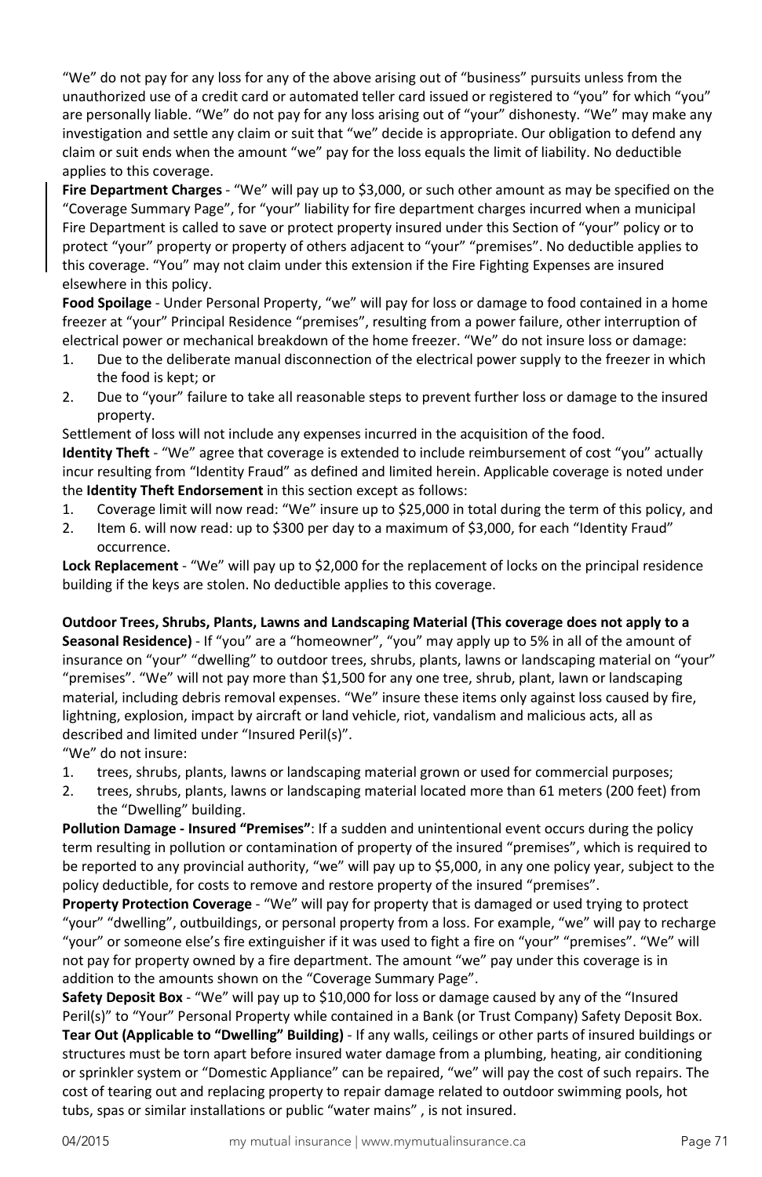"We" do not pay for any loss for any of the above arising out of "business" pursuits unless from the unauthorized use of a credit card or automated teller card issued or registered to "you" for which "you" are personally liable. "We" do not pay for any loss arising out of "your" dishonesty. "We" may make any investigation and settle any claim or suit that "we" decide is appropriate. Our obligation to defend any claim or suit ends when the amount "we" pay for the loss equals the limit of liability. No deductible applies to this coverage.

**Fire Department Charges** - "We" will pay up to \$3,000, or such other amount as may be specified on the "Coverage Summary Page", for "your" liability for fire department charges incurred when a municipal Fire Department is called to save or protect property insured under this Section of "your" policy or to protect "your" property or property of others adjacent to "your" "premises". No deductible applies to this coverage. "You" may not claim under this extension if the Fire Fighting Expenses are insured elsewhere in this policy.

**Food Spoilage** - Under Personal Property, "we" will pay for loss or damage to food contained in a home freezer at "your" Principal Residence "premises", resulting from a power failure, other interruption of electrical power or mechanical breakdown of the home freezer. "We" do not insure loss or damage:

- 1. Due to the deliberate manual disconnection of the electrical power supply to the freezer in which the food is kept; or
- 2. Due to "your" failure to take all reasonable steps to prevent further loss or damage to the insured property.

Settlement of loss will not include any expenses incurred in the acquisition of the food.

**Identity Theft** - "We" agree that coverage is extended to include reimbursement of cost "you" actually incur resulting from "Identity Fraud" as defined and limited herein. Applicable coverage is noted under the **Identity Theft Endorsement** in this section except as follows:

- 1. Coverage limit will now read: "We" insure up to \$25,000 in total during the term of this policy, and
- 2. Item 6. will now read: up to \$300 per day to a maximum of \$3,000, for each "Identity Fraud" occurrence.

**Lock Replacement** - "We" will pay up to \$2,000 for the replacement of locks on the principal residence building if the keys are stolen. No deductible applies to this coverage.

**Outdoor Trees, Shrubs, Plants, Lawns and Landscaping Material (This coverage does not apply to a Seasonal Residence)** - If "you" are a "homeowner", "you" may apply up to 5% in all of the amount of insurance on "your" "dwelling" to outdoor trees, shrubs, plants, lawns or landscaping material on "your" "premises". "We" will not pay more than \$1,500 for any one tree, shrub, plant, lawn or landscaping material, including debris removal expenses. "We" insure these items only against loss caused by fire, lightning, explosion, impact by aircraft or land vehicle, riot, vandalism and malicious acts, all as described and limited under "Insured Peril(s)".

"We" do not insure:

- 1. trees, shrubs, plants, lawns or landscaping material grown or used for commercial purposes;
- 2. trees, shrubs, plants, lawns or landscaping material located more than 61 meters (200 feet) from the "Dwelling" building.

**Pollution Damage - Insured "Premises"**: If a sudden and unintentional event occurs during the policy term resulting in pollution or contamination of property of the insured "premises", which is required to be reported to any provincial authority, "we" will pay up to \$5,000, in any one policy year, subject to the policy deductible, for costs to remove and restore property of the insured "premises".

**Property Protection Coverage** - "We" will pay for property that is damaged or used trying to protect "your" "dwelling", outbuildings, or personal property from a loss. For example, "we" will pay to recharge "your" or someone else's fire extinguisher if it was used to fight a fire on "your" "premises". "We" will not pay for property owned by a fire department. The amount "we" pay under this coverage is in addition to the amounts shown on the "Coverage Summary Page".

**Safety Deposit Box** - "We" will pay up to \$10,000 for loss or damage caused by any of the "Insured Peril(s)" to "Your" Personal Property while contained in a Bank (or Trust Company) Safety Deposit Box. **Tear Out (Applicable to "Dwelling" Building)** - If any walls, ceilings or other parts of insured buildings or structures must be torn apart before insured water damage from a plumbing, heating, air conditioning or sprinkler system or "Domestic Appliance" can be repaired, "we" will pay the cost of such repairs. The cost of tearing out and replacing property to repair damage related to outdoor swimming pools, hot tubs, spas or similar installations or public "water mains" , is not insured.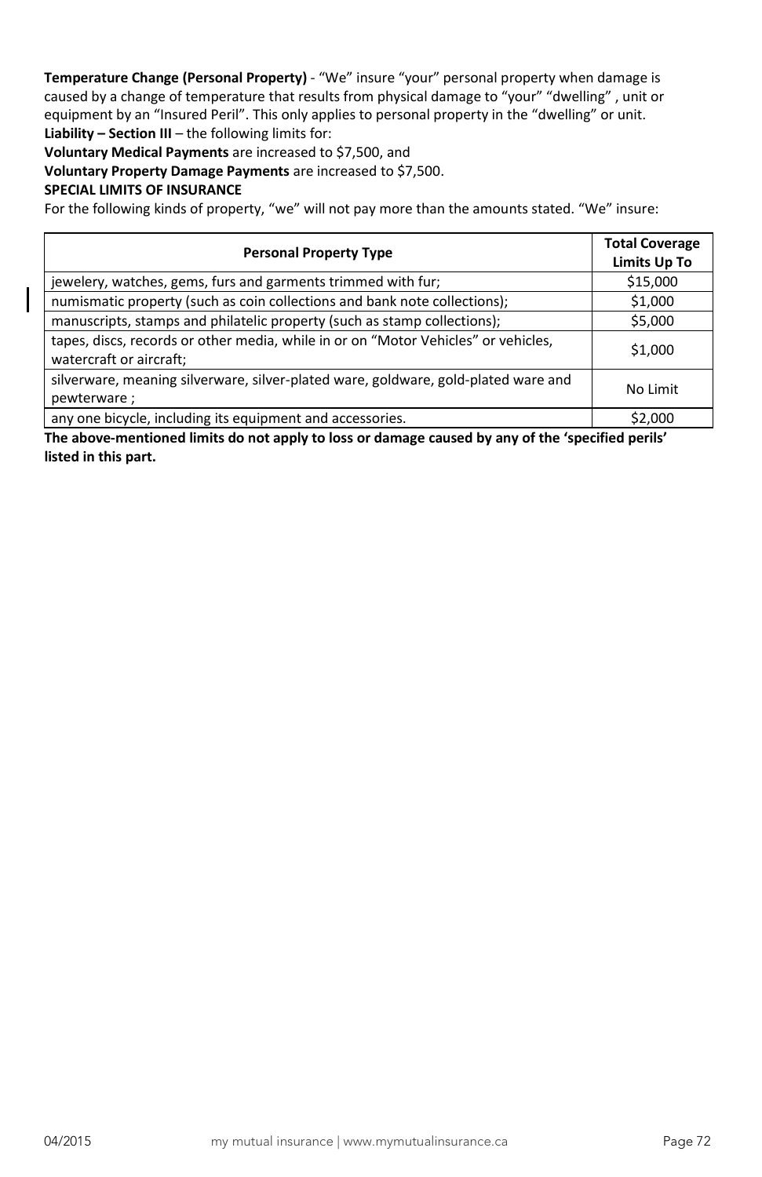**Temperature Change (Personal Property)** - "We" insure "your" personal property when damage is caused by a change of temperature that results from physical damage to "your" "dwelling" , unit or equipment by an "Insured Peril". This only applies to personal property in the "dwelling" or unit. **Liability – Section III** – the following limits for:

**Voluntary Medical Payments** are increased to \$7,500, and

**Voluntary Property Damage Payments** are increased to \$7,500.

#### **SPECIAL LIMITS OF INSURANCE**

For the following kinds of property, "we" will not pay more than the amounts stated. "We" insure:

| <b>Personal Property Type</b>                                                                                 | <b>Total Coverage</b><br><b>Limits Up To</b> |
|---------------------------------------------------------------------------------------------------------------|----------------------------------------------|
| jewelery, watches, gems, furs and garments trimmed with fur;                                                  | \$15,000                                     |
| numismatic property (such as coin collections and bank note collections);                                     | \$1,000                                      |
| manuscripts, stamps and philatelic property (such as stamp collections);                                      | \$5,000                                      |
| tapes, discs, records or other media, while in or on "Motor Vehicles" or vehicles,<br>watercraft or aircraft; | \$1,000                                      |
| silverware, meaning silverware, silver-plated ware, goldware, gold-plated ware and<br>pewterware;             | No Limit                                     |
| any one bicycle, including its equipment and accessories.                                                     | \$2.000                                      |

**The above-mentioned limits do not apply to loss or damage caused by any of the 'specified perils' listed in this part.**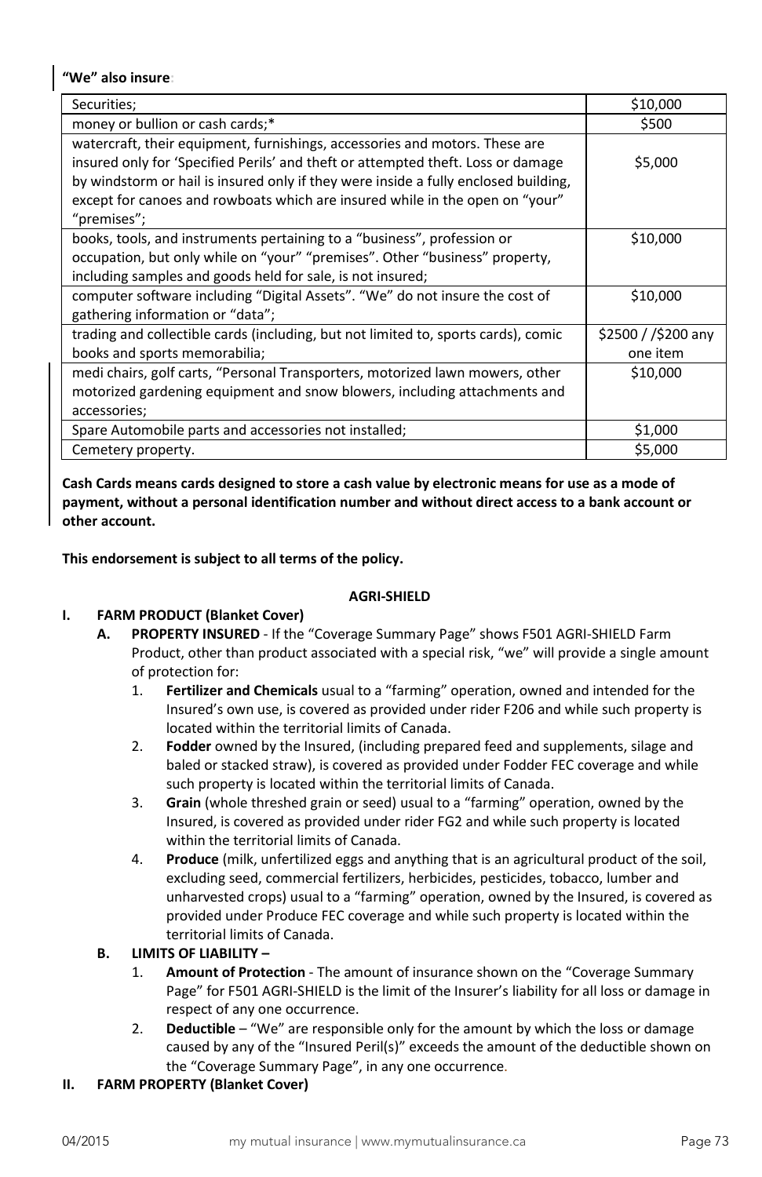# **"We" also insure:**

| Securities;                                                                                 | \$10,000            |
|---------------------------------------------------------------------------------------------|---------------------|
| money or bullion or cash cards;*                                                            | \$500               |
| watercraft, their equipment, furnishings, accessories and motors. These are                 |                     |
| insured only for 'Specified Perils' and theft or attempted theft. Loss or damage            | \$5,000             |
| by windstorm or hail is insured only if they were inside a fully enclosed building,         |                     |
| except for canoes and rowboats which are insured while in the open on "your"<br>"premises"; |                     |
|                                                                                             |                     |
| books, tools, and instruments pertaining to a "business", profession or                     | \$10,000            |
| occupation, but only while on "your" "premises". Other "business" property,                 |                     |
| including samples and goods held for sale, is not insured;                                  |                     |
| computer software including "Digital Assets". "We" do not insure the cost of                | \$10,000            |
| gathering information or "data";                                                            |                     |
| trading and collectible cards (including, but not limited to, sports cards), comic          | \$2500 / /\$200 any |
| books and sports memorabilia;                                                               | one item            |
| medi chairs, golf carts, "Personal Transporters, motorized lawn mowers, other               | \$10,000            |
| motorized gardening equipment and snow blowers, including attachments and                   |                     |
| accessories;                                                                                |                     |
| Spare Automobile parts and accessories not installed;                                       | \$1,000             |
| Cemetery property.                                                                          | \$5,000             |

**Cash Cards means cards designed to store a cash value by electronic means for use as a mode of payment, without a personal identification number and without direct access to a bank account or other account.** 

**This endorsement is subject to all terms of the policy.**

# **AGRI-SHIELD**

# **I. FARM PRODUCT (Blanket Cover)**

- **A. PROPERTY INSURED**  If the "Coverage Summary Page" shows F501 AGRI-SHIELD Farm Product, other than product associated with a special risk, "we" will provide a single amount of protection for:
	- 1. **Fertilizer and Chemicals** usual to a "farming" operation, owned and intended for the Insured's own use, is covered as provided under rider F206 and while such property is located within the territorial limits of Canada.
	- 2. **Fodder** owned by the Insured, (including prepared feed and supplements, silage and baled or stacked straw), is covered as provided under Fodder FEC coverage and while such property is located within the territorial limits of Canada.
	- 3. **Grain** (whole threshed grain or seed) usual to a "farming" operation, owned by the Insured, is covered as provided under rider FG2 and while such property is located within the territorial limits of Canada.
	- 4. **Produce** (milk, unfertilized eggs and anything that is an agricultural product of the soil, excluding seed, commercial fertilizers, herbicides, pesticides, tobacco, lumber and unharvested crops) usual to a "farming" operation, owned by the Insured, is covered as provided under Produce FEC coverage and while such property is located within the territorial limits of Canada.
- **B. LIMITS OF LIABILITY –**
	- 1. **Amount of Protection**  The amount of insurance shown on the "Coverage Summary Page" for F501 AGRI-SHIELD is the limit of the Insurer's liability for all loss or damage in respect of any one occurrence.
	- 2. **Deductible** "We" are responsible only for the amount by which the loss or damage caused by any of the "Insured Peril(s)" exceeds the amount of the deductible shown on the "Coverage Summary Page", in any one occurrence.
- **II. FARM PROPERTY (Blanket Cover)**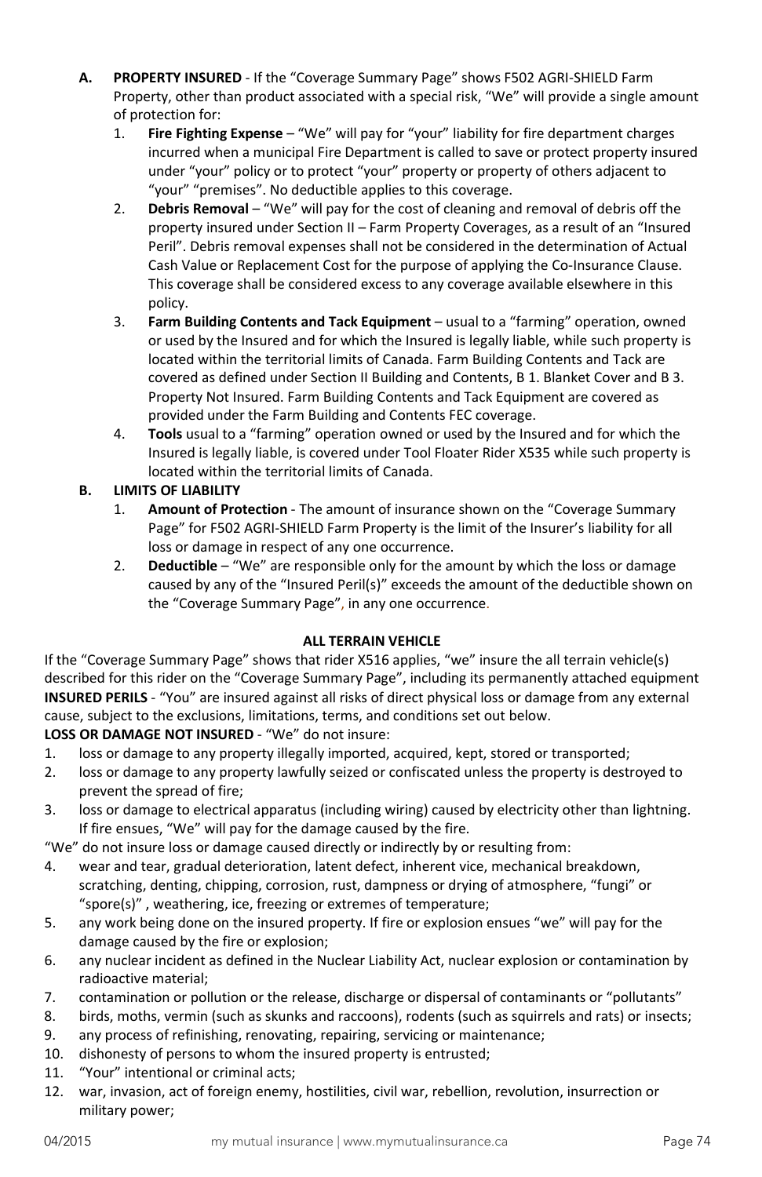- **A. PROPERTY INSURED** If the "Coverage Summary Page" shows F502 AGRI-SHIELD Farm Property, other than product associated with a special risk, "We" will provide a single amount of protection for:
	- 1. **Fire Fighting Expense**  "We" will pay for "your" liability for fire department charges incurred when a municipal Fire Department is called to save or protect property insured under "your" policy or to protect "your" property or property of others adjacent to "your" "premises". No deductible applies to this coverage.
	- 2. **Debris Removal**  "We" will pay for the cost of cleaning and removal of debris off the property insured under Section II – Farm Property Coverages, as a result of an "Insured Peril". Debris removal expenses shall not be considered in the determination of Actual Cash Value or Replacement Cost for the purpose of applying the Co-Insurance Clause. This coverage shall be considered excess to any coverage available elsewhere in this policy.
	- 3. **Farm Building Contents and Tack Equipment** usual to a "farming" operation, owned or used by the Insured and for which the Insured is legally liable, while such property is located within the territorial limits of Canada. Farm Building Contents and Tack are covered as defined under Section II Building and Contents, B 1. Blanket Cover and B 3. Property Not Insured. Farm Building Contents and Tack Equipment are covered as provided under the Farm Building and Contents FEC coverage.
	- 4. **Tools** usual to a "farming" operation owned or used by the Insured and for which the Insured is legally liable, is covered under Tool Floater Rider X535 while such property is located within the territorial limits of Canada.

# **B. LIMITS OF LIABILITY**

- 1. **Amount of Protection**  The amount of insurance shown on the "Coverage Summary Page" for F502 AGRI-SHIELD Farm Property is the limit of the Insurer's liability for all loss or damage in respect of any one occurrence.
- 2. **Deductible**  "We" are responsible only for the amount by which the loss or damage caused by any of the "Insured Peril(s)" exceeds the amount of the deductible shown on the "Coverage Summary Page", in any one occurrence.

# **ALL TERRAIN VEHICLE**

If the "Coverage Summary Page" shows that rider X516 applies, "we" insure the all terrain vehicle(s) described for this rider on the "Coverage Summary Page", including its permanently attached equipment **INSURED PERILS** - "You" are insured against all risks of direct physical loss or damage from any external cause, subject to the exclusions, limitations, terms, and conditions set out below.

## **LOSS OR DAMAGE NOT INSURED** - "We" do not insure:

- 1. loss or damage to any property illegally imported, acquired, kept, stored or transported;
- 2. loss or damage to any property lawfully seized or confiscated unless the property is destroyed to prevent the spread of fire;
- 3. loss or damage to electrical apparatus (including wiring) caused by electricity other than lightning. If fire ensues, "We" will pay for the damage caused by the fire.

"We" do not insure loss or damage caused directly or indirectly by or resulting from:

- 4. wear and tear, gradual deterioration, latent defect, inherent vice, mechanical breakdown, scratching, denting, chipping, corrosion, rust, dampness or drying of atmosphere, "fungi" or "spore(s)" , weathering, ice, freezing or extremes of temperature;
- 5. any work being done on the insured property. If fire or explosion ensues "we" will pay for the damage caused by the fire or explosion;
- 6. any nuclear incident as defined in the Nuclear Liability Act, nuclear explosion or contamination by radioactive material;
- 7. contamination or pollution or the release, discharge or dispersal of contaminants or "pollutants"
- 8. birds, moths, vermin (such as skunks and raccoons), rodents (such as squirrels and rats) or insects;
- 9. any process of refinishing, renovating, repairing, servicing or maintenance;
- 10. dishonesty of persons to whom the insured property is entrusted;
- 11. "Your" intentional or criminal acts;
- 12. war, invasion, act of foreign enemy, hostilities, civil war, rebellion, revolution, insurrection or military power;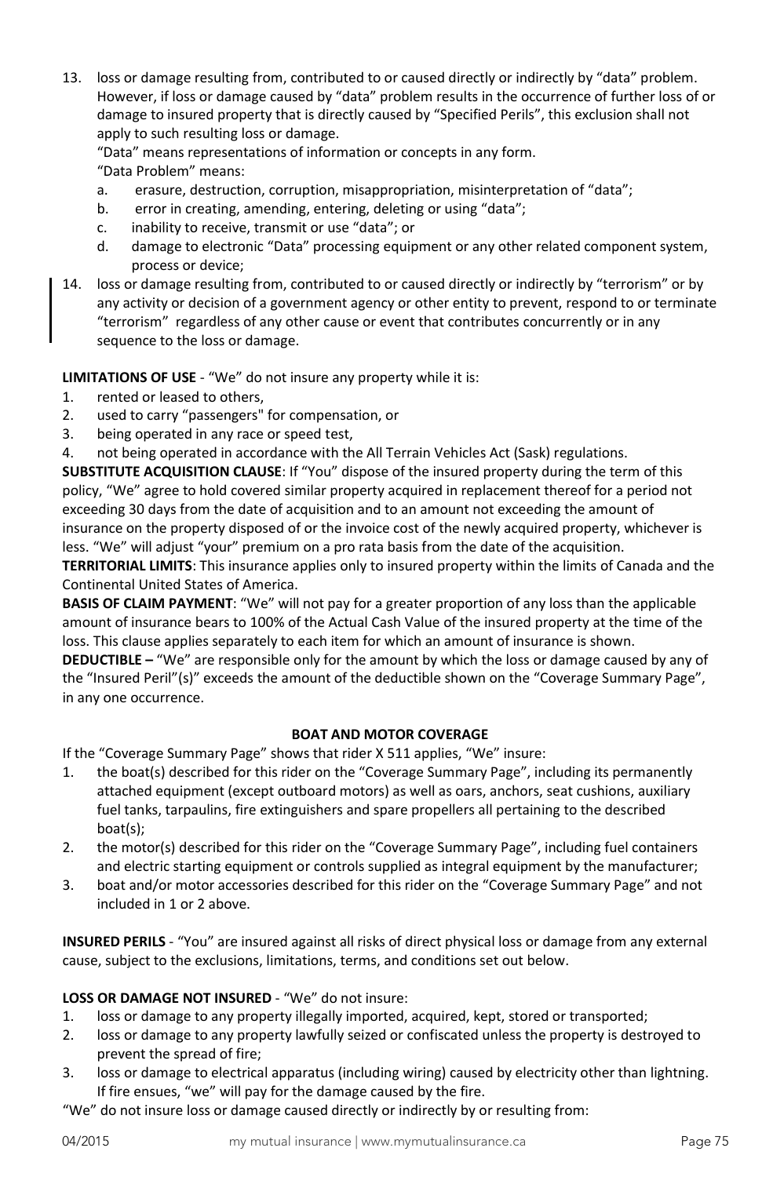13. loss or damage resulting from, contributed to or caused directly or indirectly by "data" problem. However, if loss or damage caused by "data" problem results in the occurrence of further loss of or damage to insured property that is directly caused by "Specified Perils", this exclusion shall not apply to such resulting loss or damage.

"Data" means representations of information or concepts in any form. "Data Problem" means:

- a. erasure, destruction, corruption, misappropriation, misinterpretation of "data";
- b. error in creating, amending, entering, deleting or using "data";
- c. inability to receive, transmit or use "data"; or
- d. damage to electronic "Data" processing equipment or any other related component system, process or device;
- 14. loss or damage resulting from, contributed to or caused directly or indirectly by "terrorism" or by any activity or decision of a government agency or other entity to prevent, respond to or terminate "terrorism" regardless of any other cause or event that contributes concurrently or in any sequence to the loss or damage.

**LIMITATIONS OF USE** - "We" do not insure any property while it is:

- 1. rented or leased to others,
- 2. used to carry "passengers" for compensation, or
- 3. being operated in any race or speed test,
- 4. not being operated in accordance with the All Terrain Vehicles Act (Sask) regulations.

**SUBSTITUTE ACQUISITION CLAUSE**: If "You" dispose of the insured property during the term of this policy, "We" agree to hold covered similar property acquired in replacement thereof for a period not exceeding 30 days from the date of acquisition and to an amount not exceeding the amount of insurance on the property disposed of or the invoice cost of the newly acquired property, whichever is less. "We" will adjust "your" premium on a pro rata basis from the date of the acquisition.

**TERRITORIAL LIMITS**: This insurance applies only to insured property within the limits of Canada and the Continental United States of America.

**BASIS OF CLAIM PAYMENT**: "We" will not pay for a greater proportion of any loss than the applicable amount of insurance bears to 100% of the Actual Cash Value of the insured property at the time of the loss. This clause applies separately to each item for which an amount of insurance is shown.

**DEDUCTIBLE –** "We" are responsible only for the amount by which the loss or damage caused by any of the "Insured Peril"(s)" exceeds the amount of the deductible shown on the "Coverage Summary Page", in any one occurrence.

#### **BOAT AND MOTOR COVERAGE**

If the "Coverage Summary Page" shows that rider X 511 applies, "We" insure:

- 1. the boat(s) described for this rider on the "Coverage Summary Page", including its permanently attached equipment (except outboard motors) as well as oars, anchors, seat cushions, auxiliary fuel tanks, tarpaulins, fire extinguishers and spare propellers all pertaining to the described boat(s);
- 2. the motor(s) described for this rider on the "Coverage Summary Page", including fuel containers and electric starting equipment or controls supplied as integral equipment by the manufacturer;
- 3. boat and/or motor accessories described for this rider on the "Coverage Summary Page" and not included in 1 or 2 above.

**INSURED PERILS** - "You" are insured against all risks of direct physical loss or damage from any external cause, subject to the exclusions, limitations, terms, and conditions set out below.

## **LOSS OR DAMAGE NOT INSURED** - "We" do not insure:

- 1. loss or damage to any property illegally imported, acquired, kept, stored or transported;
- 2. loss or damage to any property lawfully seized or confiscated unless the property is destroyed to prevent the spread of fire;
- 3. loss or damage to electrical apparatus (including wiring) caused by electricity other than lightning. If fire ensues, "we" will pay for the damage caused by the fire.

"We" do not insure loss or damage caused directly or indirectly by or resulting from: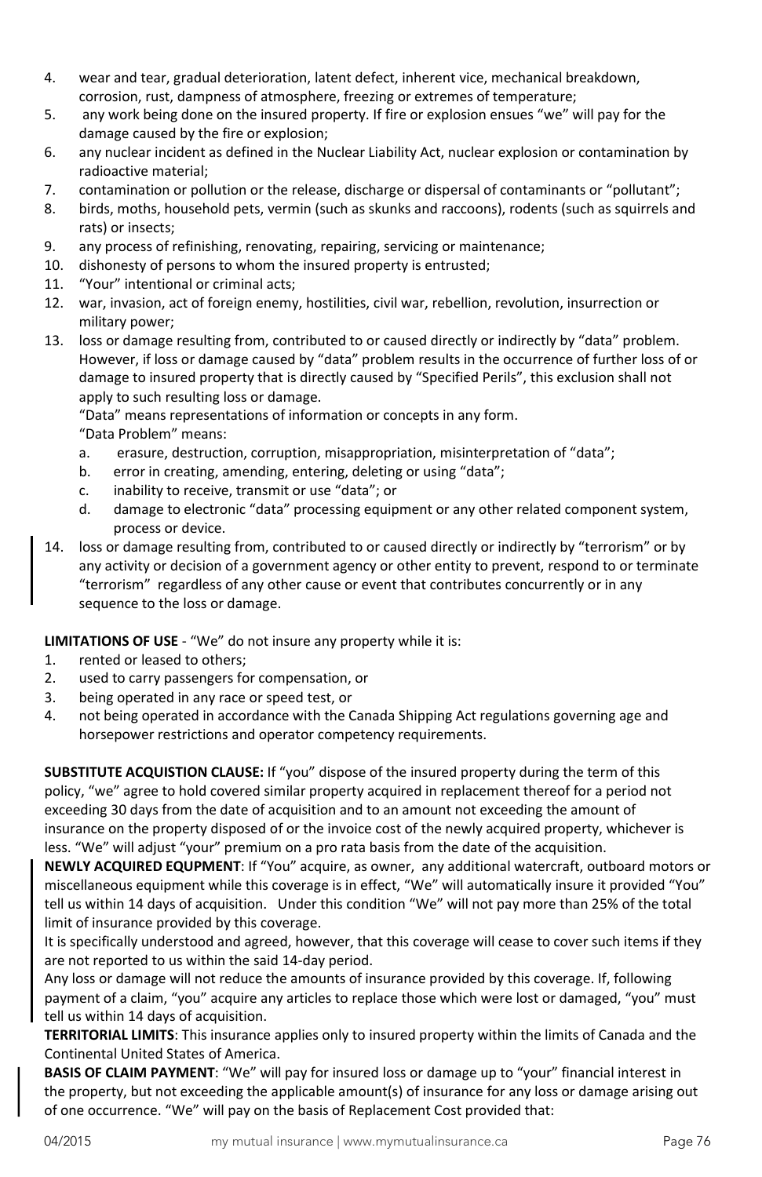- 4. wear and tear, gradual deterioration, latent defect, inherent vice, mechanical breakdown, corrosion, rust, dampness of atmosphere, freezing or extremes of temperature;
- 5. any work being done on the insured property. If fire or explosion ensues "we" will pay for the damage caused by the fire or explosion;
- 6. any nuclear incident as defined in the Nuclear Liability Act, nuclear explosion or contamination by radioactive material;
- 7. contamination or pollution or the release, discharge or dispersal of contaminants or "pollutant";
- 8. birds, moths, household pets, vermin (such as skunks and raccoons), rodents (such as squirrels and rats) or insects;
- 9. any process of refinishing, renovating, repairing, servicing or maintenance;
- 10. dishonesty of persons to whom the insured property is entrusted;
- 11. "Your" intentional or criminal acts;
- 12. war, invasion, act of foreign enemy, hostilities, civil war, rebellion, revolution, insurrection or military power;
- 13. loss or damage resulting from, contributed to or caused directly or indirectly by "data" problem. However, if loss or damage caused by "data" problem results in the occurrence of further loss of or damage to insured property that is directly caused by "Specified Perils", this exclusion shall not apply to such resulting loss or damage.

"Data" means representations of information or concepts in any form.

"Data Problem" means:

- a. erasure, destruction, corruption, misappropriation, misinterpretation of "data";
- b. error in creating, amending, entering, deleting or using "data";
- c. inability to receive, transmit or use "data"; or
- d. damage to electronic "data" processing equipment or any other related component system, process or device.
- 14. loss or damage resulting from, contributed to or caused directly or indirectly by "terrorism" or by any activity or decision of a government agency or other entity to prevent, respond to or terminate "terrorism" regardless of any other cause or event that contributes concurrently or in any sequence to the loss or damage.

**LIMITATIONS OF USE** - "We" do not insure any property while it is:

- 1. rented or leased to others;
- 2. used to carry passengers for compensation, or
- 3. being operated in any race or speed test, or
- 4. not being operated in accordance with the Canada Shipping Act regulations governing age and horsepower restrictions and operator competency requirements.

**SUBSTITUTE ACQUISTION CLAUSE:** If "you" dispose of the insured property during the term of this policy, "we" agree to hold covered similar property acquired in replacement thereof for a period not exceeding 30 days from the date of acquisition and to an amount not exceeding the amount of insurance on the property disposed of or the invoice cost of the newly acquired property, whichever is less. "We" will adjust "your" premium on a pro rata basis from the date of the acquisition.

**NEWLY ACQUIRED EQUPMENT**: If "You" acquire, as owner, any additional watercraft, outboard motors or miscellaneous equipment while this coverage is in effect, "We" will automatically insure it provided "You" tell us within 14 days of acquisition. Under this condition "We" will not pay more than 25% of the total limit of insurance provided by this coverage.

It is specifically understood and agreed, however, that this coverage will cease to cover such items if they are not reported to us within the said 14-day period.

Any loss or damage will not reduce the amounts of insurance provided by this coverage. If, following payment of a claim, "you" acquire any articles to replace those which were lost or damaged, "you" must tell us within 14 days of acquisition.

**TERRITORIAL LIMITS**: This insurance applies only to insured property within the limits of Canada and the Continental United States of America.

**BASIS OF CLAIM PAYMENT**: "We" will pay for insured loss or damage up to "your" financial interest in the property, but not exceeding the applicable amount(s) of insurance for any loss or damage arising out of one occurrence. "We" will pay on the basis of Replacement Cost provided that: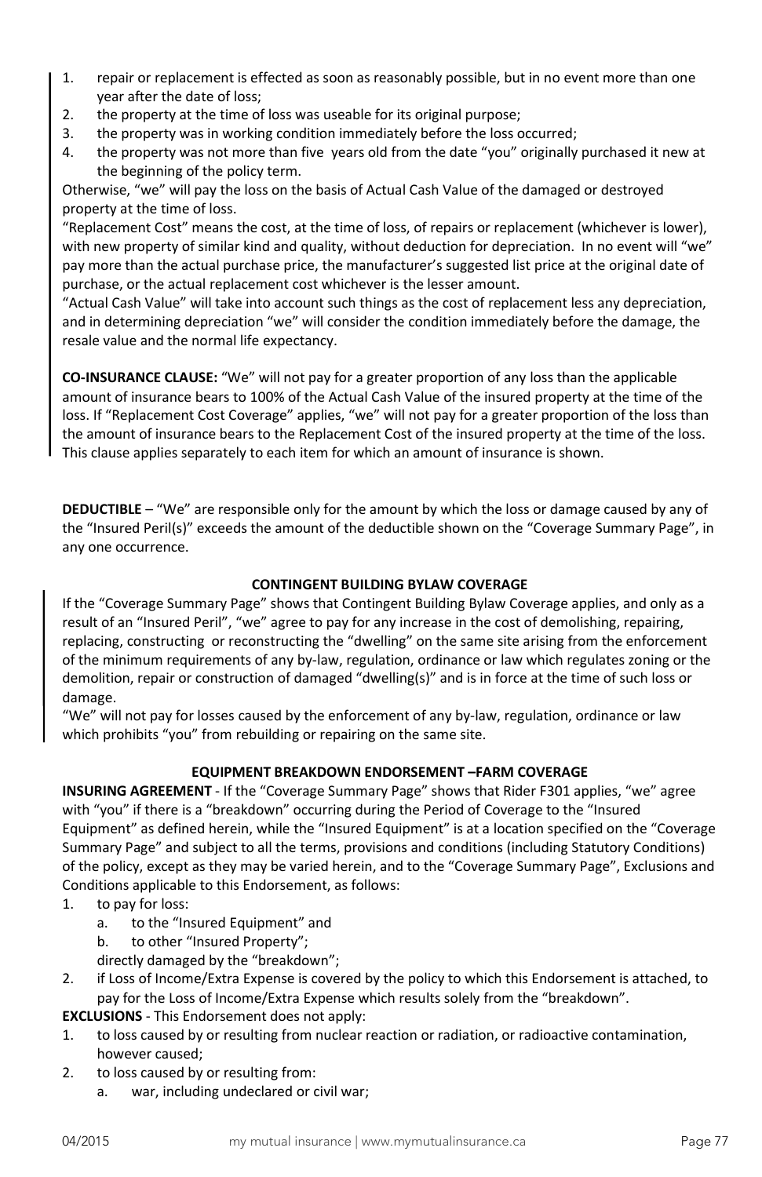- 1. repair or replacement is effected as soon as reasonably possible, but in no event more than one year after the date of loss;
- 2. the property at the time of loss was useable for its original purpose;
- 3. the property was in working condition immediately before the loss occurred;
- 4. the property was not more than five years old from the date "you" originally purchased it new at the beginning of the policy term.

Otherwise, "we" will pay the loss on the basis of Actual Cash Value of the damaged or destroyed property at the time of loss.

"Replacement Cost" means the cost, at the time of loss, of repairs or replacement (whichever is lower), with new property of similar kind and quality, without deduction for depreciation. In no event will "we" pay more than the actual purchase price, the manufacturer's suggested list price at the original date of purchase, or the actual replacement cost whichever is the lesser amount.

"Actual Cash Value" will take into account such things as the cost of replacement less any depreciation, and in determining depreciation "we" will consider the condition immediately before the damage, the resale value and the normal life expectancy.

**CO-INSURANCE CLAUSE:** "We" will not pay for a greater proportion of any loss than the applicable amount of insurance bears to 100% of the Actual Cash Value of the insured property at the time of the loss. If "Replacement Cost Coverage" applies, "we" will not pay for a greater proportion of the loss than the amount of insurance bears to the Replacement Cost of the insured property at the time of the loss. This clause applies separately to each item for which an amount of insurance is shown.

**DEDUCTIBLE** – "We" are responsible only for the amount by which the loss or damage caused by any of the "Insured Peril(s)" exceeds the amount of the deductible shown on the "Coverage Summary Page", in any one occurrence.

# **CONTINGENT BUILDING BYLAW COVERAGE**

If the "Coverage Summary Page" shows that Contingent Building Bylaw Coverage applies, and only as a result of an "Insured Peril", "we" agree to pay for any increase in the cost of demolishing, repairing, replacing, constructing or reconstructing the "dwelling" on the same site arising from the enforcement of the minimum requirements of any by-law, regulation, ordinance or law which regulates zoning or the demolition, repair or construction of damaged "dwelling(s)" and is in force at the time of such loss or damage.

"We" will not pay for losses caused by the enforcement of any by-law, regulation, ordinance or law which prohibits "you" from rebuilding or repairing on the same site.

## **EQUIPMENT BREAKDOWN ENDORSEMENT –FARM COVERAGE**

**INSURING AGREEMENT** - If the "Coverage Summary Page" shows that Rider F301 applies, "we" agree with "you" if there is a "breakdown" occurring during the Period of Coverage to the "Insured Equipment" as defined herein, while the "Insured Equipment" is at a location specified on the "Coverage Summary Page" and subject to all the terms, provisions and conditions (including Statutory Conditions) of the policy, except as they may be varied herein, and to the "Coverage Summary Page", Exclusions and Conditions applicable to this Endorsement, as follows:

- 1. to pay for loss:
	- a. to the "Insured Equipment" and
	- b. to other "Insured Property";
	- directly damaged by the "breakdown";
- 2. if Loss of Income/Extra Expense is covered by the policy to which this Endorsement is attached, to pay for the Loss of Income/Extra Expense which results solely from the "breakdown".

**EXCLUSIONS** - This Endorsement does not apply:

- 1. to loss caused by or resulting from nuclear reaction or radiation, or radioactive contamination, however caused;
- 2. to loss caused by or resulting from:
	- a. war, including undeclared or civil war;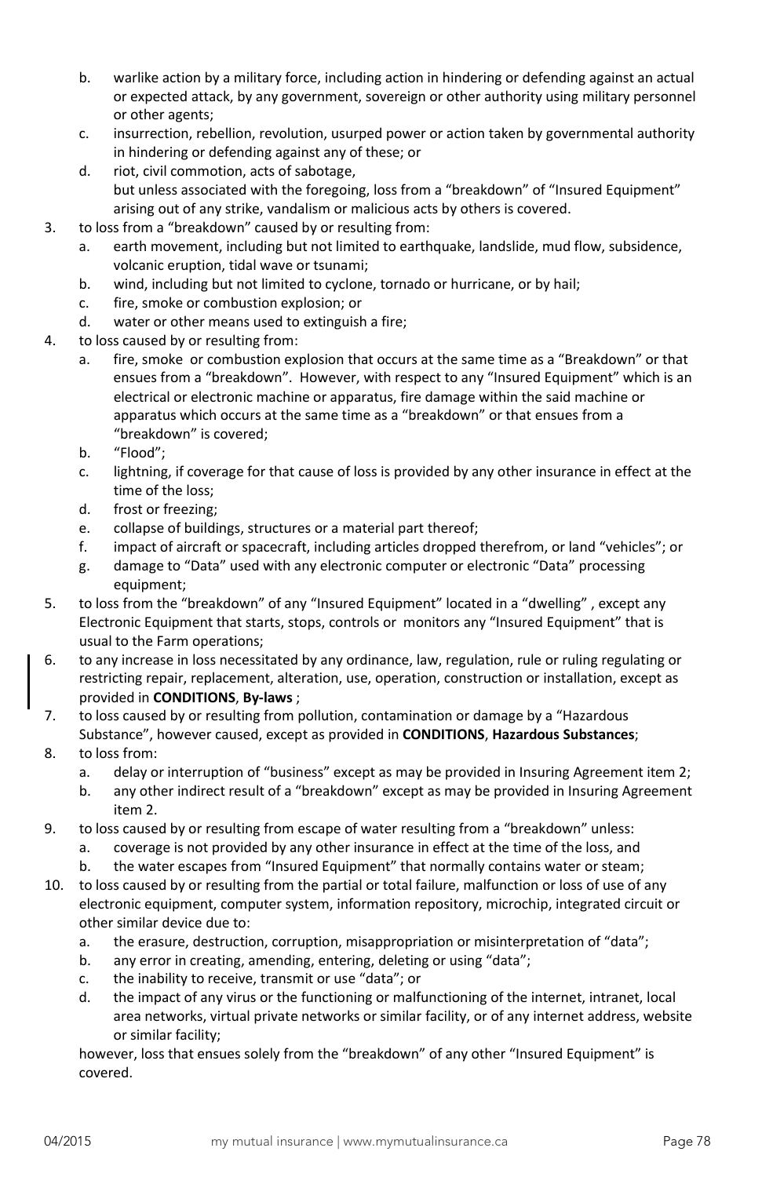- b. warlike action by a military force, including action in hindering or defending against an actual or expected attack, by any government, sovereign or other authority using military personnel or other agents;
- c. insurrection, rebellion, revolution, usurped power or action taken by governmental authority in hindering or defending against any of these; or
- d. riot, civil commotion, acts of sabotage, but unless associated with the foregoing, loss from a "breakdown" of "Insured Equipment" arising out of any strike, vandalism or malicious acts by others is covered.
- 3. to loss from a "breakdown" caused by or resulting from:
	- a. earth movement, including but not limited to earthquake, landslide, mud flow, subsidence, volcanic eruption, tidal wave or tsunami;
	- b. wind, including but not limited to cyclone, tornado or hurricane, or by hail;
	- c. fire, smoke or combustion explosion; or
	- d. water or other means used to extinguish a fire;
- 4. to loss caused by or resulting from:
	- a. fire, smoke or combustion explosion that occurs at the same time as a "Breakdown" or that ensues from a "breakdown". However, with respect to any "Insured Equipment" which is an electrical or electronic machine or apparatus, fire damage within the said machine or apparatus which occurs at the same time as a "breakdown" or that ensues from a "breakdown" is covered;
	- b. "Flood";
	- c. lightning, if coverage for that cause of loss is provided by any other insurance in effect at the time of the loss;
	- d. frost or freezing;
	- e. collapse of buildings, structures or a material part thereof;
	- f. impact of aircraft or spacecraft, including articles dropped therefrom, or land "vehicles"; or
	- g. damage to "Data" used with any electronic computer or electronic "Data" processing equipment;
- 5. to loss from the "breakdown" of any "Insured Equipment" located in a "dwelling" , except any Electronic Equipment that starts, stops, controls or monitors any "Insured Equipment" that is usual to the Farm operations;
- 6. to any increase in loss necessitated by any ordinance, law, regulation, rule or ruling regulating or restricting repair, replacement, alteration, use, operation, construction or installation, except as provided in **CONDITIONS**, **By-laws** ;
- 7. to loss caused by or resulting from pollution, contamination or damage by a "Hazardous Substance", however caused, except as provided in **CONDITIONS**, **Hazardous Substances**;
- 8. to loss from:
	- a. delay or interruption of "business" except as may be provided in Insuring Agreement item 2;
	- b. any other indirect result of a "breakdown" except as may be provided in Insuring Agreement item 2.
- 9. to loss caused by or resulting from escape of water resulting from a "breakdown" unless:
	- a. coverage is not provided by any other insurance in effect at the time of the loss, and
	- b. the water escapes from "Insured Equipment" that normally contains water or steam;
- 10. to loss caused by or resulting from the partial or total failure, malfunction or loss of use of any electronic equipment, computer system, information repository, microchip, integrated circuit or other similar device due to:
	- a. the erasure, destruction, corruption, misappropriation or misinterpretation of "data";
	- b. any error in creating, amending, entering, deleting or using "data";
	- c. the inability to receive, transmit or use "data"; or
	- d. the impact of any virus or the functioning or malfunctioning of the internet, intranet, local area networks, virtual private networks or similar facility, or of any internet address, website or similar facility;

however, loss that ensues solely from the "breakdown" of any other "Insured Equipment" is covered.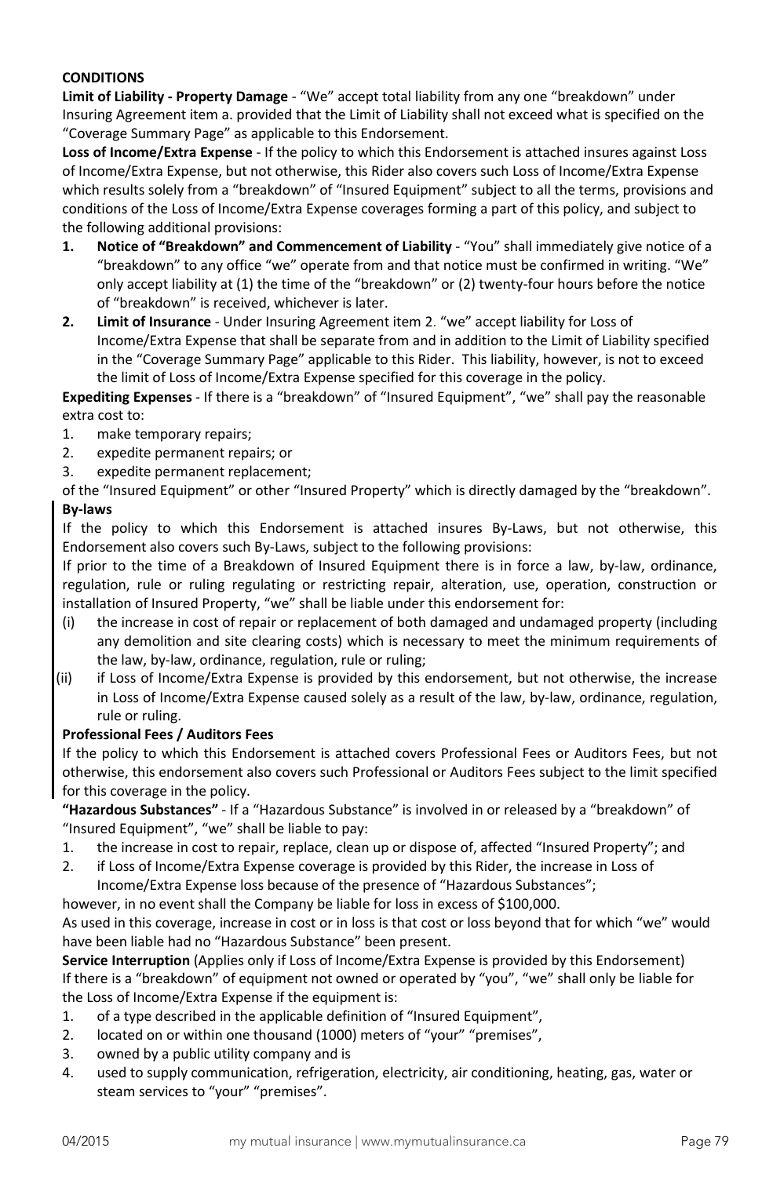# **CONDITIONS**

**Limit of Liability - Property Damage** - "We" accept total liability from any one "breakdown" under Insuring Agreement item a. provided that the Limit of Liability shall not exceed what is specified on the "Coverage Summary Page" as applicable to this Endorsement.

**Loss of Income/Extra Expense** - If the policy to which this Endorsement is attached insures against Loss of Income/Extra Expense, but not otherwise, this Rider also covers such Loss of Income/Extra Expense which results solely from a "breakdown" of "Insured Equipment" subject to all the terms, provisions and conditions of the Loss of Income/Extra Expense coverages forming a part of this policy, and subject to the following additional provisions:

- **1. Notice of "Breakdown" and Commencement of Liability** "You" shall immediately give notice of a "breakdown" to any office "we" operate from and that notice must be confirmed in writing. "We" only accept liability at (1) the time of the "breakdown" or (2) twenty-four hours before the notice of "breakdown" is received, whichever is later.
- **2. Limit of Insurance** Under Insuring Agreement item 2. "we" accept liability for Loss of Income/Extra Expense that shall be separate from and in addition to the Limit of Liability specified in the "Coverage Summary Page" applicable to this Rider. This liability, however, is not to exceed the limit of Loss of Income/Extra Expense specified for this coverage in the policy.

**Expediting Expenses** - If there is a "breakdown" of "Insured Equipment", "we" shall pay the reasonable extra cost to:

- 1. make temporary repairs;
- 2. expedite permanent repairs; or
- 3. expedite permanent replacement;

of the "Insured Equipment" or other "Insured Property" which is directly damaged by the "breakdown". **By-laws**

If the policy to which this Endorsement is attached insures By-Laws, but not otherwise, this Endorsement also covers such By-Laws, subject to the following provisions:

If prior to the time of a Breakdown of Insured Equipment there is in force a law, by-law, ordinance, regulation, rule or ruling regulating or restricting repair, alteration, use, operation, construction or installation of Insured Property, "we" shall be liable under this endorsement for:

- (i) the increase in cost of repair or replacement of both damaged and undamaged property (including any demolition and site clearing costs) which is necessary to meet the minimum requirements of the law, by-law, ordinance, regulation, rule or ruling;
- (ii) if Loss of Income/Extra Expense is provided by this endorsement, but not otherwise, the increase in Loss of Income/Extra Expense caused solely as a result of the law, by-law, ordinance, regulation, rule or ruling.

## **Professional Fees / Auditors Fees**

If the policy to which this Endorsement is attached covers Professional Fees or Auditors Fees, but not otherwise, this endorsement also covers such Professional or Auditors Fees subject to the limit specified for this coverage in the policy.

**"Hazardous Substances"** - If a "Hazardous Substance" is involved in or released by a "breakdown" of "Insured Equipment", "we" shall be liable to pay:

- 1. the increase in cost to repair, replace, clean up or dispose of, affected "Insured Property"; and
- 2. if Loss of Income/Extra Expense coverage is provided by this Rider, the increase in Loss of

Income/Extra Expense loss because of the presence of "Hazardous Substances";

however, in no event shall the Company be liable for loss in excess of \$100,000.

As used in this coverage, increase in cost or in loss is that cost or loss beyond that for which "we" would have been liable had no "Hazardous Substance" been present.

**Service Interruption** (Applies only if Loss of Income/Extra Expense is provided by this Endorsement) If there is a "breakdown" of equipment not owned or operated by "you", "we" shall only be liable for the Loss of Income/Extra Expense if the equipment is:

- 1. of a type described in the applicable definition of "Insured Equipment",
- 2. located on or within one thousand (1000) meters of "your" "premises",
- 3. owned by a public utility company and is
- 4. used to supply communication, refrigeration, electricity, air conditioning, heating, gas, water or steam services to "your" "premises".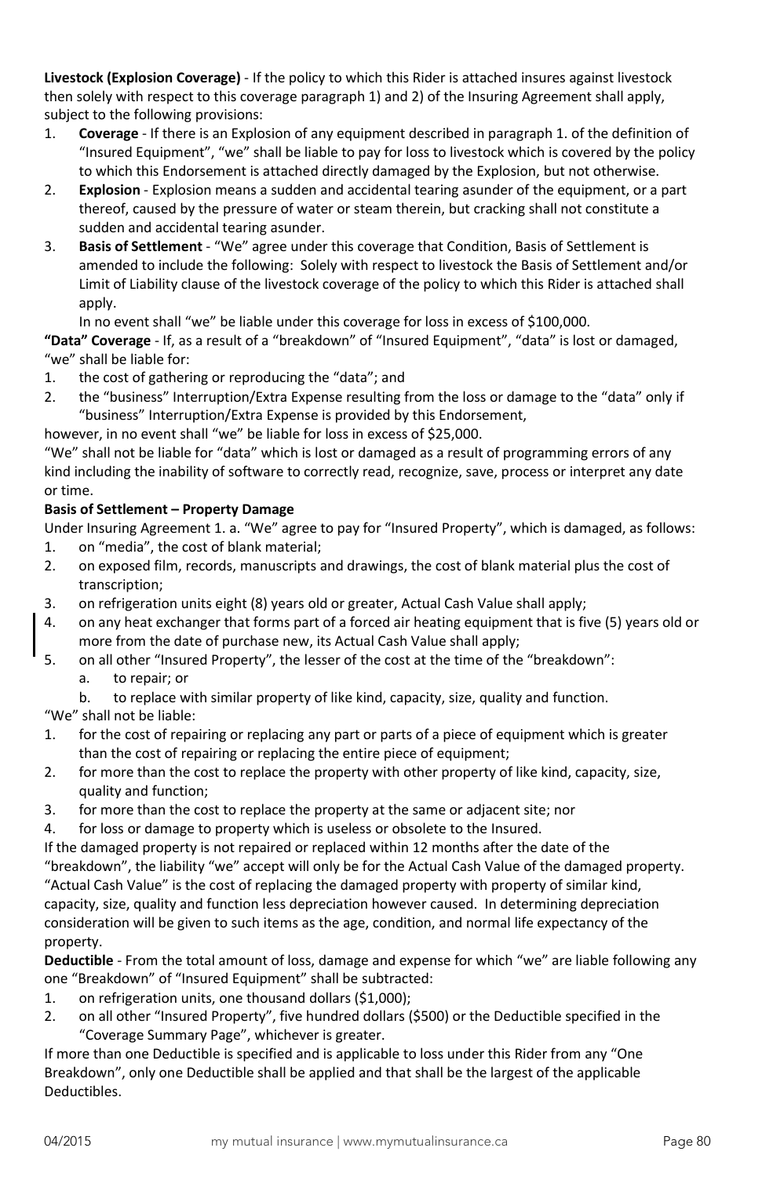**Livestock (Explosion Coverage)** - If the policy to which this Rider is attached insures against livestock then solely with respect to this coverage paragraph 1) and 2) of the Insuring Agreement shall apply, subject to the following provisions:

- 1. **Coverage** If there is an Explosion of any equipment described in paragraph 1. of the definition of "Insured Equipment", "we" shall be liable to pay for loss to livestock which is covered by the policy to which this Endorsement is attached directly damaged by the Explosion, but not otherwise.
- 2. **Explosion** Explosion means a sudden and accidental tearing asunder of the equipment, or a part thereof, caused by the pressure of water or steam therein, but cracking shall not constitute a sudden and accidental tearing asunder.
- 3. **Basis of Settlement** "We" agree under this coverage that Condition, Basis of Settlement is amended to include the following: Solely with respect to livestock the Basis of Settlement and/or Limit of Liability clause of the livestock coverage of the policy to which this Rider is attached shall apply.

In no event shall "we" be liable under this coverage for loss in excess of \$100,000. **"Data" Coverage** - If, as a result of a "breakdown" of "Insured Equipment", "data" is lost or damaged,

# "we" shall be liable for:

- 1. the cost of gathering or reproducing the "data"; and
- 2. the "business" Interruption/Extra Expense resulting from the loss or damage to the "data" only if "business" Interruption/Extra Expense is provided by this Endorsement,

however, in no event shall "we" be liable for loss in excess of \$25,000.

"We" shall not be liable for "data" which is lost or damaged as a result of programming errors of any kind including the inability of software to correctly read, recognize, save, process or interpret any date or time.

# **Basis of Settlement – Property Damage**

Under Insuring Agreement 1. a. "We" agree to pay for "Insured Property", which is damaged, as follows:

- 1. on "media", the cost of blank material;
- 2. on exposed film, records, manuscripts and drawings, the cost of blank material plus the cost of transcription;
- 3. on refrigeration units eight (8) years old or greater, Actual Cash Value shall apply;
- 4. on any heat exchanger that forms part of a forced air heating equipment that is five (5) years old or more from the date of purchase new, its Actual Cash Value shall apply;
- 5. on all other "Insured Property", the lesser of the cost at the time of the "breakdown": a. to repair; or

b. to replace with similar property of like kind, capacity, size, quality and function.

"We" shall not be liable:

- 1. for the cost of repairing or replacing any part or parts of a piece of equipment which is greater than the cost of repairing or replacing the entire piece of equipment;
- 2. for more than the cost to replace the property with other property of like kind, capacity, size, quality and function;
- 3. for more than the cost to replace the property at the same or adjacent site; nor
- 4. for loss or damage to property which is useless or obsolete to the Insured.

If the damaged property is not repaired or replaced within 12 months after the date of the "breakdown", the liability "we" accept will only be for the Actual Cash Value of the damaged property. "Actual Cash Value" is the cost of replacing the damaged property with property of similar kind, capacity, size, quality and function less depreciation however caused. In determining depreciation consideration will be given to such items as the age, condition, and normal life expectancy of the property.

**Deductible** - From the total amount of loss, damage and expense for which "we" are liable following any one "Breakdown" of "Insured Equipment" shall be subtracted:

- 1. on refrigeration units, one thousand dollars (\$1,000);
- 2. on all other "Insured Property", five hundred dollars (\$500) or the Deductible specified in the "Coverage Summary Page", whichever is greater.

If more than one Deductible is specified and is applicable to loss under this Rider from any "One Breakdown", only one Deductible shall be applied and that shall be the largest of the applicable Deductibles.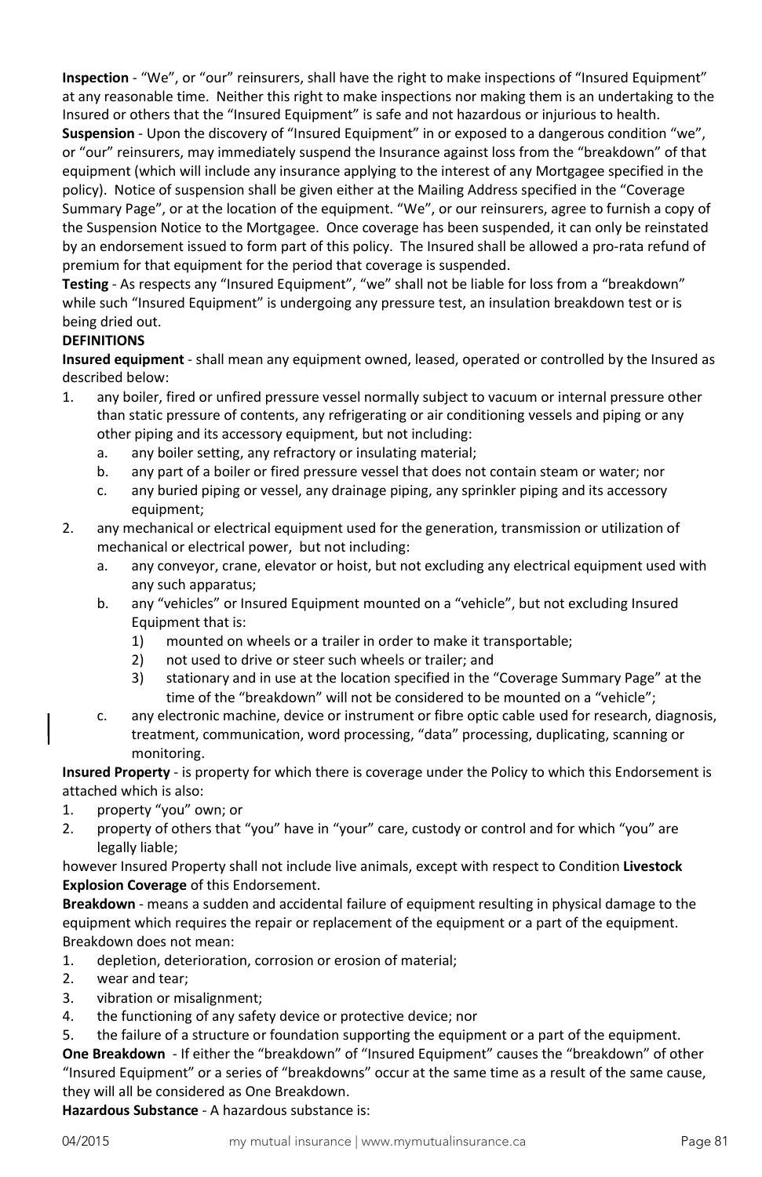**Inspection** - "We", or "our" reinsurers, shall have the right to make inspections of "Insured Equipment" at any reasonable time. Neither this right to make inspections nor making them is an undertaking to the Insured or others that the "Insured Equipment" is safe and not hazardous or injurious to health.

**Suspension** - Upon the discovery of "Insured Equipment" in or exposed to a dangerous condition "we", or "our" reinsurers, may immediately suspend the Insurance against loss from the "breakdown" of that equipment (which will include any insurance applying to the interest of any Mortgagee specified in the policy). Notice of suspension shall be given either at the Mailing Address specified in the "Coverage Summary Page", or at the location of the equipment. "We", or our reinsurers, agree to furnish a copy of the Suspension Notice to the Mortgagee. Once coverage has been suspended, it can only be reinstated by an endorsement issued to form part of this policy. The Insured shall be allowed a pro-rata refund of premium for that equipment for the period that coverage is suspended.

**Testing** - As respects any "Insured Equipment", "we" shall not be liable for loss from a "breakdown" while such "Insured Equipment" is undergoing any pressure test, an insulation breakdown test or is being dried out.

# **DEFINITIONS**

**Insured equipment** - shall mean any equipment owned, leased, operated or controlled by the Insured as described below:

- 1. any boiler, fired or unfired pressure vessel normally subject to vacuum or internal pressure other than static pressure of contents, any refrigerating or air conditioning vessels and piping or any other piping and its accessory equipment, but not including:
	- a. any boiler setting, any refractory or insulating material;
	- b. any part of a boiler or fired pressure vessel that does not contain steam or water; nor
	- c. any buried piping or vessel, any drainage piping, any sprinkler piping and its accessory equipment;
- 2. any mechanical or electrical equipment used for the generation, transmission or utilization of mechanical or electrical power, but not including:
	- a. any conveyor, crane, elevator or hoist, but not excluding any electrical equipment used with any such apparatus;
	- b. any "vehicles" or Insured Equipment mounted on a "vehicle", but not excluding Insured Equipment that is:
		- 1) mounted on wheels or a trailer in order to make it transportable;
		- 2) not used to drive or steer such wheels or trailer; and
		- 3) stationary and in use at the location specified in the "Coverage Summary Page" at the time of the "breakdown" will not be considered to be mounted on a "vehicle";
	- c. any electronic machine, device or instrument or fibre optic cable used for research, diagnosis, treatment, communication, word processing, "data" processing, duplicating, scanning or monitoring.

**Insured Property** - is property for which there is coverage under the Policy to which this Endorsement is attached which is also:

- 1. property "you" own; or
- 2. property of others that "you" have in "your" care, custody or control and for which "you" are legally liable;

however Insured Property shall not include live animals, except with respect to Condition **Livestock Explosion Coverage** of this Endorsement.

**Breakdown** - means a sudden and accidental failure of equipment resulting in physical damage to the equipment which requires the repair or replacement of the equipment or a part of the equipment. Breakdown does not mean:

- 1. depletion, deterioration, corrosion or erosion of material;
- 2. wear and tear;
- 3. vibration or misalignment;
- 4. the functioning of any safety device or protective device; nor
- 5. the failure of a structure or foundation supporting the equipment or a part of the equipment.

**One Breakdown** - If either the "breakdown" of "Insured Equipment" causes the "breakdown" of other "Insured Equipment" or a series of "breakdowns" occur at the same time as a result of the same cause, they will all be considered as One Breakdown.

**Hazardous Substance** - A hazardous substance is: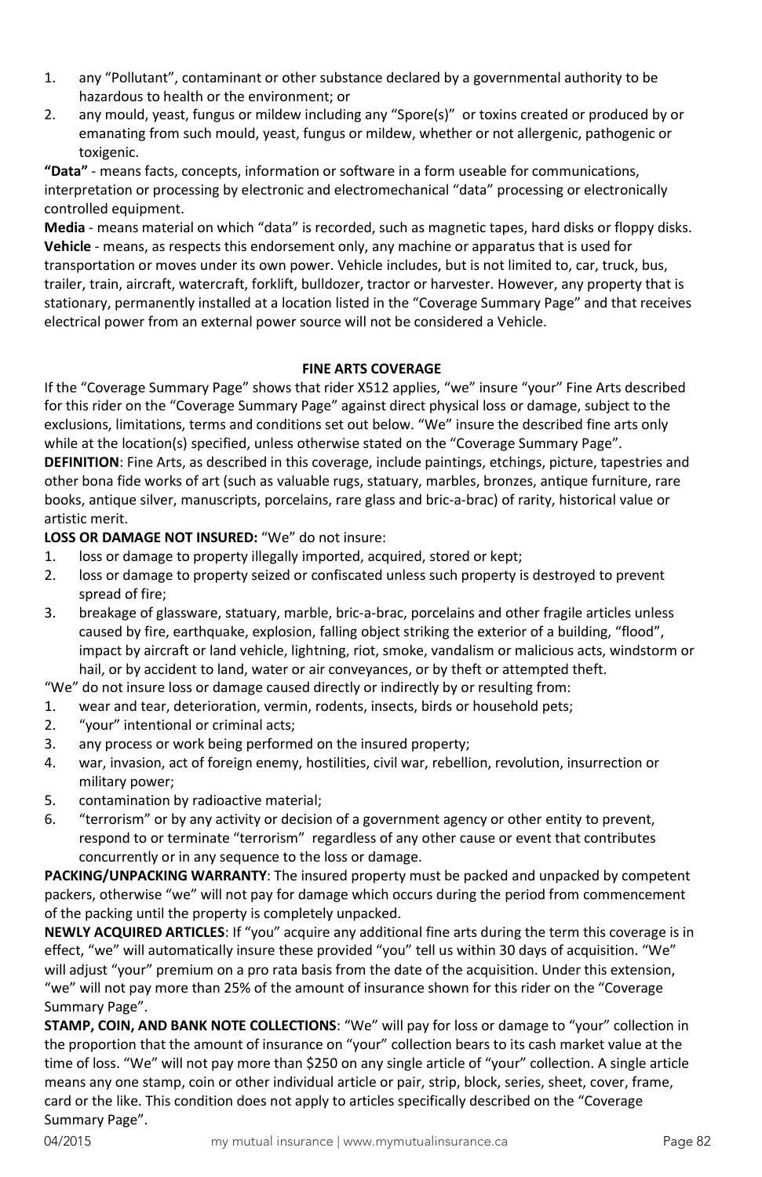- 1. any "Pollutant", contaminant or other substance declared by a governmental authority to be hazardous to health or the environment; or
- 2. any mould, yeast, fungus or mildew including any "Spore(s)" or toxins created or produced by or emanating from such mould, yeast, fungus or mildew, whether or not allergenic, pathogenic or toxigenic.

**"Data"** - means facts, concepts, information or software in a form useable for communications, interpretation or processing by electronic and electromechanical "data" processing or electronically controlled equipment.

**Media** - means material on which "data" is recorded, such as magnetic tapes, hard disks or floppy disks. **Vehicle** - means, as respects this endorsement only, any machine or apparatus that is used for transportation or moves under its own power. Vehicle includes, but is not limited to, car, truck, bus, trailer, train, aircraft, watercraft, forklift, bulldozer, tractor or harvester. However, any property that is stationary, permanently installed at a location listed in the "Coverage Summary Page" and that receives electrical power from an external power source will not be considered a Vehicle.

## **FINE ARTS COVERAGE**

If the "Coverage Summary Page" shows that rider X512 applies, "we" insure "your" Fine Arts described for this rider on the "Coverage Summary Page" against direct physical loss or damage, subject to the exclusions, limitations, terms and conditions set out below. "We" insure the described fine arts only while at the location(s) specified, unless otherwise stated on the "Coverage Summary Page". **DEFINITION**: Fine Arts, as described in this coverage, include paintings, etchings, picture, tapestries and other bona fide works of art (such as valuable rugs, statuary, marbles, bronzes, antique furniture, rare books, antique silver, manuscripts, porcelains, rare glass and bric-a-brac) of rarity, historical value or artistic merit.

## **LOSS OR DAMAGE NOT INSURED:** "We" do not insure:

- 1. loss or damage to property illegally imported, acquired, stored or kept;
- 2. loss or damage to property seized or confiscated unless such property is destroyed to prevent spread of fire;
- 3. breakage of glassware, statuary, marble, bric-a-brac, porcelains and other fragile articles unless caused by fire, earthquake, explosion, falling object striking the exterior of a building, "flood", impact by aircraft or land vehicle, lightning, riot, smoke, vandalism or malicious acts, windstorm or hail, or by accident to land, water or air conveyances, or by theft or attempted theft.

"We" do not insure loss or damage caused directly or indirectly by or resulting from:

- 1. wear and tear, deterioration, vermin, rodents, insects, birds or household pets;
- 2. "your" intentional or criminal acts;
- 3. any process or work being performed on the insured property;
- 4. war, invasion, act of foreign enemy, hostilities, civil war, rebellion, revolution, insurrection or military power;
- 5. contamination by radioactive material;
- 6. "terrorism" or by any activity or decision of a government agency or other entity to prevent, respond to or terminate "terrorism" regardless of any other cause or event that contributes concurrently or in any sequence to the loss or damage.

**PACKING/UNPACKING WARRANTY**: The insured property must be packed and unpacked by competent packers, otherwise "we" will not pay for damage which occurs during the period from commencement of the packing until the property is completely unpacked.

**NEWLY ACQUIRED ARTICLES**: If "you" acquire any additional fine arts during the term this coverage is in effect, "we" will automatically insure these provided "you" tell us within 30 days of acquisition. "We" will adjust "your" premium on a pro rata basis from the date of the acquisition. Under this extension, "we" will not pay more than 25% of the amount of insurance shown for this rider on the "Coverage Summary Page".

**STAMP, COIN, AND BANK NOTE COLLECTIONS**: "We" will pay for loss or damage to "your" collection in the proportion that the amount of insurance on "your" collection bears to its cash market value at the time of loss. "We" will not pay more than \$250 on any single article of "your" collection. A single article means any one stamp, coin or other individual article or pair, strip, block, series, sheet, cover, frame, card or the like. This condition does not apply to articles specifically described on the "Coverage Summary Page".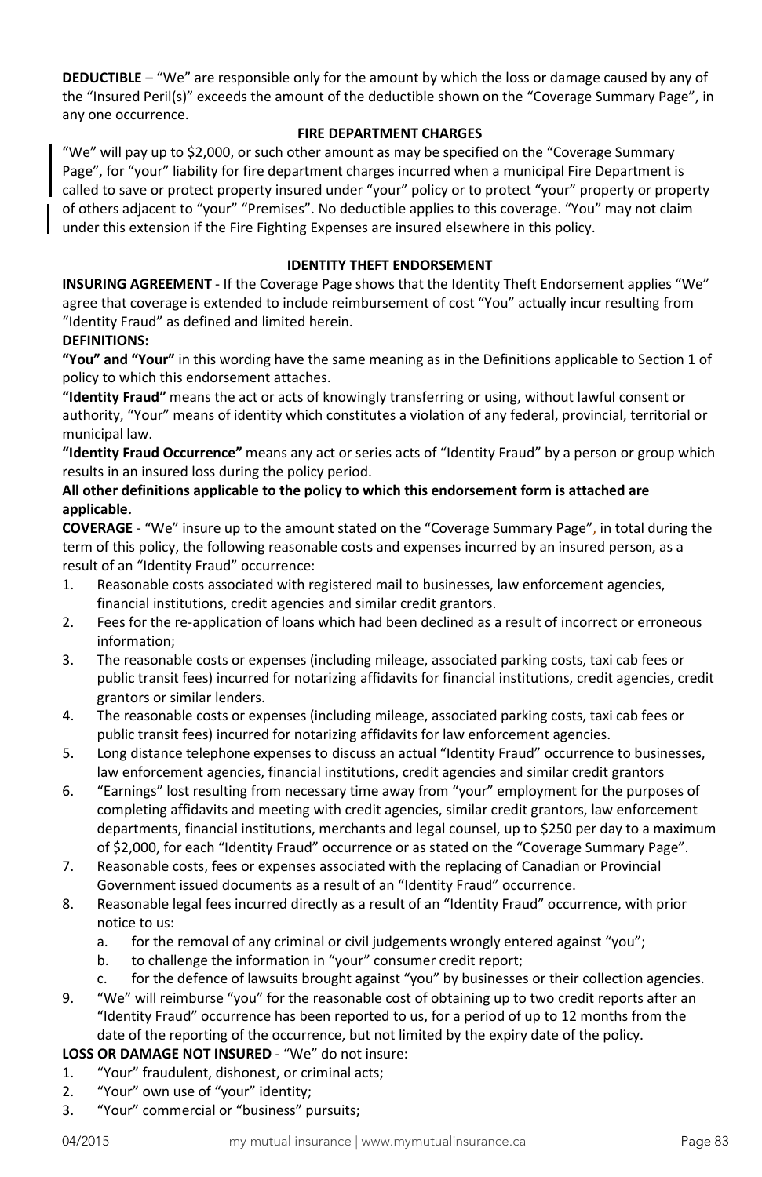**DEDUCTIBLE** – "We" are responsible only for the amount by which the loss or damage caused by any of the "Insured Peril(s)" exceeds the amount of the deductible shown on the "Coverage Summary Page", in any one occurrence.

#### **FIRE DEPARTMENT CHARGES**

"We" will pay up to \$2,000, or such other amount as may be specified on the "Coverage Summary Page", for "your" liability for fire department charges incurred when a municipal Fire Department is called to save or protect property insured under "your" policy or to protect "your" property or property of others adjacent to "your" "Premises". No deductible applies to this coverage. "You" may not claim under this extension if the Fire Fighting Expenses are insured elsewhere in this policy.

# **IDENTITY THEFT ENDORSEMENT**

**INSURING AGREEMENT** - If the Coverage Page shows that the Identity Theft Endorsement applies "We" agree that coverage is extended to include reimbursement of cost "You" actually incur resulting from "Identity Fraud" as defined and limited herein.

## **DEFINITIONS:**

**"You" and "Your"** in this wording have the same meaning as in the Definitions applicable to Section 1 of policy to which this endorsement attaches.

**"Identity Fraud"** means the act or acts of knowingly transferring or using, without lawful consent or authority, "Your" means of identity which constitutes a violation of any federal, provincial, territorial or municipal law.

**"Identity Fraud Occurrence"** means any act or series acts of "Identity Fraud" by a person or group which results in an insured loss during the policy period.

#### **All other definitions applicable to the policy to which this endorsement form is attached are applicable.**

**COVERAGE** - "We" insure up to the amount stated on the "Coverage Summary Page", in total during the term of this policy, the following reasonable costs and expenses incurred by an insured person, as a result of an "Identity Fraud" occurrence:

- 1. Reasonable costs associated with registered mail to businesses, law enforcement agencies, financial institutions, credit agencies and similar credit grantors.
- 2. Fees for the re-application of loans which had been declined as a result of incorrect or erroneous information;
- 3. The reasonable costs or expenses (including mileage, associated parking costs, taxi cab fees or public transit fees) incurred for notarizing affidavits for financial institutions, credit agencies, credit grantors or similar lenders.
- 4. The reasonable costs or expenses (including mileage, associated parking costs, taxi cab fees or public transit fees) incurred for notarizing affidavits for law enforcement agencies.
- 5. Long distance telephone expenses to discuss an actual "Identity Fraud" occurrence to businesses, law enforcement agencies, financial institutions, credit agencies and similar credit grantors
- 6. "Earnings" lost resulting from necessary time away from "your" employment for the purposes of completing affidavits and meeting with credit agencies, similar credit grantors, law enforcement departments, financial institutions, merchants and legal counsel, up to \$250 per day to a maximum of \$2,000, for each "Identity Fraud" occurrence or as stated on the "Coverage Summary Page".
- 7. Reasonable costs, fees or expenses associated with the replacing of Canadian or Provincial Government issued documents as a result of an "Identity Fraud" occurrence.
- 8. Reasonable legal fees incurred directly as a result of an "Identity Fraud" occurrence, with prior notice to us:
	- a. for the removal of any criminal or civil judgements wrongly entered against "you";
	- b. to challenge the information in "your" consumer credit report;
	- c. for the defence of lawsuits brought against "you" by businesses or their collection agencies.
- 9. "We" will reimburse "you" for the reasonable cost of obtaining up to two credit reports after an "Identity Fraud" occurrence has been reported to us, for a period of up to 12 months from the date of the reporting of the occurrence, but not limited by the expiry date of the policy.

## **LOSS OR DAMAGE NOT INSURED** - "We" do not insure:

- 1. "Your" fraudulent, dishonest, or criminal acts;
- 2. "Your" own use of "your" identity;
- 3. "Your" commercial or "business" pursuits;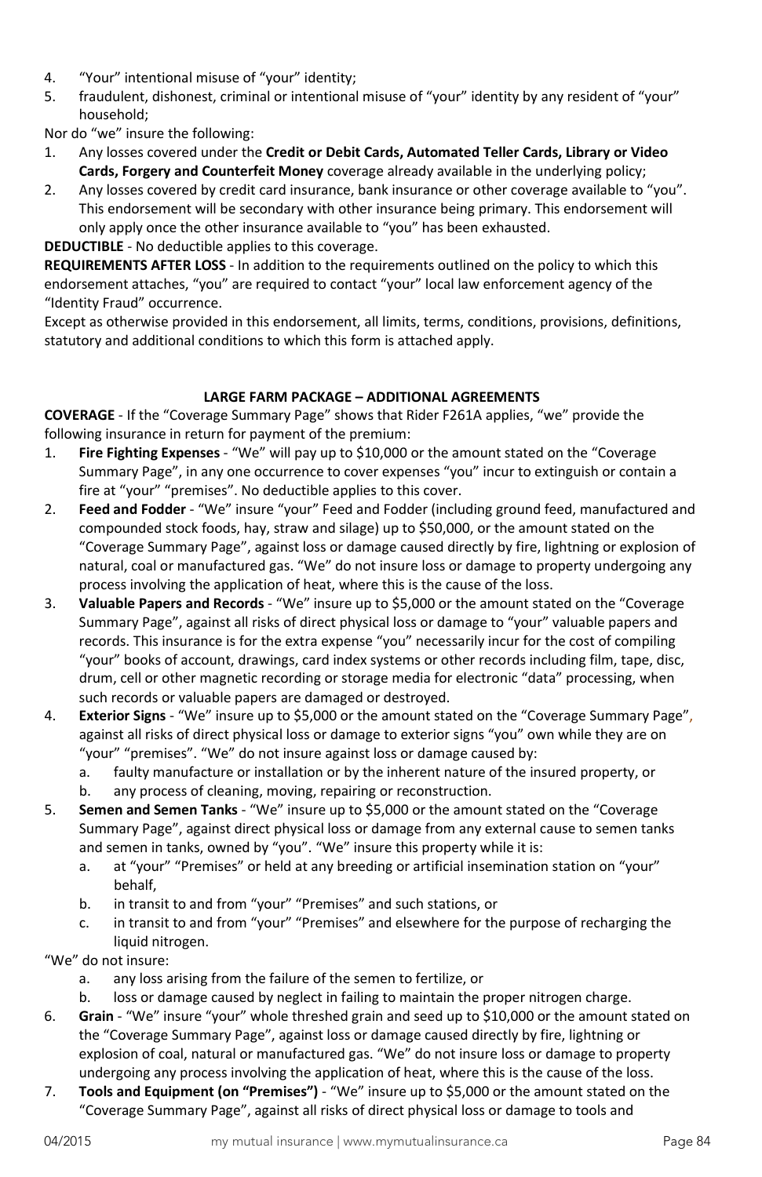- 4. "Your" intentional misuse of "your" identity;
- 5. fraudulent, dishonest, criminal or intentional misuse of "your" identity by any resident of "your" household;

Nor do "we" insure the following:

- 1. Any losses covered under the **Credit or Debit Cards, Automated Teller Cards, Library or Video Cards, Forgery and Counterfeit Money** coverage already available in the underlying policy;
- 2. Any losses covered by credit card insurance, bank insurance or other coverage available to "you". This endorsement will be secondary with other insurance being primary. This endorsement will only apply once the other insurance available to "you" has been exhausted.

**DEDUCTIBLE** - No deductible applies to this coverage.

**REQUIREMENTS AFTER LOSS** - In addition to the requirements outlined on the policy to which this endorsement attaches, "you" are required to contact "your" local law enforcement agency of the "Identity Fraud" occurrence.

Except as otherwise provided in this endorsement, all limits, terms, conditions, provisions, definitions, statutory and additional conditions to which this form is attached apply.

# **LARGE FARM PACKAGE – ADDITIONAL AGREEMENTS**

**COVERAGE** - If the "Coverage Summary Page" shows that Rider F261A applies, "we" provide the following insurance in return for payment of the premium:

- 1. **Fire Fighting Expenses** "We" will pay up to \$10,000 or the amount stated on the "Coverage Summary Page", in any one occurrence to cover expenses "you" incur to extinguish or contain a fire at "your" "premises". No deductible applies to this cover.
- 2. **Feed and Fodder**  "We" insure "your" Feed and Fodder (including ground feed, manufactured and compounded stock foods, hay, straw and silage) up to \$50,000, or the amount stated on the "Coverage Summary Page", against loss or damage caused directly by fire, lightning or explosion of natural, coal or manufactured gas. "We" do not insure loss or damage to property undergoing any process involving the application of heat, where this is the cause of the loss.
- 3. **Valuable Papers and Records**  "We" insure up to \$5,000 or the amount stated on the "Coverage Summary Page", against all risks of direct physical loss or damage to "your" valuable papers and records. This insurance is for the extra expense "you" necessarily incur for the cost of compiling "your" books of account, drawings, card index systems or other records including film, tape, disc, drum, cell or other magnetic recording or storage media for electronic "data" processing, when such records or valuable papers are damaged or destroyed.
- 4. **Exterior Signs** "We" insure up to \$5,000 or the amount stated on the "Coverage Summary Page", against all risks of direct physical loss or damage to exterior signs "you" own while they are on "your" "premises". "We" do not insure against loss or damage caused by:
	- a. faulty manufacture or installation or by the inherent nature of the insured property, or
	- b. any process of cleaning, moving, repairing or reconstruction.
- 5. **Semen and Semen Tanks** "We" insure up to \$5,000 or the amount stated on the "Coverage Summary Page", against direct physical loss or damage from any external cause to semen tanks and semen in tanks, owned by "you". "We" insure this property while it is:
	- a. at "your" "Premises" or held at any breeding or artificial insemination station on "your" behalf,
	- b. in transit to and from "your" "Premises" and such stations, or
	- c. in transit to and from "your" "Premises" and elsewhere for the purpose of recharging the liquid nitrogen.

"We" do not insure:

- a. any loss arising from the failure of the semen to fertilize, or
- b. loss or damage caused by neglect in failing to maintain the proper nitrogen charge.
- 6. **Grain** "We" insure "your" whole threshed grain and seed up to \$10,000 or the amount stated on the "Coverage Summary Page", against loss or damage caused directly by fire, lightning or explosion of coal, natural or manufactured gas. "We" do not insure loss or damage to property undergoing any process involving the application of heat, where this is the cause of the loss.
- 7. **Tools and Equipment (on "Premises")**  "We" insure up to \$5,000 or the amount stated on the "Coverage Summary Page", against all risks of direct physical loss or damage to tools and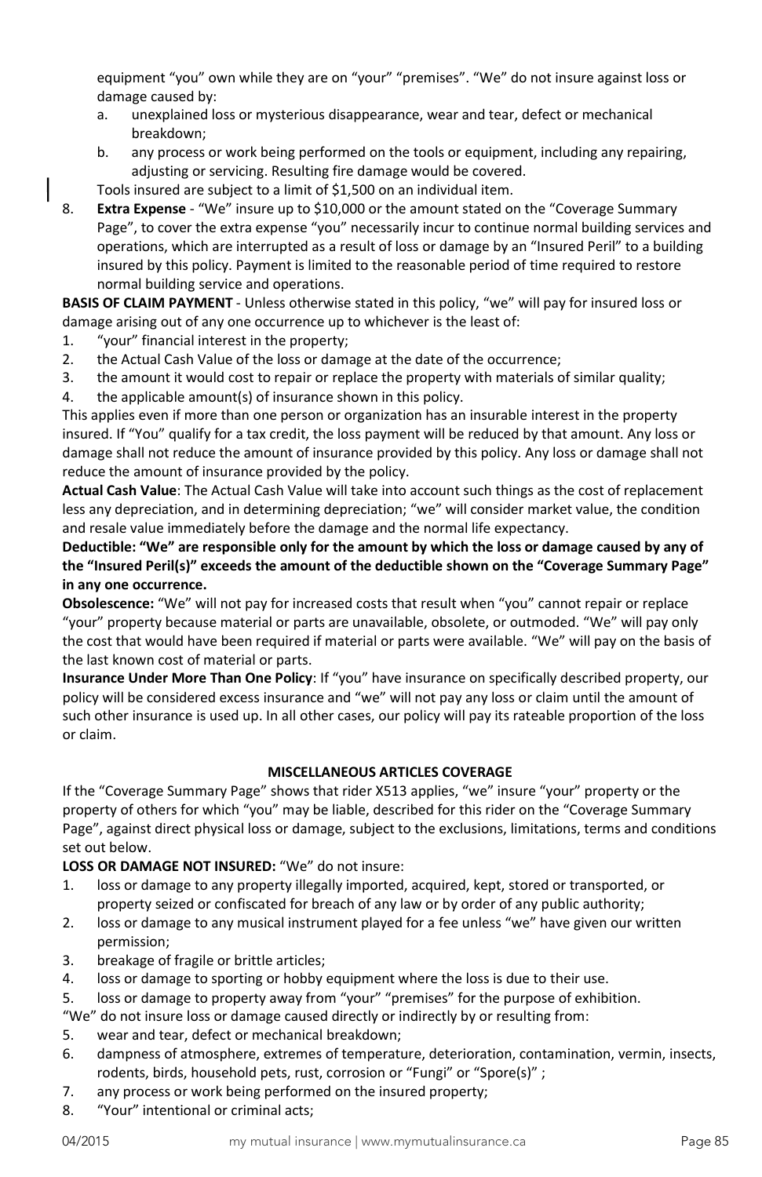equipment "you" own while they are on "your" "premises". "We" do not insure against loss or damage caused by:

- a. unexplained loss or mysterious disappearance, wear and tear, defect or mechanical breakdown;
- b. any process or work being performed on the tools or equipment, including any repairing, adjusting or servicing. Resulting fire damage would be covered.
- Tools insured are subject to a limit of \$1,500 on an individual item.
- 8. **Extra Expense** "We" insure up to \$10,000 or the amount stated on the "Coverage Summary Page", to cover the extra expense "you" necessarily incur to continue normal building services and operations, which are interrupted as a result of loss or damage by an "Insured Peril" to a building insured by this policy. Payment is limited to the reasonable period of time required to restore normal building service and operations.

**BASIS OF CLAIM PAYMENT** - Unless otherwise stated in this policy, "we" will pay for insured loss or damage arising out of any one occurrence up to whichever is the least of:

- 1. "your" financial interest in the property;
- 2. the Actual Cash Value of the loss or damage at the date of the occurrence;
- 3. the amount it would cost to repair or replace the property with materials of similar quality;
- 4. the applicable amount(s) of insurance shown in this policy.

This applies even if more than one person or organization has an insurable interest in the property insured. If "You" qualify for a tax credit, the loss payment will be reduced by that amount. Any loss or damage shall not reduce the amount of insurance provided by this policy. Any loss or damage shall not reduce the amount of insurance provided by the policy.

**Actual Cash Value**: The Actual Cash Value will take into account such things as the cost of replacement less any depreciation, and in determining depreciation; "we" will consider market value, the condition and resale value immediately before the damage and the normal life expectancy.

**Deductible: "We" are responsible only for the amount by which the loss or damage caused by any of the "Insured Peril(s)" exceeds the amount of the deductible shown on the "Coverage Summary Page" in any one occurrence.**

**Obsolescence:** "We" will not pay for increased costs that result when "you" cannot repair or replace "your" property because material or parts are unavailable, obsolete, or outmoded. "We" will pay only the cost that would have been required if material or parts were available. "We" will pay on the basis of the last known cost of material or parts.

**Insurance Under More Than One Policy**: If "you" have insurance on specifically described property, our policy will be considered excess insurance and "we" will not pay any loss or claim until the amount of such other insurance is used up. In all other cases, our policy will pay its rateable proportion of the loss or claim.

## **MISCELLANEOUS ARTICLES COVERAGE**

If the "Coverage Summary Page" shows that rider X513 applies, "we" insure "your" property or the property of others for which "you" may be liable, described for this rider on the "Coverage Summary Page", against direct physical loss or damage, subject to the exclusions, limitations, terms and conditions set out below.

**LOSS OR DAMAGE NOT INSURED:** "We" do not insure:

- 1. loss or damage to any property illegally imported, acquired, kept, stored or transported, or property seized or confiscated for breach of any law or by order of any public authority;
- 2. loss or damage to any musical instrument played for a fee unless "we" have given our written permission;
- 3. breakage of fragile or brittle articles;
- 4. loss or damage to sporting or hobby equipment where the loss is due to their use.
- 5. loss or damage to property away from "your" "premises" for the purpose of exhibition.

"We" do not insure loss or damage caused directly or indirectly by or resulting from:

- 5. wear and tear, defect or mechanical breakdown;
- 6. dampness of atmosphere, extremes of temperature, deterioration, contamination, vermin, insects, rodents, birds, household pets, rust, corrosion or "Fungi" or "Spore(s)" ;
- 7. any process or work being performed on the insured property;
- 8. "Your" intentional or criminal acts;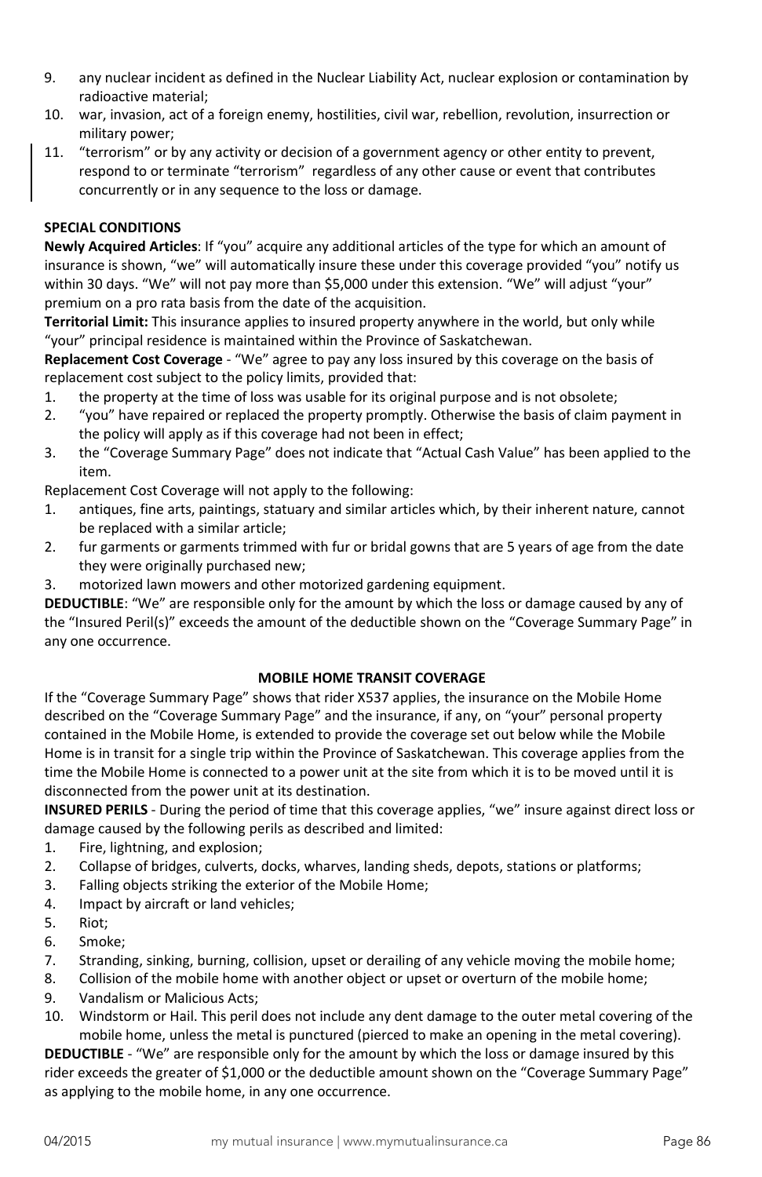- 9. any nuclear incident as defined in the Nuclear Liability Act, nuclear explosion or contamination by radioactive material;
- 10. war, invasion, act of a foreign enemy, hostilities, civil war, rebellion, revolution, insurrection or military power;
- 11. "terrorism" or by any activity or decision of a government agency or other entity to prevent, respond to or terminate "terrorism" regardless of any other cause or event that contributes concurrently or in any sequence to the loss or damage.

## **SPECIAL CONDITIONS**

**Newly Acquired Articles**: If "you" acquire any additional articles of the type for which an amount of insurance is shown, "we" will automatically insure these under this coverage provided "you" notify us within 30 days. "We" will not pay more than \$5,000 under this extension. "We" will adjust "your" premium on a pro rata basis from the date of the acquisition.

**Territorial Limit:** This insurance applies to insured property anywhere in the world, but only while "your" principal residence is maintained within the Province of Saskatchewan.

**Replacement Cost Coverage** - "We" agree to pay any loss insured by this coverage on the basis of replacement cost subject to the policy limits, provided that:

- 1. the property at the time of loss was usable for its original purpose and is not obsolete;
- 2. "you" have repaired or replaced the property promptly. Otherwise the basis of claim payment in the policy will apply as if this coverage had not been in effect;
- 3. the "Coverage Summary Page" does not indicate that "Actual Cash Value" has been applied to the item.

Replacement Cost Coverage will not apply to the following:

- 1. antiques, fine arts, paintings, statuary and similar articles which, by their inherent nature, cannot be replaced with a similar article;
- 2. fur garments or garments trimmed with fur or bridal gowns that are 5 years of age from the date they were originally purchased new;
- 3. motorized lawn mowers and other motorized gardening equipment.

**DEDUCTIBLE**: "We" are responsible only for the amount by which the loss or damage caused by any of the "Insured Peril(s)" exceeds the amount of the deductible shown on the "Coverage Summary Page" in any one occurrence.

## **MOBILE HOME TRANSIT COVERAGE**

If the "Coverage Summary Page" shows that rider X537 applies, the insurance on the Mobile Home described on the "Coverage Summary Page" and the insurance, if any, on "your" personal property contained in the Mobile Home, is extended to provide the coverage set out below while the Mobile Home is in transit for a single trip within the Province of Saskatchewan. This coverage applies from the time the Mobile Home is connected to a power unit at the site from which it is to be moved until it is disconnected from the power unit at its destination.

**INSURED PERILS** - During the period of time that this coverage applies, "we" insure against direct loss or damage caused by the following perils as described and limited:

- 1. Fire, lightning, and explosion;
- 2. Collapse of bridges, culverts, docks, wharves, landing sheds, depots, stations or platforms;
- 3. Falling objects striking the exterior of the Mobile Home;
- 4. Impact by aircraft or land vehicles;
- 5. Riot;
- 6. Smoke;
- 7. Stranding, sinking, burning, collision, upset or derailing of any vehicle moving the mobile home;
- 8. Collision of the mobile home with another object or upset or overturn of the mobile home;
- 9. Vandalism or Malicious Acts;
- 10. Windstorm or Hail. This peril does not include any dent damage to the outer metal covering of the mobile home, unless the metal is punctured (pierced to make an opening in the metal covering).

**DEDUCTIBLE** - "We" are responsible only for the amount by which the loss or damage insured by this rider exceeds the greater of \$1,000 or the deductible amount shown on the "Coverage Summary Page" as applying to the mobile home, in any one occurrence.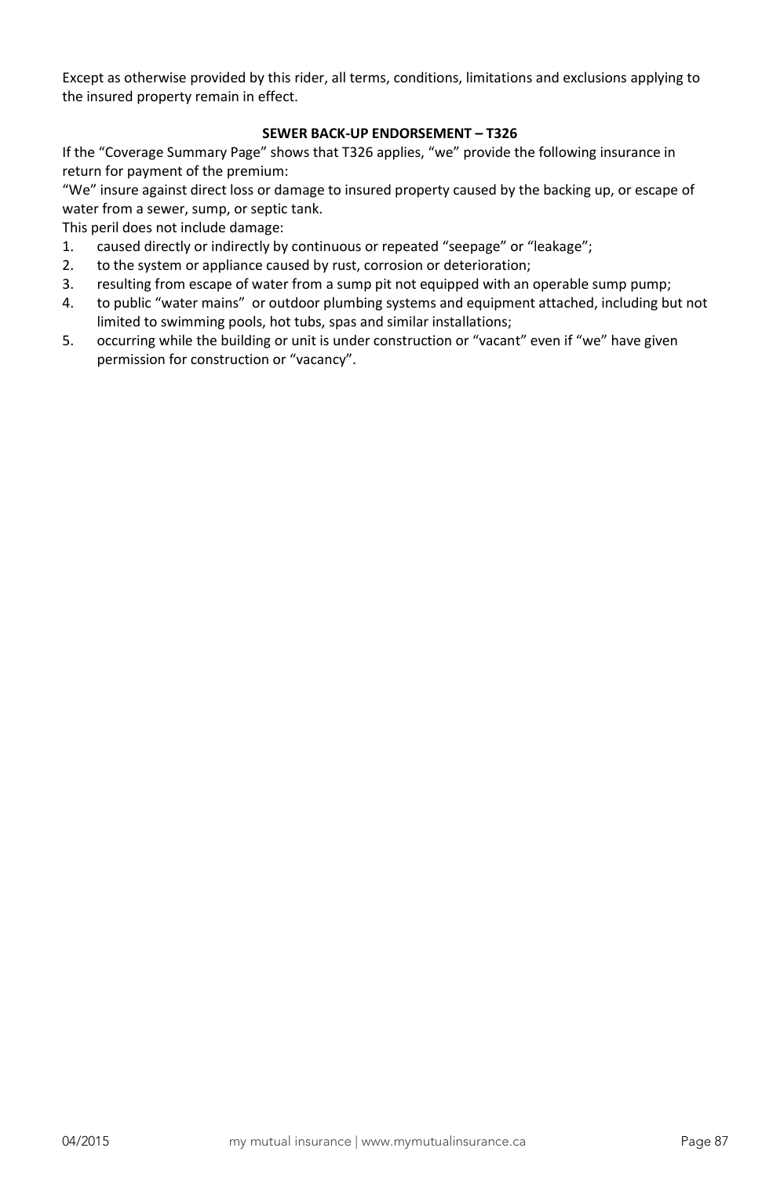Except as otherwise provided by this rider, all terms, conditions, limitations and exclusions applying to the insured property remain in effect.

# **SEWER BACK-UP ENDORSEMENT – T326**

If the "Coverage Summary Page" shows that T326 applies, "we" provide the following insurance in return for payment of the premium:

"We" insure against direct loss or damage to insured property caused by the backing up, or escape of water from a sewer, sump, or septic tank.

This peril does not include damage:

- 1. caused directly or indirectly by continuous or repeated "seepage" or "leakage";
- 2. to the system or appliance caused by rust, corrosion or deterioration;
- 3. resulting from escape of water from a sump pit not equipped with an operable sump pump;
- 4. to public "water mains" or outdoor plumbing systems and equipment attached, including but not limited to swimming pools, hot tubs, spas and similar installations;
- 5. occurring while the building or unit is under construction or "vacant" even if "we" have given permission for construction or "vacancy".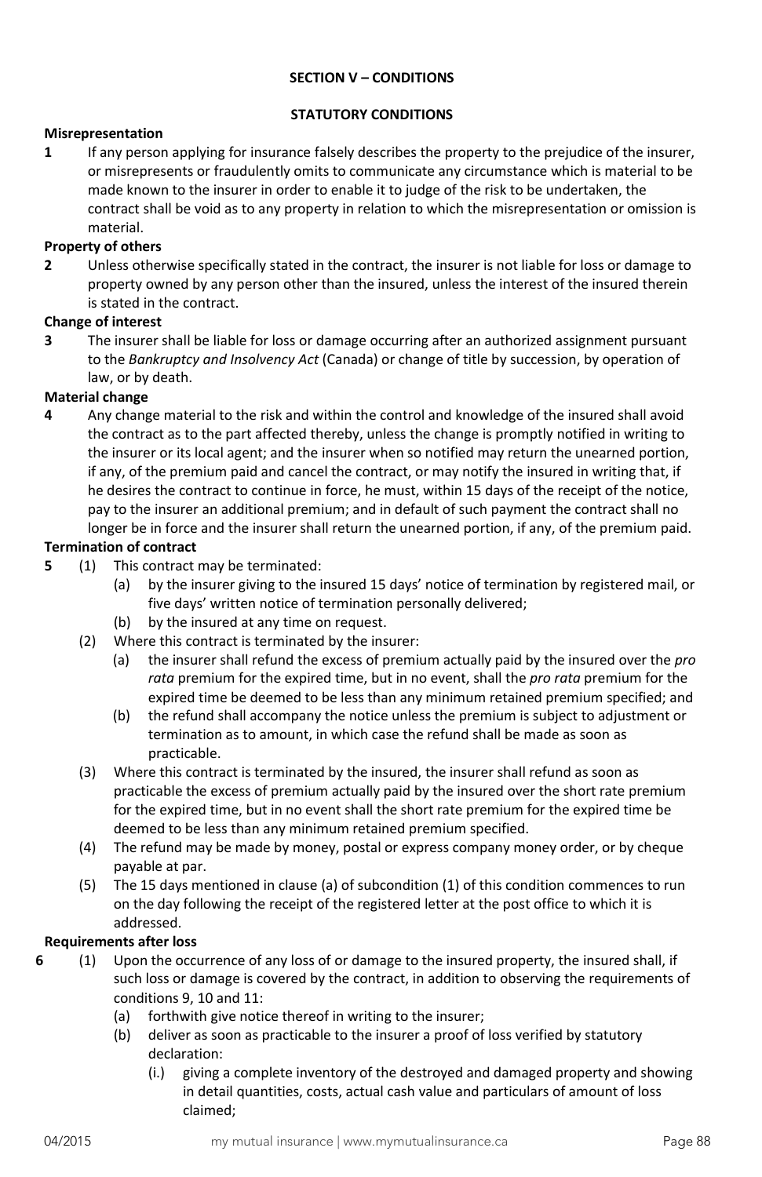## **SECTION V – CONDITIONS**

## **STATUTORY CONDITIONS**

#### **Misrepresentation**

**1** If any person applying for insurance falsely describes the property to the prejudice of the insurer, or misrepresents or fraudulently omits to communicate any circumstance which is material to be made known to the insurer in order to enable it to judge of the risk to be undertaken, the contract shall be void as to any property in relation to which the misrepresentation or omission is material.

## **Property of others**

**2** Unless otherwise specifically stated in the contract, the insurer is not liable for loss or damage to property owned by any person other than the insured, unless the interest of the insured therein is stated in the contract.

#### **Change of interest**

**3** The insurer shall be liable for loss or damage occurring after an authorized assignment pursuant to the *Bankruptcy and Insolvency Act* (Canada) or change of title by succession, by operation of law, or by death.

#### **Material change**

**4** Any change material to the risk and within the control and knowledge of the insured shall avoid the contract as to the part affected thereby, unless the change is promptly notified in writing to the insurer or its local agent; and the insurer when so notified may return the unearned portion, if any, of the premium paid and cancel the contract, or may notify the insured in writing that, if he desires the contract to continue in force, he must, within 15 days of the receipt of the notice, pay to the insurer an additional premium; and in default of such payment the contract shall no longer be in force and the insurer shall return the unearned portion, if any, of the premium paid.

#### **Termination of contract**

- **5** (1) This contract may be terminated:
	- (a) by the insurer giving to the insured 15 days' notice of termination by registered mail, or five days' written notice of termination personally delivered;
	- (b) by the insured at any time on request.
	- (2) Where this contract is terminated by the insurer:
		- (a) the insurer shall refund the excess of premium actually paid by the insured over the *pro rata* premium for the expired time, but in no event, shall the *pro rata* premium for the expired time be deemed to be less than any minimum retained premium specified; and
		- (b) the refund shall accompany the notice unless the premium is subject to adjustment or termination as to amount, in which case the refund shall be made as soon as practicable.
	- (3) Where this contract is terminated by the insured, the insurer shall refund as soon as practicable the excess of premium actually paid by the insured over the short rate premium for the expired time, but in no event shall the short rate premium for the expired time be deemed to be less than any minimum retained premium specified.
	- (4) The refund may be made by money, postal or express company money order, or by cheque payable at par.
	- (5) The 15 days mentioned in clause (a) of subcondition (1) of this condition commences to run on the day following the receipt of the registered letter at the post office to which it is addressed.

#### **Requirements after loss**

- **6** (1) Upon the occurrence of any loss of or damage to the insured property, the insured shall, if such loss or damage is covered by the contract, in addition to observing the requirements of conditions 9, 10 and 11:
	- (a) forthwith give notice thereof in writing to the insurer;
	- (b) deliver as soon as practicable to the insurer a proof of loss verified by statutory declaration:
		- (i.) giving a complete inventory of the destroyed and damaged property and showing in detail quantities, costs, actual cash value and particulars of amount of loss claimed;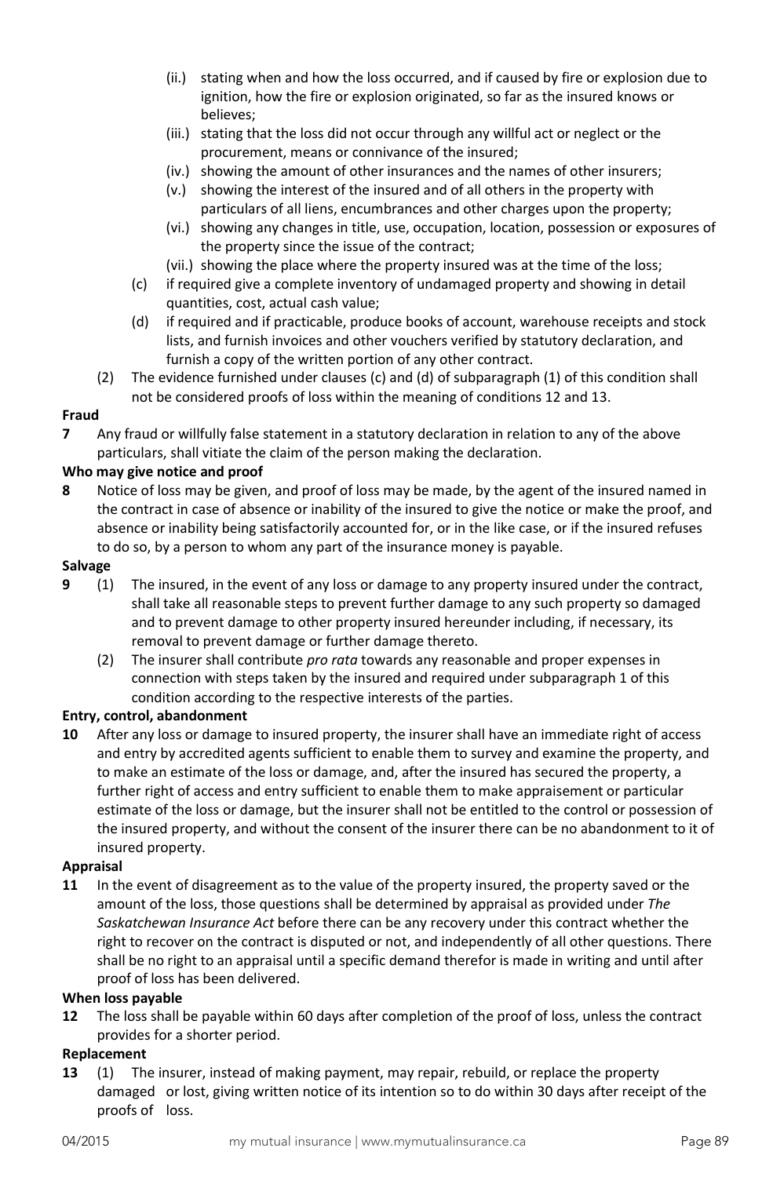- (ii.) stating when and how the loss occurred, and if caused by fire or explosion due to ignition, how the fire or explosion originated, so far as the insured knows or believes;
- (iii.) stating that the loss did not occur through any willful act or neglect or the procurement, means or connivance of the insured;
- (iv.) showing the amount of other insurances and the names of other insurers;
- (v.) showing the interest of the insured and of all others in the property with particulars of all liens, encumbrances and other charges upon the property;
- (vi.) showing any changes in title, use, occupation, location, possession or exposures of the property since the issue of the contract;
- (vii.) showing the place where the property insured was at the time of the loss;
- (c) if required give a complete inventory of undamaged property and showing in detail quantities, cost, actual cash value;
- (d) if required and if practicable, produce books of account, warehouse receipts and stock lists, and furnish invoices and other vouchers verified by statutory declaration, and furnish a copy of the written portion of any other contract.
- (2) The evidence furnished under clauses (c) and (d) of subparagraph (1) of this condition shall not be considered proofs of loss within the meaning of conditions 12 and 13.

## **Fraud**

**7** Any fraud or willfully false statement in a statutory declaration in relation to any of the above particulars, shall vitiate the claim of the person making the declaration.

## **Who may give notice and proof**

**8** Notice of loss may be given, and proof of loss may be made, by the agent of the insured named in the contract in case of absence or inability of the insured to give the notice or make the proof, and absence or inability being satisfactorily accounted for, or in the like case, or if the insured refuses to do so, by a person to whom any part of the insurance money is payable.

#### **Salvage**

- **9** (1) The insured, in the event of any loss or damage to any property insured under the contract, shall take all reasonable steps to prevent further damage to any such property so damaged and to prevent damage to other property insured hereunder including, if necessary, its removal to prevent damage or further damage thereto.
	- (2) The insurer shall contribute *pro rata* towards any reasonable and proper expenses in connection with steps taken by the insured and required under subparagraph 1 of this condition according to the respective interests of the parties.

#### **Entry, control, abandonment**

**10** After any loss or damage to insured property, the insurer shall have an immediate right of access and entry by accredited agents sufficient to enable them to survey and examine the property, and to make an estimate of the loss or damage, and, after the insured has secured the property, a further right of access and entry sufficient to enable them to make appraisement or particular estimate of the loss or damage, but the insurer shall not be entitled to the control or possession of the insured property, and without the consent of the insurer there can be no abandonment to it of insured property.

## **Appraisal**

**11** In the event of disagreement as to the value of the property insured, the property saved or the amount of the loss, those questions shall be determined by appraisal as provided under *The Saskatchewan Insurance Act* before there can be any recovery under this contract whether the right to recover on the contract is disputed or not, and independently of all other questions. There shall be no right to an appraisal until a specific demand therefor is made in writing and until after proof of loss has been delivered.

#### **When loss payable**

**12** The loss shall be payable within 60 days after completion of the proof of loss, unless the contract provides for a shorter period.

#### **Replacement**

**13** (1) The insurer, instead of making payment, may repair, rebuild, or replace the property damaged or lost, giving written notice of its intention so to do within 30 days after receipt of the proofs of loss.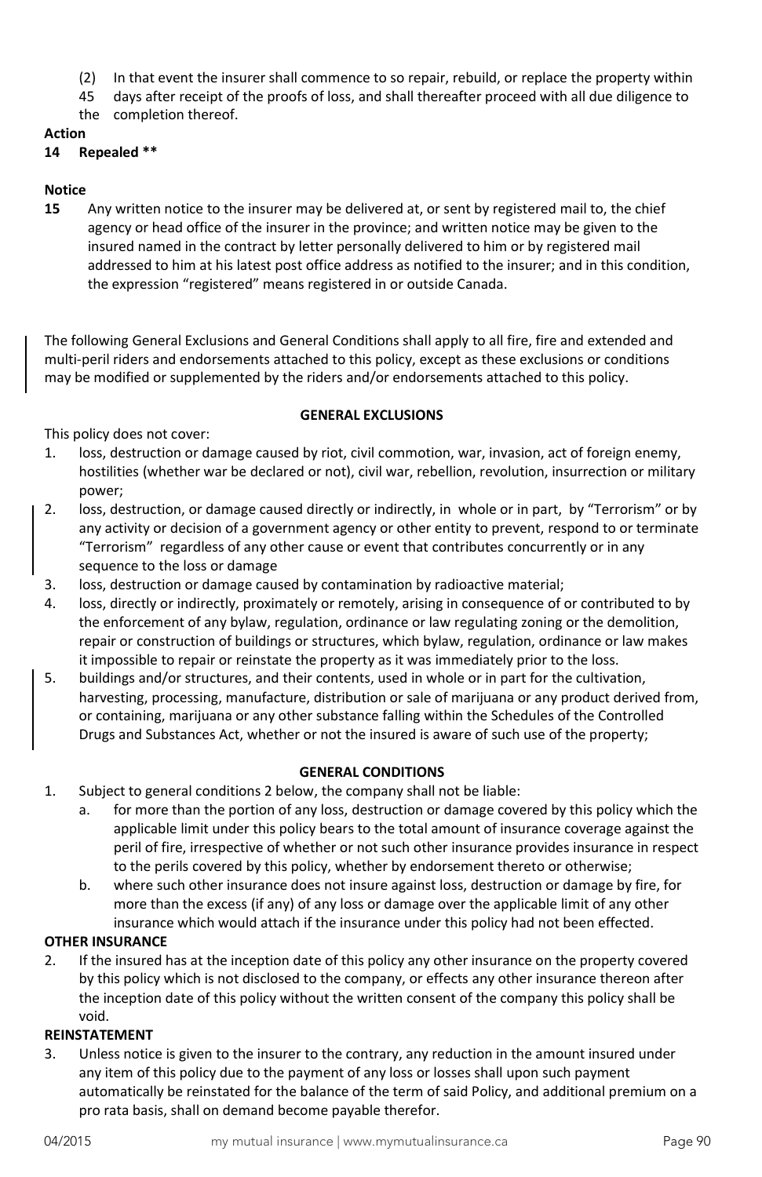- (2) In that event the insurer shall commence to so repair, rebuild, or replace the property within
- 45 days after receipt of the proofs of loss, and shall thereafter proceed with all due diligence to
- the completion thereof.

# **Action**

# **14 Repealed \*\***

# **Notice**

**15** Any written notice to the insurer may be delivered at, or sent by registered mail to, the chief agency or head office of the insurer in the province; and written notice may be given to the insured named in the contract by letter personally delivered to him or by registered mail addressed to him at his latest post office address as notified to the insurer; and in this condition, the expression "registered" means registered in or outside Canada.

The following General Exclusions and General Conditions shall apply to all fire, fire and extended and multi-peril riders and endorsements attached to this policy, except as these exclusions or conditions may be modified or supplemented by the riders and/or endorsements attached to this policy.

#### **GENERAL EXCLUSIONS**

This policy does not cover:

- 1. loss, destruction or damage caused by riot, civil commotion, war, invasion, act of foreign enemy, hostilities (whether war be declared or not), civil war, rebellion, revolution, insurrection or military power;
- 2. loss, destruction, or damage caused directly or indirectly, in whole or in part, by "Terrorism" or by any activity or decision of a government agency or other entity to prevent, respond to or terminate "Terrorism" regardless of any other cause or event that contributes concurrently or in any sequence to the loss or damage
- 3. loss, destruction or damage caused by contamination by radioactive material;
- 4. loss, directly or indirectly, proximately or remotely, arising in consequence of or contributed to by the enforcement of any bylaw, regulation, ordinance or law regulating zoning or the demolition, repair or construction of buildings or structures, which bylaw, regulation, ordinance or law makes it impossible to repair or reinstate the property as it was immediately prior to the loss.
- 5. buildings and/or structures, and their contents, used in whole or in part for the cultivation, harvesting, processing, manufacture, distribution or sale of marijuana or any product derived from, or containing, marijuana or any other substance falling within the Schedules of the Controlled Drugs and Substances Act, whether or not the insured is aware of such use of the property;

## **GENERAL CONDITIONS**

- 1. Subject to general conditions 2 below, the company shall not be liable:
	- a. for more than the portion of any loss, destruction or damage covered by this policy which the applicable limit under this policy bears to the total amount of insurance coverage against the peril of fire, irrespective of whether or not such other insurance provides insurance in respect to the perils covered by this policy, whether by endorsement thereto or otherwise;
	- b. where such other insurance does not insure against loss, destruction or damage by fire, for more than the excess (if any) of any loss or damage over the applicable limit of any other insurance which would attach if the insurance under this policy had not been effected.

## **OTHER INSURANCE**

2. If the insured has at the inception date of this policy any other insurance on the property covered by this policy which is not disclosed to the company, or effects any other insurance thereon after the inception date of this policy without the written consent of the company this policy shall be void.

## **REINSTATEMENT**

3. Unless notice is given to the insurer to the contrary, any reduction in the amount insured under any item of this policy due to the payment of any loss or losses shall upon such payment automatically be reinstated for the balance of the term of said Policy, and additional premium on a pro rata basis, shall on demand become payable therefor.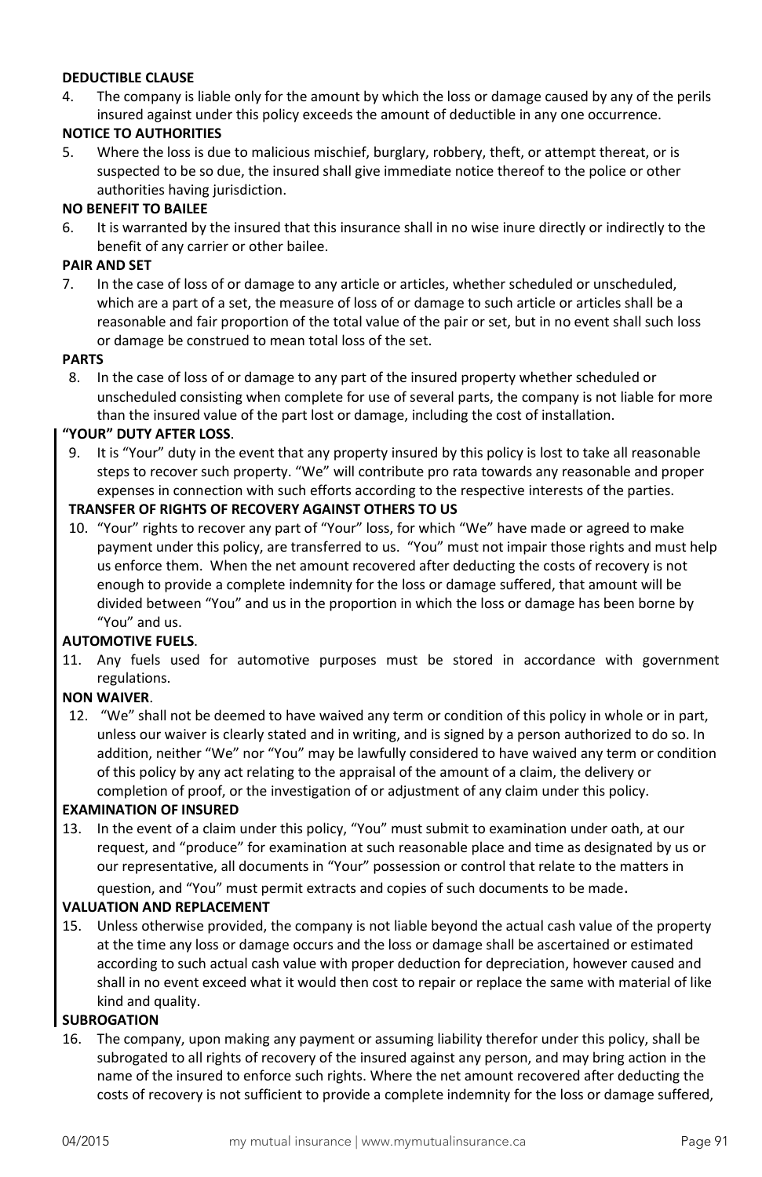## **DEDUCTIBLE CLAUSE**

4. The company is liable only for the amount by which the loss or damage caused by any of the perils insured against under this policy exceeds the amount of deductible in any one occurrence.

#### **NOTICE TO AUTHORITIES**

5. Where the loss is due to malicious mischief, burglary, robbery, theft, or attempt thereat, or is suspected to be so due, the insured shall give immediate notice thereof to the police or other authorities having jurisdiction.

#### **NO BENEFIT TO BAILEE**

6. It is warranted by the insured that this insurance shall in no wise inure directly or indirectly to the benefit of any carrier or other bailee.

#### **PAIR AND SET**

7. In the case of loss of or damage to any article or articles, whether scheduled or unscheduled, which are a part of a set, the measure of loss of or damage to such article or articles shall be a reasonable and fair proportion of the total value of the pair or set, but in no event shall such loss or damage be construed to mean total loss of the set.

#### **PARTS**

8. In the case of loss of or damage to any part of the insured property whether scheduled or unscheduled consisting when complete for use of several parts, the company is not liable for more than the insured value of the part lost or damage, including the cost of installation.

#### **"YOUR" DUTY AFTER LOSS**.

9. It is "Your" duty in the event that any property insured by this policy is lost to take all reasonable steps to recover such property. "We" will contribute pro rata towards any reasonable and proper expenses in connection with such efforts according to the respective interests of the parties.

## **TRANSFER OF RIGHTS OF RECOVERY AGAINST OTHERS TO US**

10. "Your" rights to recover any part of "Your" loss, for which "We" have made or agreed to make payment under this policy, are transferred to us. "You" must not impair those rights and must help us enforce them. When the net amount recovered after deducting the costs of recovery is not enough to provide a complete indemnity for the loss or damage suffered, that amount will be divided between "You" and us in the proportion in which the loss or damage has been borne by "You" and us.

#### **AUTOMOTIVE FUELS**.

11. Any fuels used for automotive purposes must be stored in accordance with government regulations.

# **NON WAIVER**.

12. "We" shall not be deemed to have waived any term or condition of this policy in whole or in part, unless our waiver is clearly stated and in writing, and is signed by a person authorized to do so. In addition, neither "We" nor "You" may be lawfully considered to have waived any term or condition of this policy by any act relating to the appraisal of the amount of a claim, the delivery or completion of proof, or the investigation of or adjustment of any claim under this policy.

#### **EXAMINATION OF INSURED**

13. In the event of a claim under this policy, "You" must submit to examination under oath, at our request, and "produce" for examination at such reasonable place and time as designated by us or our representative, all documents in "Your" possession or control that relate to the matters in

question, and "You" must permit extracts and copies of such documents to be made.

#### **VALUATION AND REPLACEMENT**

15. Unless otherwise provided, the company is not liable beyond the actual cash value of the property at the time any loss or damage occurs and the loss or damage shall be ascertained or estimated according to such actual cash value with proper deduction for depreciation, however caused and shall in no event exceed what it would then cost to repair or replace the same with material of like kind and quality.

#### **SUBROGATION**

16. The company, upon making any payment or assuming liability therefor under this policy, shall be subrogated to all rights of recovery of the insured against any person, and may bring action in the name of the insured to enforce such rights. Where the net amount recovered after deducting the costs of recovery is not sufficient to provide a complete indemnity for the loss or damage suffered,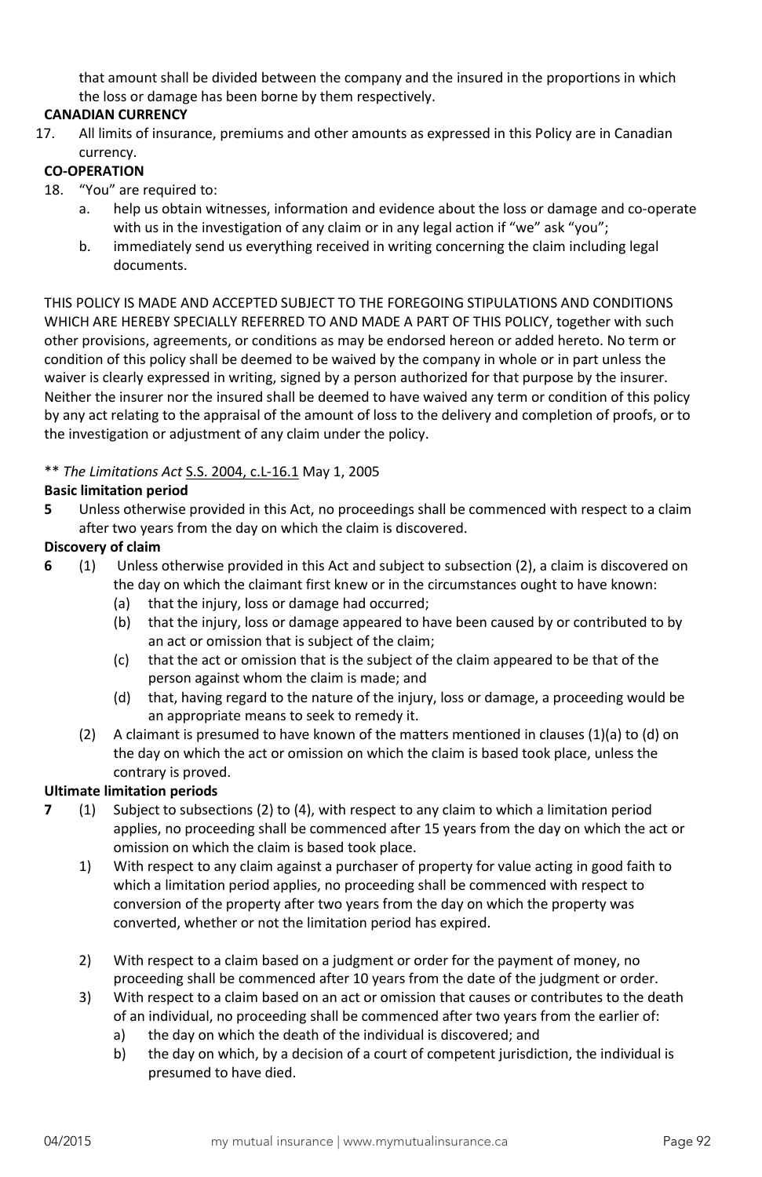that amount shall be divided between the company and the insured in the proportions in which the loss or damage has been borne by them respectively.

# **CANADIAN CURRENCY**

17. All limits of insurance, premiums and other amounts as expressed in this Policy are in Canadian currency.

## **CO-OPERATION**

- 18. "You" are required to:
	- a. help us obtain witnesses, information and evidence about the loss or damage and co-operate with us in the investigation of any claim or in any legal action if "we" ask "you";
	- b. immediately send us everything received in writing concerning the claim including legal documents.

THIS POLICY IS MADE AND ACCEPTED SUBJECT TO THE FOREGOING STIPULATIONS AND CONDITIONS WHICH ARE HEREBY SPECIALLY REFERRED TO AND MADE A PART OF THIS POLICY, together with such other provisions, agreements, or conditions as may be endorsed hereon or added hereto. No term or condition of this policy shall be deemed to be waived by the company in whole or in part unless the waiver is clearly expressed in writing, signed by a person authorized for that purpose by the insurer. Neither the insurer nor the insured shall be deemed to have waived any term or condition of this policy by any act relating to the appraisal of the amount of loss to the delivery and completion of proofs, or to the investigation or adjustment of any claim under the policy.

## \*\* *The Limitations Act* S.S. 2004, c.L-16.1 May 1, 2005

## **Basic limitation period**

**5** Unless otherwise provided in this Act, no proceedings shall be commenced with respect to a claim after two years from the day on which the claim is discovered.

# **Discovery of claim**

- **6** (1) Unless otherwise provided in this Act and subject to subsection (2), a claim is discovered on the day on which the claimant first knew or in the circumstances ought to have known:
	- (a) that the injury, loss or damage had occurred;
	- (b) that the injury, loss or damage appeared to have been caused by or contributed to by an act or omission that is subject of the claim;
	- (c) that the act or omission that is the subject of the claim appeared to be that of the person against whom the claim is made; and
	- (d) that, having regard to the nature of the injury, loss or damage, a proceeding would be an appropriate means to seek to remedy it.
	- (2) A claimant is presumed to have known of the matters mentioned in clauses  $(1)(a)$  to  $(d)$  on the day on which the act or omission on which the claim is based took place, unless the contrary is proved.

## **Ultimate limitation periods**

- **7** (1) Subject to subsections (2) to (4), with respect to any claim to which a limitation period applies, no proceeding shall be commenced after 15 years from the day on which the act or omission on which the claim is based took place.
	- 1) With respect to any claim against a purchaser of property for value acting in good faith to which a limitation period applies, no proceeding shall be commenced with respect to conversion of the property after two years from the day on which the property was converted, whether or not the limitation period has expired.
	- 2) With respect to a claim based on a judgment or order for the payment of money, no proceeding shall be commenced after 10 years from the date of the judgment or order.
	- 3) With respect to a claim based on an act or omission that causes or contributes to the death of an individual, no proceeding shall be commenced after two years from the earlier of:
		- a) the day on which the death of the individual is discovered; and
		- b) the day on which, by a decision of a court of competent jurisdiction, the individual is presumed to have died.